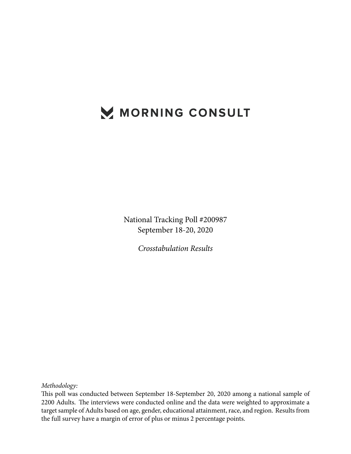# MORNING CONSULT

National Tracking Poll #200987 September 18-20, 2020

*Crosstabulation Results*

*Methodology:*

This poll was conducted between September 18-September 20, 2020 among a national sample of 2200 Adults. The interviews were conducted online and the data were weighted to approximate a target sample of Adults based on age, gender, educational attainment, race, and region. Results from the full survey have a margin of error of plus or minus 2 percentage points.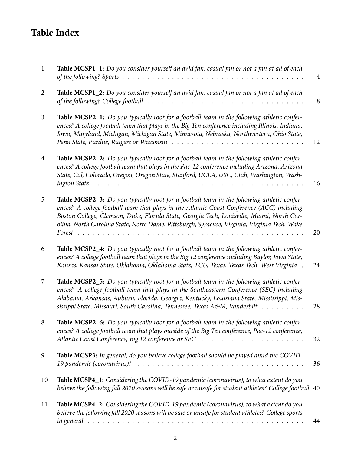## **Table Index**

| $\mathbf{1}$   | <b>Table MCSP1_1:</b> Do you consider yourself an avid fan, casual fan or not a fan at all of each                                                                                                                                                                                                                                                                                    | $\overline{4}$ |
|----------------|---------------------------------------------------------------------------------------------------------------------------------------------------------------------------------------------------------------------------------------------------------------------------------------------------------------------------------------------------------------------------------------|----------------|
| $\overline{2}$ | Table MCSP1_2: Do you consider yourself an avid fan, casual fan or not a fan at all of each<br>of the following? College football $\ldots \ldots \ldots \ldots \ldots \ldots \ldots \ldots \ldots \ldots \ldots$                                                                                                                                                                      | 8              |
| $\overline{3}$ | Table MCSP2_1: Do you typically root for a football team in the following athletic confer-<br>ences? A college football team that plays in the Big Ten conference including Illinois, Indiana,<br>Iowa, Maryland, Michigan, Michigan State, Minnesota, Nebraska, Northwestern, Ohio State,                                                                                            | 12             |
| $\overline{4}$ | Table MCSP2_2: Do you typically root for a football team in the following athletic confer-<br>ences? A college football team that plays in the Pac-12 conference including Arizona, Arizona<br>State, Cal, Colorado, Oregon, Oregon State, Stanford, UCLA, USC, Utah, Washington, Wash-                                                                                               | 16             |
| 5              | Table MCSP2_3: Do you typically root for a football team in the following athletic confer-<br>ences? A college football team that plays in the Atlantic Coast Conference (ACC) including<br>Boston College, Clemson, Duke, Florida State, Georgia Tech, Louisville, Miami, North Car-<br>olina, North Carolina State, Notre Dame, Pittsburgh, Syracuse, Virginia, Virginia Tech, Wake | 20             |
| 6              | Table MCSP2_4: Do you typically root for a football team in the following athletic confer-<br>ences? A college football team that plays in the Big 12 conference including Baylor, Iowa State,<br>Kansas, Kansas State, Oklahoma, Oklahoma State, TCU, Texas, Texas Tech, West Virginia.                                                                                              | 24             |
| 7              | Table MCSP2_5: Do you typically root for a football team in the following athletic confer-<br>ences? A college football team that plays in the Southeastern Conference (SEC) including<br>Alabama, Arkansas, Auburn, Florida, Georgia, Kentucky, Louisiana State, Mississippi, Mis-<br>sissippi State, Missouri, South Carolina, Tennessee, Texas A&M, Vanderbilt                     | 28             |
|                | Table MCSP2_6: Do you typically root for a football team in the following athletic confer-<br>ences? A college football team that plays outside of the Big Ten conference, Pac-12 conference,                                                                                                                                                                                         | 32             |
| 9              | Table MCSP3: In general, do you believe college football should be played amid the COVID-                                                                                                                                                                                                                                                                                             | 36             |
| 10             | Table MCSP4_1: Considering the COVID-19 pandemic (coronavirus), to what extent do you<br>believe the following fall 2020 seasons will be safe or unsafe for student athletes? College football 40                                                                                                                                                                                     |                |
| 11             | Table MCSP4_2: Considering the COVID-19 pandemic (coronavirus), to what extent do you<br>believe the following fall 2020 seasons will be safe or unsafe for student athletes? College sports                                                                                                                                                                                          | 44             |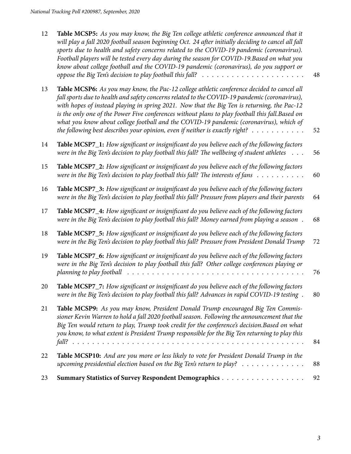| 12 | Table MCSP5: As you may know, the Big Ten college athletic conference announced that it<br>will play a fall 2020 football season beginning Oct. 24 after initially deciding to cancel all fall<br>sports due to health and safety concerns related to the COVID-19 pandemic (coronavirus).<br>Football players will be tested every day during the season for COVID-19. Based on what you<br>know about college football and the COVID-19 pandemic (coronavirus), do you support or<br>oppose the Big Ten's decision to play football this fall? $\ldots \ldots \ldots \ldots \ldots \ldots \ldots$ | 48 |
|----|-----------------------------------------------------------------------------------------------------------------------------------------------------------------------------------------------------------------------------------------------------------------------------------------------------------------------------------------------------------------------------------------------------------------------------------------------------------------------------------------------------------------------------------------------------------------------------------------------------|----|
| 13 | Table MCSP6: As you may know, the Pac-12 college athletic conference decided to cancel all<br>fall sports due to health and safety concerns related to the COVID-19 pandemic (coronavirus),<br>with hopes of instead playing in spring 2021. Now that the Big Ten is returning, the Pac-12<br>is the only one of the Power Five conferences without plans to play football this fall. Based on<br>what you know about college football and the COVID-19 pandemic (coronavirus), which of<br>the following best describes your opinion, even if neither is exactly right? $\dots \dots \dots$        | 52 |
| 14 | Table MCSP7_1: How significant or insignificant do you believe each of the following factors<br>were in the Big Ten's decision to play football this fall? The wellbeing of student athletes<br>$\ddots$                                                                                                                                                                                                                                                                                                                                                                                            | 56 |
| 15 | Table MCSP7_2: How significant or insignificant do you believe each of the following factors<br>were in the Big Ten's decision to play football this fall? The interests of fans $\dots \dots \dots$                                                                                                                                                                                                                                                                                                                                                                                                | 60 |
| 16 | Table MCSP7_3: How significant or insignificant do you believe each of the following factors<br>were in the Big Ten's decision to play football this fall? Pressure from players and their parents                                                                                                                                                                                                                                                                                                                                                                                                  | 64 |
| 17 | Table MCSP7_4: How significant or insignificant do you believe each of the following factors<br>were in the Big Ten's decision to play football this fall? Money earned from playing a season.                                                                                                                                                                                                                                                                                                                                                                                                      | 68 |
| 18 | Table MCSP7_5: How significant or insignificant do you believe each of the following factors<br>were in the Big Ten's decision to play football this fall? Pressure from President Donald Trump                                                                                                                                                                                                                                                                                                                                                                                                     | 72 |
| 19 | Table MCSP7_6: How significant or insignificant do you believe each of the following factors<br>were in the Big Ten's decision to play football this fall? Other college conferences playing or<br>planning to play football                                                                                                                                                                                                                                                                                                                                                                        | 76 |
| 20 | Table MCSP7_7: How significant or insignificant do you believe each of the following factors<br>were in the Big Ten's decision to play football this fall? Advances in rapid COVID-19 testing.                                                                                                                                                                                                                                                                                                                                                                                                      | 80 |
| 21 | Table MCSP9: As you may know, President Donald Trump encouraged Big Ten Commis-<br>sioner Kevin Warren to hold a fall 2020 football season. Following the announcement that the<br>Big Ten would return to play, Trump took credit for the conference's decision. Based on what<br>you know, to what extent is President Trump responsible for the Big Ten returning to play this                                                                                                                                                                                                                   | 84 |
| 22 | Table MCSP10: And are you more or less likely to vote for President Donald Trump in the<br>upcoming presidential election based on the Big Ten's return to play? $\ldots \ldots \ldots \ldots$                                                                                                                                                                                                                                                                                                                                                                                                      | 88 |
| 23 | Summary Statistics of Survey Respondent Demographics                                                                                                                                                                                                                                                                                                                                                                                                                                                                                                                                                | 92 |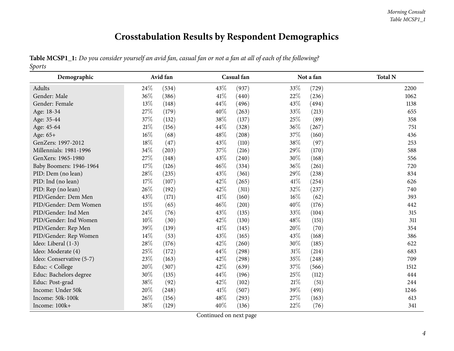## **Crosstabulation Results by Respondent Demographics**

|        |  |  | Table MCSP1_1: Do you consider yourself an avid fan, casual fan or not a fan at all of each of the following? |
|--------|--|--|---------------------------------------------------------------------------------------------------------------|
| Sports |  |  |                                                                                                               |

<span id="page-3-0"></span>

| Demographic              |        | Avid fan |      | Casual fan |        | Not a fan | <b>Total N</b> |
|--------------------------|--------|----------|------|------------|--------|-----------|----------------|
| Adults                   | 24\%   | (534)    | 43\% | (937)      | 33%    | (729)     | 2200           |
| Gender: Male             | 36\%   | (386)    | 41\% | (440)      | 22%    | (236)     | 1062           |
| Gender: Female           | 13%    | (148)    | 44%  | (496)      | 43%    | (494)     | 1138           |
| Age: 18-34               | 27\%   | (179)    | 40%  | (263)      | 33%    | (213)     | 655            |
| Age: 35-44               | 37%    | (132)    | 38%  | (137)      | 25%    | (89)      | 358            |
| Age: 45-64               | $21\%$ | (156)    | 44\% | (328)      | 36%    | (267)     | 751            |
| Age: 65+                 | 16\%   | (68)     | 48\% | (208)      | 37%    | (160)     | 436            |
| GenZers: 1997-2012       | 18%    | (47)     | 43%  | (110)      | 38%    | (97)      | 253            |
| Millennials: 1981-1996   | 34%    | (203)    | 37%  | (216)      | 29%    | (170)     | 588            |
| GenXers: 1965-1980       | 27%    | (148)    | 43%  | (240)      | $30\%$ | (168)     | 556            |
| Baby Boomers: 1946-1964  | 17%    | (126)    | 46\% | (334)      | 36%    | (261)     | 720            |
| PID: Dem (no lean)       | 28%    | (235)    | 43%  | (361)      | 29%    | (238)     | 834            |
| PID: Ind (no lean)       | 17%    | (107)    | 42%  | (265)      | 41\%   | (254)     | 626            |
| PID: Rep (no lean)       | 26\%   | (192)    | 42%  | (311)      | 32%    | (237)     | 740            |
| PID/Gender: Dem Men      | 43%    | (171)    | 41\% | (160)      | 16%    | (62)      | 393            |
| PID/Gender: Dem Women    | 15%    | (65)     | 46\% | (201)      | 40%    | (176)     | 442            |
| PID/Gender: Ind Men      | 24%    | (76)     | 43%  | (135)      | 33%    | (104)     | 315            |
| PID/Gender: Ind Women    | $10\%$ | (30)     | 42%  | (130)      | 48%    | (151)     | 311            |
| PID/Gender: Rep Men      | 39%    | (139)    | 41\% | (145)      | 20%    | (70)      | 354            |
| PID/Gender: Rep Women    | 14\%   | (53)     | 43\% | (165)      | 43%    | (168)     | 386            |
| Ideo: Liberal (1-3)      | 28\%   | (176)    | 42%  | (260)      | 30%    | (185)     | 622            |
| Ideo: Moderate (4)       | 25%    | (172)    | 44%  | (298)      | $31\%$ | (214)     | 683            |
| Ideo: Conservative (5-7) | 23%    | (163)    | 42%  | (298)      | 35%    | (248)     | 709            |
| Educ: < College          | 20%    | (307)    | 42%  | (639)      | 37\%   | (566)     | 1512           |
| Educ: Bachelors degree   | 30%    | (135)    | 44\% | (196)      | 25\%   | (112)     | 444            |
| Educ: Post-grad          | 38%    | (92)     | 42%  | (102)      | $21\%$ | (51)      | 244            |
| Income: Under 50k        | 20%    | (248)    | 41\% | (507)      | 39%    | (491)     | 1246           |
| Income: 50k-100k         | 26%    | (156)    | 48%  | (293)      | 27%    | (163)     | 613            |
| Income: 100k+            | 38%    | (129)    | 40%  | (136)      | 22%    | (76)      | 341            |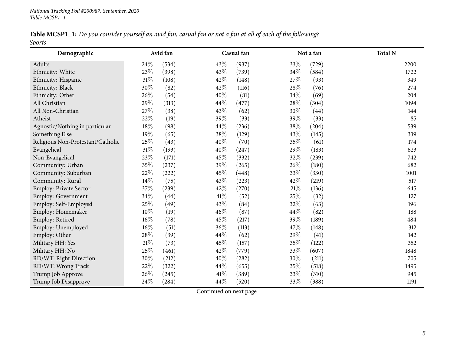| Table MCSP1_1: Do you consider yourself an avid fan, casual fan or not a fan at all of each of the following? |  |  |  |  |
|---------------------------------------------------------------------------------------------------------------|--|--|--|--|
| Sports                                                                                                        |  |  |  |  |

| Demographic                       |        | Avid fan |        | Casual fan |        | Not a fan | <b>Total N</b> |
|-----------------------------------|--------|----------|--------|------------|--------|-----------|----------------|
| Adults                            | 24%    | (534)    | 43%    | (937)      | 33%    | (729)     | 2200           |
| Ethnicity: White                  | 23%    | (398)    | 43%    | (739)      | $34\%$ | (584)     | 1722           |
| Ethnicity: Hispanic               | 31%    | (108)    | 42%    | (148)      | 27%    | (93)      | 349            |
| Ethnicity: Black                  | 30%    | (82)     | 42%    | (116)      | 28%    | (76)      | 274            |
| Ethnicity: Other                  | 26%    | (54)     | 40%    | (81)       | 34%    | (69)      | 204            |
| All Christian                     | 29%    | (313)    | 44%    | (477)      | 28%    | (304)     | 1094           |
| All Non-Christian                 | 27%    | (38)     | 43%    | (62)       | 30%    | (44)      | 144            |
| Atheist                           | 22%    | (19)     | 39%    | (33)       | 39%    | (33)      | 85             |
| Agnostic/Nothing in particular    | $18\%$ | (98)     | 44%    | (236)      | 38%    | (204)     | 539            |
| Something Else                    | 19%    | (65)     | 38%    | (129)      | 43%    | (145)     | 339            |
| Religious Non-Protestant/Catholic | 25%    | (43)     | 40%    | (70)       | 35%    | (61)      | 174            |
| Evangelical                       | 31%    | (193)    | 40%    | (247)      | 29%    | (183)     | 623            |
| Non-Evangelical                   | 23%    | (171)    | 45%    | (332)      | 32%    | (239)     | 742            |
| Community: Urban                  | 35%    | (237)    | 39%    | (265)      | 26%    | (180)     | 682            |
| Community: Suburban               | 22%    | (222)    | 45%    | (448)      | 33%    | (330)     | 1001           |
| Community: Rural                  | 14%    | (75)     | 43%    | (223)      | 42%    | (219)     | 517            |
| Employ: Private Sector            | $37\%$ | (239)    | $42\%$ | (270)      | $21\%$ | (136)     | 645            |
| Employ: Government                | 34%    | (44)     | 41\%   | (52)       | 25%    | (32)      | 127            |
| Employ: Self-Employed             | 25%    | (49)     | 43%    | (84)       | 32%    | (63)      | 196            |
| Employ: Homemaker                 | 10%    | (19)     | 46%    | (87)       | 44%    | (82)      | 188            |
| Employ: Retired                   | 16%    | (78)     | 45%    | (217)      | 39%    | (189)     | 484            |
| Employ: Unemployed                | 16%    | (51)     | 36%    | (113)      | 47%    | (148)     | 312            |
| Employ: Other                     | 28%    | (39)     | 44%    | (62)       | 29%    | (41)      | 142            |
| Military HH: Yes                  | 21%    | (73)     | 45%    | (157)      | 35%    | (122)     | 352            |
| Military HH: No                   | 25%    | (461)    | 42%    | (779)      | 33%    | (607)     | 1848           |
| RD/WT: Right Direction            | 30%    | (212)    | 40%    | (282)      | 30%    | (211)     | 705            |
| RD/WT: Wrong Track                | 22%    | (322)    | 44%    | (655)      | 35%    | (518)     | 1495           |
| Trump Job Approve                 | 26%    | (245)    | 41\%   | (389)      | 33%    | (310)     | 945            |
| Trump Job Disapprove              | 24%    | (284)    | 44%    | (520)      | 33%    | (388)     | 1191           |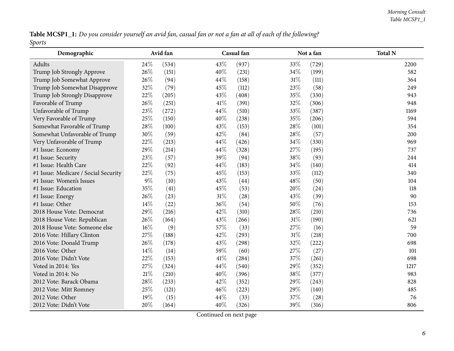Table MCSP1\_1: Do you consider yourself an avid fan, casual fan or not a fan at all of each of the following? *Sports*

| Demographic                          | Avid fan |       |      | Casual fan |        | Not a fan | <b>Total N</b> |
|--------------------------------------|----------|-------|------|------------|--------|-----------|----------------|
| Adults                               | 24\%     | (534) | 43%  | (937)      | 33%    | (729)     | 2200           |
| Trump Job Strongly Approve           | 26%      | (151) | 40%  | (231)      | 34%    | (199)     | 582            |
| Trump Job Somewhat Approve           | 26%      | (94)  | 44\% | (158)      | $31\%$ | (111)     | 364            |
| Trump Job Somewhat Disapprove        | 32%      | (79)  | 45%  | (112)      | 23%    | (58)      | 249            |
| Trump Job Strongly Disapprove        | 22%      | (205) | 43%  | (408)      | 35%    | (330)     | 943            |
| Favorable of Trump                   | 26%      | (251) | 41\% | (391)      | 32%    | (306)     | 948            |
| Unfavorable of Trump                 | 23%      | (272) | 44%  | (510)      | 33%    | (387)     | 1169           |
| Very Favorable of Trump              | 25%      | (150) | 40%  | (238)      | 35%    | (206)     | 594            |
| Somewhat Favorable of Trump          | 28\%     | (100) | 43%  | (153)      | 28\%   | (101)     | 354            |
| Somewhat Unfavorable of Trump        | 30%      | (59)  | 42%  | (84)       | 28\%   | (57)      | 200            |
| Very Unfavorable of Trump            | 22%      | (213) | 44%  | (426)      | 34\%   | (330)     | 969            |
| #1 Issue: Economy                    | 29%      | (214) | 44%  | (328)      | 27%    | (195)     | 737            |
| #1 Issue: Security                   | 23%      | (57)  | 39%  | (94)       | 38\%   | (93)      | 244            |
| #1 Issue: Health Care                | 22%      | (92)  | 44%  | (183)      | 34\%   | (140)     | 414            |
| #1 Issue: Medicare / Social Security | 22%      | (75)  | 45%  | (153)      | 33\%   | (112)     | 340            |
| #1 Issue: Women's Issues             | $9\%$    | (10)  | 43%  | (44)       | 48%    | (50)      | 104            |
| #1 Issue: Education                  | 35%      | (41)  | 45%  | (53)       | 20%    | (24)      | 118            |
| #1 Issue: Energy                     | 26%      | (23)  | 31%  | (28)       | 43\%   | (39)      | 90             |
| #1 Issue: Other                      | 14%      | (22)  | 36%  | (54)       | 50%    | (76)      | 153            |
| 2018 House Vote: Democrat            | 29%      | (216) | 42%  | (310)      | 28\%   | (210)     | 736            |
| 2018 House Vote: Republican          | 26%      | (164) | 43%  | (266)      | $31\%$ | (190)     | 621            |
| 2018 House Vote: Someone else        | $16\%$   | (9)   | 57%  | (33)       | 27%    | (16)      | 59             |
| 2016 Vote: Hillary Clinton           | 27%      | (188) | 42%  | (293)      | $31\%$ | (218)     | 700            |
| 2016 Vote: Donald Trump              | 26%      | (178) | 43%  | (298)      | 32\%   | (222)     | 698            |
| 2016 Vote: Other                     | 14\%     | (14)  | 59%  | (60)       | 27%    | (27)      | 101            |
| 2016 Vote: Didn't Vote               | 22%      | (153) | 41\% | (284)      | 37%    | (261)     | 698            |
| Voted in 2014: Yes                   | 27%      | (324) | 44%  | (540)      | 29%    | (352)     | 1217           |
| Voted in 2014: No                    | $21\%$   | (210) | 40%  | (396)      | 38\%   | (377)     | 983            |
| 2012 Vote: Barack Obama              | 28\%     | (233) | 42%  | (352)      | 29%    | (243)     | 828            |
| 2012 Vote: Mitt Romney               | 25%      | (121) | 46%  | (223)      | 29%    | (140)     | 485            |
| 2012 Vote: Other                     | 19%      | (15)  | 44%  | (33)       | 37%    | (28)      | 76             |
| 2012 Vote: Didn't Vote               | 20%      | (164) | 40%  | (326)      | 39%    | (316)     | 806            |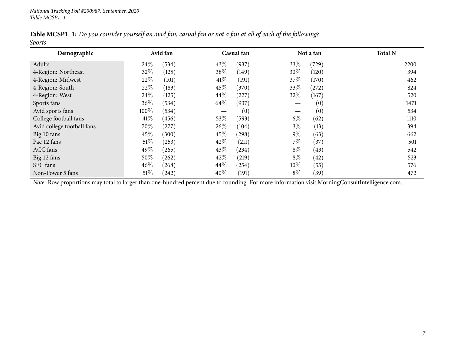| Table MCSP1_1: Do you consider yourself an avid fan, casual fan or not a fan at all of each of the following? |  |  |  |  |  |
|---------------------------------------------------------------------------------------------------------------|--|--|--|--|--|
| <b>Sports</b>                                                                                                 |  |  |  |  |  |

| Demographic                |        | Avid fan |                   | Casual fan |        | Not a fan | <b>Total N</b> |
|----------------------------|--------|----------|-------------------|------------|--------|-----------|----------------|
| Adults                     | 24\%   | (534)    | 43%               | (937)      | 33%    | (729)     | 2200           |
| 4-Region: Northeast        | 32\%   | (125)    | 38\%              | (149)      | $30\%$ | (120)     | 394            |
| 4-Region: Midwest          | 22%    | (101)    | 41\%              | (191)      | 37%    | (170)     | 462            |
| 4-Region: South            | 22\%   | (183)    | 45%               | (370)      | 33\%   | (272)     | 824            |
| 4-Region: West             | 24\%   | (125)    | 44\%              | (227)      | 32\%   | (167)     | 520            |
| Sports fans                | $36\%$ | (534)    | 64\%              | (937)      |        | (0)       | 1471           |
| Avid sports fans           | 100%   | (534)    | $\hspace{0.05cm}$ | (0)        |        | (0)       | 534            |
| College football fans      | $41\%$ | (456)    | 53%               | (593)      | $6\%$  | (62)      | 1110           |
| Avid college football fans | 70\%   | (277)    | 26\%              | (104)      | $3\%$  | (13)      | 394            |
| Big 10 fans                | 45%    | (300)    | 45\%              | (298)      | $9\%$  | (63)      | 662            |
| Pac 12 fans                | $51\%$ | (253)    | 42\%              | (211)      | $7\%$  | (37)      | 501            |
| ACC fans                   | 49%    | (265)    | 43\%              | (234)      | $8\%$  | (43)      | 542            |
| Big 12 fans                | 50\%   | (262)    | 42\%              | (219)      | $8\%$  | (42)      | 523            |
| SEC fans                   | $46\%$ | (268)    | 44\%              | (254)      | $10\%$ | (55)      | 576            |
| Non-Power 5 fans           | $51\%$ | (242)    | 40\%              | (191)      | $8\%$  | (39)      | 472            |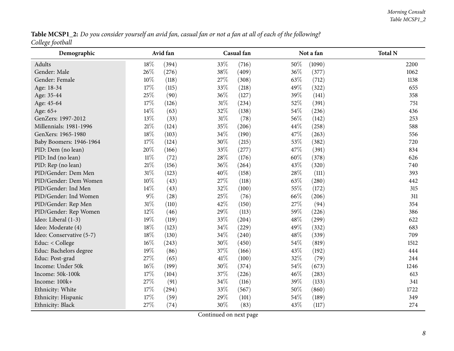Table MCSP1\_2: Do you consider yourself an avid fan, casual fan or not a fan at all of each of the following? *College football*

<span id="page-7-0"></span>

| <u> ບ</u><br>Demographic |        | Avid fan |        | Casual fan |        | Not a fan | <b>Total N</b> |
|--------------------------|--------|----------|--------|------------|--------|-----------|----------------|
| Adults                   | 18%    | (394)    | 33%    | (716)      | 50%    | (1090)    | 2200           |
| Gender: Male             | 26%    | (276)    | 38%    | (409)      | 36%    | (377)     | 1062           |
| Gender: Female           | 10%    | (118)    | 27%    | (308)      | 63%    | (712)     | 1138           |
| Age: 18-34               | 17%    | (115)    | 33%    | (218)      | 49%    | (322)     | 655            |
| Age: 35-44               | 25%    | (90)     | 36%    | (127)      | 39%    | (141)     | 358            |
| Age: 45-64               | 17%    | (126)    | $31\%$ | (234)      | 52%    | (391)     | 751            |
| Age: 65+                 | 14%    | (63)     | 32%    | (138)      | $54\%$ | (236)     | 436            |
| GenZers: 1997-2012       | 13%    | (33)     | $31\%$ | (78)       | 56%    | (142)     | 253            |
| Millennials: 1981-1996   | $21\%$ | (124)    | 35%    | (206)      | 44\%   | (258)     | 588            |
| GenXers: 1965-1980       | $18\%$ | (103)    | 34%    | (190)      | 47%    | (263)     | 556            |
| Baby Boomers: 1946-1964  | $17\%$ | (124)    | 30%    | (215)      | 53%    | (382)     | 720            |
| PID: Dem (no lean)       | 20%    | (166)    | 33%    | (277)      | 47%    | (391)     | 834            |
| PID: Ind (no lean)       | $11\%$ | (72)     | 28%    | (176)      | 60%    | (378)     | 626            |
| PID: Rep (no lean)       | $21\%$ | (156)    | 36%    | (264)      | 43%    | (320)     | 740            |
| PID/Gender: Dem Men      | $31\%$ | (123)    | 40%    | (158)      | 28\%   | (111)     | 393            |
| PID/Gender: Dem Women    | $10\%$ | (43)     | $27\%$ | (118)      | 63%    | (280)     | 442            |
| PID/Gender: Ind Men      | $14\%$ | (43)     | 32%    | (100)      | 55%    | (172)     | 315            |
| PID/Gender: Ind Women    | $9\%$  | (28)     | 25%    | (76)       | 66\%   | (206)     | 311            |
| PID/Gender: Rep Men      | $31\%$ | (110)    | 42%    | (150)      | 27%    | (94)      | 354            |
| PID/Gender: Rep Women    | 12%    | (46)     | 29%    | (113)      | 59%    | (226)     | 386            |
| Ideo: Liberal (1-3)      | 19%    | (119)    | 33%    | (204)      | 48%    | (299)     | 622            |
| Ideo: Moderate (4)       | $18\%$ | (123)    | $34\%$ | (229)      | 49%    | (332)     | 683            |
| Ideo: Conservative (5-7) | 18%    | (130)    | $34\%$ | (240)      | 48\%   | (339)     | 709            |
| Educ: < College          | $16\%$ | (243)    | 30%    | (450)      | 54\%   | (819)     | 1512           |
| Educ: Bachelors degree   | 19%    | (86)     | 37%    | (166)      | 43%    | (192)     | 444            |
| Educ: Post-grad          | 27\%   | (65)     | $41\%$ | (100)      | 32%    | (79)      | 244            |
| Income: Under 50k        | $16\%$ | (199)    | 30%    | (374)      | 54%    | (673)     | 1246           |
| Income: 50k-100k         | 17%    | (104)    | 37%    | (226)      | 46%    | (283)     | 613            |
| Income: 100k+            | 27%    | (91)     | $34\%$ | (116)      | 39%    | (133)     | 341            |
| Ethnicity: White         | $17\%$ | (294)    | 33%    | (567)      | 50%    | (860)     | 1722           |
| Ethnicity: Hispanic      | 17%    | (59)     | 29%    | (101)      | 54%    | (189)     | 349            |
| Ethnicity: Black         | 27\%   | (74)     | 30%    | (83)       | 43%    | (117)     | 274            |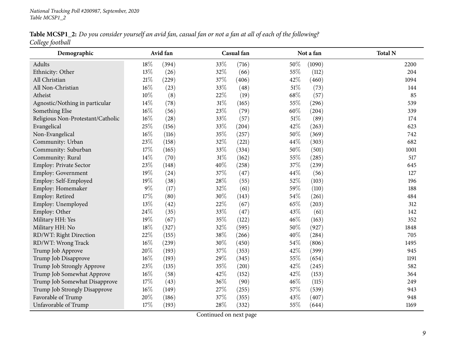Table MCSP1\_2: Do you consider yourself an avid fan, casual fan or not a fan at all of each of the following? *College football*

| Demographic                       |        | Avid fan |        | Casual fan |      | Not a fan | <b>Total N</b> |
|-----------------------------------|--------|----------|--------|------------|------|-----------|----------------|
| Adults                            | 18%    | (394)    | 33%    | (716)      | 50%  | (1090)    | 2200           |
| Ethnicity: Other                  | 13%    | (26)     | 32%    | (66)       | 55%  | (112)     | 204            |
| All Christian                     | $21\%$ | (229)    | 37%    | (406)      | 42%  | (460)     | 1094           |
| All Non-Christian                 | $16\%$ | (23)     | 33%    | (48)       | 51\% | (73)      | 144            |
| Atheist                           | $10\%$ | (8)      | 22%    | (19)       | 68\% | (57)      | 85             |
| Agnostic/Nothing in particular    | 14%    | (78)     | 31%    | (165)      | 55%  | (296)     | 539            |
| Something Else                    | $16\%$ | (56)     | 23%    | (79)       | 60%  | (204)     | 339            |
| Religious Non-Protestant/Catholic | $16\%$ | (28)     | 33%    | (57)       | 51%  | (89)      | 174            |
| Evangelical                       | 25%    | (156)    | 33%    | (204)      | 42%  | (263)     | 623            |
| Non-Evangelical                   | $16\%$ | (116)    | 35%    | (257)      | 50%  | (369)     | 742            |
| Community: Urban                  | 23%    | (158)    | 32%    | (221)      | 44%  | (303)     | 682            |
| Community: Suburban               | 17%    | (165)    | 33%    | (334)      | 50%  | (501)     | 1001           |
| Community: Rural                  | 14%    | (70)     | $31\%$ | (162)      | 55%  | (285)     | 517            |
| Employ: Private Sector            | 23%    | (148)    | 40%    | (258)      | 37%  | (239)     | 645            |
| Employ: Government                | 19%    | (24)     | 37%    | (47)       | 44%  | (56)      | 127            |
| Employ: Self-Employed             | 19%    | (38)     | 28%    | (55)       | 52%  | (103)     | 196            |
| Employ: Homemaker                 | $9\%$  | (17)     | 32%    | (61)       | 59%  | (110)     | 188            |
| Employ: Retired                   | 17%    | (80)     | 30%    | (143)      | 54\% | (261)     | 484            |
| Employ: Unemployed                | 13%    | (42)     | 22%    | (67)       | 65%  | (203)     | 312            |
| Employ: Other                     | 24%    | (35)     | 33%    | (47)       | 43%  | (61)      | 142            |
| Military HH: Yes                  | 19%    | (67)     | 35%    | (122)      | 46%  | (163)     | 352            |
| Military HH: No                   | 18%    | (327)    | 32%    | (595)      | 50%  | (927)     | 1848           |
| RD/WT: Right Direction            | 22%    | (155)    | 38%    | (266)      | 40%  | (284)     | 705            |
| RD/WT: Wrong Track                | $16\%$ | (239)    | 30%    | (450)      | 54\% | (806)     | 1495           |
| Trump Job Approve                 | 20%    | (193)    | 37%    | (353)      | 42%  | (399)     | 945            |
| Trump Job Disapprove              | $16\%$ | (193)    | 29%    | (345)      | 55%  | (654)     | 1191           |
| Trump Job Strongly Approve        | 23%    | (135)    | 35%    | (201)      | 42%  | (245)     | 582            |
| Trump Job Somewhat Approve        | $16\%$ | (58)     | 42%    | (152)      | 42%  | (153)     | 364            |
| Trump Job Somewhat Disapprove     | 17%    | (43)     | 36%    | (90)       | 46%  | (115)     | 249            |
| Trump Job Strongly Disapprove     | $16\%$ | (149)    | 27%    | (255)      | 57%  | (539)     | 943            |
| Favorable of Trump                | 20%    | (186)    | 37%    | (355)      | 43%  | (407)     | 948            |
| Unfavorable of Trump              | 17%    | (193)    | 28%    | (332)      | 55%  | (644)     | 1169           |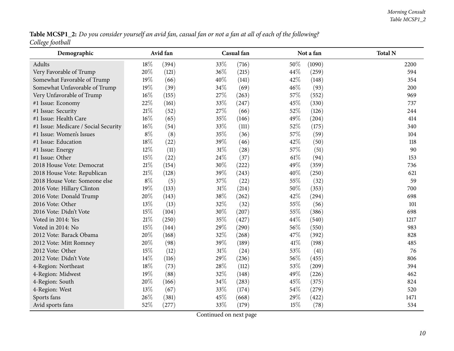Table MCSP1\_2: Do you consider yourself an avid fan, casual fan or not a fan at all of each of the following? *College football*

| Demographic                          | Avid fan |       |        | Casual fan |        | Not a fan | <b>Total N</b> |
|--------------------------------------|----------|-------|--------|------------|--------|-----------|----------------|
| Adults                               | 18%      | (394) | 33%    | (716)      | 50%    | (1090)    | 2200           |
| Very Favorable of Trump              | 20%      | (121) | 36%    | (215)      | 44%    | (259)     | 594            |
| Somewhat Favorable of Trump          | 19%      | (66)  | 40%    | (141)      | 42%    | (148)     | 354            |
| Somewhat Unfavorable of Trump        | 19%      | (39)  | 34%    | (69)       | $46\%$ | (93)      | 200            |
| Very Unfavorable of Trump            | $16\%$   | (155) | 27%    | (263)      | 57\%   | (552)     | 969            |
| #1 Issue: Economy                    | 22%      | (161) | 33%    | (247)      | 45%    | (330)     | 737            |
| #1 Issue: Security                   | $21\%$   | (52)  | 27%    | (66)       | 52%    | (126)     | 244            |
| #1 Issue: Health Care                | $16\%$   | (65)  | 35%    | (146)      | 49%    | (204)     | 414            |
| #1 Issue: Medicare / Social Security | $16\%$   | (54)  | 33%    | (111)      | 52%    | (175)     | 340            |
| #1 Issue: Women's Issues             | $8\%$    | (8)   | 35%    | (36)       | 57%    | (59)      | 104            |
| #1 Issue: Education                  | 18%      | (22)  | 39%    | (46)       | 42%    | (50)      | 118            |
| #1 Issue: Energy                     | 12%      | (11)  | $31\%$ | (28)       | 57%    | (51)      | 90             |
| #1 Issue: Other                      | 15%      | (22)  | 24%    | (37)       | $61\%$ | (94)      | 153            |
| 2018 House Vote: Democrat            | $21\%$   | (154) | 30%    | (222)      | 49%    | (359)     | 736            |
| 2018 House Vote: Republican          | $21\%$   | (128) | 39%    | (243)      | 40%    | (250)     | 621            |
| 2018 House Vote: Someone else        | $8\%$    | (5)   | 37%    | (22)       | 55%    | (32)      | 59             |
| 2016 Vote: Hillary Clinton           | 19%      | (133) | $31\%$ | (214)      | 50%    | (353)     | 700            |
| 2016 Vote: Donald Trump              | 20%      | (143) | 38%    | (262)      | 42\%   | (294)     | 698            |
| 2016 Vote: Other                     | 13%      | (13)  | 32%    | (32)       | 55%    | (56)      | 101            |
| 2016 Vote: Didn't Vote               | $15\%$   | (104) | 30%    | (207)      | 55%    | (386)     | 698            |
| Voted in 2014: Yes                   | $21\%$   | (250) | 35%    | (427)      | 44%    | (540)     | 1217           |
| Voted in 2014: No                    | 15%      | (144) | 29%    | (290)      | 56%    | (550)     | 983            |
| 2012 Vote: Barack Obama              | 20%      | (168) | 32%    | (268)      | 47%    | (392)     | 828            |
| 2012 Vote: Mitt Romney               | 20%      | (98)  | 39%    | (189)      | 41%    | (198)     | 485            |
| 2012 Vote: Other                     | 15%      | (12)  | 31%    | (24)       | 53%    | (41)      | 76             |
| 2012 Vote: Didn't Vote               | 14%      | (116) | 29%    | (236)      | 56%    | (455)     | 806            |
| 4-Region: Northeast                  | $18\%$   | (73)  | 28%    | (112)      | 53%    | (209)     | 394            |
| 4-Region: Midwest                    | 19%      | (88)  | 32%    | (148)      | 49%    | (226)     | 462            |
| 4-Region: South                      | $20\%$   | (166) | 34%    | (283)      | 45%    | (375)     | 824            |
| 4-Region: West                       | 13%      | (67)  | 33%    | (174)      | 54\%   | (279)     | 520            |
| Sports fans                          | 26%      | (381) | 45%    | (668)      | 29%    | (422)     | 1471           |
| Avid sports fans                     | 52%      | (277) | 33%    | (179)      | 15%    | (78)      | 534            |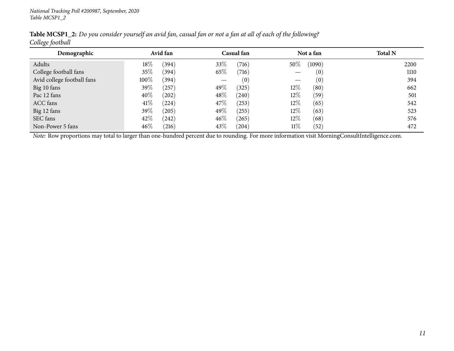| Demographic                |        | Avid fan |      | Casual fan |        | Not a fan | <b>Total N</b> |
|----------------------------|--------|----------|------|------------|--------|-----------|----------------|
| Adults                     | $18\%$ | (394)    | 33%  | (716)      | $50\%$ | (1090)    | 2200           |
| College football fans      | 35%    | (394)    | 65\% | (716)      |        | (0)       | 1110           |
| Avid college football fans | 100%   | (394)    |      | (0)        |        | (0)       | 394            |
| Big 10 fans                | 39%    | (257)    | 49%  | (325)      | $12\%$ | (80)      | 662            |
| Pac 12 fans                | 40%    | (202)    | 48%  | (240)      | $12\%$ | (59)      | 501            |
| ACC fans                   | 41\%   | (224)    | 47\% | (253)      | $12\%$ | (65)      | 542            |
| Big 12 fans                | 39%    | (205)    | 49\% | (255)      | $12\%$ | (63)      | 523            |
| SEC fans                   | 42\%   | (242)    | 46%  | (265)      | $12\%$ | (68)      | 576            |
| Non-Power 5 fans           | $46\%$ | (216)    | 43\% | (204)      | 11%    | (52)      | 472            |
|                            |        |          |      |            |        |           |                |

Table MCSP1\_2: Do you consider yourself an avid fan, casual fan or not a fan at all of each of the following? *College football*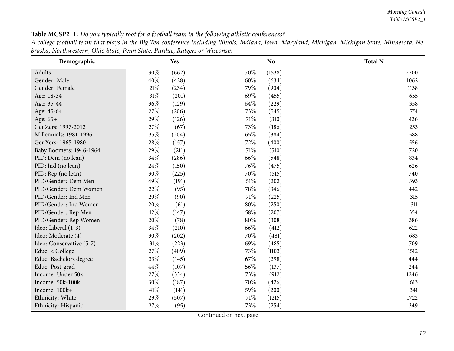<span id="page-11-0"></span>

| Demographic              |        | Yes   |        | N <sub>o</sub> | <b>Total N</b> |
|--------------------------|--------|-------|--------|----------------|----------------|
| Adults                   | 30%    | (662) | 70%    | (1538)         | 2200           |
| Gender: Male             | 40%    | (428) | 60%    | (634)          | 1062           |
| Gender: Female           | $21\%$ | (234) | 79%    | (904)          | 1138           |
| Age: 18-34               | $31\%$ | (201) | 69%    | (455)          | 655            |
| Age: 35-44               | 36%    | (129) | 64\%   | (229)          | 358            |
| Age: 45-64               | 27%    | (206) | 73%    | (545)          | 751            |
| Age: 65+                 | 29%    | (126) | 71%    | (310)          | 436            |
| GenZers: 1997-2012       | 27%    | (67)  | 73\%   | (186)          | 253            |
| Millennials: 1981-1996   | 35%    | (204) | 65%    | (384)          | 588            |
| GenXers: 1965-1980       | 28\%   | (157) | 72%    | (400)          | 556            |
| Baby Boomers: 1946-1964  | 29%    | (211) | 71%    | (510)          | 720            |
| PID: Dem (no lean)       | 34%    | (286) | 66%    | (548)          | 834            |
| PID: Ind (no lean)       | 24\%   | (150) | 76%    | (475)          | 626            |
| PID: Rep (no lean)       | 30%    | (225) | 70%    | (515)          | 740            |
| PID/Gender: Dem Men      | 49%    | (191) | $51\%$ | (202)          | 393            |
| PID/Gender: Dem Women    | 22%    | (95)  | 78\%   | (346)          | 442            |
| PID/Gender: Ind Men      | 29%    | (90)  | 71\%   | (225)          | 315            |
| PID/Gender: Ind Women    | 20%    | (61)  | 80%    | (250)          | 311            |
| PID/Gender: Rep Men      | 42%    | (147) | 58\%   | (207)          | 354            |
| PID/Gender: Rep Women    | 20%    | (78)  | 80%    | (308)          | 386            |
| Ideo: Liberal (1-3)      | 34\%   | (210) | 66%    | (412)          | 622            |
| Ideo: Moderate (4)       | 30%    | (202) | $70\%$ | (481)          | 683            |
| Ideo: Conservative (5-7) | $31\%$ | (223) | 69%    | (485)          | 709            |
| Educ: < College          | 27\%   | (409) | 73%    | (1103)         | 1512           |
| Educ: Bachelors degree   | 33%    | (145) | 67\%   | (298)          | 444            |
| Educ: Post-grad          | 44%    | (107) | 56\%   | (137)          | 244            |
| Income: Under 50k        | 27%    | (334) | 73%    | (912)          | 1246           |
| Income: 50k-100k         | 30%    | (187) | 70%    | (426)          | 613            |
| Income: 100k+            | 41\%   | (141) | 59%    | (200)          | 341            |
| Ethnicity: White         | 29%    | (507) | 71%    | (1215)         | 1722           |
| Ethnicity: Hispanic      | 27%    | (95)  | 73%    | (254)          | 349            |

Table MCSP2\_1: Do you typically root for a football team in the following athletic conferences?

A college football team that plays in the Big Ten conference including Illinois, Indiana, Iowa, Maryland, Michigan, Michigan State, Minnesota, Ne*braska, Northwestern, Ohio State, Penn State, Purdue, Rutgers or Wisconsin*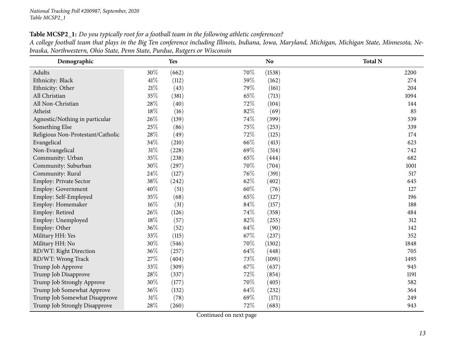Table MCSP2\_1: Do you typically root for a football team in the following athletic conferences?

| A college football team that plays in the Big Ten conference including Illinois, Indiana, Iowa, Maryland, Michigan, Michigan State, Minnesota, Ne- |  |  |  |
|----------------------------------------------------------------------------------------------------------------------------------------------------|--|--|--|
| braska, Northwestern, Ohio State, Penn State, Purdue, Rutgers or Wisconsin                                                                         |  |  |  |

| Demographic                       |        | <b>Yes</b> |      | N <sub>o</sub> | <b>Total N</b> |
|-----------------------------------|--------|------------|------|----------------|----------------|
| Adults                            | 30%    | (662)      | 70%  | (1538)         | 2200           |
| Ethnicity: Black                  | 41\%   | (112)      | 59%  | (162)          | 274            |
| Ethnicity: Other                  | $21\%$ | (43)       | 79%  | (161)          | 204            |
| All Christian                     | 35%    | (381)      | 65%  | (713)          | 1094           |
| All Non-Christian                 | 28\%   | (40)       | 72%  | (104)          | 144            |
| Atheist                           | 18%    | (16)       | 82%  | (69)           | 85             |
| Agnostic/Nothing in particular    | 26\%   | (139)      | 74%  | (399)          | 539            |
| Something Else                    | 25%    | (86)       | 75%  | (253)          | 339            |
| Religious Non-Protestant/Catholic | 28\%   | (49)       | 72%  | (125)          | 174            |
| Evangelical                       | 34\%   | (210)      | 66%  | (413)          | 623            |
| Non-Evangelical                   | $31\%$ | (228)      | 69%  | (514)          | 742            |
| Community: Urban                  | $35\%$ | (238)      | 65%  | (444)          | 682            |
| Community: Suburban               | 30%    | (297)      | 70%  | (704)          | 1001           |
| Community: Rural                  | 24\%   | (127)      | 76%  | (391)          | 517            |
| Employ: Private Sector            | 38%    | (242)      | 62%  | (402)          | 645            |
| Employ: Government                | 40%    | (51)       | 60%  | (76)           | 127            |
| Employ: Self-Employed             | 35%    | (68)       | 65%  | (127)          | 196            |
| Employ: Homemaker                 | $16\%$ | (31)       | 84%  | (157)          | 188            |
| Employ: Retired                   | 26%    | (126)      | 74%  | (358)          | 484            |
| Employ: Unemployed                | $18\%$ | (57)       | 82%  | (255)          | 312            |
| Employ: Other                     | 36\%   | (52)       | 64\% | (90)           | 142            |
| Military HH: Yes                  | 33%    | (115)      | 67%  | (237)          | 352            |
| Military HH: No                   | 30%    | (546)      | 70%  | (1302)         | 1848           |
| RD/WT: Right Direction            | 36%    | (257)      | 64%  | (448)          | 705            |
| RD/WT: Wrong Track                | 27\%   | (404)      | 73%  | (1091)         | 1495           |
| Trump Job Approve                 | 33%    | (309)      | 67\% | (637)          | 945            |
| Trump Job Disapprove              | 28\%   | (337)      | 72%  | (854)          | 1191           |
| Trump Job Strongly Approve        | 30%    | (177)      | 70%  | (405)          | 582            |
| Trump Job Somewhat Approve        | 36%    | (132)      | 64%  | (232)          | 364            |
| Trump Job Somewhat Disapprove     | $31\%$ | (78)       | 69%  | (171)          | 249            |
| Trump Job Strongly Disapprove     | $28\%$ | (260)      | 72%  | (683)          | 943            |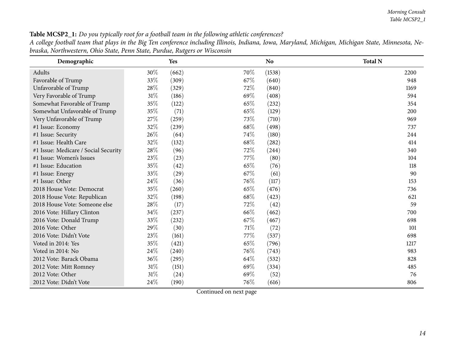Table MCSP2\_1: Do you typically root for a football team in the following athletic conferences?

A college football team that plays in the Big Ten conference including Illinois, Indiana, Iowa, Maryland, Michigan, Michigan State, Minnesota, Ne*braska, Northwestern, Ohio State, Penn State, Purdue, Rutgers or Wisconsin*

| Demographic                          |        | Yes   |      | <b>No</b> | <b>Total N</b> |
|--------------------------------------|--------|-------|------|-----------|----------------|
| Adults                               | 30%    | (662) | 70%  | (1538)    | 2200           |
| Favorable of Trump                   | 33%    | (309) | 67%  | (640)     | 948            |
| Unfavorable of Trump                 | 28%    | (329) | 72%  | (840)     | 1169           |
| Very Favorable of Trump              | 31%    | (186) | 69%  | (408)     | 594            |
| Somewhat Favorable of Trump          | 35%    | (122) | 65%  | (232)     | 354            |
| Somewhat Unfavorable of Trump        | 35%    | (71)  | 65%  | (129)     | 200            |
| Very Unfavorable of Trump            | 27%    | (259) | 73%  | (710)     | 969            |
| #1 Issue: Economy                    | 32%    | (239) | 68\% | (498)     | 737            |
| #1 Issue: Security                   | 26%    | (64)  | 74\% | (180)     | 244            |
| #1 Issue: Health Care                | 32%    | (132) | 68\% | (282)     | 414            |
| #1 Issue: Medicare / Social Security | $28\%$ | (96)  | 72%  | (244)     | 340            |
| #1 Issue: Women's Issues             | 23\%   | (23)  | 77\% | (80)      | 104            |
| #1 Issue: Education                  | 35%    | (42)  | 65%  | (76)      | 118            |
| #1 Issue: Energy                     | 33%    | (29)  | 67\% | (61)      | 90             |
| #1 Issue: Other                      | 24%    | (36)  | 76\% | (117)     | 153            |
| 2018 House Vote: Democrat            | 35%    | (260) | 65%  | (476)     | 736            |
| 2018 House Vote: Republican          | 32%    | (198) | 68\% | (423)     | 621            |
| 2018 House Vote: Someone else        | $28\%$ | (17)  | 72%  | (42)      | 59             |
| 2016 Vote: Hillary Clinton           | 34%    | (237) | 66%  | (462)     | 700            |
| 2016 Vote: Donald Trump              | 33%    | (232) | 67\% | (467)     | 698            |
| 2016 Vote: Other                     | 29%    | (30)  | 71\% | (72)      | 101            |
| 2016 Vote: Didn't Vote               | 23\%   | (161) | 77\% | (537)     | 698            |
| Voted in 2014: Yes                   | 35%    | (421) | 65%  | (796)     | 1217           |
| Voted in 2014: No                    | 24\%   | (240) | 76\% | (743)     | 983            |
| 2012 Vote: Barack Obama              | 36%    | (295) | 64\% | (532)     | 828            |
| 2012 Vote: Mitt Romney               | $31\%$ | (151) | 69%  | (334)     | 485            |
| 2012 Vote: Other                     | 31%    | (24)  | 69%  | (52)      | 76             |
| 2012 Vote: Didn't Vote               | 24%    | (190) | 76%  | (616)     | 806            |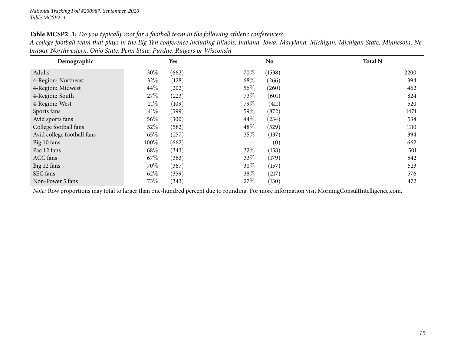|  |  |  |  |  |  |  | Table MCSP2_1: Do you typically root for a football team in the following athletic conferences? |  |
|--|--|--|--|--|--|--|-------------------------------------------------------------------------------------------------|--|
|--|--|--|--|--|--|--|-------------------------------------------------------------------------------------------------|--|

| A college football team that plays in the Big Ten conference including Illinois, Indiana, Iowa, Maryland, Michigan, Michigan State, Minnesota, Ne- |  |  |
|----------------------------------------------------------------------------------------------------------------------------------------------------|--|--|
| braska, Northwestern, Ohio State, Penn State, Purdue, Rutgers or Wisconsin                                                                         |  |  |

| Demographic                |        | Yes   |        | N <sub>o</sub> | <b>Total N</b> |
|----------------------------|--------|-------|--------|----------------|----------------|
| Adults                     | 30\%   | (662) | 70\%   | (1538)         | 2200           |
| 4-Region: Northeast        | 32\%   | (128) | 68\%   | (266)          | 394            |
| 4-Region: Midwest          | 44\%   | (202) | 56\%   | (260)          | 462            |
| 4-Region: South            | 27\%   | (223) | 73\%   | (601)          | 824            |
| 4-Region: West             | 21%    | (109) | 79%    | (411)          | 520            |
| Sports fans                | 41\%   | (599) | 59%    | (872)          | 1471           |
| Avid sports fans           | $56\%$ | (300) | $44\%$ | (234)          | 534            |
| College football fans      | 52\%   | (582) | 48\%   | (529)          | 1110           |
| Avid college football fans | 65%    | (257) | 35\%   | (137)          | 394            |
| Big 10 fans                | 100%   | (662) |        | (0)            | 662            |
| Pac 12 fans                | 68\%   | (343) | 32\%   | (158)          | 501            |
| ACC fans                   | 67\%   | (363) | 33\%   | (179)          | 542            |
| Big 12 fans                | 70%    | (367) | $30\%$ | (157)          | 523            |
| SEC fans                   | 62%    | (359) | $38\%$ | (217)          | 576            |
| Non-Power 5 fans           | $73\%$ | (343) | 27\%   | (130)          | 472            |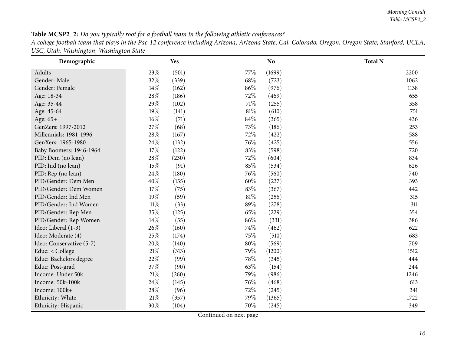| <b>Table MCSP2_2:</b> Do you typically root for a football team in the following athletic conferences?                                             |  |
|----------------------------------------------------------------------------------------------------------------------------------------------------|--|
| A college football team that plays in the Pac-12 conference including Arizona, Arizona State, Cal, Colorado, Oregon, Oregon State, Stanford, UCLA, |  |
| USC, Utah, Washington, Washington State                                                                                                            |  |

<span id="page-15-0"></span>

| Demographic                   |        | Yes   |      | N <sub>o</sub> | <b>Total N</b> |
|-------------------------------|--------|-------|------|----------------|----------------|
| Adults                        | 23%    | (501) | 77%  | (1699)         | 2200           |
| Gender: Male                  | 32%    | (339) | 68\% | (723)          | 1062           |
| Gender: Female                | 14%    | (162) | 86%  | (976)          | 1138           |
| Age: 18-34                    | 28%    | (186) | 72%  | (469)          | 655            |
| Age: 35-44                    | 29%    | (102) | 71\% | (255)          | 358            |
| Age: 45-64                    | 19%    | (141) | 81\% | (610)          | 751            |
| Age: 65+                      | 16%    | (71)  | 84\% | (365)          | 436            |
| GenZers: 1997-2012            | 27%    | (68)  | 73%  | (186)          | 253            |
| <b>Millennials: 1981-1996</b> | 28%    | (167) | 72\% | (422)          | 588            |
| GenXers: 1965-1980            | 24\%   | (132) | 76\% | (425)          | 556            |
| Baby Boomers: 1946-1964       | $17\%$ | (122) | 83%  | (598)          | 720            |
| PID: Dem (no lean)            | 28%    | (230) | 72%  | (604)          | 834            |
| PID: Ind (no lean)            | 15%    | (91)  | 85%  | (534)          | 626            |
| PID: Rep (no lean)            | 24%    | (180) | 76%  | (560)          | 740            |
| PID/Gender: Dem Men           | 40%    | (155) | 60%  | (237)          | 393            |
| PID/Gender: Dem Women         | 17%    | (75)  | 83%  | (367)          | 442            |
| PID/Gender: Ind Men           | 19%    | (59)  | 81\% | (256)          | 315            |
| PID/Gender: Ind Women         | $11\%$ | (33)  | 89%  | (278)          | 311            |
| PID/Gender: Rep Men           | 35%    | (125) | 65%  | (229)          | 354            |
| PID/Gender: Rep Women         | $14\%$ | (55)  | 86%  | (331)          | 386            |
| Ideo: Liberal (1-3)           | 26\%   | (160) | 74\% | (462)          | 622            |
| Ideo: Moderate (4)            | 25%    | (174) | 75%  | (510)          | 683            |
| Ideo: Conservative (5-7)      | 20%    | (140) | 80%  | (569)          | 709            |
| Educ: < College               | $21\%$ | (313) | 79\% | (1200)         | 1512           |
| Educ: Bachelors degree        | 22%    | (99)  | 78%  | (345)          | 444            |
| Educ: Post-grad               | 37%    | (90)  | 63%  | (154)          | 244            |
| Income: Under 50k             | 21%    | (260) | 79%  | (986)          | 1246           |
| Income: 50k-100k              | 24%    | (145) | 76\% | (468)          | 613            |
| Income: 100k+                 | 28\%   | (96)  | 72%  | (245)          | 341            |
| Ethnicity: White              | 21%    | (357) | 79%  | (1365)         | 1722           |
| Ethnicity: Hispanic           | 30%    | (104) | 70%  | (245)          | 349            |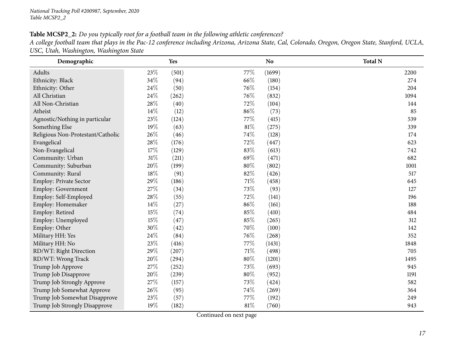Table MCSP2\_2: Do you typically root for a football team in the following athletic conferences? A college football team that plays in the Pac-12 conference including Arizona, Arizona State, Cal, Colorado, Oregon, Oregon State, Stanford, UCLA, *USC, Utah, Washington, Washington State*

| Demographic                       |        | Yes   |        | N <sub>o</sub> | <b>Total N</b> |
|-----------------------------------|--------|-------|--------|----------------|----------------|
| Adults                            | 23%    | (501) | 77%    | (1699)         | 2200           |
| Ethnicity: Black                  | 34%    | (94)  | 66%    | (180)          | 274            |
| Ethnicity: Other                  | 24%    | (50)  | 76%    | (154)          | 204            |
| All Christian                     | 24%    | (262) | 76%    | (832)          | 1094           |
| All Non-Christian                 | 28%    | (40)  | 72%    | (104)          | 144            |
| Atheist                           | 14%    | (12)  | 86%    | (73)           | 85             |
| Agnostic/Nothing in particular    | 23%    | (124) | 77%    | (415)          | 539            |
| Something Else                    | 19%    | (63)  | 81\%   | (275)          | 339            |
| Religious Non-Protestant/Catholic | 26%    | (46)  | 74%    | (128)          | 174            |
| Evangelical                       | 28%    | (176) | 72%    | (447)          | 623            |
| Non-Evangelical                   | 17%    | (129) | 83%    | (613)          | 742            |
| Community: Urban                  | 31%    | (211) | 69%    | (471)          | 682            |
| Community: Suburban               | 20%    | (199) | 80%    | (802)          | 1001           |
| Community: Rural                  | $18\%$ | (91)  | 82%    | (426)          | 517            |
| Employ: Private Sector            | 29%    | (186) | $71\%$ | (458)          | 645            |
| Employ: Government                | 27%    | (34)  | 73%    | (93)           | 127            |
| Employ: Self-Employed             | 28%    | (55)  | 72%    | (141)          | 196            |
| Employ: Homemaker                 | 14%    | (27)  | 86%    | (161)          | 188            |
| Employ: Retired                   | 15%    | (74)  | 85%    | (410)          | 484            |
| Employ: Unemployed                | 15%    | (47)  | 85%    | (265)          | 312            |
| Employ: Other                     | 30%    | (42)  | 70%    | (100)          | 142            |
| Military HH: Yes                  | 24%    | (84)  | 76%    | (268)          | 352            |
| Military HH: No                   | 23%    | (416) | 77%    | (1431)         | 1848           |
| RD/WT: Right Direction            | 29%    | (207) | 71%    | (498)          | 705            |
| RD/WT: Wrong Track                | 20%    | (294) | 80%    | (1201)         | 1495           |
| Trump Job Approve                 | 27%    | (252) | 73%    | (693)          | 945            |
| Trump Job Disapprove              | 20%    | (239) | $80\%$ | (952)          | 1191           |
| Trump Job Strongly Approve        | 27%    | (157) | 73%    | (424)          | 582            |
| Trump Job Somewhat Approve        | 26%    | (95)  | 74%    | (269)          | 364            |
| Trump Job Somewhat Disapprove     | 23%    | (57)  | 77\%   | (192)          | 249            |
| Trump Job Strongly Disapprove     | 19%    | (182) | 81%    | (760)          | 943            |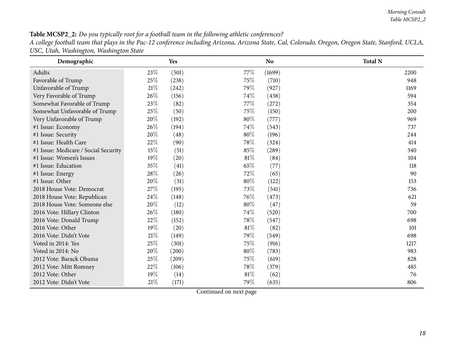### Table MCSP2\_2: Do you typically root for a football team in the following athletic conferences?

A college football team that plays in the Pac-12 conference including Arizona, Arizona State, Cal, Colorado, Oregon, Oregon State, Stanford, UCLA, *USC, Utah, Washington, Washington State*

| Demographic                          |        | Yes   |      | <b>No</b>           | <b>Total N</b> |
|--------------------------------------|--------|-------|------|---------------------|----------------|
| Adults                               | 23\%   | (501) | 77\% | (1699)              | 2200           |
| Favorable of Trump                   | 25%    | (238) | 75%  | (710)               | 948            |
| Unfavorable of Trump                 | 21%    | (242) | 79%  | (927)               | 1169           |
| Very Favorable of Trump              | 26%    | (156) | 74%  | (438)               | 594            |
| Somewhat Favorable of Trump          | 23%    | (82)  | 77\% | (272)               | 354            |
| Somewhat Unfavorable of Trump        | 25%    | (50)  | 75%  | (150)               | 200            |
| Very Unfavorable of Trump            | 20%    | (192) | 80%  | (777)               | 969            |
| #1 Issue: Economy                    | 26%    | (194) | 74%  | (543)               | 737            |
| #1 Issue: Security                   | 20%    | (48)  | 80%  | (196)               | 244            |
| #1 Issue: Health Care                | 22\%   | (90)  | 78%  | (324)               | 414            |
| #1 Issue: Medicare / Social Security | 15\%   | (51)  | 85%  | $\left( 289\right)$ | 340            |
| #1 Issue: Women's Issues             | 19%    | (20)  | 81%  | (84)                | 104            |
| #1 Issue: Education                  | 35%    | (41)  | 65%  | (77)                | 118            |
| #1 Issue: Energy                     | 28%    | (26)  | 72%  | (65)                | 90             |
| #1 Issue: Other                      | 20%    | (31)  | 80%  | (122)               | 153            |
| 2018 House Vote: Democrat            | 27%    | (195) | 73%  | (541)               | 736            |
| 2018 House Vote: Republican          | 24\%   | (148) | 76%  | (473)               | 621            |
| 2018 House Vote: Someone else        | 20%    | (12)  | 80%  | (47)                | 59             |
| 2016 Vote: Hillary Clinton           | 26\%   | (180) | 74%  | (520)               | 700            |
| 2016 Vote: Donald Trump              | 22%    | (152) | 78\% | (547)               | 698            |
| 2016 Vote: Other                     | 19%    | (20)  | 81%  | (82)                | 101            |
| 2016 Vote: Didn't Vote               | 21%    | (149) | 79%  | (549)               | 698            |
| Voted in 2014: Yes                   | 25%    | (301) | 75%  | (916)               | 1217           |
| Voted in 2014: No                    | 20%    | (200) | 80%  | (783)               | 983            |
| 2012 Vote: Barack Obama              | 25%    | (209) | 75%  | (619)               | 828            |
| 2012 Vote: Mitt Romney               | 22%    | (106) | 78\% | (379)               | 485            |
| 2012 Vote: Other                     | 19%    | (14)  | 81%  | (62)                | 76             |
| 2012 Vote: Didn't Vote               | $21\%$ | (171) | 79%  | (635)               | 806            |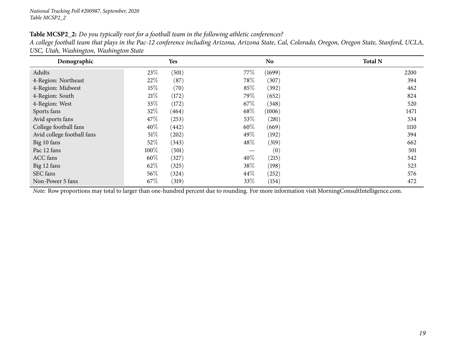#### Table MCSP2\_2: Do you typically root for a football team in the following athletic conferences?

A college football team that plays in the Pac-12 conference including Arizona, Arizona State, Cal, Colorado, Oregon, Oregon State, Stanford, UCLA, *USC, Utah, Washington, Washington State*

| Demographic                |        | Yes   |        | <b>No</b> | <b>Total N</b> |
|----------------------------|--------|-------|--------|-----------|----------------|
| Adults                     | 23\%   | (501) | 77\%   | (1699)    | 2200           |
| 4-Region: Northeast        | 22\%   | (87)  | 78\%   | (307)     | 394            |
| 4-Region: Midwest          | $15\%$ | (70)  | 85\%   | (392)     | 462            |
| 4-Region: South            | 21%    | (172) | 79%    | (652)     | 824            |
| 4-Region: West             | 33\%   | (172) | 67\%   | (348)     | 520            |
| Sports fans                | 32%    | (464) | 68\%   | (1006)    | 1471           |
| Avid sports fans           | 47\%   | (253) | 53%    | (281)     | 534            |
| College football fans      | 40%    | (442) | 60%    | (669)     | 1110           |
| Avid college football fans | 51%    | (202) | 49\%   | (192)     | 394            |
| Big 10 fans                | $52\%$ | (343) | $48\%$ | (319)     | 662            |
| Pac 12 fans                | 100%   | (501) | —      | (0)       | 501            |
| ACC fans                   | 60%    | (327) | 40%    | (215)     | 542            |
| Big 12 fans                | 62%    | (325) | 38%    | (198)     | 523            |
| SEC fans                   | $56\%$ | (324) | $44\%$ | (252)     | 576            |
| Non-Power 5 fans           | 67%    | (319) | 33\%   | (154)     | 472            |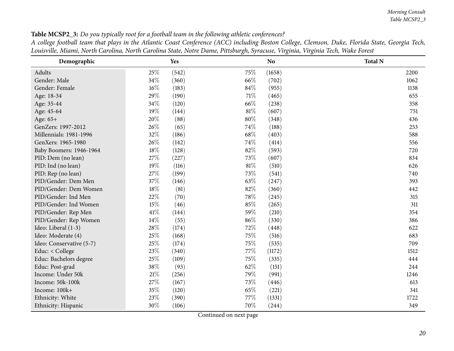*Morning Consult Table MCSP2\_3*

<span id="page-19-0"></span>

| Demographic              |        | Yes   |        | N <sub>o</sub> | <b>Total N</b> |
|--------------------------|--------|-------|--------|----------------|----------------|
| Adults                   | 25%    | (542) | 75%    | (1658)         | 2200           |
| Gender: Male             | 34%    | (360) | 66%    | (702)          | 1062           |
| Gender: Female           | $16\%$ | (183) | 84%    | (955)          | 1138           |
| Age: 18-34               | 29%    | (190) | 71\%   | (465)          | 655            |
| Age: 35-44               | 34%    | (120) | 66%    | (238)          | 358            |
| Age: 45-64               | 19%    | (144) | 81%    | (607)          | 751            |
| Age: 65+                 | 20%    | (88)  | $80\%$ | (348)          | 436            |
| GenZers: 1997-2012       | 26%    | (65)  | 74\%   | (188)          | 253            |
| Millennials: 1981-1996   | 32%    | (186) | 68\%   | (403)          | 588            |
| GenXers: 1965-1980       | 26%    | (142) | 74%    | (414)          | 556            |
| Baby Boomers: 1946-1964  | 18%    | (128) | 82%    | (593)          | 720            |
| PID: Dem (no lean)       | 27%    | (227) | 73%    | (607)          | 834            |
| PID: Ind (no lean)       | 19%    | (116) | 81%    | (510)          | 626            |
| PID: Rep (no lean)       | 27%    | (199) | 73%    | (541)          | 740            |
| PID/Gender: Dem Men      | 37%    | (146) | 63%    | (247)          | 393            |
| PID/Gender: Dem Women    | 18%    | (81)  | 82%    | (360)          | 442            |
| PID/Gender: Ind Men      | 22%    | (70)  | 78%    | (245)          | 315            |
| PID/Gender: Ind Women    | 15%    | (46)  | 85%    | (265)          | 311            |
| PID/Gender: Rep Men      | $41\%$ | (144) | 59%    | (210)          | 354            |
| PID/Gender: Rep Women    | $14\%$ | (55)  | 86%    | (330)          | 386            |
| Ideo: Liberal (1-3)      | 28%    | (174) | 72%    | (448)          | 622            |
| Ideo: Moderate (4)       | 25%    | (168) | 75%    | (516)          | 683            |
| Ideo: Conservative (5-7) | 25%    | (174) | 75%    | (535)          | 709            |
| Educ: < College          | 23%    | (340) | 77%    | (1172)         | 1512           |
| Educ: Bachelors degree   | 25%    | (109) | 75%    | (335)          | 444            |
| Educ: Post-grad          | 38%    | (93)  | 62\%   | (151)          | 244            |
| Income: Under 50k        | $21\%$ | (256) | 79%    | (991)          | 1246           |
| Income: 50k-100k         | 27%    | (167) | 73%    | (446)          | 613            |
| Income: 100k+            | 35%    | (120) | 65%    | (221)          | 341            |
| Ethnicity: White         | 23%    | (390) | 77%    | (1331)         | 1722           |
| Ethnicity: Hispanic      | 30%    | (106) | 70%    | (244)          | 349            |

Table MCSP2\_3: Do you typically root for a football team in the following athletic conferences?

A college football team that plays in the Atlantic Coast Conference (ACC) including Boston College, Clemson, Duke, Florida State, Georgia Tech, Louisville, Miami, North Carolina, North Carolina State, Notre Dame, Pittsburgh, Syracuse, Virginia, Virginia Tech, Wake Forest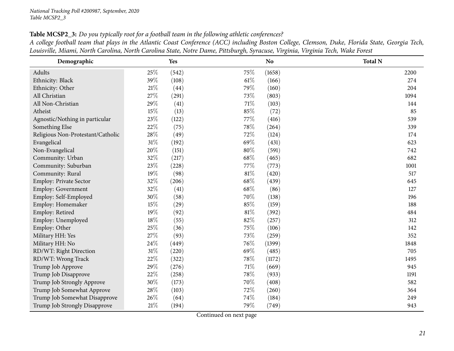Trump Job Strongly Disapprove

| ройзтик, іншти, іхони санойна, іхони санойна маю, іхоне Бате, і шэбанзи, бунисяс, тизина, тизина тесн, таке гонз<br>Demographic |        | Yes   |        | <b>No</b> | <b>Total N</b> |      |
|---------------------------------------------------------------------------------------------------------------------------------|--------|-------|--------|-----------|----------------|------|
| Adults                                                                                                                          | 25\%   | (542) | 75%    | (1658)    |                | 2200 |
| Ethnicity: Black                                                                                                                | 39%    | (108) | $61\%$ | (166)     |                | 274  |
| Ethnicity: Other                                                                                                                | $21\%$ | (44)  | 79%    | (160)     |                | 204  |
| All Christian                                                                                                                   | 27%    | (291) | 73\%   | (803)     |                | 1094 |
| All Non-Christian                                                                                                               | 29%    | (41)  | 71\%   | (103)     |                | 144  |
| Atheist                                                                                                                         | 15%    | (13)  | 85%    | (72)      |                | 85   |
| Agnostic/Nothing in particular                                                                                                  | 23%    | (122) | 77\%   | (416)     |                | 539  |
| Something Else                                                                                                                  | 22%    | (75)  | 78\%   | (264)     |                | 339  |
| Religious Non-Protestant/Catholic                                                                                               | 28\%   | (49)  | 72%    | (124)     |                | 174  |
| Evangelical                                                                                                                     | $31\%$ | (192) | 69%    | (431)     |                | 623  |
| Non-Evangelical                                                                                                                 | 20%    | (151) | 80%    | (591)     |                | 742  |
| Community: Urban                                                                                                                | 32%    | (217) | 68%    | (465)     |                | 682  |
| Community: Suburban                                                                                                             | 23%    | (228) | 77\%   | (773)     |                | 1001 |
| Community: Rural                                                                                                                | 19%    | (98)  | 81%    | (420)     |                | 517  |
| <b>Employ: Private Sector</b>                                                                                                   | 32%    | (206) | 68\%   | (439)     |                | 645  |
| Employ: Government                                                                                                              | 32%    | (41)  | 68%    | (86)      |                | 127  |
| Employ: Self-Employed                                                                                                           | 30%    | (58)  | 70%    | (138)     |                | 196  |
| Employ: Homemaker                                                                                                               | 15%    | (29)  | 85%    | (159)     |                | 188  |
| Employ: Retired                                                                                                                 | 19%    | (92)  | 81%    | (392)     |                | 484  |
| Employ: Unemployed                                                                                                              | $18\%$ | (55)  | 82%    | (257)     |                | 312  |
| Employ: Other                                                                                                                   | 25%    | (36)  | 75%    | (106)     |                | 142  |
| Military HH: Yes                                                                                                                | 27\%   | (93)  | 73%    | (259)     |                | 352  |
| Military HH: No                                                                                                                 | 24\%   | (449) | 76%    | (1399)    |                | 1848 |
| RD/WT: Right Direction                                                                                                          | $31\%$ | (220) | 69%    | (485)     |                | 705  |
| RD/WT: Wrong Track                                                                                                              | 22%    | (322) | 78%    | (1172)    |                | 1495 |
| Trump Job Approve                                                                                                               | 29%    | (276) | 71\%   | (669)     |                | 945  |
| Trump Job Disapprove                                                                                                            | 22\%   | (258) | 78\%   | (933)     |                | 1191 |
| Trump Job Strongly Approve                                                                                                      | 30%    | (173) | 70\%   | (408)     |                | 582  |
| Trump Job Somewhat Approve                                                                                                      | 28%    | (103) | 72%    | (260)     |                | 364  |

Table MCSP2\_3: Do you typically root for a football team in the following athletic conferences?

Trump Job Somewhat Disapprove 26% (64) 74% (184)<br>
Trump Job Strongly Disapprove 21% (194) 79% (749)

A college football team that plays in the Atlantic Coast Conference (ACC) including Boston College, Clemson, Duke, Florida State, Georgia Tech, Louisville Miami North Carolina North Carolina State Notre Dame Pittshurgh Syracuse Virginia Virginia Tech Wake Forest

Continued on next page

249

943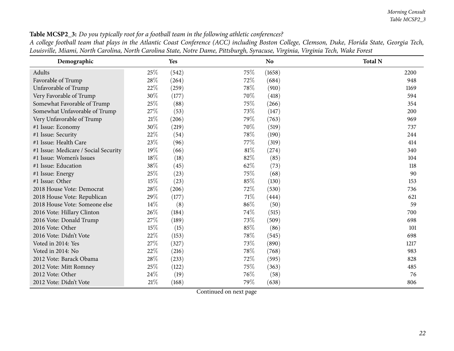| <b>Table MCSP2_3:</b> Do you typically root for a football team in the following athletic conferences?       |  |
|--------------------------------------------------------------------------------------------------------------|--|
| A college football team that plays in the Atlantic Coast Conference (ACC) including Boston College, Clemson, |  |

| Demographic                          |        | <b>Yes</b> |        | <b>No</b> | <b>Total N</b> |
|--------------------------------------|--------|------------|--------|-----------|----------------|
| Adults                               | 25\%   | (542)      | 75%    | (1658)    | 2200           |
| Favorable of Trump                   | 28%    | (264)      | 72%    | (684)     | 948            |
| Unfavorable of Trump                 | 22%    | (259)      | 78%    | (910)     | 1169           |
| Very Favorable of Trump              | 30%    | (177)      | 70%    | (418)     | 594            |
| Somewhat Favorable of Trump          | 25%    | (88)       | 75%    | (266)     | 354            |
| Somewhat Unfavorable of Trump        | 27%    | (53)       | 73%    | (147)     | 200            |
| Very Unfavorable of Trump            | $21\%$ | (206)      | 79%    | (763)     | 969            |
| #1 Issue: Economy                    | 30%    | (219)      | 70%    | (519)     | 737            |
| #1 Issue: Security                   | 22%    | (54)       | 78%    | (190)     | 244            |
| #1 Issue: Health Care                | 23%    | (96)       | 77%    | (319)     | 414            |
| #1 Issue: Medicare / Social Security | 19%    | (66)       | 81%    | (274)     | 340            |
| #1 Issue: Women's Issues             | 18%    | (18)       | 82%    | (85)      | 104            |
| #1 Issue: Education                  | 38\%   | (45)       | 62%    | (73)      | 118            |
| #1 Issue: Energy                     | 25%    | (23)       | 75%    | (68)      | 90             |
| #1 Issue: Other                      | 15%    | (23)       | $85\%$ | (130)     | 153            |
| 2018 House Vote: Democrat            | 28%    | (206)      | 72%    | (530)     | 736            |
| 2018 House Vote: Republican          | 29%    | (177)      | 71%    | (444)     | 621            |
| 2018 House Vote: Someone else        | 14%    | (8)        | 86%    | (50)      | 59             |
| 2016 Vote: Hillary Clinton           | 26%    | (184)      | 74%    | (515)     | 700            |
| 2016 Vote: Donald Trump              | 27%    | (189)      | 73%    | (509)     | 698            |
| 2016 Vote: Other                     | 15%    | (15)       | 85%    | (86)      | 101            |
| 2016 Vote: Didn't Vote               | 22\%   | (153)      | 78%    | (545)     | 698            |
| Voted in 2014: Yes                   | 27%    | (327)      | 73%    | (890)     | 1217           |
| Voted in 2014: No                    | 22%    | (216)      | 78%    | (768)     | 983            |
| 2012 Vote: Barack Obama              | 28%    | (233)      | 72%    | (595)     | 828            |
| 2012 Vote: Mitt Romney               | 25%    | (122)      | 75%    | (363)     | 485            |
| 2012 Vote: Other                     | 24\%   | (19)       | 76%    | (58)      | 76             |
| 2012 Vote: Didn't Vote               | $21\%$ | (168)      | 79%    | (638)     | 806            |

A college football team that plays in the Atlantic Coast Conference (ACC) including Boston College, Clemson, Duke, Florida State, Georgia Tech, Louisville, Miami, North Carolina, North Carolina State, Notre Dame, Pittsburgh, Syracuse, Virginia, Virginia Tech, Wake Forest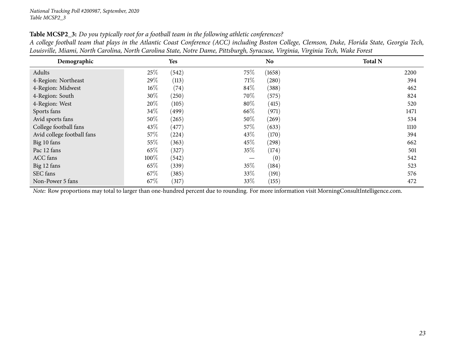| Demographic                |      | Yes   |        | N <sub>o</sub> | <b>Total N</b> |
|----------------------------|------|-------|--------|----------------|----------------|
| Adults                     | 25\% | (542) | 75\%   | (1658)         | 2200           |
| 4-Region: Northeast        | 29\% | (113) | 71%    | (280)          | 394            |
| 4-Region: Midwest          | 16%  | (74)  | $84\%$ | (388)          | 462            |
| 4-Region: South            | 30%  | (250) | 70\%   | (575)          | 824            |
| 4-Region: West             | 20%  | (105) | $80\%$ | (415)          | 520            |
| Sports fans                | 34\% | (499) | 66\%   | (971)          | 1471           |
| Avid sports fans           | 50%  | (265) | 50\%   | (269)          | 534            |
| College football fans      | 43\% | (477) | 57\%   | (633)          | 1110           |
| Avid college football fans | 57\% | (224) | 43\%   | (170)          | 394            |
| Big 10 fans                | 55\% | (363) | 45\%   | (298)          | 662            |
| Pac 12 fans                | 65%  | (327) | 35\%   | (174)          | 501            |
| ACC fans                   | 100% | (542) |        | (0)            | 542            |
| Big 12 fans                | 65%  | (339) | 35\%   | (184)          | 523            |
| SEC fans                   | 67\% | (385) | 33\%   | (191)          | 576            |
| Non-Power 5 fans           | 67%  | (317) | $33\%$ | (155)          | 472            |

Table MCSP2\_3: Do you typically root for a football team in the following athletic conferences?

A college football team that plays in the Atlantic Coast Conference (ACC) including Boston College, Clemson, Duke, Florida State, Georgia Tech, Louisville, Miami, North Carolina, North Carolina State, Notre Dame, Pittsburgh, Syracuse, Virginia, Virginia Tech, Wake Forest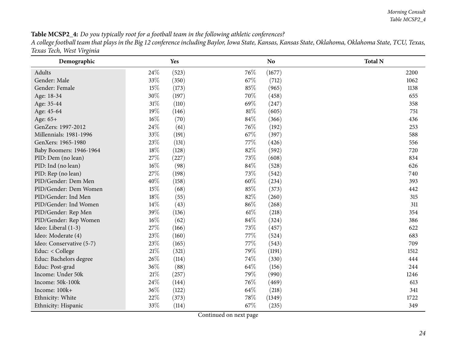Table MCSP2\_4: Do you typically root for a football team in the following athletic conferences? A college football team that plays in the Big 12 conference including Baylor, Iowa State, Kansas, Kansas State, Oklahoma, Oklahoma State, TCU, Texas, *Texas Tech, West Virginia*

<span id="page-23-0"></span>

| Demographic              |        | Yes   |      | N <sub>o</sub> | <b>Total N</b> |
|--------------------------|--------|-------|------|----------------|----------------|
| Adults                   | 24\%   | (523) | 76%  | (1677)         | 2200           |
| Gender: Male             | 33%    | (350) | 67\% | (712)          | 1062           |
| Gender: Female           | 15%    | (173) | 85%  | (965)          | 1138           |
| Age: 18-34               | 30%    | (197) | 70%  | (458)          | 655            |
| Age: 35-44               | $31\%$ | (110) | 69%  | (247)          | 358            |
| Age: 45-64               | 19%    | (146) | 81\% | (605)          | 751            |
| Age: 65+                 | $16\%$ | (70)  | 84%  | (366)          | 436            |
| GenZers: 1997-2012       | 24\%   | (61)  | 76%  | (192)          | 253            |
| Millennials: 1981-1996   | 33%    | (191) | 67\% | (397)          | 588            |
| GenXers: 1965-1980       | 23%    | (131) | 77\% | (426)          | 556            |
| Baby Boomers: 1946-1964  | $18\%$ | (128) | 82%  | (592)          | 720            |
| PID: Dem (no lean)       | 27%    | (227) | 73%  | (608)          | 834            |
| PID: Ind (no lean)       | $16\%$ | (98)  | 84%  | (528)          | 626            |
| PID: Rep (no lean)       | 27%    | (198) | 73%  | (542)          | 740            |
| PID/Gender: Dem Men      | 40%    | (158) | 60%  | (234)          | 393            |
| PID/Gender: Dem Women    | 15%    | (68)  | 85%  | (373)          | 442            |
| PID/Gender: Ind Men      | 18%    | (55)  | 82%  | (260)          | 315            |
| PID/Gender: Ind Women    | 14%    | (43)  | 86%  | (268)          | 311            |
| PID/Gender: Rep Men      | 39%    | (136) | 61\% | (218)          | 354            |
| PID/Gender: Rep Women    | $16\%$ | (62)  | 84\% | (324)          | 386            |
| Ideo: Liberal (1-3)      | 27%    | (166) | 73\% | (457)          | 622            |
| Ideo: Moderate (4)       | 23%    | (160) | 77%  | (524)          | 683            |
| Ideo: Conservative (5-7) | 23%    | (165) | 77%  | (543)          | 709            |
| Educ: < College          | $21\%$ | (321) | 79%  | (1191)         | 1512           |
| Educ: Bachelors degree   | 26%    | (114) | 74\% | (330)          | 444            |
| Educ: Post-grad          | 36%    | (88)  | 64\% | (156)          | 244            |
| Income: Under 50k        | $21\%$ | (257) | 79%  | (990)          | 1246           |
| Income: 50k-100k         | 24%    | (144) | 76\% | (469)          | 613            |
| Income: 100k+            | 36%    | (122) | 64\% | (218)          | 341            |
| Ethnicity: White         | 22%    | (373) | 78%  | (1349)         | 1722           |
| Ethnicity: Hispanic      | 33%    | (114) | 67%  | (235)          | 349            |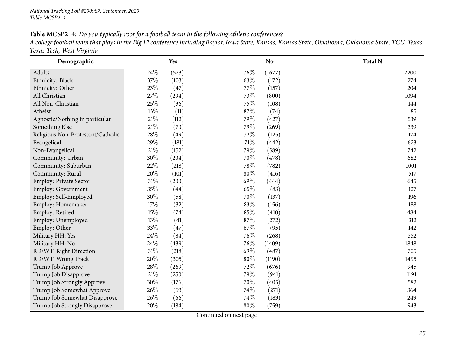Table MCSP2\_4: Do you typically root for a football team in the following athletic conferences? A college football team that plays in the Big 12 conference including Baylor, Iowa State, Kansas, Kansas State, Oklahoma, Oklahoma State, TCU, Texas, *Texas Tech, West Virginia*

| Demographic                       |        | Yes   |        | N <sub>o</sub> | <b>Total N</b> |
|-----------------------------------|--------|-------|--------|----------------|----------------|
| Adults                            | 24%    | (523) | 76%    | (1677)         | 2200           |
| Ethnicity: Black                  | 37%    | (103) | 63%    | (172)          | 274            |
| Ethnicity: Other                  | 23%    | (47)  | 77%    | (157)          | 204            |
| All Christian                     | 27%    | (294) | 73%    | (800)          | 1094           |
| All Non-Christian                 | 25%    | (36)  | $75\%$ | (108)          | 144            |
| Atheist                           | 13%    | (11)  | 87%    | (74)           | 85             |
| Agnostic/Nothing in particular    | $21\%$ | (112) | 79%    | (427)          | 539            |
| Something Else                    | $21\%$ | (70)  | 79%    | (269)          | 339            |
| Religious Non-Protestant/Catholic | 28\%   | (49)  | 72%    | (125)          | 174            |
| Evangelical                       | 29%    | (181) | 71%    | (442)          | 623            |
| Non-Evangelical                   | $21\%$ | (152) | 79%    | (589)          | 742            |
| Community: Urban                  | 30%    | (204) | 70%    | (478)          | 682            |
| Community: Suburban               | 22%    | (218) | 78%    | (782)          | 1001           |
| Community: Rural                  | 20%    | (101) | 80%    | (416)          | 517            |
| Employ: Private Sector            | $31\%$ | (200) | 69%    | (444)          | 645            |
| Employ: Government                | 35%    | (44)  | 65%    | (83)           | 127            |
| Employ: Self-Employed             | 30%    | (58)  | 70%    | (137)          | 196            |
| Employ: Homemaker                 | 17%    | (32)  | 83%    | (156)          | 188            |
| Employ: Retired                   | 15%    | (74)  | 85%    | (410)          | 484            |
| Employ: Unemployed                | 13%    | (41)  | 87%    | (272)          | 312            |
| Employ: Other                     | 33%    | (47)  | 67%    | (95)           | 142            |
| Military HH: Yes                  | 24\%   | (84)  | 76%    | (268)          | 352            |
| Military HH: No                   | 24\%   | (439) | 76%    | (1409)         | 1848           |
| RD/WT: Right Direction            | $31\%$ | (218) | 69%    | (487)          | 705            |
| RD/WT: Wrong Track                | 20%    | (305) | 80%    | (1190)         | 1495           |
| Trump Job Approve                 | 28%    | (269) | 72%    | (676)          | 945            |
| Trump Job Disapprove              | $21\%$ | (250) | 79%    | (941)          | 1191           |
| Trump Job Strongly Approve        | 30%    | (176) | 70%    | (405)          | 582            |
| Trump Job Somewhat Approve        | 26%    | (93)  | 74%    | (271)          | 364            |
| Trump Job Somewhat Disapprove     | 26%    | (66)  | 74%    | (183)          | 249            |
| Trump Job Strongly Disapprove     | 20%    | (184) | 80%    | (759)          | 943            |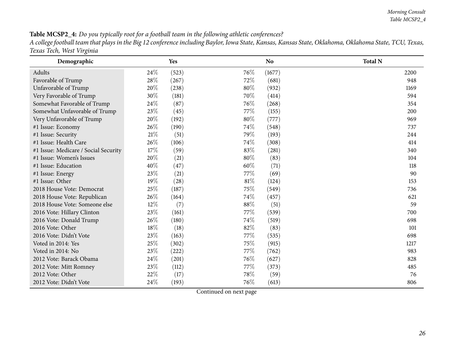#### Table MCSP2\_4: Do you typically root for a football team in the following athletic conferences?

A college football team that plays in the Big 12 conference including Baylor, Iowa State, Kansas, Kansas State, Oklahoma, Oklahoma State, TCU, Texas, *Texas Tech, West Virginia*

| Demographic                          |        | Yes   |      | <b>No</b> | <b>Total N</b> |
|--------------------------------------|--------|-------|------|-----------|----------------|
| Adults                               | 24%    | (523) | 76\% | (1677)    | 2200           |
| Favorable of Trump                   | 28%    | (267) | 72%  | (681)     | 948            |
| Unfavorable of Trump                 | 20%    | (238) | 80%  | (932)     | 1169           |
| Very Favorable of Trump              | 30%    | (181) | 70\% | (414)     | 594            |
| Somewhat Favorable of Trump          | 24\%   | (87)  | 76%  | (268)     | 354            |
| Somewhat Unfavorable of Trump        | 23%    | (45)  | 77\% | (155)     | 200            |
| Very Unfavorable of Trump            | 20%    | (192) | 80%  | (777)     | 969            |
| #1 Issue: Economy                    | 26%    | (190) | 74%  | (548)     | 737            |
| #1 Issue: Security                   | 21%    | (51)  | 79\% | (193)     | 244            |
| #1 Issue: Health Care                | 26\%   | (106) | 74%  | (308)     | 414            |
| #1 Issue: Medicare / Social Security | 17%    | (59)  | 83%  | (281)     | 340            |
| #1 Issue: Women's Issues             | 20%    | (21)  | 80%  | (83)      | 104            |
| #1 Issue: Education                  | 40%    | (47)  | 60%  | (71)      | 118            |
| #1 Issue: Energy                     | 23%    | (21)  | 77\% | (69)      | 90             |
| #1 Issue: Other                      | 19%    | (28)  | 81%  | (124)     | 153            |
| 2018 House Vote: Democrat            | 25%    | (187) | 75\% | (549)     | 736            |
| 2018 House Vote: Republican          | 26\%   | (164) | 74%  | (457)     | 621            |
| 2018 House Vote: Someone else        | $12\%$ | (7)   | 88%  | (51)      | 59             |
| 2016 Vote: Hillary Clinton           | 23%    | (161) | 77%  | (539)     | 700            |
| 2016 Vote: Donald Trump              | 26\%   | (180) | 74\% | (519)     | 698            |
| 2016 Vote: Other                     | 18%    | (18)  | 82%  | (83)      | 101            |
| 2016 Vote: Didn't Vote               | 23\%   | (163) | 77\% | (535)     | 698            |
| Voted in 2014: Yes                   | 25%    | (302) | 75%  | (915)     | 1217           |
| Voted in 2014: No                    | 23\%   | (222) | 77\% | (762)     | 983            |
| 2012 Vote: Barack Obama              | 24\%   | (201) | 76\% | (627)     | 828            |
| 2012 Vote: Mitt Romney               | 23%    | (112) | 77\% | (373)     | 485            |
| 2012 Vote: Other                     | 22%    | (17)  | 78%  | (59)      | 76             |
| 2012 Vote: Didn't Vote               | 24\%   | (193) | 76%  | (613)     | 806            |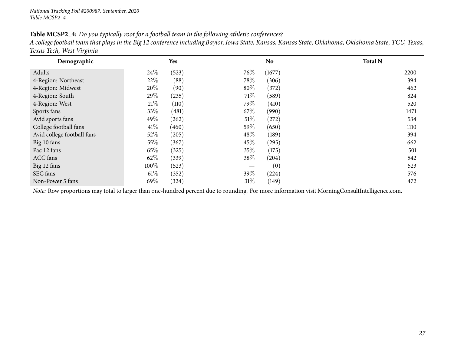| ັ<br>Demographic           |        | Yes   |        | <b>No</b> | <b>Total N</b> |
|----------------------------|--------|-------|--------|-----------|----------------|
| Adults                     | 24\%   | (523) | 76\%   | (1677)    | 2200           |
| 4-Region: Northeast        | 22%    | (88)  | 78\%   | (306)     | 394            |
| 4-Region: Midwest          | 20%    | (90)  | 80%    | (372)     | 462            |
| 4-Region: South            | 29%    | (235) | 71\%   | (589)     | 824            |
| 4-Region: West             | $21\%$ | (110) | 79%    | (410)     | 520            |
| Sports fans                | 33\%   | (481) | 67\%   | (990)     | 1471           |
| Avid sports fans           | 49\%   | (262) | $51\%$ | (272)     | 534            |
| College football fans      | $41\%$ | (460) | 59%    | (650)     | 1110           |
| Avid college football fans | $52\%$ | (205) | 48\%   | (189)     | 394            |
| Big 10 fans                | $55\%$ | (367) | 45\%   | (295)     | 662            |
| Pac 12 fans                | 65\%   | (325) | 35\%   | (175)     | 501            |
| ACC fans                   | 62\%   | (339) | 38\%   | (204)     | 542            |
| Big 12 fans                | 100%   | (523) |        | (0)       | 523            |
| SEC fans                   | $61\%$ | (352) | 39%    | (224)     | 576            |
| Non-Power 5 fans           | 69%    | (324) | $31\%$ | (149)     | 472            |

Table MCSP2\_4: Do you typically root for a football team in the following athletic conferences?

A college football team that plays in the Big 12 conference including Baylor, Iowa State, Kansas, Kansas State, Oklahoma, Oklahoma State, TCU, Texas, *Texas Tech, West Virginia*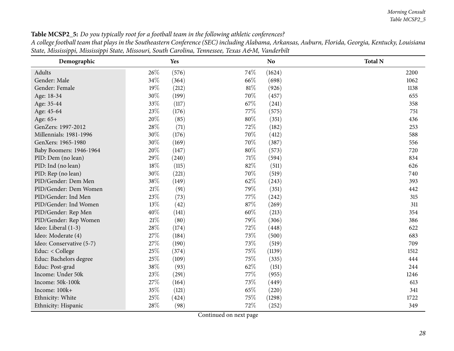*Morning Consult Table MCSP2\_5*

Table MCSP2\_5: Do you typically root for a football team in the following athletic conferences?

| A college football team that plays in the Southeastern Conference (SEC) including Alabama, Arkansas, Auburn, Florida, Georgia, Kentucky, Louisiana |
|----------------------------------------------------------------------------------------------------------------------------------------------------|
| State, Mississippi, Mississippi State, Missouri, South Carolina, Tennessee, Texas A&M, Vanderbilt                                                  |

<span id="page-27-0"></span>

| $\mathbf{1}$<br>$\overline{1}$<br>Demographic |        | Yes   |        | No.    | <b>Total N</b> |
|-----------------------------------------------|--------|-------|--------|--------|----------------|
| Adults                                        | 26%    | (576) | 74\%   | (1624) | 2200           |
| Gender: Male                                  | 34%    | (364) | 66%    | (698)  | 1062           |
| Gender: Female                                | 19%    | (212) | $81\%$ | (926)  | 1138           |
| Age: 18-34                                    | 30%    | (199) | 70%    | (457)  | 655            |
| Age: 35-44                                    | 33%    | (117) | 67%    | (241)  | 358            |
| Age: 45-64                                    | 23%    | (176) | 77%    | (575)  | 751            |
| Age: 65+                                      | 20%    | (85)  | $80\%$ | (351)  | 436            |
| GenZers: 1997-2012                            | 28%    | (71)  | 72%    | (182)  | 253            |
| Millennials: 1981-1996                        | 30%    | (176) | 70%    | (412)  | 588            |
| GenXers: 1965-1980                            | 30%    | (169) | 70%    | (387)  | 556            |
| Baby Boomers: 1946-1964                       | 20%    | (147) | 80%    | (573)  | 720            |
| PID: Dem (no lean)                            | 29%    | (240) | 71\%   | (594)  | 834            |
| PID: Ind (no lean)                            | 18%    | (115) | 82%    | (511)  | 626            |
| PID: Rep (no lean)                            | 30%    | (221) | 70%    | (519)  | 740            |
| PID/Gender: Dem Men                           | 38%    | (149) | 62%    | (243)  | 393            |
| PID/Gender: Dem Women                         | $21\%$ | (91)  | 79%    | (351)  | 442            |
| PID/Gender: Ind Men                           | 23%    | (73)  | 77%    | (242)  | 315            |
| PID/Gender: Ind Women                         | 13%    | (42)  | 87%    | (269)  | 311            |
| PID/Gender: Rep Men                           | 40%    | (141) | 60%    | (213)  | 354            |
| PID/Gender: Rep Women                         | 21%    | (80)  | 79%    | (306)  | 386            |
| Ideo: Liberal (1-3)                           | 28%    | (174) | 72%    | (448)  | 622            |
| Ideo: Moderate (4)                            | 27%    | (184) | 73%    | (500)  | 683            |
| Ideo: Conservative (5-7)                      | 27%    | (190) | 73%    | (519)  | 709            |
| Educ: < College                               | 25%    | (374) | 75\%   | (1139) | 1512           |
| Educ: Bachelors degree                        | 25%    | (109) | 75%    | (335)  | 444            |
| Educ: Post-grad                               | 38%    | (93)  | 62%    | (151)  | 244            |
| Income: Under 50k                             | 23%    | (291) | 77%    | (955)  | 1246           |
| Income: 50k-100k                              | 27%    | (164) | 73%    | (449)  | 613            |
| Income: 100k+                                 | 35%    | (121) | 65%    | (220)  | 341            |
| Ethnicity: White                              | 25%    | (424) | 75%    | (1298) | 1722           |
| Ethnicity: Hispanic                           | 28%    | (98)  | 72%    | (252)  | 349            |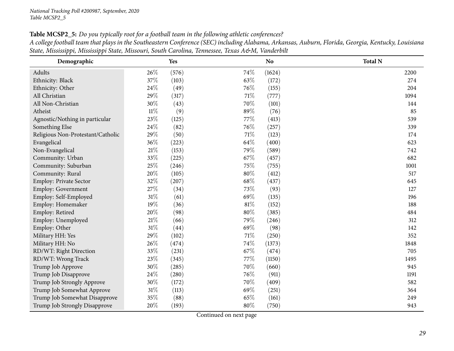Table MCSP2\_5: Do you typically root for a football team in the following athletic conferences? A college football team that plays in the Southeastern Conference (SEC) including Alabama, Arkansas, Auburn, Florida, Georgia, Kentucky, Louisiana State, Mississippi, Mississippi State, Missouri, South Carolina, Tennessee, Texas A&M, Vanderbilt

| Demographic                       |        | Yes   |        | No     | <b>Total N</b> |
|-----------------------------------|--------|-------|--------|--------|----------------|
| Adults                            | 26\%   | (576) | 74%    | (1624) | 2200           |
| Ethnicity: Black                  | 37%    | (103) | 63%    | (172)  | 274            |
| Ethnicity: Other                  | 24\%   | (49)  | 76\%   | (155)  | 204            |
| All Christian                     | 29%    | (317) | 71%    | (777)  | 1094           |
| All Non-Christian                 | 30%    | (43)  | 70%    | (101)  | 144            |
| Atheist                           | $11\%$ | (9)   | 89%    | (76)   | 85             |
| Agnostic/Nothing in particular    | 23%    | (125) | 77%    | (413)  | 539            |
| Something Else                    | 24\%   | (82)  | 76\%   | (257)  | 339            |
| Religious Non-Protestant/Catholic | 29%    | (50)  | 71%    | (123)  | 174            |
| Evangelical                       | 36%    | (223) | 64%    | (400)  | 623            |
| Non-Evangelical                   | $21\%$ | (153) | 79%    | (589)  | 742            |
| Community: Urban                  | 33%    | (225) | 67%    | (457)  | 682            |
| Community: Suburban               | $25\%$ | (246) | 75%    | (755)  | 1001           |
| Community: Rural                  | $20\%$ | (105) | $80\%$ | (412)  | 517            |
| Employ: Private Sector            | 32%    | (207) | 68%    | (437)  | 645            |
| <b>Employ: Government</b>         | 27\%   | (34)  | 73%    | (93)   | 127            |
| Employ: Self-Employed             | $31\%$ | (61)  | 69%    | (135)  | 196            |
| Employ: Homemaker                 | 19%    | (36)  | 81%    | (152)  | 188            |
| Employ: Retired                   | 20%    | (98)  | $80\%$ | (385)  | 484            |
| Employ: Unemployed                | $21\%$ | (66)  | 79%    | (246)  | 312            |
| Employ: Other                     | $31\%$ | (44)  | 69%    | (98)   | 142            |
| Military HH: Yes                  | 29%    | (102) | 71%    | (250)  | 352            |
| Military HH: No                   | 26%    | (474) | 74%    | (1373) | 1848           |
| RD/WT: Right Direction            | 33%    | (231) | 67%    | (474)  | 705            |
| RD/WT: Wrong Track                | 23\%   | (345) | 77\%   | (1150) | 1495           |
| Trump Job Approve                 | $30\%$ | (285) | 70%    | (660)  | 945            |
| Trump Job Disapprove              | 24\%   | (280) | 76\%   | (911)  | 1191           |
| Trump Job Strongly Approve        | 30\%   | (172) | 70%    | (409)  | 582            |
| Trump Job Somewhat Approve        | $31\%$ | (113) | 69%    | (251)  | 364            |
| Trump Job Somewhat Disapprove     | $35\%$ | (88)  | 65%    | (161)  | 249            |
| Trump Job Strongly Disapprove     | 20%    | (193) | 80%    | (750)  | 943            |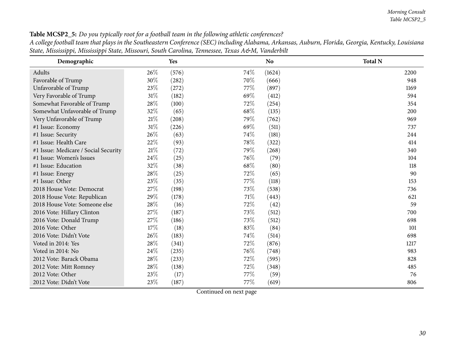Table MCSP2\_5: Do you typically root for a football team in the following athletic conferences?

A college football team that plays in the Southeastern Conference (SEC) including Alabama, Arkansas, Auburn, Florida, Georgia, Kentucky, Louisiana State, Mississippi, Mississippi State, Missouri, South Carolina, Tennessee, Texas A&M, Vanderbilt

| Demographic                          |        | Yes       |      | No     | <b>Total N</b> |
|--------------------------------------|--------|-----------|------|--------|----------------|
| Adults                               | 26%    | (576)     | 74%  | (1624) | 2200           |
| Favorable of Trump                   | 30%    | (282)     | 70%  | (666)  | 948            |
| Unfavorable of Trump                 | 23%    | (272)     | 77\% | (897)  | 1169           |
| Very Favorable of Trump              | 31%    | (182)     | 69\% | (412)  | 594            |
| Somewhat Favorable of Trump          | 28%    | (100)     | 72\% | (254)  | 354            |
| Somewhat Unfavorable of Trump        | 32%    | (65)      | 68\% | (135)  | 200            |
| Very Unfavorable of Trump            | 21%    | (208)     | 79%  | (762)  | 969            |
| #1 Issue: Economy                    | 31%    | (226)     | 69%  | (511)  | 737            |
| #1 Issue: Security                   | 26%    | (63)      | 74\% | (181)  | 244            |
| #1 Issue: Health Care                | 22\%   | (93)      | 78%  | (322)  | 414            |
| #1 Issue: Medicare / Social Security | 21%    | (72)      | 79%  | (268)  | 340            |
| #1 Issue: Women's Issues             | $24\%$ | $^{(25)}$ | 76\% | (79)   | 104            |
| #1 Issue: Education                  | 32%    | (38)      | 68\% | (80)   | 118            |
| #1 Issue: Energy                     | $28\%$ | (25)      | 72%  | (65)   | 90             |
| #1 Issue: Other                      | 23%    | (35)      | 77\% | (118)  | 153            |
| 2018 House Vote: Democrat            | $27\%$ | (198)     | 73%  | (538)  | 736            |
| 2018 House Vote: Republican          | 29%    | (178)     | 71%  | (443)  | 621            |
| 2018 House Vote: Someone else        | $28\%$ | (16)      | 72%  | (42)   | 59             |
| 2016 Vote: Hillary Clinton           | 27%    | (187)     | 73%  | (512)  | 700            |
| 2016 Vote: Donald Trump              | $27\%$ | (186)     | 73\% | (512)  | 698            |
| 2016 Vote: Other                     | 17%    | (18)      | 83%  | (84)   | 101            |
| 2016 Vote: Didn't Vote               | $26\%$ | (183)     | 74%  | (514)  | 698            |
| Voted in 2014: Yes                   | $28\%$ | (341)     | 72%  | (876)  | 1217           |
| Voted in 2014: No                    | $24\%$ | (235)     | 76%  | (748)  | 983            |
| 2012 Vote: Barack Obama              | $28\%$ | (233)     | 72%  | (595)  | 828            |
| 2012 Vote: Mitt Romney               | $28\%$ | (138)     | 72%  | (348)  | 485            |
| 2012 Vote: Other                     | 23%    | (17)      | 77\% | (59)   | 76             |
| 2012 Vote: Didn't Vote               | 23%    | (187)     | 77\% | (619)  | 806            |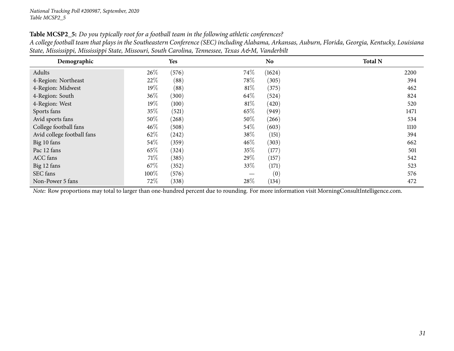| Table MCSP2_5: Do you typically root for a football team in the following athletic conferences? |  |  |  |  |  |  |  |  |  |  |  |  |  |  |  |  |  |
|-------------------------------------------------------------------------------------------------|--|--|--|--|--|--|--|--|--|--|--|--|--|--|--|--|--|
|-------------------------------------------------------------------------------------------------|--|--|--|--|--|--|--|--|--|--|--|--|--|--|--|--|--|

| A college football team that plays in the Southeastern Conference (SEC) including Alabama, Arkansas, Auburn, Florida, Georgia, Kentucky, Louisiana |  |  |
|----------------------------------------------------------------------------------------------------------------------------------------------------|--|--|
| State, Mississippi, Mississippi State, Missouri, South Carolina, Tennessee, Texas A&M, Vanderbilt                                                  |  |  |

| Demographic                |        | Yes   |        | <b>No</b> | <b>Total N</b> |
|----------------------------|--------|-------|--------|-----------|----------------|
| Adults                     | 26\%   | (576) | 74\%   | (1624)    | 2200           |
| 4-Region: Northeast        | 22\%   | (88)  | 78\%   | (305)     | 394            |
| 4-Region: Midwest          | $19\%$ | (88)  | $81\%$ | (375)     | 462            |
| 4-Region: South            | 36%    | (300) | 64\%   | (524)     | 824            |
| 4-Region: West             | $19\%$ | (100) | $81\%$ | (420)     | 520            |
| Sports fans                | 35\%   | (521) | 65\%   | (949)     | 1471           |
| Avid sports fans           | 50%    | (268) | $50\%$ | (266)     | 534            |
| College football fans      | $46\%$ | (508) | 54\%   | (603)     | 1110           |
| Avid college football fans | 62\%   | (242) | 38\%   | (151)     | 394            |
| Big 10 fans                | $54\%$ | (359) | $46\%$ | (303)     | 662            |
| Pac 12 fans                | 65\%   | (324) | 35%    | (177)     | 501            |
| ACC fans                   | 71%    | (385) | 29\%   | (157)     | 542            |
| Big 12 fans                | 67\%   | (352) | 33\%   | (171)     | 523            |
| SEC fans                   | 100%   | (576) |        | (0)       | 576            |
| Non-Power 5 fans           | $72\%$ | (338) | 28\%   | (134)     | 472            |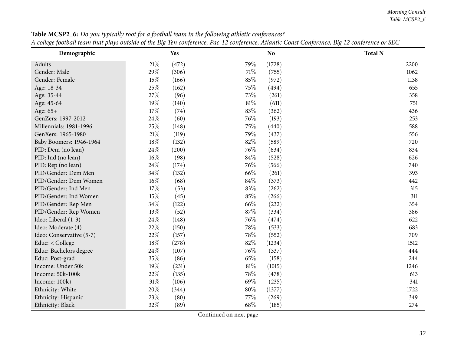*Morning Consult Table MCSP2\_6*

<span id="page-31-0"></span>

| Demographic              |        | Yes   |        | <b>No</b> | It conced footom team mar piaps oaisiac of me big fen conference, I ac 12 conference, Inamic Souse Sonference, big 12 conference or SLS<br><b>Total N</b> |
|--------------------------|--------|-------|--------|-----------|-----------------------------------------------------------------------------------------------------------------------------------------------------------|
| Adults                   | $21\%$ | (472) | 79%    | (1728)    | 2200                                                                                                                                                      |
| Gender: Male             | 29%    | (306) | $71\%$ | (755)     | 1062                                                                                                                                                      |
| Gender: Female           | 15%    | (166) | 85%    | (972)     | 1138                                                                                                                                                      |
| Age: 18-34               | 25%    | (162) | 75%    | (494)     | 655                                                                                                                                                       |
| Age: 35-44               | 27\%   | (96)  | 73\%   | (261)     | 358                                                                                                                                                       |
| Age: 45-64               | 19%    | (140) | 81%    | (611)     | 751                                                                                                                                                       |
| Age: 65+                 | 17%    | (74)  | 83%    | (362)     | 436                                                                                                                                                       |
| GenZers: 1997-2012       | 24%    | (60)  | 76%    | (193)     | 253                                                                                                                                                       |
| Millennials: 1981-1996   | $25\%$ | (148) | 75\%   | (440)     | 588                                                                                                                                                       |
| GenXers: 1965-1980       | $21\%$ | (119) | 79%    | (437)     | 556                                                                                                                                                       |
| Baby Boomers: 1946-1964  | 18%    | (132) | 82%    | (589)     | 720                                                                                                                                                       |
| PID: Dem (no lean)       | 24%    | (200) | 76\%   | (634)     | 834                                                                                                                                                       |
| PID: Ind (no lean)       | 16%    | (98)  | 84%    | (528)     | 626                                                                                                                                                       |
| PID: Rep (no lean)       | 24\%   | (174) | 76\%   | (566)     | 740                                                                                                                                                       |
| PID/Gender: Dem Men      | 34%    | (132) | 66%    | (261)     | 393                                                                                                                                                       |
| PID/Gender: Dem Women    | $16\%$ | (68)  | 84\%   | (373)     | 442                                                                                                                                                       |
| PID/Gender: Ind Men      | 17%    | (53)  | 83%    | (262)     | 315                                                                                                                                                       |
| PID/Gender: Ind Women    | 15%    | (45)  | 85%    | (266)     | 311                                                                                                                                                       |
| PID/Gender: Rep Men      | 34%    | (122) | 66%    | (232)     | 354                                                                                                                                                       |
| PID/Gender: Rep Women    | $13\%$ | (52)  | 87%    | (334)     | 386                                                                                                                                                       |
| Ideo: Liberal (1-3)      | 24\%   | (148) | 76%    | (474)     | 622                                                                                                                                                       |
| Ideo: Moderate (4)       | 22%    | (150) | 78%    | (533)     | 683                                                                                                                                                       |
| Ideo: Conservative (5-7) | 22%    | (157) | 78%    | (552)     | 709                                                                                                                                                       |
| Educ: < College          | 18%    | (278) | 82%    | (1234)    | 1512                                                                                                                                                      |
| Educ: Bachelors degree   | 24\%   | (107) | 76%    | (337)     | 444                                                                                                                                                       |
| Educ: Post-grad          | 35%    | (86)  | 65%    | (158)     | 244                                                                                                                                                       |
| Income: Under 50k        | 19%    | (231) | $81\%$ | (1015)    | 1246                                                                                                                                                      |
| Income: 50k-100k         | 22\%   | (135) | 78\%   | (478)     | 613                                                                                                                                                       |
| Income: 100k+            | $31\%$ | (106) | 69%    | (235)     | 341                                                                                                                                                       |
| Ethnicity: White         | 20%    | (344) | 80%    | (1377)    | 1722                                                                                                                                                      |
| Ethnicity: Hispanic      | 23%    | (80)  | 77\%   | (269)     | 349                                                                                                                                                       |
| Ethnicity: Black         | 32%    | (89)  | 68%    | (185)     | 274                                                                                                                                                       |

Table MCSP2\_6: Do you typically root for a football team in the following athletic conferences? A college football team that plays outside of the Big Ten conference, Pac-12 conference, Atlantic Coast Conference, Big 12 conference or SEC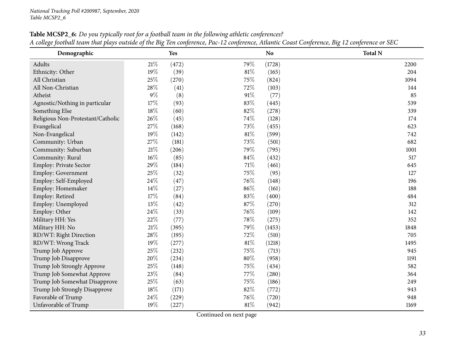| Demographic                       |        | <b>Yes</b> |        | N <sub>o</sub> | <b>Total N</b> |
|-----------------------------------|--------|------------|--------|----------------|----------------|
| Adults                            | $21\%$ | (472)      | 79%    | (1728)         | 2200           |
| Ethnicity: Other                  | 19%    | (39)       | $81\%$ | (165)          | 204            |
| All Christian                     | 25%    | (270)      | 75%    | (824)          | 1094           |
| All Non-Christian                 | 28\%   | (41)       | 72%    | (103)          | 144            |
| Atheist                           | $9\%$  | (8)        | 91%    | (77)           | 85             |
| Agnostic/Nothing in particular    | 17%    | (93)       | 83%    | (445)          | 539            |
| Something Else                    | $18\%$ | (60)       | 82%    | (278)          | 339            |
| Religious Non-Protestant/Catholic | 26%    | (45)       | 74%    | (128)          | 174            |
| Evangelical                       | 27%    | (168)      | 73%    | (455)          | 623            |
| Non-Evangelical                   | 19%    | (142)      | $81\%$ | (599)          | 742            |
| Community: Urban                  | 27%    | (181)      | 73%    | (501)          | 682            |
| Community: Suburban               | $21\%$ | (206)      | 79%    | (795)          | 1001           |
| Community: Rural                  | $16\%$ | (85)       | 84\%   | (432)          | 517            |
| Employ: Private Sector            | 29%    | (184)      | $71\%$ | (461)          | 645            |
| Employ: Government                | 25%    | (32)       | 75%    | (95)           | 127            |
| Employ: Self-Employed             | 24\%   | (47)       | 76%    | (148)          | 196            |
| Employ: Homemaker                 | 14\%   | (27)       | 86%    | (161)          | 188            |
| Employ: Retired                   | 17%    | (84)       | 83%    | (400)          | 484            |
| Employ: Unemployed                | 13%    | (42)       | 87%    | (270)          | 312            |
| Employ: Other                     | 24\%   | (33)       | 76%    | (109)          | 142            |
| Military HH: Yes                  | 22%    | (77)       | 78%    | (275)          | 352            |
| Military HH: No                   | $21\%$ | (395)      | 79%    | (1453)         | 1848           |
| RD/WT: Right Direction            | 28%    | (195)      | 72%    | (510)          | 705            |
| RD/WT: Wrong Track                | 19%    | (277)      | $81\%$ | (1218)         | 1495           |
| Trump Job Approve                 | $25\%$ | (232)      | 75%    | (713)          | 945            |
| Trump Job Disapprove              | 20%    | (234)      | $80\%$ | (958)          | 1191           |
| Trump Job Strongly Approve        | 25%    | (148)      | 75%    | (434)          | 582            |
| Trump Job Somewhat Approve        | 23%    | (84)       | 77%    | (280)          | 364            |
| Trump Job Somewhat Disapprove     | 25%    | (63)       | 75%    | (186)          | 249            |
| Trump Job Strongly Disapprove     | $18\%$ | (171)      | 82%    | (772)          | 943            |
| Favorable of Trump                | 24\%   | (229)      | 76%    | (720)          | 948            |
| Unfavorable of Trump              | 19%    | (227)      | $81\%$ | (942)          | 1169           |

**Table MCSP2\_6:** Do you typically root for a football team in the following athletic conferences?  $\mathcal{L}$ <u>A college football team that plays outside of the Big Ten conference, Pac-12 conference, Atlantic Coast Conference, Big 12 conference or SEC</u>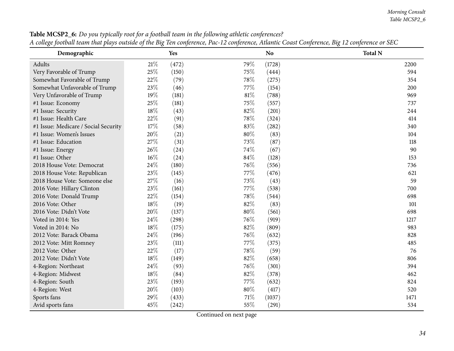| o J<br>Demographic                   | o      | Yes   |      | N <sub>o</sub> | o<br><b>Total N</b> |
|--------------------------------------|--------|-------|------|----------------|---------------------|
| Adults                               | $21\%$ | (472) | 79%  | (1728)         | 2200                |
| Very Favorable of Trump              | 25%    | (150) | 75%  | (444)          | 594                 |
| Somewhat Favorable of Trump          | 22%    | (79)  | 78%  | (275)          | 354                 |
| Somewhat Unfavorable of Trump        | 23%    | (46)  | 77\% | (154)          | 200                 |
| Very Unfavorable of Trump            | 19%    | (181) | 81%  | (788)          | 969                 |
| #1 Issue: Economy                    | 25%    | (181) | 75%  | (557)          | 737                 |
| #1 Issue: Security                   | $18\%$ | (43)  | 82%  | (201)          | 244                 |
| #1 Issue: Health Care                | 22%    | (91)  | 78%  | (324)          | 414                 |
| #1 Issue: Medicare / Social Security | 17%    | (58)  | 83%  | (282)          | 340                 |
| #1 Issue: Women's Issues             | 20%    | (21)  | 80%  | (83)           | 104                 |
| #1 Issue: Education                  | 27\%   | (31)  | 73%  | (87)           | 118                 |
| #1 Issue: Energy                     | 26%    | (24)  | 74%  | (67)           | 90                  |
| #1 Issue: Other                      | 16%    | (24)  | 84%  | (128)          | 153                 |
| 2018 House Vote: Democrat            | 24\%   | (180) | 76\% | (556)          | 736                 |
| 2018 House Vote: Republican          | 23%    | (145) | 77%  | (476)          | 621                 |
| 2018 House Vote: Someone else        | 27%    | (16)  | 73%  | (43)           | 59                  |
| 2016 Vote: Hillary Clinton           | 23%    | (161) | 77\% | (538)          | 700                 |
| 2016 Vote: Donald Trump              | 22%    | (154) | 78%  | (544)          | 698                 |
| 2016 Vote: Other                     | 18%    | (19)  | 82%  | (83)           | 101                 |
| 2016 Vote: Didn't Vote               | 20%    | (137) | 80%  | (561)          | 698                 |
| Voted in 2014: Yes                   | 24\%   | (298) | 76%  | (919)          | 1217                |
| Voted in 2014: No                    | 18%    | (175) | 82%  | (809)          | 983                 |
| 2012 Vote: Barack Obama              | 24\%   | (196) | 76%  | (632)          | 828                 |
| 2012 Vote: Mitt Romney               | 23%    | (111) | 77\% | (375)          | 485                 |
| 2012 Vote: Other                     | 22%    | (17)  | 78%  | (59)           | 76                  |
| 2012 Vote: Didn't Vote               | 18%    | (149) | 82%  | (658)          | 806                 |
| 4-Region: Northeast                  | 24\%   | (93)  | 76\% | (301)          | 394                 |
| 4-Region: Midwest                    | 18%    | (84)  | 82%  | (378)          | 462                 |
| 4-Region: South                      | 23%    | (193) | 77\% | (632)          | 824                 |
| 4-Region: West                       | 20%    | (103) | 80%  | (417)          | 520                 |
| Sports fans                          | 29%    | (433) | 71%  | (1037)         | 1471                |
| Avid sports fans                     | 45%    | (242) | 55%  | (291)          | 534                 |

Table MCSP2\_6: Do you typically root for a football team in the following athletic conferences? A college football team that plays outside of the Big Ten conference, Pac-12 conference, Atlantic Coast Conference, Big 12 conference or SEC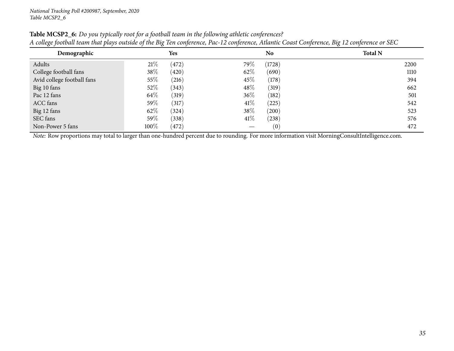| Demographic                                                                                                                                    |        | <b>Yes</b> |        | No.    | <b>Total N</b> |  |  |  |
|------------------------------------------------------------------------------------------------------------------------------------------------|--------|------------|--------|--------|----------------|--|--|--|
| Adults                                                                                                                                         | 21%    | (472)      | 79\%   | (1728) | 2200           |  |  |  |
| College football fans                                                                                                                          | 38\%   | (420)      | $62\%$ | (690)  | 1110           |  |  |  |
| Avid college football fans                                                                                                                     | $55\%$ | (216)      | 45\%   | (178)  | 394            |  |  |  |
| Big 10 fans                                                                                                                                    | $52\%$ | (343)      | $48\%$ | (319)  | 662            |  |  |  |
| Pac 12 fans                                                                                                                                    | 64\%   | (319)      | $36\%$ | (182)  | 501            |  |  |  |
| ACC fans                                                                                                                                       | 59\%   | (317)      | $41\%$ | (225)  | 542            |  |  |  |
| Big 12 fans                                                                                                                                    | 62\%   | (324)      | 38\%   | (200)  | 523            |  |  |  |
| SEC fans                                                                                                                                       | 59\%   | (338)      | $41\%$ | (238)  | 576            |  |  |  |
| Non-Power 5 fans                                                                                                                               | 100%   | (472)      |        | (0)    | 472            |  |  |  |
| Note: Row proportions may total to larger than one-hundred percent due to rounding. For more information visit MorningConsultIntelligence.com. |        |            |        |        |                |  |  |  |

Table MCSP2\_6: Do you typically root for a football team in the following athletic conferences? A college football team that plays outside of the Big Ten conference, Pac-12 conference, Atlantic Coast Conference, Big 12 conference or SEC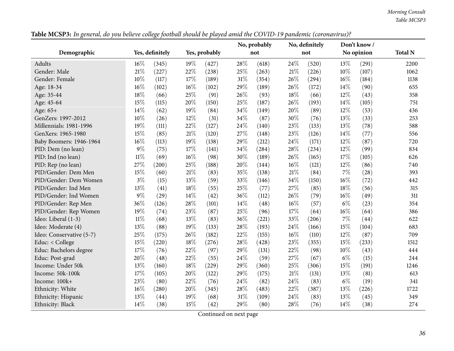*Morning Consult Table MCSP3*

<span id="page-35-0"></span>

|                          |        |                 |        |               |     | No, probably |        | No, definitely |        | Don't know/ |                |
|--------------------------|--------|-----------------|--------|---------------|-----|--------------|--------|----------------|--------|-------------|----------------|
| Demographic              |        | Yes, definitely |        | Yes, probably |     | not          |        | not            |        | No opinion  | <b>Total N</b> |
| Adults                   | 16%    | (345)           | 19%    | (427)         | 28% | (618)        | 24%    | (520)          | 13%    | (291)       | 2200           |
| Gender: Male             | $21\%$ | (227)           | 22%    | (238)         | 25% | (263)        | 21%    | (226)          | 10%    | (107)       | 1062           |
| Gender: Female           | 10%    | (117)           | 17%    | (189)         | 31% | (354)        | 26%    | (294)          | $16\%$ | (184)       | 1138           |
| Age: 18-34               | 16%    | (102)           | 16%    | (102)         | 29% | (189)        | 26%    | (172)          | 14%    | (90)        | 655            |
| Age: 35-44               | 18%    | (66)            | 25%    | (91)          | 26% | (93)         | $18\%$ | (66)           | 12%    | (43)        | 358            |
| Age: 45-64               | 15%    | (115)           | 20%    | (150)         | 25% | (187)        | 26%    | (193)          | 14%    | (105)       | 751            |
| Age: 65+                 | 14%    | (62)            | 19%    | (84)          | 34% | (149)        | 20%    | (89)           | 12%    | (53)        | 436            |
| GenZers: 1997-2012       | 10%    | (26)            | 12%    | (31)          | 34% | (87)         | 30%    | (76)           | 13%    | (33)        | 253            |
| Millennials: 1981-1996   | 19%    | (111)           | 22%    | (127)         | 24% | (140)        | 23%    | (133)          | 13%    | (78)        | 588            |
| GenXers: 1965-1980       | 15%    | (85)            | $21\%$ | (120)         | 27% | (148)        | 23%    | (126)          | 14%    | (77)        | 556            |
| Baby Boomers: 1946-1964  | 16%    | (113)           | 19%    | (138)         | 29% | (212)        | 24\%   | (171)          | 12%    | (87)        | 720            |
| PID: Dem (no lean)       | 9%     | (75)            | $17\%$ | (141)         | 34% | (284)        | 28%    | (234)          | 12%    | (99)        | 834            |
| PID: Ind (no lean)       | $11\%$ | (69)            | 16%    | (98)          | 30% | (189)        | 26%    | (165)          | $17\%$ | (105)       | 626            |
| PID: Rep (no lean)       | 27%    | (200)           | $25\%$ | (188)         | 20% | (144)        | 16%    | (121)          | 12%    | (86)        | 740            |
| PID/Gender: Dem Men      | 15%    | (60)            | $21\%$ | (83)          | 35% | (138)        | 21%    | (84)           | 7%     | (28)        | 393            |
| PID/Gender: Dem Women    | $3\%$  | (15)            | 13%    | (59)          | 33% | (146)        | 34%    | (150)          | 16%    | (72)        | 442            |
| PID/Gender: Ind Men      | 13%    | (41)            | $18\%$ | (55)          | 25% | (77)         | 27%    | (85)           | 18%    | (56)        | 315            |
| PID/Gender: Ind Women    | 9%     | (29)            | 14%    | (42)          | 36% | (112)        | 26%    | (79)           | 16%    | (49)        | 311            |
| PID/Gender: Rep Men      | 36%    | (126)           | 28\%   | (101)         | 14% | (48)         | $16\%$ | (57)           | $6\%$  | (23)        | 354            |
| PID/Gender: Rep Women    | 19%    | (74)            | 23%    | (87)          | 25% | (96)         | 17%    | (64)           | 16%    | (64)        | 386            |
| Ideo: Liberal (1-3)      | $11\%$ | (68)            | 13%    | (83)          | 36% | (221)        | 33%    | (206)          | $7\%$  | (44)        | 622            |
| Ideo: Moderate (4)       | 13%    | (88)            | $19\%$ | (133)         | 28% | (193)        | 24\%   | (166)          | 15%    | (104)       | 683            |
| Ideo: Conservative (5-7) | 25%    | (175)           | 26%    | (182)         | 22% | (155)        | $16\%$ | (110)          | 12%    | (87)        | 709            |
| Educ: < College          | 15%    | (220)           | 18%    | (276)         | 28% | (428)        | 23%    | (355)          | 15%    | (233)       | 1512           |
| Educ: Bachelors degree   | 17%    | (76)            | 22%    | (97)          | 29% | (131)        | 22%    | (98)           | 10%    | (43)        | 444            |
| Educ: Post-grad          | 20%    | (48)            | 22%    | (55)          | 24% | (59)         | 27%    | (67)           | $6\%$  | (15)        | 244            |
| Income: Under 50k        | 13%    | (160)           | 18%    | (229)         | 29% | (360)        | 25%    | (306)          | 15%    | (191)       | 1246           |
| Income: 50k-100k         | 17%    | (105)           | 20%    | (122)         | 29% | (175)        | $21\%$ | (131)          | 13%    | (81)        | 613            |
| Income: 100k+            | 23%    | (80)            | 22%    | (76)          | 24% | (82)         | 24\%   | (83)           | $6\%$  | (19)        | 341            |
| Ethnicity: White         | $16\%$ | (280)           | 20%    | (345)         | 28% | (483)        | 22%    | (387)          | 13%    | (226)       | 1722           |
| Ethnicity: Hispanic      | 13%    | (44)            | 19%    | (68)          | 31% | (109)        | 24%    | (83)           | 13%    | (45)        | 349            |
| Ethnicity: Black         | 14%    | (38)            | 15%    | (42)          | 29% | (80)         | 28%    | (76)           | 14%    | (38)        | 274            |

Table MCSP3: In general, do you believe college football should be played amid the COVID-19 pandemic (coronavirus)?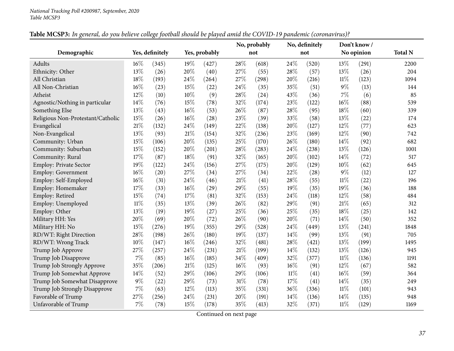|                                   |        |                 |        |               |        | No, probably |        | No, definitely |        | Don't know/ |                |
|-----------------------------------|--------|-----------------|--------|---------------|--------|--------------|--------|----------------|--------|-------------|----------------|
| Demographic                       |        | Yes, definitely |        | Yes, probably |        | not          |        | not            |        | No opinion  | <b>Total N</b> |
| Adults                            | 16%    | (345)           | 19%    | (427)         | 28%    | (618)        | 24%    | (520)          | 13%    | (291)       | 2200           |
| Ethnicity: Other                  | 13%    | (26)            | 20%    | (40)          | 27%    | (55)         | 28%    | (57)           | 13%    | (26)        | 204            |
| All Christian                     | 18%    | (193)           | 24%    | (264)         | 27%    | (298)        | 20%    | (216)          | $11\%$ | (123)       | 1094           |
| All Non-Christian                 | 16%    | (23)            | 15%    | (22)          | 24%    | (35)         | 35%    | (51)           | $9\%$  | (13)        | 144            |
| Atheist                           | 12%    | (10)            | 10%    | (9)           | 28%    | (24)         | 43%    | (36)           | $7\%$  | (6)         | 85             |
| Agnostic/Nothing in particular    | 14%    | (76)            | 15%    | (78)          | 32%    | (174)        | 23%    | (122)          | 16%    | (88)        | 539            |
| Something Else                    | 13%    | (43)            | 16%    | (53)          | 26%    | (87)         | 28%    | (95)           | 18%    | (60)        | 339            |
| Religious Non-Protestant/Catholic | 15%    | (26)            | 16%    | (28)          | 23%    | (39)         | 33%    | (58)           | 13%    | (22)        | 174            |
| Evangelical                       | 21%    | (132)           | 24%    | (149)         | 22%    | (138)        | 20%    | (127)          | 12%    | (77)        | 623            |
| Non-Evangelical                   | 13%    | (93)            | 21%    | (154)         | 32%    | (236)        | 23%    | (169)          | 12%    | (90)        | 742            |
| Community: Urban                  | 15%    | (106)           | 20%    | (135)         | 25%    | (170)        | 26%    | (180)          | 14%    | (92)        | 682            |
| Community: Suburban               | 15%    | (152)           | 20%    | (201)         | 28%    | (283)        | 24%    | (238)          | 13%    | (126)       | 1001           |
| Community: Rural                  | 17%    | (87)            | $18\%$ | (91)          | 32%    | (165)        | 20%    | (102)          | 14%    | (72)        | 517            |
| Employ: Private Sector            | 19%    | (122)           | 24%    | (156)         | 27%    | (175)        | 20%    | (129)          | 10%    | (62)        | 645            |
| Employ: Government                | 16%    | (20)            | 27%    | (34)          | 27%    | (34)         | 22%    | (28)           | $9\%$  | (12)        | 127            |
| Employ: Self-Employed             | 16%    | (31)            | 24%    | (46)          | 21%    | (41)         | 28%    | (55)           | $11\%$ | (22)        | 196            |
| Employ: Homemaker                 | 17%    | (33)            | 16%    | (29)          | 29%    | (55)         | 19%    | (35)           | 19%    | (36)        | 188            |
| Employ: Retired                   | 15%    | (74)            | 17%    | (81)          | 32%    | (153)        | 24%    | (118)          | 12%    | (58)        | 484            |
| Employ: Unemployed                | $11\%$ | (35)            | 13%    | (39)          | 26%    | (82)         | 29%    | (91)           | 21%    | (65)        | 312            |
| Employ: Other                     | 13%    | (19)            | 19%    | (27)          | 25%    | (36)         | 25%    | (35)           | 18%    | (25)        | 142            |
| Military HH: Yes                  | 20%    | (69)            | 20%    | (72)          | 26%    | (90)         | 20%    | (71)           | 14%    | (50)        | 352            |
| Military HH: No                   | 15%    | (276)           | 19%    | (355)         | 29%    | (528)        | 24%    | (449)          | 13%    | (241)       | 1848           |
| RD/WT: Right Direction            | 28%    | (198)           | 26%    | (180)         | 19%    | (137)        | 14%    | (99)           | 13%    | (91)        | 705            |
| RD/WT: Wrong Track                | 10%    | (147)           | 16%    | (246)         | 32%    | (481)        | 28%    | (421)          | 13%    | (199)       | 1495           |
| Trump Job Approve                 | 27%    | (257)           | 24%    | (231)         | $21\%$ | (199)        | 14%    | (132)          | 13%    | (126)       | 945            |
| Trump Job Disapprove              | $7\%$  | (85)            | 16%    | (185)         | 34%    | (409)        | 32%    | (377)          | $11\%$ | (136)       | 1191           |
| Trump Job Strongly Approve        | 35%    | (206)           | 21%    | (125)         | 16%    | (93)         | 16%    | (91)           | 12%    | (67)        | 582            |
| Trump Job Somewhat Approve        | 14%    | (52)            | 29%    | (106)         | 29%    | (106)        | $11\%$ | (41)           | 16%    | (59)        | 364            |
| Trump Job Somewhat Disapprove     | $9\%$  | (22)            | 29%    | (73)          | $31\%$ | (78)         | 17%    | (41)           | 14%    | (35)        | 249            |
| Trump Job Strongly Disapprove     | $7\%$  | (63)            | 12%    | (113)         | 35%    | (331)        | 36%    | (336)          | $11\%$ | (101)       | 943            |
| Favorable of Trump                | 27%    | (256)           | 24%    | (231)         | 20%    | (191)        | 14%    | (136)          | 14%    | (135)       | 948            |
| Unfavorable of Trump              | 7%     | (78)            | 15%    | (178)         | 35%    | (413)        | 32%    | (371)          | $11\%$ | (129)       | 1169           |

Table MCSP3: In general, do you believe college football should be played amid the COVID-19 pandemic (coronavirus)?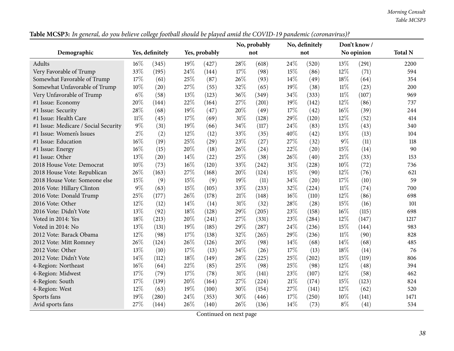*Morning Consult Table MCSP3*

|                                      |        | Yes, probably<br>Yes, definitely |     |       | No, probably |       | No, definitely |       | Don't know/ | <b>Total N</b> |      |
|--------------------------------------|--------|----------------------------------|-----|-------|--------------|-------|----------------|-------|-------------|----------------|------|
| Demographic                          |        |                                  |     |       |              | not   |                | not   |             | No opinion     |      |
| Adults                               | $16\%$ | (345)                            | 19% | (427) | 28%          | (618) | 24%            | (520) | 13%         | (291)          | 2200 |
| Very Favorable of Trump              | 33%    | (195)                            | 24% | (144) | 17%          | (98)  | 15%            | (86)  | 12%         | (71)           | 594  |
| Somewhat Favorable of Trump          | 17%    | (61)                             | 25% | (87)  | 26%          | (93)  | 14%            | (49)  | 18%         | (64)           | 354  |
| Somewhat Unfavorable of Trump        | 10%    | (20)                             | 27% | (55)  | 32%          | (65)  | 19%            | (38)  | $11\%$      | (23)           | 200  |
| Very Unfavorable of Trump            | $6\%$  | (58)                             | 13% | (123) | 36%          | (349) | 34%            | (333) | $11\%$      | (107)          | 969  |
| #1 Issue: Economy                    | 20%    | (144)                            | 22% | (164) | 27%          | (201) | 19%            | (142) | 12%         | (86)           | 737  |
| #1 Issue: Security                   | 28%    | (68)                             | 19% | (47)  | 20%          | (49)  | 17%            | (42)  | 16%         | (39)           | 244  |
| #1 Issue: Health Care                | $11\%$ | (45)                             | 17% | (69)  | 31%          | (128) | 29%            | (120) | 12%         | (52)           | 414  |
| #1 Issue: Medicare / Social Security | $9\%$  | (31)                             | 19% | (66)  | 34%          | (117) | 24%            | (83)  | 13%         | (43)           | 340  |
| #1 Issue: Women's Issues             | $2\%$  | (2)                              | 12% | (12)  | 33%          | (35)  | 40%            | (42)  | 13%         | (13)           | 104  |
| #1 Issue: Education                  | 16%    | (19)                             | 25% | (29)  | 23%          | (27)  | 27%            | (32)  | $9\%$       | (11)           | 118  |
| #1 Issue: Energy                     | 16%    | (15)                             | 20% | (18)  | 26%          | (24)  | 22%            | (20)  | 15%         | (14)           | 90   |
| #1 Issue: Other                      | 13%    | (20)                             | 14% | (22)  | 25%          | (38)  | 26%            | (40)  | $21\%$      | (33)           | 153  |
| 2018 House Vote: Democrat            | 10%    | (73)                             | 16% | (120) | 33%          | (242) | 31%            | (228) | 10%         | (72)           | 736  |
| 2018 House Vote: Republican          | 26%    | (163)                            | 27% | (168) | 20%          | (124) | 15%            | (90)  | 12%         | (76)           | 621  |
| 2018 House Vote: Someone else        | 15%    | (9)                              | 15% | (9)   | 19%          | (11)  | 34%            | (20)  | 17%         | (10)           | 59   |
| 2016 Vote: Hillary Clinton           | $9\%$  | (63)                             | 15% | (105) | 33%          | (233) | 32%            | (224) | $11\%$      | (74)           | 700  |
| 2016 Vote: Donald Trump              | 25%    | (177)                            | 26% | (178) | 21%          | (148) | $16\%$         | (110) | 12%         | (86)           | 698  |
| 2016 Vote: Other                     | 12%    | (12)                             | 14% | (14)  | 31%          | (32)  | 28%            | (28)  | 15%         | (16)           | 101  |
| 2016 Vote: Didn't Vote               | 13%    | (92)                             | 18% | (128) | 29%          | (205) | 23%            | (158) | $16\%$      | (115)          | 698  |
| Voted in 2014: Yes                   | 18%    | (213)                            | 20% | (241) | 27%          | (331) | 23%            | (284) | 12%         | (147)          | 1217 |
| Voted in 2014: No                    | 13%    | (131)                            | 19% | (185) | 29%          | (287) | 24%            | (236) | 15%         | (144)          | 983  |
| 2012 Vote: Barack Obama              | 12%    | (98)                             | 17% | (138) | 32%          | (265) | 29%            | (236) | $11\%$      | (90)           | 828  |
| 2012 Vote: Mitt Romney               | 26%    | (124)                            | 26% | (126) | 20%          | (98)  | 14%            | (68)  | 14%         | (68)           | 485  |
| 2012 Vote: Other                     | 13%    | (10)                             | 17% | (13)  | 34%          | (26)  | 17%            | (13)  | 18%         | (14)           | 76   |
| 2012 Vote: Didn't Vote               | 14%    | (112)                            | 18% | (149) | 28%          | (225) | 25%            | (202) | 15%         | (119)          | 806  |
| 4-Region: Northeast                  | 16%    | (64)                             | 22% | (85)  | 25%          | (98)  | 25%            | (98)  | 12%         | (48)           | 394  |
| 4-Region: Midwest                    | 17%    | (79)                             | 17% | (78)  | 31%          | (141) | 23%            | (107) | 12%         | (58)           | 462  |
| 4-Region: South                      | 17%    | (139)                            | 20% | (164) | 27%          | (224) | 21%            | (174) | 15%         | (123)          | 824  |
| 4-Region: West                       | 12%    | (63)                             | 19% | (100) | 30%          | (154) | 27%            | (141) | 12%         | (62)           | 520  |
| Sports fans                          | 19%    | (280)                            | 24% | (353) | 30%          | (446) | 17%            | (250) | 10%         | (141)          | 1471 |
| Avid sports fans                     | 27%    | (144)                            | 26% | (140) | 26\%         | (136) | 14\%           | (73)  | $8\%$       | (41)           | 534  |

Table MCSP3: In general, do you believe college football should be played amid the COVID-19 pandemic (coronavirus)?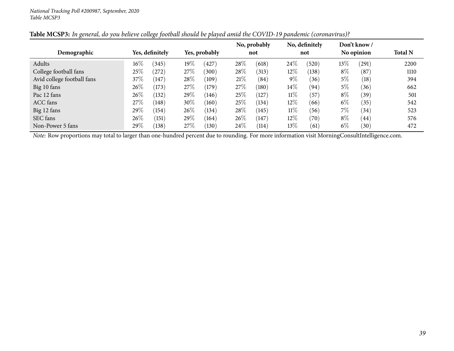|                            |        |                 |        |               |      | No, probably |        | No, definitely |       | Don't know / |                |
|----------------------------|--------|-----------------|--------|---------------|------|--------------|--------|----------------|-------|--------------|----------------|
| Demographic                |        | Yes, definitely |        | Yes, probably |      | not          |        | not            |       | No opinion   | <b>Total N</b> |
| Adults                     | $16\%$ | (345)           | $19\%$ | (427)         | 28%  | (618)        | 24\%   | (520)          | 13\%  | (291)        | 2200           |
| College football fans      | 25%    | (272)           | 27\%   | (300)         | 28\% | (313)        | $12\%$ | (138)          | $8\%$ | (87)         | 1110           |
| Avid college football fans | 37%    | 147             | 28\%   | (109)         | 21%  | (84)         | $9\%$  | (36)           | $5\%$ | (18)         | 394            |
| Big 10 fans                | 26\%   | (173)           | 27\%   | (179)         | 27\% | (180)        | 14%    | (94)           | $5\%$ | (36)         | 662            |
| Pac 12 fans                | 26\%   | (132)           | 29\%   | (146)         | 25\% | (127)        | $11\%$ | (57)           | $8\%$ | (39)         | 501            |
| <b>ACC</b> fans            | 27%    | (148)           | 30\%   | (160)         | 25\% | (134)        | $12\%$ | (66)           | $6\%$ | (35)         | 542            |
| Big 12 fans                | 29%    | (154)           | $26\%$ | (134)         | 28\% | (145)        | $11\%$ | (56)           | $7\%$ | (34)         | 523            |
| SEC fans                   | 26\%   | (151)           | 29\%   | (164)         | 26\% | (147)        | 12%    | (70)           | $8\%$ | (44)         | 576            |
| Non-Power 5 fans           | 29%    | (138)           | 27\%   | (130)         | 24\% | (114)        | 13\%   | (61)           | $6\%$ | (30)         | 472            |

Table MCSP3: In general, do you believe college football should be played amid the COVID-19 pandemic (coronavirus)?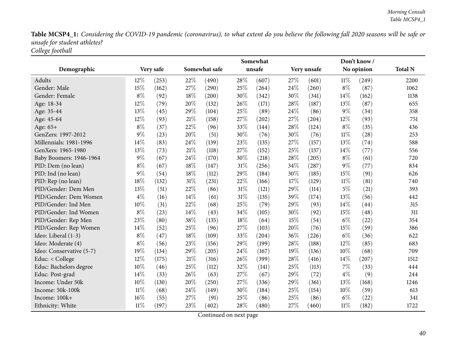Table MCSP4\_1: Considering the COVID-19 pandemic (coronavirus), to what extent do you believe the following fall 2020 seasons will be safe or *unsafe for student athletes? College football*

|                          |        |           | Somewhat |               |     |        |      |             | Don't know/ |            |                |
|--------------------------|--------|-----------|----------|---------------|-----|--------|------|-------------|-------------|------------|----------------|
| Demographic              |        | Very safe |          | Somewhat safe |     | unsafe |      | Very unsafe |             | No opinion | <b>Total N</b> |
| Adults                   | 12%    | (253)     | 22%      | (490)         | 28% | (607)  | 27%  | (601)       | $11\%$      | (249)      | 2200           |
| Gender: Male             | 15%    | (162)     | 27%      | (290)         | 25% | (264)  | 24\% | (260)       | $8\%$       | (87)       | 1062           |
| Gender: Female           | $8\%$  | (92)      | 18%      | (200)         | 30% | (342)  | 30%  | (341)       | 14\%        | (162)      | 1138           |
| Age: 18-34               | 12%    | (79)      | 20%      | (132)         | 26% | (171)  | 28\% | (187)       | 13%         | (87)       | 655            |
| Age: 35-44               | 13%    | (45)      | 29%      | (104)         | 25% | (89)   | 24%  | (86)        | $9\%$       | (34)       | 358            |
| Age: 45-64               | 12%    | (93)      | 21%      | (158)         | 27% | (202)  | 27%  | (204)       | 12%         | (93)       | 751            |
| Age: 65+                 | $8\%$  | (37)      | 22%      | (96)          | 33% | (144)  | 28\% | (124)       | $8\%$       | (35)       | 436            |
| GenZers: 1997-2012       | $9\%$  | (23)      | 20%      | (51)          | 30% | (76)   | 30%  | (76)        | 11%         | (28)       | 253            |
| Millennials: 1981-1996   | 14%    | (83)      | 24\%     | (139)         | 23% | (135)  | 27%  | (157)       | 13%         | (74)       | 588            |
| GenXers: 1965-1980       | 13%    | (73)      | $21\%$   | (118)         | 27% | (152)  | 25%  | (137)       | 14\%        | (77)       | 556            |
| Baby Boomers: 1946-1964  | $9\%$  | (67)      | 24%      | (170)         | 30% | (218)  | 28%  | (205)       | $8\%$       | (61)       | 720            |
| PID: Dem (no lean)       | $8\%$  | (67)      | $18\%$   | (147)         | 31% | (256)  | 34%  | (287)       | $9\%$       | (77)       | 834            |
| PID: Ind (no lean)       | $9\%$  | (54)      | 18%      | (112)         | 29% | (184)  | 30%  | (185)       | 15%         | (91)       | 626            |
| PID: Rep (no lean)       | 18%    | (132)     | $31\%$   | (231)         | 22% | (166)  | 17%  | (129)       | $11\%$      | (81)       | 740            |
| PID/Gender: Dem Men      | 13%    | (51)      | 22%      | (86)          | 31% | (121)  | 29%  | (114)       | $5\%$       | (21)       | 393            |
| PID/Gender: Dem Women    | $4\%$  | (16)      | 14%      | (61)          | 31% | (135)  | 39%  | (174)       | 13%         | (56)       | 442            |
| PID/Gender: Ind Men      | 10%    | (31)      | 22%      | (68)          | 25% | (79)   | 29%  | (93)        | 14%         | (44)       | 315            |
| PID/Gender: Ind Women    | $8\%$  | (23)      | 14%      | (43)          | 34% | (105)  | 30%  | (92)        | 15%         | (48)       | 311            |
| PID/Gender: Rep Men      | 23%    | (80)      | 38%      | (135)         | 18% | (64)   | 15%  | (54)        | $6\%$       | (22)       | 354            |
| PID/Gender: Rep Women    | 14%    | (52)      | 25%      | (96)          | 27% | (103)  | 20%  | (76)        | 15%         | (59)       | 386            |
| Ideo: Liberal (1-3)      | $8\%$  | (47)      | 18%      | (109)         | 33% | (204)  | 36%  | (226)       | $6\%$       | (36)       | 622            |
| Ideo: Moderate (4)       | $8\%$  | (56)      | 23%      | (156)         | 29% | (199)  | 28\% | (188)       | 12%         | (85)       | 683            |
| Ideo: Conservative (5-7) | 19%    | (134)     | 29%      | (205)         | 24% | (167)  | 19%  | (136)       | 10%         | (68)       | 709            |
| Educ: < College          | 12%    | (175)     | $21\%$   | (316)         | 26% | (399)  | 28%  | (416)       | 14%         | (207)      | 1512           |
| Educ: Bachelors degree   | 10%    | (46)      | 25%      | (112)         | 32% | (141)  | 25%  | (113)       | 7%          | (33)       | 444            |
| Educ: Post-grad          | 14%    | (33)      | 26%      | (63)          | 27% | (67)   | 29%  | (72)        | $4\%$       | (9)        | 244            |
| Income: Under 50k        | 10%    | (130)     | 20%      | (250)         | 27% | (336)  | 29%  | (361)       | 13%         | (168)      | 1246           |
| Income: 50k-100k         | $11\%$ | (68)      | 24%      | (149)         | 30% | (184)  | 25%  | (154)       | 10%         | (59)       | 613            |
| Income: 100k+            | 16%    | (55)      | 27%      | (91)          | 25% | (86)   | 25%  | (86)        | $6\%$       | (22)       | 341            |
| Ethnicity: White         | $11\%$ | (197)     | 23%      | (402)         | 28% | (480)  | 27%  | (460)       | $11\%$      | (182)      | 1722           |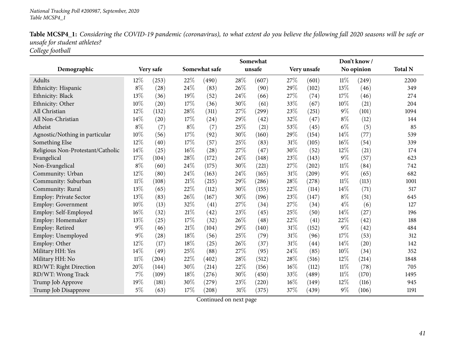| Table MCSP4_1: Considering the COVID-19 pandemic (coronavirus), to what extent do you believe the following fall 2020 seasons will be safe or |  |
|-----------------------------------------------------------------------------------------------------------------------------------------------|--|
| unsafe for student athletes?                                                                                                                  |  |
| College football                                                                                                                              |  |

|                                   |        |           | Somewhat |               |        |        |     |             |        | Don't know/ |                |
|-----------------------------------|--------|-----------|----------|---------------|--------|--------|-----|-------------|--------|-------------|----------------|
| Demographic                       |        | Very safe |          | Somewhat safe |        | unsafe |     | Very unsafe |        | No opinion  | <b>Total N</b> |
| Adults                            | $12\%$ | (253)     | 22%      | (490)         | 28%    | (607)  | 27% | (601)       | $11\%$ | (249)       | 2200           |
| Ethnicity: Hispanic               | $8\%$  | (28)      | 24%      | (83)          | 26%    | (90)   | 29% | (102)       | 13%    | (46)        | 349            |
| Ethnicity: Black                  | 13%    | (36)      | 19%      | (52)          | 24%    | (66)   | 27% | (74)        | 17%    | (46)        | 274            |
| Ethnicity: Other                  | 10%    | (20)      | 17%      | (36)          | 30%    | (61)   | 33% | (67)        | 10%    | (21)        | 204            |
| All Christian                     | 12%    | (132)     | 28%      | (311)         | 27%    | (299)  | 23% | (251)       | $9\%$  | (101)       | 1094           |
| All Non-Christian                 | 14%    | (20)      | $17\%$   | (24)          | $29\%$ | (42)   | 32% | (47)        | $8\%$  | (12)        | 144            |
| Atheist                           | $8\%$  | (7)       | $8\%$    | (7)           | 25%    | (21)   | 53% | (45)        | $6\%$  | (5)         | 85             |
| Agnostic/Nothing in particular    | 10%    | (56)      | $17\%$   | (92)          | 30%    | (160)  | 29% | (154)       | 14%    | (77)        | 539            |
| Something Else                    | 12%    | (40)      | 17%      | (57)          | 25%    | (83)   | 31% | (105)       | 16%    | (54)        | 339            |
| Religious Non-Protestant/Catholic | 14%    | (25)      | $16\%$   | (28)          | 27%    | (47)   | 30% | (52)        | 12%    | (21)        | 174            |
| Evangelical                       | 17%    | (104)     | $28\%$   | (172)         | 24%    | (148)  | 23% | (143)       | $9\%$  | (57)        | 623            |
| Non-Evangelical                   | $8\%$  | (60)      | $24\%$   | (175)         | $30\%$ | (221)  | 27% | (202)       | $11\%$ | (84)        | 742            |
| Community: Urban                  | 12%    | (80)      | 24\%     | (163)         | 24%    | (165)  | 31% | (209)       | $9\%$  | (65)        | 682            |
| Community: Suburban               | $11\%$ | (108)     | 21%      | (215)         | 29%    | (286)  | 28% | (278)       | $11\%$ | (113)       | 1001           |
| Community: Rural                  | 13%    | (65)      | 22%      | (112)         | 30%    | (155)  | 22% | (114)       | 14\%   | (71)        | 517            |
| Employ: Private Sector            | 13%    | (83)      | 26%      | (167)         | 30%    | (196)  | 23% | (147)       | $8\%$  | (51)        | 645            |
| Employ: Government                | $10\%$ | (13)      | 32%      | (41)          | 27%    | (34)   | 27% | (34)        | $4\%$  | (6)         | 127            |
| Employ: Self-Employed             | 16%    | (32)      | $21\%$   | (42)          | 23%    | (45)   | 25% | (50)        | 14%    | (27)        | 196            |
| Employ: Homemaker                 | 13%    | (25)      | $17\%$   | (32)          | 26%    | (48)   | 22% | (41)        | 22%    | (42)        | 188            |
| Employ: Retired                   | $9\%$  | (46)      | $21\%$   | (104)         | 29%    | (140)  | 31% | (152)       | 9%     | (42)        | 484            |
| Employ: Unemployed                | $9\%$  | (28)      | $18\%$   | (56)          | 25%    | (79)   | 31% | (96)        | 17%    | (53)        | 312            |
| Employ: Other                     | 12%    | (17)      | 18%      | (25)          | 26%    | (37)   | 31% | (44)        | 14%    | (20)        | 142            |
| Military HH: Yes                  | 14%    | (49)      | 25%      | (88)          | 27%    | (95)   | 24% | (85)        | 10%    | (34)        | 352            |
| Military HH: No                   | 11%    | (204)     | 22%      | (402)         | 28%    | (512)  | 28% | (516)       | 12%    | (214)       | 1848           |
| RD/WT: Right Direction            | 20%    | (144)     | 30%      | (214)         | 22%    | (156)  | 16% | (112)       | $11\%$ | (78)        | 705            |
| RD/WT: Wrong Track                | 7%     | (109)     | 18%      | (276)         | 30%    | (450)  | 33% | (489)       | $11\%$ | (170)       | 1495           |
| Trump Job Approve                 | 19%    | (181)     | 30%      | (279)         | 23%    | (220)  | 16% | (149)       | 12%    | (116)       | 945            |
| Trump Job Disapprove              | $5\%$  | (63)      | 17%      | (208)         | 31%    | (375)  | 37% | (439)       | 9%     | (106)       | 1191           |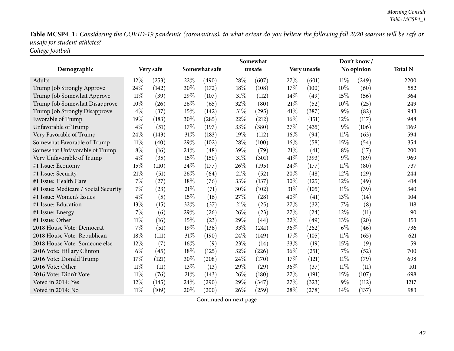Table MCSP4\_1: Considering the COVID-19 pandemic (coronavirus), to what extent do you believe the following fall 2020 seasons will be safe or *unsafe for student athletes? College football*

|                                      |        |           | Somewhat |               |        |        |      |             | Don't know/ |            |                |
|--------------------------------------|--------|-----------|----------|---------------|--------|--------|------|-------------|-------------|------------|----------------|
| Demographic                          |        | Very safe |          | Somewhat safe |        | unsafe |      | Very unsafe |             | No opinion | <b>Total N</b> |
| Adults                               | $12\%$ | (253)     | 22%      | (490)         | 28%    | (607)  | 27%  | (601)       | $11\%$      | (249)      | 2200           |
| Trump Job Strongly Approve           | 24%    | (142)     | 30%      | (172)         | 18%    | (108)  | 17%  | (100)       | 10%         | (60)       | 582            |
| Trump Job Somewhat Approve           | $11\%$ | (39)      | 29%      | (107)         | 31%    | (112)  | 14%  | (49)        | 15%         | (56)       | 364            |
| Trump Job Somewhat Disapprove        | 10%    | (26)      | 26%      | (65)          | 32%    | (80)   | 21%  | (52)        | 10%         | (25)       | 249            |
| Trump Job Strongly Disapprove        | $4\%$  | (37)      | 15%      | (142)         | 31%    | (295)  | 41\% | (387)       | $9\%$       | (82)       | 943            |
| Favorable of Trump                   | 19%    | (183)     | 30%      | (285)         | 22%    | (212)  | 16%  | (151)       | 12%         | (117)      | 948            |
| Unfavorable of Trump                 | $4\%$  | (51)      | 17%      | (197)         | 33%    | (380)  | 37%  | (435)       | $9\%$       | (106)      | 1169           |
| Very Favorable of Trump              | 24%    | (143)     | $31\%$   | (183)         | 19%    | (112)  | 16%  | (94)        | $11\%$      | (63)       | 594            |
| Somewhat Favorable of Trump          | $11\%$ | (40)      | 29%      | (102)         | 28%    | (100)  | 16%  | (58)        | 15%         | (54)       | 354            |
| Somewhat Unfavorable of Trump        | $8\%$  | (16)      | 24\%     | (48)          | 39%    | (79)   | 21%  | (41)        | $8\%$       | (17)       | 200            |
| Very Unfavorable of Trump            | $4\%$  | (35)      | 15%      | (150)         | 31%    | (301)  | 41\% | (393)       | $9\%$       | (89)       | 969            |
| #1 Issue: Economy                    | 15%    | (110)     | 24%      | (177)         | 26%    | (195)  | 24%  | (177)       | $11\%$      | (80)       | 737            |
| #1 Issue: Security                   | 21\%   | (51)      | 26%      | (64)          | 21%    | (52)   | 20%  | (48)        | 12%         | (29)       | 244            |
| #1 Issue: Health Care                | 7%     | (27)      | 18%      | (76)          | 33%    | (137)  | 30%  | (125)       | 12%         | (49)       | 414            |
| #1 Issue: Medicare / Social Security | 7%     | (23)      | 21%      | (71)          | 30%    | (102)  | 31%  | (105)       | $11\%$      | (39)       | 340            |
| #1 Issue: Women's Issues             | $4\%$  | (5)       | 15%      | (16)          | 27%    | (28)   | 40%  | (41)        | 13%         | (14)       | 104            |
| #1 Issue: Education                  | 13%    | (15)      | 32%      | (37)          | 21%    | (25)   | 27%  | (32)        | 7%          | (8)        | 118            |
| #1 Issue: Energy                     | $7\%$  | (6)       | 29%      | (26)          | 26%    | (23)   | 27%  | (24)        | 12%         | (11)       | 90             |
| #1 Issue: Other                      | $11\%$ | (16)      | 15%      | (23)          | 29%    | (44)   | 32%  | (49)        | 13%         | (20)       | 153            |
| 2018 House Vote: Democrat            | 7%     | (51)      | 19%      | (136)         | 33%    | (241)  | 36%  | (262)       | $6\%$       | (46)       | 736            |
| 2018 House Vote: Republican          | 18%    | (111)     | 31%      | (190)         | $24\%$ | (149)  | 17%  | (105)       | $11\%$      | (65)       | 621            |
| 2018 House Vote: Someone else        | 12%    | (7)       | $16\%$   | (9)           | 23%    | (14)   | 33%  | (19)        | 15%         | (9)        | 59             |
| 2016 Vote: Hillary Clinton           | $6\%$  | (45)      | 18%      | (125)         | 32%    | (226)  | 36%  | (251)       | 7%          | (52)       | 700            |
| 2016 Vote: Donald Trump              | 17%    | (121)     | 30%      | (208)         | 24%    | (170)  | 17%  | (121)       | $11\%$      | (79)       | 698            |
| 2016 Vote: Other                     | $11\%$ | (11)      | 13%      | (13)          | 29%    | (29)   | 36%  | (37)        | $11\%$      | (11)       | 101            |
| 2016 Vote: Didn't Vote               | $11\%$ | (76)      | $21\%$   | (143)         | 26%    | (180)  | 27%  | (191)       | 15%         | (107)      | 698            |
| Voted in 2014: Yes                   | 12%    | (145)     | 24%      | (290)         | 29%    | (347)  | 27%  | (323)       | 9%          | (112)      | 1217           |
| Voted in 2014: No                    | $11\%$ | (109)     | 20%      | (200)         | 26%    | (259)  | 28%  | (278)       | 14%         | (137)      | 983            |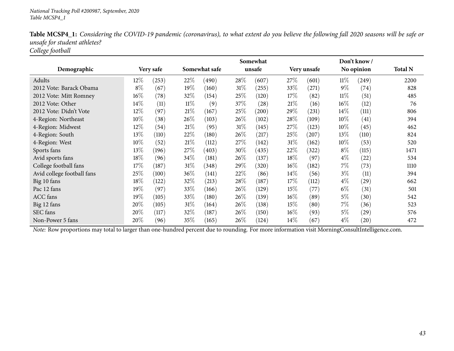|                            |        |           | Somewhat |               |      |        |             |       |            | Don't know/ |                |
|----------------------------|--------|-----------|----------|---------------|------|--------|-------------|-------|------------|-------------|----------------|
| Demographic                |        | Very safe |          | Somewhat safe |      | unsafe | Very unsafe |       | No opinion |             | <b>Total N</b> |
| Adults                     | 12%    | (253)     | 22\%     | (490)         | 28\% | (607)  | 27\%        | (601) | $11\%$     | (249)       | 2200           |
| 2012 Vote: Barack Obama    | $8\%$  | (67)      | 19%      | (160)         | 31\% | (255)  | 33\%        | (271) | $9\%$      | (74)        | 828            |
| 2012 Vote: Mitt Romney     | $16\%$ | (78)      | 32%      | (154)         | 25\% | (120)  | 17%         | (82)  | $11\%$     | (51)        | 485            |
| 2012 Vote: Other           | 14%    | (11)      | $11\%$   | (9)           | 37%  | (28)   | 21%         | (16)  | 16%        | (12)        | 76             |
| 2012 Vote: Didn't Vote     | 12%    | (97)      | 21%      | (167)         | 25\% | (200)  | 29\%        | (231) | 14\%       | (111)       | 806            |
| 4-Region: Northeast        | $10\%$ | (38)      | 26\%     | (103)         | 26\% | (102)  | 28\%        | (109) | $10\%$     | (41)        | 394            |
| 4-Region: Midwest          | 12%    | (54)      | $21\%$   | (95)          | 31\% | (145)  | 27\%        | (123) | 10%        | (45)        | 462            |
| 4-Region: South            | 13\%   | (110)     | 22\%     | (180)         | 26\% | (217)  | 25\%        | (207) | 13\%       | (110)       | 824            |
| 4-Region: West             | $10\%$ | (52)      | 21%      | (112)         | 27\% | (142)  | $31\%$      | (162) | $10\%$     | (53)        | 520            |
| Sports fans                | 13\%   | (196)     | 27\%     | (403)         | 30%  | (435)  | 22%         | (322) | $8\%$      | (115)       | 1471           |
| Avid sports fans           | 18%    | (96)      | 34\%     | (181)         | 26\% | (137)  | 18%         | (97)  | $4\%$      | (22)        | 534            |
| College football fans      | 17%    | (187)     | $31\%$   | (348)         | 29%  | (320)  | $16\%$      | (182) | 7%         | (73)        | 1110           |
| Avid college football fans | 25%    | (100)     | 36\%     | (141)         | 22\% | (86)   | $14\%$      | (56)  | $3\%$      | (11)        | 394            |
| Big 10 fans                | 18%    | (122)     | 32%      | (213)         | 28\% | (187)  | 17%         | (112) | $4\%$      | (29)        | 662            |
| Pac 12 fans                | 19%    | (97)      | 33\%     | (166)         | 26\% | (129)  | 15%         | (77)  | $6\%$      | (31)        | 501            |
| ACC fans                   | 19%    | (105)     | 33\%     | (180)         | 26%  | (139)  | $16\%$      | (89)  | $5\%$      | (30)        | 542            |
| Big 12 fans                | 20%    | (105)     | $31\%$   | (164)         | 26\% | (138)  | 15%         | (80)  | $7\%$      | (36)        | 523            |
| SEC fans                   | 20%    | (117)     | 32\%     | (187)         | 26%  | (150)  | $16\%$      | (93)  | $5\%$      | (29)        | 576            |
| Non-Power 5 fans           | $20\%$ | (96)      | $35\%$   | (165)         | 26\% | (124)  | 14\%        | (67)  | $4\%$      | (20)        | 472            |

Table MCSP4\_1: Considering the COVID-19 pandemic (coronavirus), to what extent do you believe the following fall 2020 seasons will be safe or *unsafe for student athletes? College football*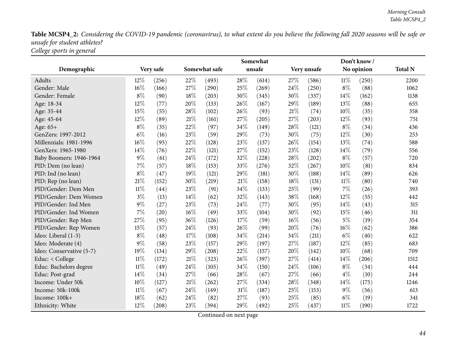Table MCSP4\_2: Considering the COVID-19 pandemic (coronavirus), to what extent do you believe the following fall 2020 seasons will be safe or *unsafe for student athletes? College sports in genera<sup>l</sup>*

|                          |        |           | Somewhat |               |     |        |      |             |        | Don't know/ |                |
|--------------------------|--------|-----------|----------|---------------|-----|--------|------|-------------|--------|-------------|----------------|
| Demographic              |        | Very safe |          | Somewhat safe |     | unsafe |      | Very unsafe |        | No opinion  | <b>Total N</b> |
| <b>Adults</b>            | 12\%   | (256)     | 22%      | (493)         | 28% | (614)  | 27%  | (586)       | $11\%$ | (250)       | 2200           |
| Gender: Male             | 16%    | (166)     | 27%      | (290)         | 25% | (269)  | 24\% | (250)       | $8\%$  | (88)        | 1062           |
| Gender: Female           | $8\%$  | (90)      | 18%      | (203)         | 30% | (345)  | 30%  | (337)       | 14%    | (162)       | 1138           |
| Age: 18-34               | 12%    | (77)      | 20%      | (133)         | 26% | (167)  | 29%  | (189)       | 13%    | (88)        | 655            |
| Age: 35-44               | 15%    | (55)      | 28\%     | (102)         | 26% | (93)   | 21%  | (74)        | 10%    | (35)        | 358            |
| Age: 45-64               | 12%    | (89)      | 21\%     | (161)         | 27% | (205)  | 27%  | (203)       | 12%    | (93)        | 751            |
| Age: 65+                 | $8\%$  | (35)      | 22%      | (97)          | 34% | (149)  | 28%  | (121)       | $8\%$  | (34)        | 436            |
| GenZers: 1997-2012       | $6\%$  | (16)      | 23%      | (59)          | 29% | (73)   | 30%  | (75)        | 12%    | (30)        | 253            |
| Millennials: 1981-1996   | 16%    | (95)      | 22%      | (128)         | 23% | (137)  | 26%  | (154)       | 13%    | (74)        | 588            |
| GenXers: 1965-1980       | 14%    | (76)      | 22%      | (121)         | 27% | (152)  | 23%  | (128)       | 14%    | (79)        | 556            |
| Baby Boomers: 1946-1964  | $9\%$  | (61)      | 24\%     | (172)         | 32% | (228)  | 28%  | (202)       | $8\%$  | (57)        | 720            |
| PID: Dem (no lean)       | $7\%$  | (57)      | 18%      | (153)         | 33% | (276)  | 32%  | (267)       | 10%    | (81)        | 834            |
| PID: Ind (no lean)       | $8\%$  | (47)      | 19%      | (121)         | 29% | (181)  | 30%  | (188)       | 14%    | (89)        | 626            |
| PID: Rep (no lean)       | 21%    | (152)     | 30%      | (219)         | 21% | (158)  | 18%  | (131)       | $11\%$ | (80)        | 740            |
| PID/Gender: Dem Men      | $11\%$ | (44)      | 23%      | (91)          | 34% | (133)  | 25%  | (99)        | $7\%$  | (26)        | 393            |
| PID/Gender: Dem Women    | $3\%$  | (13)      | 14%      | (62)          | 32% | (143)  | 38%  | (168)       | 12%    | (55)        | 442            |
| PID/Gender: Ind Men      | $9\%$  | (27)      | 23%      | (73)          | 24% | (77)   | 30%  | (95)        | 14%    | (43)        | 315            |
| PID/Gender: Ind Women    | $7\%$  | (20)      | 16%      | (49)          | 33% | (104)  | 30%  | (92)        | 15%    | (46)        | 311            |
| PID/Gender: Rep Men      | 27%    | (95)      | 36%      | (126)         | 17% | (59)   | 16%  | (56)        | $5\%$  | (19)        | 354            |
| PID/Gender: Rep Women    | 15%    | (57)      | 24%      | (93)          | 26% | (99)   | 20%  | (76)        | 16%    | (62)        | 386            |
| Ideo: Liberal (1-3)      | $8\%$  | (48)      | 17%      | (108)         | 34% | (214)  | 34%  | (211)       | $6\%$  | (40)        | 622            |
| Ideo: Moderate (4)       | $9\%$  | (58)      | 23%      | (157)         | 29% | (197)  | 27%  | (187)       | 12%    | (85)        | 683            |
| Ideo: Conservative (5-7) | 19%    | (134)     | 29%      | (208)         | 22% | (157)  | 20%  | (142)       | $10\%$ | (68)        | 709            |
| Educ: < College          | $11\%$ | (172)     | $21\%$   | (323)         | 26% | (397)  | 27%  | (414)       | 14%    | (206)       | 1512           |
| Educ: Bachelors degree   | $11\%$ | (49)      | 24\%     | (105)         | 34% | (150)  | 24\% | (106)       | $8\%$  | (34)        | 444            |
| Educ: Post-grad          | 14%    | (34)      | 27%      | (66)          | 28% | (67)   | 27%  | (66)        | $4\%$  | (10)        | 244            |
| Income: Under 50k        | 10%    | (127)     | $21\%$   | (262)         | 27% | (334)  | 28%  | (348)       | 14%    | (175)       | 1246           |
| Income: 50k-100k         | $11\%$ | (67)      | 24%      | (149)         | 31% | (187)  | 25%  | (153)       | $9\%$  | (56)        | 613            |
| Income: 100k+            | 18%    | (62)      | 24%      | (82)          | 27% | (93)   | 25%  | (85)        | $6\%$  | (19)        | 341            |
| Ethnicity: White         | 12%    | (208)     | 23%      | (394)         | 29% | (492)  | 25%  | (437)       | $11\%$ | (190)       | 1722           |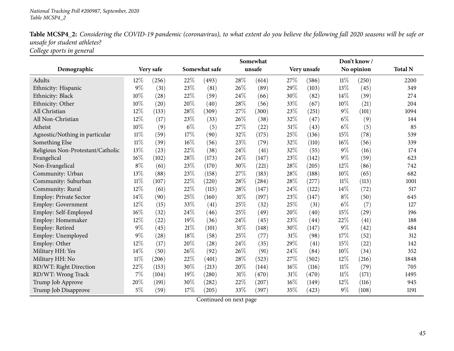| <b>Table MCSP4_2:</b> Considering the COVID-19 pandemic (coronavirus), to what extent do you believe the following fall 2020 seasons will be safe or |  |
|------------------------------------------------------------------------------------------------------------------------------------------------------|--|
| unsafe for student athletes?                                                                                                                         |  |
| College sports in general                                                                                                                            |  |

|                                   |        |           | Somewhat |               |        |        |        |             | Don't know/ |            |                |
|-----------------------------------|--------|-----------|----------|---------------|--------|--------|--------|-------------|-------------|------------|----------------|
| Demographic                       |        | Very safe |          | Somewhat safe |        | unsafe |        | Very unsafe |             | No opinion | <b>Total N</b> |
| Adults                            | $12\%$ | (256)     | 22%      | (493)         | 28%    | (614)  | 27%    | (586)       | 11%         | (250)      | 2200           |
| Ethnicity: Hispanic               | $9\%$  | (31)      | 23%      | (81)          | 26%    | (89)   | 29%    | (103)       | 13%         | (45)       | 349            |
| Ethnicity: Black                  | 10%    | (28)      | 22%      | (59)          | 24%    | (66)   | 30%    | (82)        | 14%         | (39)       | 274            |
| Ethnicity: Other                  | 10%    | (20)      | 20%      | (40)          | 28%    | (56)   | 33%    | (67)        | 10%         | (21)       | 204            |
| All Christian                     | 12%    | (133)     | 28%      | (309)         | 27%    | (300)  | 23%    | (251)       | $9\%$       | (101)      | 1094           |
| All Non-Christian                 | 12%    | (17)      | 23\%     | (33)          | 26%    | (38)   | 32%    | (47)        | $6\%$       | (9)        | 144            |
| Atheist                           | 10%    | (9)       | $6\%$    | (5)           | 27%    | (22)   | 51%    | (43)        | $6\%$       | (5)        | 85             |
| Agnostic/Nothing in particular    | 11%    | (59)      | 17%      | (90)          | 32%    | (175)  | 25%    | (136)       | 15%         | (78)       | 539            |
| Something Else                    | $11\%$ | (39)      | 16%      | (56)          | 23%    | (79)   | 32%    | (110)       | 16%         | (56)       | 339            |
| Religious Non-Protestant/Catholic | 13%    | (23)      | 22%      | (38)          | 24%    | (41)   | 32%    | (55)        | $9\%$       | (16)       | 174            |
| Evangelical                       | $16\%$ | (102)     | 28%      | (173)         | 24%    | (147)  | 23%    | (142)       | 9%          | (59)       | 623            |
| Non-Evangelical                   | $8\%$  | (61)      | 23\%     | (170)         | $30\%$ | (221)  | $28\%$ | (205)       | 12%         | (86)       | 742            |
| Community: Urban                  | 13%    | (88)      | 23%      | (158)         | 27%    | (183)  | 28%    | (188)       | 10%         | (65)       | 682            |
| Community: Suburban               | $11\%$ | (107)     | 22%      | (220)         | 28%    | (284)  | 28%    | (277)       | 11%         | (113)      | 1001           |
| Community: Rural                  | 12%    | (61)      | 22%      | (115)         | 28%    | (147)  | 24%    | (122)       | 14%         | (72)       | 517            |
| Employ: Private Sector            | 14%    | (90)      | 25%      | (160)         | $31\%$ | (197)  | 23%    | (147)       | $8\%$       | (50)       | 645            |
| Employ: Government                | 12%    | (15)      | 33%      | (41)          | 25%    | (32)   | 25%    | (31)        | $6\%$       | (7)        | 127            |
| Employ: Self-Employed             | 16%    | (32)      | $24\%$   | (46)          | 25%    | (49)   | 20%    | (40)        | 15%         | (29)       | 196            |
| Employ: Homemaker                 | 12%    | (22)      | 19%      | (36)          | $24\%$ | (45)   | 23%    | (44)        | 22%         | (41)       | 188            |
| Employ: Retired                   | $9\%$  | (45)      | $21\%$   | (101)         | $31\%$ | (148)  | 30%    | (147)       | $9\%$       | (42)       | 484            |
| Employ: Unemployed                | $9\%$  | (28)      | 18%      | (58)          | 25%    | (77)   | 31%    | (98)        | 17%         | (52)       | 312            |
| Employ: Other                     | 12%    | (17)      | 20%      | (28)          | 24%    | (35)   | 29%    | (41)        | 15%         | (22)       | 142            |
| Military HH: Yes                  | 14%    | (50)      | 26%      | (92)          | 26%    | (91)   | 24%    | (84)        | 10%         | (34)       | 352            |
| Military HH: No                   | $11\%$ | (206)     | 22%      | (401)         | 28%    | (523)  | 27%    | (502)       | 12%         | (216)      | 1848           |
| RD/WT: Right Direction            | 22%    | (153)     | 30%      | (213)         | 20%    | (144)  | 16%    | (116)       | $11\%$      | (79)       | 705            |
| RD/WT: Wrong Track                | $7\%$  | (104)     | 19%      | (280)         | $31\%$ | (470)  | $31\%$ | (470)       | $11\%$      | (171)      | 1495           |
| Trump Job Approve                 | 20%    | (191)     | 30%      | (282)         | 22%    | (207)  | 16%    | (149)       | 12%         | (116)      | 945            |
| Trump Job Disapprove              | $5\%$  | (59)      | 17%      | (205)         | 33%    | (397)  | 35%    | (423)       | $9\%$       | (108)      | 1191           |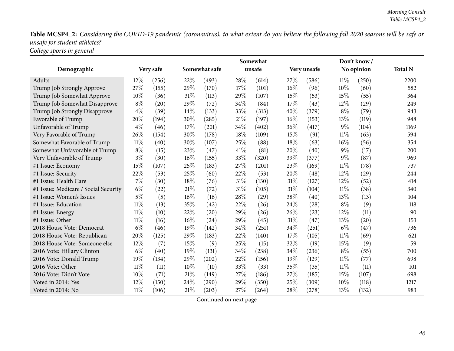Table MCSP4\_2: Considering the COVID-19 pandemic (coronavirus), to what extent do you believe the following fall 2020 seasons will be safe or *unsafe for student athletes? College sports in genera<sup>l</sup>*

|                                      |        |           | Somewhat |               |     |        |      |             |        | Don't know/ |                |
|--------------------------------------|--------|-----------|----------|---------------|-----|--------|------|-------------|--------|-------------|----------------|
| Demographic                          |        | Very safe |          | Somewhat safe |     | unsafe |      | Very unsafe |        | No opinion  | <b>Total N</b> |
| Adults                               | $12\%$ | (256)     | 22%      | (493)         | 28% | (614)  | 27%  | (586)       | 11%    | (250)       | 2200           |
| Trump Job Strongly Approve           | 27%    | (155)     | 29%      | (170)         | 17% | (101)  | 16%  | (96)        | 10%    | (60)        | 582            |
| Trump Job Somewhat Approve           | 10%    | (36)      | $31\%$   | (113)         | 29% | (107)  | 15%  | (53)        | 15%    | (55)        | 364            |
| Trump Job Somewhat Disapprove        | $8\%$  | (20)      | 29%      | (72)          | 34% | (84)   | 17%  | (43)        | 12%    | (29)        | 249            |
| Trump Job Strongly Disapprove        | $4\%$  | (39)      | 14%      | (133)         | 33% | (313)  | 40%  | (379)       | $8\%$  | (79)        | 943            |
| Favorable of Trump                   | 20%    | (194)     | 30%      | (285)         | 21% | (197)  | 16%  | (153)       | 13%    | (119)       | 948            |
| Unfavorable of Trump                 | $4\%$  | (46)      | 17%      | (201)         | 34% | (402)  | 36%  | (417)       | $9\%$  | (104)       | 1169           |
| Very Favorable of Trump              | 26%    | (154)     | 30%      | (178)         | 18% | (109)  | 15%  | (91)        | $11\%$ | (63)        | 594            |
| Somewhat Favorable of Trump          | $11\%$ | (40)      | 30%      | (107)         | 25% | (88)   | 18\% | (63)        | 16%    | (56)        | 354            |
| Somewhat Unfavorable of Trump        | $8\%$  | (15)      | 23%      | (47)          | 41% | (81)   | 20%  | (40)        | $9\%$  | (17)        | 200            |
| Very Unfavorable of Trump            | $3\%$  | (30)      | $16\%$   | (155)         | 33% | (320)  | 39%  | (377)       | $9\%$  | (87)        | 969            |
| #1 Issue: Economy                    | 15%    | (107)     | 25%      | (183)         | 27% | (201)  | 23%  | (169)       | $11\%$ | (78)        | 737            |
| #1 Issue: Security                   | 22%    | (53)      | 25%      | (60)          | 22% | (53)   | 20%  | (48)        | 12%    | (29)        | 244            |
| #1 Issue: Health Care                | $7\%$  | (30)      | 18%      | (76)          | 31% | (130)  | 31%  | (127)       | 12%    | (52)        | 414            |
| #1 Issue: Medicare / Social Security | $6\%$  | (22)      | 21%      | (72)          | 31% | (105)  | 31%  | (104)       | 11%    | (38)        | 340            |
| #1 Issue: Women's Issues             | $5\%$  | (5)       | $16\%$   | (16)          | 28% | (29)   | 38%  | (40)        | 13%    | (13)        | 104            |
| #1 Issue: Education                  | $11\%$ | (13)      | 35%      | (42)          | 22% | (26)   | 24%  | (28)        | $8\%$  | (9)         | 118            |
| #1 Issue: Energy                     | $11\%$ | (10)      | 22%      | (20)          | 29% | (26)   | 26%  | (23)        | 12%    | (11)        | 90             |
| #1 Issue: Other                      | $11\%$ | (16)      | $16\%$   | (24)          | 29% | (45)   | 31%  | (47)        | 13%    | (20)        | 153            |
| 2018 House Vote: Democrat            | $6\%$  | (46)      | 19%      | (142)         | 34% | (251)  | 34%  | (251)       | $6\%$  | (47)        | 736            |
| 2018 House Vote: Republican          | 20%    | (125)     | 29%      | (183)         | 22% | (140)  | 17%  | (105)       | $11\%$ | (69)        | 621            |
| 2018 House Vote: Someone else        | $12\%$ | (7)       | 15%      | (9)           | 25% | (15)   | 32%  | (19)        | 15%    | (9)         | 59             |
| 2016 Vote: Hillary Clinton           | $6\%$  | (40)      | 19%      | (131)         | 34% | (238)  | 34%  | (236)       | $8\%$  | (55)        | 700            |
| 2016 Vote: Donald Trump              | 19%    | (134)     | 29%      | (202)         | 22% | (156)  | 19%  | (129)       | $11\%$ | (77)        | 698            |
| 2016 Vote: Other                     | $11\%$ | (11)      | $10\%$   | (10)          | 33% | (33)   | 35%  | (35)        | 11%    | (11)        | 101            |
| 2016 Vote: Didn't Vote               | 10%    | (71)      | $21\%$   | (149)         | 27% | (186)  | 27%  | (185)       | 15%    | (107)       | 698            |
| Voted in 2014: Yes                   | 12%    | (150)     | 24\%     | (290)         | 29% | (350)  | 25%  | (309)       | 10%    | (118)       | 1217           |
| Voted in 2014: No                    | $11\%$ | (106)     | $21\%$   | (203)         | 27% | (264)  | 28%  | (278)       | 13%    | (132)       | 983            |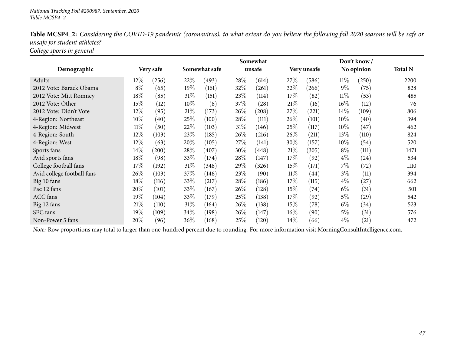| <b>Table MCSP4_2:</b> Considering the COVID-19 pandemic (coronavirus), to what extent do you believe the following fall 2020 seasons will be safe or |  |
|------------------------------------------------------------------------------------------------------------------------------------------------------|--|
| unsafe for student athletes?                                                                                                                         |  |
| College sports in general                                                                                                                            |  |

|                            |        |           | Somewhat |               |        |        |        |             |        | Don't know / |                |
|----------------------------|--------|-----------|----------|---------------|--------|--------|--------|-------------|--------|--------------|----------------|
| Demographic                |        | Very safe |          | Somewhat safe |        | unsafe |        | Very unsafe |        | No opinion   | <b>Total N</b> |
| Adults                     | $12\%$ | (256)     | 22\%     | (493)         | 28%    | (614)  | $27\%$ | (586)       | $11\%$ | (250)        | 2200           |
| 2012 Vote: Barack Obama    | $8\%$  | (65)      | 19%      | (161)         | 32\%   | (261)  | $32\%$ | (266)       | $9\%$  | (75)         | 828            |
| 2012 Vote: Mitt Romney     | 18%    | (85)      | $31\%$   | (151)         | 23\%   | (114)  | 17%    | (82)        | 11%    | (53)         | 485            |
| 2012 Vote: Other           | 15%    | (12)      | $10\%$   | (8)           | 37\%   | (28)   | 21%    | (16)        | $16\%$ | (12)         | 76             |
| 2012 Vote: Didn't Vote     | $12\%$ | (95)      | 21%      | (173)         | 26\%   | (208)  | 27\%   | (221)       | 14\%   | (109)        | 806            |
| 4-Region: Northeast        | $10\%$ | (40)      | 25%      | (100)         | 28\%   | (111)  | 26\%   | (101)       | $10\%$ | (40)         | 394            |
| 4-Region: Midwest          | $11\%$ | (50)      | 22%      | (103)         | $31\%$ | (146)  | 25\%   | (117)       | $10\%$ | (47)         | 462            |
| 4-Region: South            | 12\%   | (103)     | 23\%     | (185)         | 26\%   | (216)  | 26\%   | (211)       | $13\%$ | (110)        | 824            |
| 4-Region: West             | 12%    | (63)      | 20%      | (105)         | 27\%   | (141)  | 30%    | (157)       | $10\%$ | (54)         | 520            |
| Sports fans                | 14\%   | (200)     | 28\%     | (407)         | 30%    | (448)  | 21%    | (305)       | $8\%$  | (111)        | 1471           |
| Avid sports fans           | 18%    | (98)      | 33\%     | (174)         | 28\%   | (147)  | 17%    | (92)        | $4\%$  | (24)         | 534            |
| College football fans      | 17%    | (192)     | $31\%$   | (348)         | 29%    | (326)  | 15%    | (171)       | 7%     | (72)         | 1110           |
| Avid college football fans | 26\%   | (103)     | 37%      | (146)         | 23\%   | (90)   | $11\%$ | (44)        | $3\%$  | (11)         | 394            |
| Big 10 fans                | 18%    | (116)     | 33\%     | (217)         | 28\%   | (186)  | 17%    | (115)       | $4\%$  | (27)         | 662            |
| Pac 12 fans                | 20%    | (101)     | 33\%     | (167)         | $26\%$ | (128)  | 15%    | (74)        | $6\%$  | (31)         | 501            |
| <b>ACC</b> fans            | 19%    | (104)     | 33\%     | (179)         | 25\%   | (138)  | 17%    | (92)        | $5\%$  | (29)         | 542            |
| Big 12 fans                | 21%    | (110)     | $31\%$   | (164)         | 26\%   | (138)  | 15%    | (78)        | $6\%$  | (34)         | 523            |
| SEC fans                   | 19%    | (109)     | 34\%     | (198)         | 26%    | (147)  | 16%    | (90)        | $5\%$  | (31)         | 576            |
| Non-Power 5 fans           | 20%    | (96)      | $36\%$   | (168)         | 25%    | (120)  | 14\%   | (66)        | $4\%$  | (21)         | 472            |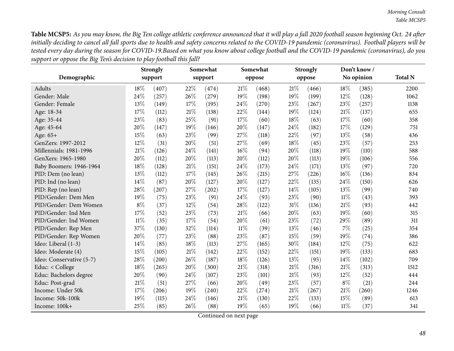| Demographic              |        | <b>Strongly</b><br>support |        | Somewhat<br>support |        | Somewhat<br>oppose |      | <b>Strongly</b><br>oppose |        | Don't know/<br>No opinion | <b>Total N</b> |
|--------------------------|--------|----------------------------|--------|---------------------|--------|--------------------|------|---------------------------|--------|---------------------------|----------------|
| Adults                   | 18%    | (407)                      | 22%    | (474)               | 21%    | (468)              | 21%  | (466)                     | 18%    | (385)                     | 2200           |
| Gender: Male             | 24%    | (257)                      | 26%    | (279)               | 19%    | (198)              | 19%  | (199)                     | $12\%$ | (128)                     | 1062           |
| Gender: Female           | 13%    | (149)                      | 17%    | (195)               | 24%    | (270)              | 23%  | (267)                     | 23%    | (257)                     | 1138           |
| Age: 18-34               | 17%    | (112)                      | $21\%$ | (138)               | 22%    | (144)              | 19%  | (124)                     | 21%    | (137)                     | 655            |
| Age: 35-44               | 23%    | (83)                       | 25%    | (91)                | 17%    | (60)               | 18%  | (63)                      | 17%    | (60)                      | 358            |
| Age: 45-64               | 20%    | (147)                      | 19%    | (146)               | 20%    | (147)              | 24%  | (182)                     | 17%    | (129)                     | 751            |
| Age: 65+                 | 15%    | (63)                       | 23%    | (99)                | 27%    | (118)              | 22%  | (97)                      | 13%    | (58)                      | 436            |
| GenZers: 1997-2012       | 12%    | (31)                       | 20%    | (51)                | 27%    | (69)               | 18%  | (45)                      | 23%    | (57)                      | 253            |
| Millennials: 1981-1996   | 21%    | (126)                      | 24%    | (141)               | 16%    | (94)               | 20%  | (118)                     | 19%    | (110)                     | 588            |
| GenXers: 1965-1980       | 20%    | (112)                      | 20%    | (113)               | 20%    | (112)              | 20%  | (113)                     | 19%    | (106)                     | 556            |
| Baby Boomers: 1946-1964  | 18%    | (128)                      | $21\%$ | (151)               | 24%    | (173)              | 24%  | (171)                     | $13\%$ | (97)                      | 720            |
| PID: Dem (no lean)       | 13%    | (112)                      | 17%    | (145)               | 26%    | (215)              | 27%  | (226)                     | 16%    | (136)                     | 834            |
| PID: Ind (no lean)       | 14\%   | (87)                       | 20%    | (127)               | 20%    | (127)              | 22%  | (135)                     | 24%    | (150)                     | 626            |
| PID: Rep (no lean)       | 28%    | (207)                      | 27%    | (202)               | 17%    | (127)              | 14%  | (105)                     | 13%    | (99)                      | 740            |
| PID/Gender: Dem Men      | 19%    | (75)                       | 23%    | (91)                | 24%    | (93)               | 23%  | (90)                      | $11\%$ | (43)                      | 393            |
| PID/Gender: Dem Women    | $8\%$  | (37)                       | 12%    | (54)                | 28%    | (122)              | 31%  | (136)                     | 21%    | (93)                      | 442            |
| PID/Gender: Ind Men      | 17%    | (52)                       | 23%    | (73)                | 21%    | (66)               | 20%  | (63)                      | 19%    | (60)                      | 315            |
| PID/Gender: Ind Women    | $11\%$ | (35)                       | 17%    | (54)                | 20%    | (61)               | 23%  | (72)                      | 29%    | (89)                      | 311            |
| PID/Gender: Rep Men      | 37%    | (130)                      | 32%    | (114)               | $11\%$ | (39)               | 13%  | (46)                      | 7%     | (25)                      | 354            |
| PID/Gender: Rep Women    | 20%    | (77)                       | 23%    | (88)                | 23%    | (87)               | 15%  | (59)                      | 19%    | (74)                      | 386            |
| Ideo: Liberal (1-3)      | 14%    | (85)                       | 18%    | (113)               | 27%    | (165)              | 30%  | (184)                     | 12%    | (75)                      | 622            |
| Ideo: Moderate (4)       | 15%    | (105)                      | $21\%$ | (142)               | 22%    | (152)              | 22%  | (151)                     | 19%    | (133)                     | 683            |
| Ideo: Conservative (5-7) | 28%    | (200)                      | 26%    | (187)               | 18%    | (126)              | 13%  | (95)                      | 14%    | (102)                     | 709            |
| Educ: < College          | 18%    | (265)                      | 20%    | (300)               | 21%    | (318)              | 21%  | (316)                     | 21%    | (313)                     | 1512           |
| Educ: Bachelors degree   | 20%    | (90)                       | 24%    | (107)               | 23%    | (101)              | 21\% | (93)                      | 12%    | (52)                      | 444            |
| Educ: Post-grad          | 21%    | (51)                       | 27%    | (66)                | 20%    | (49)               | 23%  | (57)                      | $8\%$  | (21)                      | 244            |
| Income: Under 50k        | 17%    | (206)                      | 19%    | (240)               | 22%    | (274)              | 21%  | (267)                     | 21%    | (260)                     | 1246           |
| Income: 50k-100k         | 19%    | (115)                      | 24%    | (146)               | 21%    | (130)              | 22%  | (133)                     | 15%    | (89)                      | 613            |
| Income: 100k+            | 25%    | (85)                       | 26%    | (88)                | 19%    | (65)               | 19%  | (66)                      | $11\%$ | (37)                      | 341            |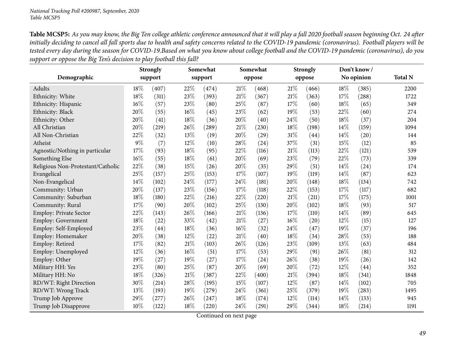|                                   |     | <b>Strongly</b> |        | Somewhat |        | Somewhat |     | <b>Strongly</b> |        | Don't know/ |                |
|-----------------------------------|-----|-----------------|--------|----------|--------|----------|-----|-----------------|--------|-------------|----------------|
| Demographic                       |     | support         |        | support  |        | oppose   |     | oppose          |        | No opinion  | <b>Total N</b> |
| Adults                            | 18% | (407)           | 22%    | (474)    | 21%    | (468)    | 21% | (466)           | 18%    | (385)       | 2200           |
| Ethnicity: White                  | 18% | (311)           | 23%    | (393)    | $21\%$ | (367)    | 21% | (363)           | 17%    | (288)       | 1722           |
| Ethnicity: Hispanic               | 16% | (57)            | 23%    | (80)     | 25%    | (87)     | 17% | (60)            | 18%    | (65)        | 349            |
| Ethnicity: Black                  | 20% | (55)            | $16\%$ | (45)     | 23%    | (62)     | 19% | (53)            | 22%    | (60)        | 274            |
| Ethnicity: Other                  | 20% | (41)            | $18\%$ | (36)     | 20%    | (40)     | 24% | (50)            | 18%    | (37)        | 204            |
| All Christian                     | 20% | (219)           | 26%    | (289)    | 21%    | (230)    | 18% | (198)           | 14%    | (159)       | 1094           |
| All Non-Christian                 | 22% | (32)            | 13%    | (19)     | 20%    | (29)     | 31% | (44)            | 14%    | (20)        | 144            |
| Atheist                           | 9%  | (7)             | 12%    | (10)     | 28%    | (24)     | 37% | (31)            | 15%    | (12)        | 85             |
| Agnostic/Nothing in particular    | 17% | (93)            | $18\%$ | (95)     | 22%    | (116)    | 21% | (113)           | 22%    | (121)       | 539            |
| Something Else                    | 16% | (55)            | 18%    | (61)     | 20%    | (69)     | 23% | (79)            | 22%    | (73)        | 339            |
| Religious Non-Protestant/Catholic | 22% | (38)            | 15%    | (26)     | 20%    | (35)     | 29% | (51)            | 14%    | (24)        | 174            |
| Evangelical                       | 25% | (157)           | 25%    | (153)    | 17%    | (107)    | 19% | (119)           | 14%    | (87)        | 623            |
| Non-Evangelical                   | 14% | (102)           | 24\%   | (177)    | 24%    | (181)    | 20% | (148)           | 18%    | (134)       | 742            |
| Community: Urban                  | 20% | (137)           | 23%    | (156)    | 17%    | (118)    | 22% | (153)           | 17%    | (117)       | 682            |
| Community: Suburban               | 18% | (180)           | 22\%   | (216)    | 22%    | (220)    | 21% | (211)           | 17%    | (175)       | 1001           |
| Community: Rural                  | 17% | (90)            | 20%    | (102)    | 25%    | (130)    | 20% | (102)           | 18%    | (93)        | 517            |
| Employ: Private Sector            | 22% | (143)           | 26%    | (166)    | 21%    | (136)    | 17% | (110)           | 14\%   | (89)        | 645            |
| Employ: Government                | 18% | (22)            | 33%    | (42)     | $21\%$ | (27)     | 16% | (20)            | 12%    | (15)        | 127            |
| Employ: Self-Employed             | 23% | (44)            | 18%    | (36)     | 16%    | (32)     | 24% | (47)            | 19%    | (37)        | 196            |
| Employ: Homemaker                 | 20% | (38)            | 12%    | (22)     | 21%    | (40)     | 18% | (34)            | 28%    | (53)        | 188            |
| Employ: Retired                   | 17% | (82)            | $21\%$ | (103)    | 26%    | (126)    | 23% | (109)           | 13%    | (63)        | 484            |
| Employ: Unemployed                | 12% | (36)            | 16%    | (51)     | 17%    | (53)     | 29% | (91)            | 26%    | (81)        | 312            |
| Employ: Other                     | 19% | (27)            | 19%    | (27)     | 17%    | (24)     | 26% | (38)            | 19%    | (26)        | 142            |
| Military HH: Yes                  | 23% | (80)            | 25%    | (87)     | 20%    | (69)     | 20% | (72)            | 12%    | (44)        | 352            |
| Military HH: No                   | 18% | (326)           | $21\%$ | (387)    | 22%    | (400)    | 21% | (394)           | $18\%$ | (341)       | 1848           |
| RD/WT: Right Direction            | 30% | (214)           | 28\%   | (195)    | 15%    | (107)    | 12% | (87)            | 14%    | (102)       | 705            |
| RD/WT: Wrong Track                | 13% | (193)           | 19%    | (279)    | 24%    | (361)    | 25% | (379)           | 19%    | (283)       | 1495           |
| Trump Job Approve                 | 29% | (277)           | 26%    | (247)    | 18%    | (174)    | 12% | (114)           | 14%    | (133)       | 945            |
| Trump Job Disapprove              | 10% | (122)           | 18%    | (220)    | 24%    | (291)    | 29% | (344)           | 18%    | (214)       | 1191           |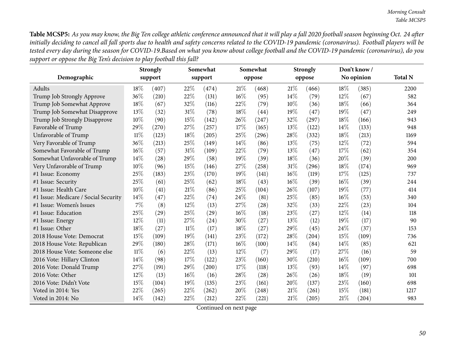| Demographic                          |        | <b>Strongly</b><br>support |        | Somewhat<br>support |        | Somewhat<br>oppose |      | <b>Strongly</b><br>oppose |      | Don't know/<br>No opinion | <b>Total N</b> |
|--------------------------------------|--------|----------------------------|--------|---------------------|--------|--------------------|------|---------------------------|------|---------------------------|----------------|
|                                      |        |                            |        |                     |        |                    |      |                           |      |                           |                |
| <b>Adults</b>                        | 18\%   | (407)                      | 22%    | (474)               | 21\%   | (468)              | 21%  | (466)                     | 18%  | (385)                     | 2200           |
| Trump Job Strongly Approve           | 36%    | (210)                      | 22%    | (131)               | $16\%$ | (95)               | 14%  | (79)                      | 12%  | (67)                      | 582            |
| Trump Job Somewhat Approve           | 18%    | (67)                       | 32\%   | (116)               | 22%    | (79)               | 10%  | (36)                      | 18%  | (66)                      | 364            |
| Trump Job Somewhat Disapprove        | 13%    | (32)                       | 31%    | (78)                | 18%    | (44)               | 19%  | (47)                      | 19%  | (47)                      | 249            |
| Trump Job Strongly Disapprove        | 10%    | (90)                       | 15%    | (142)               | 26\%   | (247)              | 32%  | (297)                     | 18%  | (166)                     | 943            |
| Favorable of Trump                   | 29%    | (270)                      | 27%    | (257)               | 17%    | (165)              | 13\% | (122)                     | 14\% | (133)                     | 948            |
| Unfavorable of Trump                 | $11\%$ | (123)                      | 18%    | (205)               | 25%    | (296)              | 28%  | (332)                     | 18%  | (213)                     | 1169           |
| Very Favorable of Trump              | 36%    | (213)                      | 25%    | (149)               | 14%    | (86)               | 13%  | (75)                      | 12%  | (72)                      | 594            |
| Somewhat Favorable of Trump          | 16%    | (57)                       | 31%    | (109)               | 22%    | (79)               | 13\% | (47)                      | 17%  | (62)                      | 354            |
| Somewhat Unfavorable of Trump        | 14%    | (28)                       | 29%    | (58)                | 19%    | (39)               | 18%  | (36)                      | 20%  | (39)                      | 200            |
| Very Unfavorable of Trump            | 10%    | (96)                       | 15%    | (146)               | 27%    | (258)              | 31%  | (296)                     | 18%  | (174)                     | 969            |
| #1 Issue: Economy                    | 25%    | (183)                      | 23%    | (170)               | 19%    | (141)              | 16%  | (119)                     | 17%  | (125)                     | 737            |
| #1 Issue: Security                   | 25%    | (61)                       | 25%    | (62)                | 18%    | (43)               | 16%  | (39)                      | 16%  | (39)                      | 244            |
| #1 Issue: Health Care                | 10%    | (41)                       | 21%    | (86)                | 25%    | (104)              | 26%  | (107)                     | 19%  | (77)                      | 414            |
| #1 Issue: Medicare / Social Security | 14%    | (47)                       | 22%    | (74)                | 24%    | (81)               | 25%  | (85)                      | 16%  | (53)                      | 340            |
| #1 Issue: Women's Issues             | 7%     | (8)                        | 12%    | (13)                | 27%    | (28)               | 32%  | (33)                      | 22%  | (23)                      | 104            |
| #1 Issue: Education                  | 25%    | (29)                       | 25%    | (29)                | $16\%$ | (18)               | 23%  | (27)                      | 12%  | (14)                      | 118            |
| #1 Issue: Energy                     | 12%    | (11)                       | 27%    | (24)                | 30%    | (27)               | 13%  | (12)                      | 19%  | (17)                      | 90             |
| #1 Issue: Other                      | 18%    | (27)                       | $11\%$ | (17)                | 18%    | (27)               | 29%  | (45)                      | 24\% | (37)                      | 153            |
| 2018 House Vote: Democrat            | 15%    | (109)                      | 19%    | (141)               | 23%    | (172)              | 28%  | (204)                     | 15%  | (109)                     | 736            |
| 2018 House Vote: Republican          | 29%    | (180)                      | 28%    | (171)               | 16%    | (100)              | 14%  | (84)                      | 14%  | (85)                      | 621            |
| 2018 House Vote: Someone else        | $11\%$ | (6)                        | 22%    | (13)                | 12%    | (7)                | 29%  | (17)                      | 27%  | (16)                      | 59             |
| 2016 Vote: Hillary Clinton           | 14%    | (98)                       | 17%    | (122)               | 23%    | (160)              | 30%  | (210)                     | 16%  | (109)                     | 700            |
| 2016 Vote: Donald Trump              | 27%    | (191)                      | 29%    | (200)               | 17%    | (118)              | 13%  | (93)                      | 14\% | (97)                      | 698            |
| 2016 Vote: Other                     | 12%    | (13)                       | $16\%$ | (16)                | 28%    | (28)               | 26%  | (26)                      | 18%  | (19)                      | 101            |
| 2016 Vote: Didn't Vote               | 15%    | (104)                      | 19%    | (135)               | 23%    | (161)              | 20%  | (137)                     | 23%  | (160)                     | 698            |
| Voted in 2014: Yes                   | 22%    | (265)                      | 22%    | (262)               | 20%    | (248)              | 21%  | (261)                     | 15%  | (181)                     | 1217           |
| Voted in 2014: No                    | 14%    | (142)                      | 22%    | (212)               | 22%    | (221)              | 21%  | (205)                     | 21%  | (204)                     | 983            |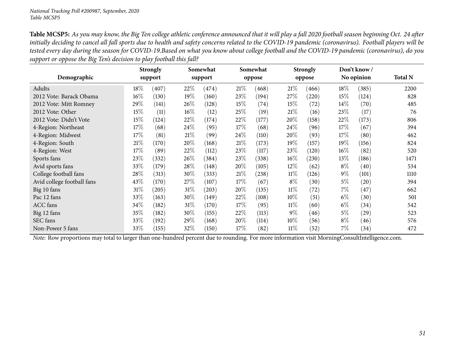|                            |        | <b>Strongly</b> |        | Somewhat |      | Somewhat |        | <b>Strongly</b> |        | Don't know / |                |
|----------------------------|--------|-----------------|--------|----------|------|----------|--------|-----------------|--------|--------------|----------------|
| Demographic                |        | support         |        | support  |      | oppose   |        | oppose          |        | No opinion   | <b>Total N</b> |
| Adults                     | $18\%$ | (407)           | 22%    | (474)    | 21%  | (468)    | 21%    | (466)           | $18\%$ | (385)        | 2200           |
| 2012 Vote: Barack Obama    | 16%    | (130)           | 19%    | (160)    | 23%  | (194)    | 27%    | (220)           | 15\%   | (124)        | 828            |
| 2012 Vote: Mitt Romney     | 29%    | (141)           | $26\%$ | (128)    | 15\% | (74)     | 15%    | (72)            | 14\%   | (70)         | 485            |
| 2012 Vote: Other           | 15%    | (11)            | $16\%$ | (12)     | 25\% | (19)     | 21%    | (16)            | 23\%   | (17)         | 76             |
| 2012 Vote: Didn't Vote     | 15%    | (124)           | 22%    | (174)    | 22%  | (177)    | 20%    | (158)           | 22%    | (173)        | 806            |
| 4-Region: Northeast        | 17\%   | (68)            | $24\%$ | (95)     | 17\% | (68)     | $24\%$ | (96)            | 17\%   | (67)         | 394            |
| 4-Region: Midwest          | 17%    | (81)            | $21\%$ | (99)     | 24\% | (110)    | 20%    | (93)            | 17\%   | (80)         | 462            |
| 4-Region: South            | 21%    | (170)           | $20\%$ | (168)    | 21\% | (173)    | 19%    | (157)           | 19%    | (156)        | 824            |
| 4-Region: West             | 17%    | (89)            | 22\%   | (112)    | 23\% | (117)    | 23%    | (120)           | $16\%$ | (82)         | 520            |
| Sports fans                | 23%    | (332)           | 26\%   | (384)    | 23%  | (338)    | 16%    | (230)           | 13\%   | (186)        | 1471           |
| Avid sports fans           | 33%    | (179)           | 28\%   | (148)    | 20%  | (105)    | $12\%$ | (62)            | $8\%$  | (40)         | 534            |
| College football fans      | 28%    | (313)           | 30%    | (333)    | 21\% | (238)    | $11\%$ | (126)           | $9\%$  | (101)        | 1110           |
| Avid college football fans | 43\%   | (170)           | 27\%   | (107)    | 17\% | (67)     | $8\%$  | (30)            | $5\%$  | (20)         | 394            |
| Big 10 fans                | 31%    | (205)           | $31\%$ | (203)    | 20%  | (135)    | $11\%$ | (72)            | 7%     | (47)         | 662            |
| Pac 12 fans                | 33\%   | (163)           | 30\%   | (149)    | 22\% | (108)    | 10%    | (51)            | $6\%$  | (30)         | 501            |
| <b>ACC</b> fans            | 34\%   | (182)           | $31\%$ | (170)    | 17\% | (95)     | $11\%$ | (60)            | $6\%$  | (34)         | 542            |
| Big 12 fans                | 35%    | (182)           | 30\%   | (155)    | 22%  | (113)    | $9\%$  | (46)            | $5\%$  | (29)         | 523            |
| SEC fans                   | 33%    | (192)           | 29%    | (168)    | 20%  | (114)    | 10%    | (56)            | $8\%$  | (46)         | 576            |
| Non-Power 5 fans           | 33\%   | (155)           | 32%    | (150)    | 17\% | (82)     | $11\%$ | (52)            | 7%     | (34)         | 472            |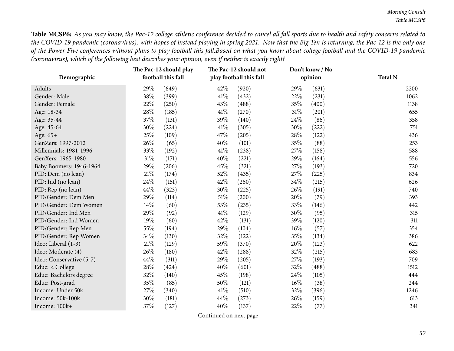Table MCSP6: As you may know, the Pac-12 college athletic conference decided to cancel all fall sports due to health and safety concerns related to the COVID-19 pandemic (coronavirus), with hopes of instead playing in spring 2021. Now that the Big Ten is returning, the Pac-12 is the only one of the Power Five conferences without plans to play football this fall.Based on what you know about college football and the COVID-19 pandemic (coronavirus), which of the following best describes your opinion, even if neither is exactly right?

| Demographic              |        | The Pac-12 should play<br>football this fall |        | The Pac-12 should not<br>play football this fall |        | Don't know / No<br>opinion | <b>Total N</b> |
|--------------------------|--------|----------------------------------------------|--------|--------------------------------------------------|--------|----------------------------|----------------|
| Adults                   | 29%    | (649)                                        | 42%    | (920)                                            | 29%    | (631)                      | 2200           |
| Gender: Male             | 38\%   | (399)                                        | 41\%   | (432)                                            | 22%    | (231)                      | 1062           |
| Gender: Female           | 22%    | (250)                                        | 43%    | (488)                                            | 35%    | (400)                      | 1138           |
| Age: 18-34               | 28%    | (185)                                        | 41\%   | (270)                                            | $31\%$ | (201)                      | 655            |
| Age: 35-44               | 37%    | (131)                                        | 39%    | (140)                                            | 24\%   | (86)                       | 358            |
| Age: 45-64               | 30%    | (224)                                        | 41\%   | (305)                                            | 30%    | (222)                      | 751            |
| Age: 65+                 | 25%    | (109)                                        | 47\%   | (205)                                            | 28\%   | (122)                      | 436            |
| GenZers: 1997-2012       | 26%    | (65)                                         | 40%    | (101)                                            | 35%    | (88)                       | 253            |
| Millennials: 1981-1996   | 33%    | (192)                                        | 41\%   | (238)                                            | 27%    | (158)                      | 588            |
| GenXers: 1965-1980       | $31\%$ | (171)                                        | 40%    | (221)                                            | 29%    | (164)                      | 556            |
| Baby Boomers: 1946-1964  | 29%    | (206)                                        | 45%    | (321)                                            | 27%    | (193)                      | 720            |
| PID: Dem (no lean)       | $21\%$ | (174)                                        | 52%    | (435)                                            | 27%    | (225)                      | 834            |
| PID: Ind (no lean)       | 24%    | (151)                                        | 42%    | (260)                                            | 34\%   | (215)                      | 626            |
| PID: Rep (no lean)       | 44\%   | (323)                                        | $30\%$ | (225)                                            | 26%    | (191)                      | 740            |
| PID/Gender: Dem Men      | 29%    | (114)                                        | $51\%$ | (200)                                            | 20%    | (79)                       | 393            |
| PID/Gender: Dem Women    | 14\%   | (60)                                         | 53%    | (235)                                            | 33\%   | (146)                      | 442            |
| PID/Gender: Ind Men      | 29%    | (92)                                         | 41\%   | (129)                                            | 30%    | (95)                       | 315            |
| PID/Gender: Ind Women    | 19%    | (60)                                         | 42%    | (131)                                            | 39%    | (120)                      | 311            |
| PID/Gender: Rep Men      | 55%    | (194)                                        | 29%    | (104)                                            | $16\%$ | (57)                       | 354            |
| PID/Gender: Rep Women    | 34\%   | (130)                                        | 32%    | (122)                                            | 35%    | (134)                      | 386            |
| Ideo: Liberal (1-3)      | $21\%$ | (129)                                        | 59%    | (370)                                            | 20%    | (123)                      | 622            |
| Ideo: Moderate (4)       | 26%    | (180)                                        | 42%    | (288)                                            | 32%    | (215)                      | 683            |
| Ideo: Conservative (5-7) | 44\%   | (311)                                        | 29%    | (205)                                            | 27%    | (193)                      | 709            |
| Educ: < College          | 28\%   | (424)                                        | 40%    | (601)                                            | 32\%   | (488)                      | 1512           |
| Educ: Bachelors degree   | 32%    | (140)                                        | 45%    | (198)                                            | 24\%   | (105)                      | 444            |
| Educ: Post-grad          | 35%    | (85)                                         | 50%    | (121)                                            | $16\%$ | (38)                       | 244            |
| Income: Under 50k        | 27%    | (340)                                        | 41\%   | (510)                                            | 32%    | (396)                      | 1246           |
| Income: 50k-100k         | 30%    | (181)                                        | 44\%   | (273)                                            | 26%    | (159)                      | 613            |
| Income: 100k+            | 37%    | (127)                                        | 40%    | (137)                                            | 22%    | (77)                       | 341            |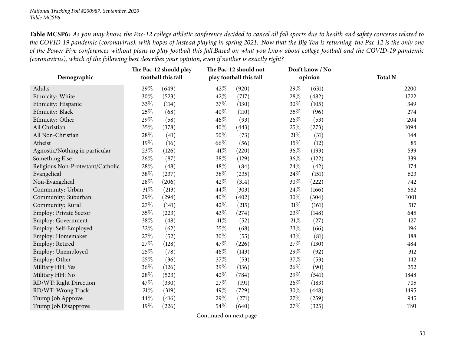## *National Tracking Poll #200987, September, <sup>2020</sup> Table MCSP6*

Table MCSP6: As you may know, the Pac-12 college athletic conference decided to cancel all fall sports due to health and safety concerns related to the COVID-19 pandemic (coronavirus), with hopes of instead playing in spring 2021. Now that the Big Ten is returning, the Pac-12 is the only one of the Power Five conferences without plans to play football this fall.Based on what you know about college football and the COVID-19 pandemic (coronavirus), which of the following best describes your opinion, even if neither is exactly right?

|                                   | The Pac-12 should play |                    |        | The Pac-12 should not   |        | Don't know / No |                |
|-----------------------------------|------------------------|--------------------|--------|-------------------------|--------|-----------------|----------------|
| Demographic                       |                        | football this fall |        | play football this fall |        | opinion         | <b>Total N</b> |
| Adults                            | 29%                    | (649)              | 42%    | (920)                   | 29%    | (631)           | 2200           |
| Ethnicity: White                  | 30%                    | (523)              | 42%    | (717)                   | 28\%   | (482)           | 1722           |
| Ethnicity: Hispanic               | 33%                    | (114)              | 37%    | (130)                   | 30%    | (105)           | 349            |
| Ethnicity: Black                  | 25%                    | (68)               | 40%    | (110)                   | 35%    | (96)            | 274            |
| Ethnicity: Other                  | 29%                    | (58)               | 46%    | (93)                    | 26%    | (53)            | 204            |
| All Christian                     | 35%                    | (378)              | 40%    | (443)                   | 25%    | (273)           | 1094           |
| All Non-Christian                 | 28%                    | (41)               | 50%    | (73)                    | 21%    | (31)            | 144            |
| Atheist                           | 19%                    | (16)               | 66%    | (56)                    | 15%    | (12)            | 85             |
| Agnostic/Nothing in particular    | $23\%$                 | (126)              | 41\%   | (220)                   | 36%    | (193)           | 539            |
| Something Else                    | 26%                    | (87)               | 38%    | (129)                   | 36%    | (122)           | 339            |
| Religious Non-Protestant/Catholic | 28\%                   | (48)               | 48%    | (84)                    | 24\%   | (42)            | 174            |
| Evangelical                       | 38\%                   | (237)              | 38%    | (235)                   | 24\%   | (151)           | 623            |
| Non-Evangelical                   | 28\%                   | (206)              | 42%    | (314)                   | 30%    | (222)           | 742            |
| Community: Urban                  | $31\%$                 | (213)              | 44%    | (303)                   | 24%    | (166)           | 682            |
| Community: Suburban               | 29%                    | (294)              | 40%    | (402)                   | 30%    | (304)           | 1001           |
| Community: Rural                  | 27%                    | (141)              | 42%    | (215)                   | $31\%$ | (161)           | 517            |
| Employ: Private Sector            | 35%                    | (223)              | 43%    | (274)                   | 23%    | (148)           | 645            |
| Employ: Government                | 38%                    | (48)               | 41\%   | (52)                    | 21%    | (27)            | 127            |
| Employ: Self-Employed             | 32%                    | (62)               | 35%    | (68)                    | 33%    | (66)            | 196            |
| Employ: Homemaker                 | 27%                    | (52)               | 30%    | (55)                    | 43%    | (81)            | 188            |
| Employ: Retired                   | 27%                    | (128)              | 47%    | (226)                   | 27%    | (130)           | 484            |
| Employ: Unemployed                | 25%                    | (78)               | 46%    | (143)                   | 29%    | (92)            | 312            |
| Employ: Other                     | 25%                    | (36)               | 37%    | (53)                    | 37\%   | (53)            | 142            |
| Military HH: Yes                  | 36%                    | (126)              | 39%    | (136)                   | 26%    | (90)            | 352            |
| Military HH: No                   | 28\%                   | (523)              | 42%    | (784)                   | 29%    | (541)           | 1848           |
| RD/WT: Right Direction            | 47%                    | (330)              | $27\%$ | (191)                   | $26\%$ | (183)           | 705            |
| RD/WT: Wrong Track                | $21\%$                 | (319)              | 49%    | (729)                   | 30%    | (448)           | 1495           |
| Trump Job Approve                 | 44%                    | (416)              | 29%    | (271)                   | 27%    | (259)           | 945            |
| Trump Job Disapprove              | 19%                    | (226)              | 54%    | (640)                   | 27%    | (325)           | 1191           |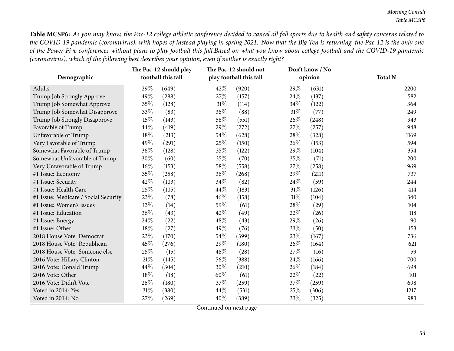Table MCSP6: As you may know, the Pac-12 college athletic conference decided to cancel all fall sports due to health and safety concerns related to the COVID-19 pandemic (coronavirus), with hopes of instead playing in spring 2021. Now that the Big Ten is returning, the Pac-12 is the only one of the Power Five conferences without plans to play football this fall.Based on what you know about college football and the COVID-19 pandemic (coronavirus), which of the following best describes your opinion, even if neither is exactly right?

|                                      | The Pac-12 should play<br>football this fall |       |        | The Pac-12 should not   |        | Don't know / No |                |
|--------------------------------------|----------------------------------------------|-------|--------|-------------------------|--------|-----------------|----------------|
| Demographic                          |                                              |       |        | play football this fall |        | opinion         | <b>Total N</b> |
| Adults                               | 29%                                          | (649) | 42\%   | (920)                   | 29%    | (631)           | 2200           |
| Trump Job Strongly Approve           | 49%                                          | (288) | 27\%   | (157)                   | 24%    | (137)           | 582            |
| Trump Job Somewhat Approve           | 35%                                          | (128) | $31\%$ | (114)                   | 34%    | (122)           | 364            |
| Trump Job Somewhat Disapprove        | 33%                                          | (83)  | 36%    | (88)                    | 31%    | (77)            | 249            |
| Trump Job Strongly Disapprove        | 15%                                          | (143) | 58\%   | (551)                   | 26%    | (248)           | 943            |
| Favorable of Trump                   | 44%                                          | (419) | 29%    | (272)                   | 27%    | (257)           | 948            |
| Unfavorable of Trump                 | 18%                                          | (213) | 54\%   | (628)                   | 28%    | (328)           | 1169           |
| Very Favorable of Trump              | 49%                                          | (291) | 25%    | (150)                   | 26%    | (153)           | 594            |
| Somewhat Favorable of Trump          | 36%                                          | (128) | 35%    | (122)                   | 29%    | (104)           | 354            |
| Somewhat Unfavorable of Trump        | 30%                                          | (60)  | 35%    | (70)                    | 35%    | (71)            | 200            |
| Very Unfavorable of Trump            | $16\%$                                       | (153) | 58\%   | (558)                   | 27%    | (258)           | 969            |
| #1 Issue: Economy                    | 35%                                          | (258) | 36%    | (268)                   | 29%    | (211)           | 737            |
| #1 Issue: Security                   | 42%                                          | (103) | 34\%   | (82)                    | 24%    | (59)            | 244            |
| #1 Issue: Health Care                | 25%                                          | (105) | 44\%   | (183)                   | $31\%$ | (126)           | 414            |
| #1 Issue: Medicare / Social Security | 23%                                          | (78)  | $46\%$ | (158)                   | $31\%$ | (104)           | 340            |
| #1 Issue: Women's Issues             | 13%                                          | (14)  | 59%    | (61)                    | 28%    | (29)            | 104            |
| #1 Issue: Education                  | 36%                                          | (43)  | 42%    | (49)                    | 22%    | (26)            | 118            |
| #1 Issue: Energy                     | 24%                                          | (22)  | 48%    | (43)                    | 29%    | (26)            | 90             |
| #1 Issue: Other                      | 18%                                          | (27)  | 49%    | (76)                    | 33%    | (50)            | 153            |
| 2018 House Vote: Democrat            | 23%                                          | (170) | 54\%   | (399)                   | 23%    | (167)           | 736            |
| 2018 House Vote: Republican          | 45%                                          | (276) | 29%    | (180)                   | 26%    | (164)           | 621            |
| 2018 House Vote: Someone else        | 25%                                          | (15)  | 48\%   | (28)                    | 27%    | (16)            | 59             |
| 2016 Vote: Hillary Clinton           | 21%                                          | (145) | 56\%   | (388)                   | 24%    | (166)           | 700            |
| 2016 Vote: Donald Trump              | 44%                                          | (304) | 30%    | (210)                   | 26%    | (184)           | 698            |
| 2016 Vote: Other                     | 18%                                          | (18)  | 60%    | (61)                    | 22%    | (22)            | 101            |
| 2016 Vote: Didn't Vote               | 26%                                          | (180) | 37%    | (259)                   | 37%    | (259)           | 698            |
| Voted in 2014: Yes                   | 31%                                          | (380) | 44\%   | (531)                   | 25%    | (306)           | 1217           |
| Voted in 2014: No                    | 27%                                          | (269) | 40%    | (389)                   | 33%    | (325)           | 983            |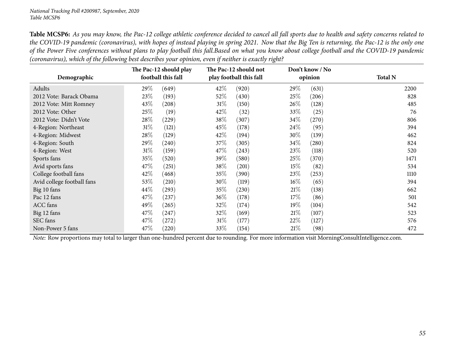## *National Tracking Poll #200987, September, <sup>2020</sup> Table MCSP6*

Table MCSP6: As you may know, the Pac-12 college athletic conference decided to cancel all fall sports due to health and safety concerns related to the COVID-19 pandemic (coronavirus), with hopes of instead playing in spring 2021. Now that the Big Ten is returning, the Pac-12 is the only one of the Power Five conferences without plans to play football this fall.Based on what you know about college football and the COVID-19 pandemic (coronavirus), which of the following best describes your opinion, even if neither is exactly right?

| Demographic                | The Pac-12 should play<br>football this fall | The Pac-12 should not<br>play football this fall | Don't know / No<br>opinion    | <b>Total N</b> |
|----------------------------|----------------------------------------------|--------------------------------------------------|-------------------------------|----------------|
| Adults                     | 29\%<br>(649)                                | $42\%$<br>(920)                                  | 29\%<br>(631)                 | 2200           |
| 2012 Vote: Barack Obama    | 23\%<br>(193)                                | 52\%<br>(430)                                    | 25%<br>(206)                  | 828            |
| 2012 Vote: Mitt Romney     | 43\%<br>(208)                                | $31\%$<br>(150)                                  | 26\%<br>(128)                 | 485            |
| 2012 Vote: Other           | 25\%<br>(19)                                 | 42\%<br>(32)                                     | 33\%<br>(25)                  | 76             |
| 2012 Vote: Didn't Vote     | 28\%<br>(229)                                | 38\%<br>(307)                                    | 34\%<br>(270)                 | 806            |
| 4-Region: Northeast        | $31\%$<br>(121)                              | 45\%<br>(178)                                    | 24%<br>(95)                   | 394            |
| 4-Region: Midwest          | 28\%<br>(129)                                | 42\%<br>(194)                                    | 30\%<br>(139)                 | 462            |
| 4-Region: South            | 29\%<br>(240)                                | 37\%<br>(305)                                    | $34\%$<br>$\left( 280\right)$ | 824            |
| 4-Region: West             | $31\%$<br>(159)                              | 47\%<br>(243)                                    | 23\%<br>(118)                 | 520            |
| Sports fans                | 35\%<br>(520)                                | 39\%<br>(580)                                    | 25%<br>(370)                  | 1471           |
| Avid sports fans           | 47\%<br>(251)                                | 38\%<br>(201)                                    | $15\%$<br>(82)                | 534            |
| College football fans      | 42%<br>(468)                                 | $35\%$<br>(390)                                  | 23\%<br>(253)                 | 1110           |
| Avid college football fans | 53%<br>(210)                                 | 30\%<br>(119)                                    | $16\%$<br>(65)                | 394            |
| Big 10 fans                | $44\%$<br>(293)                              | 35\%<br>(230)                                    | 21%<br>(138)                  | 662            |
| Pac 12 fans                | 47\%<br>(237)                                | 36\%<br>(178)                                    | 17%<br>(86)                   | 501            |
| <b>ACC</b> fans            | 49\%<br>(265)                                | 32\%<br>(174)                                    | $19\%$<br>(104)               | 542            |
| Big 12 fans                | 47\%<br>(247)                                | 32\%<br>(169)                                    | 21%<br>(107)                  | 523            |
| SEC fans                   | 47\%<br>(272)                                | $31\%$<br>(177)                                  | 22\%<br>(127)                 | 576            |
| Non-Power 5 fans           | 47\%<br>(220)                                | $33\%$<br>(154)                                  | 21%<br>(98)                   | 472            |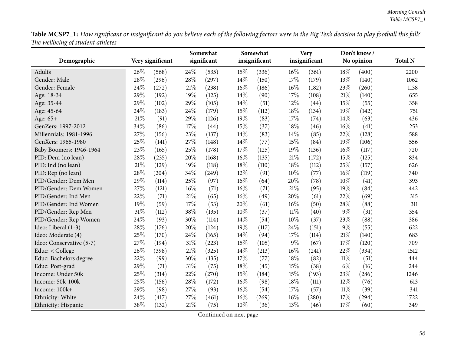${\bf Table \, MCSP7\_1:}$  How significant or insignificant do you believe each of the following factors were in the Big Ten's decision to play football this fall? *The wellbeing of student athletes*

| O.                       |      |                  | Somewhat |             |     | Somewhat      |        | <b>Very</b>   |        | Don't know / |                |
|--------------------------|------|------------------|----------|-------------|-----|---------------|--------|---------------|--------|--------------|----------------|
| Demographic              |      | Very significant |          | significant |     | insignificant |        | insignificant |        | No opinion   | <b>Total N</b> |
| Adults                   | 26%  | (568)            | 24\%     | (535)       | 15% | (336)         | $16\%$ | (361)         | 18%    | (400)        | 2200           |
| Gender: Male             | 28%  | (296)            | 28\%     | (297)       | 14% | (150)         | 17%    | (179)         | 13%    | (140)        | 1062           |
| Gender: Female           | 24%  | (272)            | $21\%$   | (238)       | 16% | (186)         | 16%    | (182)         | 23%    | (260)        | 1138           |
| Age: 18-34               | 29%  | (192)            | 19%      | (125)       | 14% | (90)          | 17%    | (108)         | $21\%$ | (140)        | 655            |
| Age: 35-44               | 29%  | (102)            | 29%      | (105)       | 14% | (51)          | 12%    | (44)          | 15%    | (55)         | 358            |
| Age: 45-64               | 24%  | (183)            | 24\%     | (179)       | 15% | (112)         | 18%    | (134)         | 19%    | (142)        | 751            |
| Age: 65+                 | 21\% | (91)             | 29%      | (126)       | 19% | (83)          | 17%    | (74)          | 14\%   | (63)         | 436            |
| GenZers: 1997-2012       | 34%  | (86)             | 17%      | (44)        | 15% | (37)          | 18%    | (46)          | 16%    | (41)         | 253            |
| Millennials: 1981-1996   | 27%  | (156)            | 23%      | (137)       | 14% | (83)          | 14%    | (85)          | 22%    | (128)        | 588            |
| GenXers: 1965-1980       | 25%  | (141)            | 27%      | (148)       | 14% | (77)          | 15%    | (84)          | 19%    | (106)        | 556            |
| Baby Boomers: 1946-1964  | 23%  | (165)            | 25%      | (178)       | 17% | (125)         | 19%    | (136)         | 16%    | (117)        | 720            |
| PID: Dem (no lean)       | 28%  | (235)            | 20%      | (168)       | 16% | (135)         | $21\%$ | (172)         | $15\%$ | (125)        | 834            |
| PID: Ind (no lean)       | 21%  | (129)            | 19%      | (118)       | 18% | (110)         | 18%    | (112)         | 25%    | (157)        | 626            |
| PID: Rep (no lean)       | 28%  | (204)            | 34%      | (249)       | 12% | (91)          | 10%    | (77)          | 16%    | (119)        | 740            |
| PID/Gender: Dem Men      | 29%  | (114)            | 25%      | (97)        | 16% | (64)          | 20%    | (78)          | 10%    | (41)         | 393            |
| PID/Gender: Dem Women    | 27%  | (121)            | 16%      | (71)        | 16% | (71)          | 21%    | (95)          | 19%    | (84)         | 442            |
| PID/Gender: Ind Men      | 22%  | (71)             | $21\%$   | (65)        | 16% | (49)          | 20%    | (61)          | 22%    | (69)         | 315            |
| PID/Gender: Ind Women    | 19%  | (59)             | $17\%$   | (53)        | 20% | (61)          | 16%    | (50)          | 28%    | (88)         | 311            |
| PID/Gender: Rep Men      | 31%  | (112)            | 38%      | (135)       | 10% | (37)          | $11\%$ | (40)          | $9\%$  | (31)         | 354            |
| PID/Gender: Rep Women    | 24%  | (93)             | 30%      | (114)       | 14% | (54)          | 10%    | (37)          | 23%    | (88)         | 386            |
| Ideo: Liberal (1-3)      | 28%  | (176)            | 20%      | (124)       | 19% | (117)         | 24%    | (151)         | $9\%$  | (55)         | 622            |
| Ideo: Moderate (4)       | 25%  | (170)            | 24%      | (165)       | 14% | (94)          | 17%    | (114)         | 21%    | (140)        | 683            |
| Ideo: Conservative (5-7) | 27%  | (194)            | $31\%$   | (223)       | 15% | (105)         | $9\%$  | (67)          | 17%    | (120)        | 709            |
| Educ: < College          | 26%  | (398)            | $21\%$   | (325)       | 14% | (213)         | 16%    | (241)         | 22%    | (334)        | 1512           |
| Educ: Bachelors degree   | 22%  | (99)             | 30%      | (135)       | 17% | (77)          | 18%    | (82)          | $11\%$ | (51)         | 444            |
| Educ: Post-grad          | 29%  | (71)             | 31%      | (75)        | 18% | (45)          | 15%    | (38)          | $6\%$  | (16)         | 244            |
| Income: Under 50k        | 25%  | (314)            | 22%      | (270)       | 15% | (184)         | 15%    | (193)         | 23%    | (286)        | 1246           |
| Income: 50k-100k         | 25%  | (156)            | 28\%     | (172)       | 16% | (98)          | 18%    | (111)         | 12%    | (76)         | 613            |
| Income: 100k+            | 29%  | (98)             | 27%      | (93)        | 16% | (54)          | 17%    | (57)          | $11\%$ | (39)         | 341            |
| Ethnicity: White         | 24%  | (417)            | 27%      | (461)       | 16% | (269)         | 16%    | (280)         | 17%    | (294)        | 1722           |
| Ethnicity: Hispanic      | 38%  | (132)            | 21\%     | (75)        | 10% | (36)          | 13%    | (46)          | 17%    | (60)         | 349            |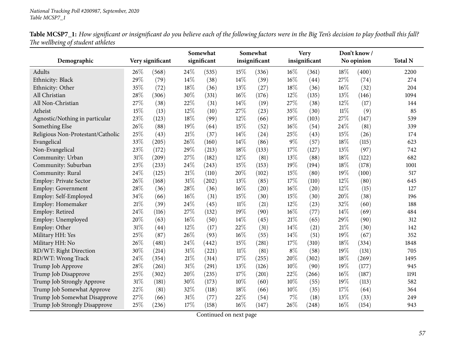|                                   | Table MCSP7_1: How significant or insignificant do you believe each of the following factors were in the Big Ten's decision to play football this fall? |  |  |  |
|-----------------------------------|---------------------------------------------------------------------------------------------------------------------------------------------------------|--|--|--|
| The wellbeing of student athletes |                                                                                                                                                         |  |  |  |

| Demographic                       |      | Very significant    |        | Somewhat<br>significant |        | Somewhat<br>insignificant |       | <b>Very</b><br>insignificant |        | Don't know/<br>No opinion | <b>Total N</b> |
|-----------------------------------|------|---------------------|--------|-------------------------|--------|---------------------------|-------|------------------------------|--------|---------------------------|----------------|
|                                   |      |                     |        |                         |        |                           |       |                              |        |                           |                |
| Adults                            | 26\% | (568)               | 24\%   | (535)                   | 15%    | (336)                     | 16%   | (361)                        | 18%    | (400)                     | 2200           |
| Ethnicity: Black                  | 29%  | (79)                | 14%    | (38)                    | 14%    | (39)                      | 16%   | (44)                         | 27%    | (74)                      | 274            |
| Ethnicity: Other                  | 35%  | (72)                | 18%    | (36)                    | 13%    | (27)                      | 18%   | (36)                         | 16%    | (32)                      | 204            |
| All Christian                     | 28%  | (306)               | 30%    | (331)                   | 16%    | (176)                     | 12%   | (135)                        | 13%    | (146)                     | 1094           |
| All Non-Christian                 | 27%  | (38)                | 22%    | (31)                    | 14%    | (19)                      | 27%   | (38)                         | 12%    | (17)                      | 144            |
| Atheist                           | 15%  | (13)                | 12%    | (10)                    | 27%    | (23)                      | 35%   | (30)                         | $11\%$ | (9)                       | 85             |
| Agnostic/Nothing in particular    | 23%  | (123)               | 18%    | (99)                    | 12%    | (66)                      | 19%   | (103)                        | 27%    | (147)                     | 539            |
| Something Else                    | 26%  | (88)                | 19%    | (64)                    | 15%    | (52)                      | 16%   | (54)                         | 24%    | (81)                      | 339            |
| Religious Non-Protestant/Catholic | 25%  | (43)                | $21\%$ | (37)                    | 14%    | (24)                      | 25%   | (43)                         | 15%    | (26)                      | 174            |
| Evangelical                       | 33%  | (205)               | 26%    | (160)                   | 14%    | (86)                      | 9%    | (57)                         | 18%    | (115)                     | 623            |
| Non-Evangelical                   | 23%  | (172)               | 29%    | (213)                   | 18%    | (133)                     | 17%   | (127)                        | 13%    | (97)                      | 742            |
| Community: Urban                  | 31%  | (209)               | 27%    | (182)                   | 12%    | (81)                      | 13%   | (88)                         | 18%    | (122)                     | 682            |
| Community: Suburban               | 23%  | (233)               | 24%    | (243)                   | 15%    | (153)                     | 19%   | (194)                        | 18%    | (178)                     | 1001           |
| Community: Rural                  | 24\% | (125)               | 21%    | (110)                   | 20%    | (102)                     | 15%   | (80)                         | 19%    | (100)                     | 517            |
| Employ: Private Sector            | 26%  | (168)               | $31\%$ | (202)                   | 13%    | (85)                      | 17%   | (110)                        | 12%    | (80)                      | 645            |
| Employ: Government                | 28%  | (36)                | 28\%   | (36)                    | 16%    | (20)                      | 16%   | (20)                         | 12%    | (15)                      | 127            |
| Employ: Self-Employed             | 34%  | (66)                | 16%    | (31)                    | 15%    | (30)                      | 15%   | (30)                         | 20%    | (38)                      | 196            |
| Employ: Homemaker                 | 21%  | (39)                | 24%    | (45)                    | $11\%$ | (21)                      | 12%   | (23)                         | 32%    | (60)                      | 188            |
| Employ: Retired                   | 24%  | (116)               | 27%    | (132)                   | 19%    | (90)                      | 16%   | (77)                         | 14%    | (69)                      | 484            |
| Employ: Unemployed                | 20%  | (63)                | 16%    | (50)                    | 14%    | (45)                      | 21%   | (65)                         | 29%    | (90)                      | 312            |
| Employ: Other                     | 31%  | (44)                | 12%    | (17)                    | 22%    | (31)                      | 14%   | (21)                         | 21%    | (30)                      | 142            |
| Military HH: Yes                  | 25%  | (87)                | 26%    | (93)                    | 16%    | (55)                      | 14%   | (51)                         | 19%    | (67)                      | 352            |
| Military HH: No                   | 26%  | $\left( 481\right)$ | 24%    | (442)                   | 15%    | (281)                     | 17%   | (310)                        | 18%    | (334)                     | 1848           |
| RD/WT: Right Direction            | 30%  | (214)               | $31\%$ | (221)                   | $11\%$ | (81)                      | $8\%$ | (58)                         | 19%    | (131)                     | 705            |
| RD/WT: Wrong Track                | 24%  | (354)               | $21\%$ | (314)                   | 17%    | (255)                     | 20%   | (302)                        | 18%    | (269)                     | 1495           |
| Trump Job Approve                 | 28%  | (261)               | 31%    | (291)                   | 13%    | (126)                     | 10%   | (90)                         | 19%    | (177)                     | 945            |
| Trump Job Disapprove              | 25%  | (302)               | 20%    | (235)                   | 17%    | (201)                     | 22%   | (266)                        | 16%    | (187)                     | 1191           |
| Trump Job Strongly Approve        | 31%  | (181)               | 30%    | (173)                   | 10%    | (60)                      | 10%   | (55)                         | 19%    | (113)                     | 582            |
| Trump Job Somewhat Approve        | 22%  | (81)                | 32%    | (118)                   | 18%    | (66)                      | 10%   | (35)                         | 17%    | (64)                      | 364            |
| Trump Job Somewhat Disapprove     | 27%  | (66)                | 31%    | (77)                    | 22%    | (54)                      | 7%    | (18)                         | 13%    | (33)                      | 249            |
| Trump Job Strongly Disapprove     | 25%  | (236)               | 17%    | (158)                   | 16%    | (147)                     | 26\%  | (248)                        | 16%    | (154)                     | 943            |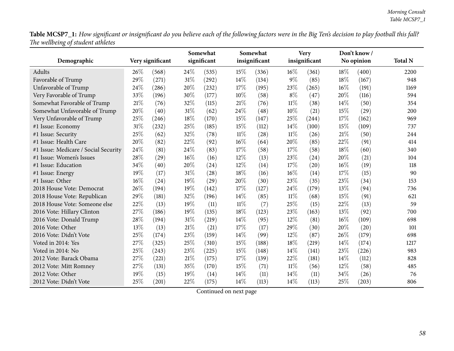Table MCSP7\_1: How significant or insignificant do you believe each of the following factors were in the Big Ten's decision to play football this fall? *The wellbeing of student athletes*

| $\circ$                              |      |                  |        | Somewhat    |        | Somewhat      |        | <b>Very</b>   |      | Don't know / |                |
|--------------------------------------|------|------------------|--------|-------------|--------|---------------|--------|---------------|------|--------------|----------------|
| Demographic                          |      | Very significant |        | significant |        | insignificant |        | insignificant |      | No opinion   | <b>Total N</b> |
| Adults                               | 26\% | (568)            | 24\%   | (535)       | 15%    | (336)         | 16%    | (361)         | 18%  | (400)        | 2200           |
| Favorable of Trump                   | 29%  | (271)            | 31%    | (292)       | 14%    | (134)         | $9\%$  | (85)          | 18%  | (167)        | 948            |
| Unfavorable of Trump                 | 24%  | (286)            | 20%    | (232)       | 17%    | (195)         | 23%    | (265)         | 16%  | (191)        | 1169           |
| Very Favorable of Trump              | 33%  | (196)            | 30%    | (177)       | 10%    | (58)          | $8\%$  | (47)          | 20%  | (116)        | 594            |
| Somewhat Favorable of Trump          | 21%  | (76)             | 32%    | (115)       | 21%    | (76)          | $11\%$ | (38)          | 14\% | (50)         | 354            |
| Somewhat Unfavorable of Trump        | 20%  | (40)             | $31\%$ | (62)        | 24%    | (48)          | 10%    | (21)          | 15%  | (29)         | 200            |
| Very Unfavorable of Trump            | 25%  | (246)            | 18%    | (170)       | 15%    | (147)         | 25%    | (244)         | 17%  | (162)        | 969            |
| #1 Issue: Economy                    | 31%  | (232)            | 25%    | (185)       | 15%    | (112)         | 14%    | (100)         | 15%  | (109)        | 737            |
| #1 Issue: Security                   | 25%  | (62)             | 32%    | (78)        | $11\%$ | (28)          | $11\%$ | (26)          | 21%  | (50)         | 244            |
| #1 Issue: Health Care                | 20%  | (82)             | 22%    | (92)        | 16%    | (64)          | 20%    | (85)          | 22%  | (91)         | 414            |
| #1 Issue: Medicare / Social Security | 24%  | (81)             | 24%    | (83)        | 17%    | (58)          | 17%    | (58)          | 18%  | (60)         | 340            |
| #1 Issue: Women's Issues             | 28%  | (29)             | 16%    | (16)        | 12%    | (13)          | 23%    | (24)          | 20%  | (21)         | 104            |
| #1 Issue: Education                  | 34%  | (40)             | 20%    | (24)        | 12%    | (14)          | 17%    | (20)          | 16%  | (19)         | 118            |
| #1 Issue: Energy                     | 19%  | (17)             | 31%    | (28)        | 18%    | (16)          | 16%    | (14)          | 17%  | (15)         | 90             |
| #1 Issue: Other                      | 16%  | (24)             | 19%    | (29)        | 20%    | (30)          | 23%    | (35)          | 23%  | (34)         | 153            |
| 2018 House Vote: Democrat            | 26%  | (194)            | 19%    | (142)       | 17%    | (127)         | 24%    | (179)         | 13%  | (94)         | 736            |
| 2018 House Vote: Republican          | 29%  | (181)            | 32%    | (196)       | 14%    | (85)          | $11\%$ | (68)          | 15%  | (91)         | 621            |
| 2018 House Vote: Someone else        | 22%  | (13)             | 19%    | (11)        | 11%    | (7)           | 25%    | (15)          | 22%  | (13)         | 59             |
| 2016 Vote: Hillary Clinton           | 27%  | (186)            | 19%    | (135)       | 18%    | (123)         | 23%    | (163)         | 13%  | (92)         | 700            |
| 2016 Vote: Donald Trump              | 28%  | (194)            | 31%    | (219)       | 14%    | (95)          | 12%    | (81)          | 16%  | (109)        | 698            |
| 2016 Vote: Other                     | 13%  | (13)             | 21\%   | (21)        | 17%    | (17)          | 29%    | (30)          | 20%  | (20)         | 101            |
| 2016 Vote: Didn't Vote               | 25%  | (174)            | 23%    | (159)       | 14%    | (99)          | 12%    | (87)          | 26%  | (179)        | 698            |
| Voted in 2014: Yes                   | 27%  | (325)            | 25%    | (310)       | 15%    | (188)         | 18%    | (219)         | 14%  | (174)        | 1217           |
| Voted in 2014: No                    | 25%  | (243)            | 23%    | (225)       | 15%    | (148)         | 14%    | (141)         | 23%  | (226)        | 983            |
| 2012 Vote: Barack Obama              | 27%  | (221)            | 21\%   | (175)       | 17%    | (139)         | 22%    | (181)         | 14%  | (112)        | 828            |
| 2012 Vote: Mitt Romney               | 27%  | (131)            | 35%    | (170)       | 15%    | (71)          | 11%    | (56)          | 12%  | (58)         | 485            |
| 2012 Vote: Other                     | 19%  | (15)             | 19%    | (14)        | 14%    | (11)          | 14%    | (11)          | 34%  | (26)         | 76             |
| 2012 Vote: Didn't Vote               | 25%  | (201)            | 22%    | (175)       | 14%    | (113)         | 14%    | (113)         | 25%  | (203)        | 806            |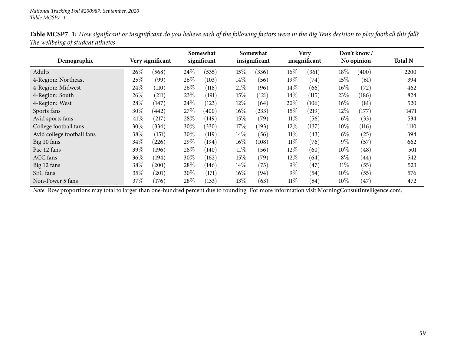|                            |      |                  |        | Somewhat           |        | Somewhat      |        | <b>Very</b>   |        | Don't know /       |                |
|----------------------------|------|------------------|--------|--------------------|--------|---------------|--------|---------------|--------|--------------------|----------------|
| Demographic                |      | Very significant |        | significant        |        | insignificant |        | insignificant |        | No opinion         | <b>Total N</b> |
| Adults                     | 26%  | (568)            | $24\%$ | (535)              | 15\%   | (336)         | $16\%$ | (361)         | 18%    | (400)              | 2200           |
| 4-Region: Northeast        | 25%  | (99)             | $26\%$ | (103)              | 14%    | (56)          | $19\%$ | (74)          | 15\%   | (61)               | 394            |
| 4-Region: Midwest          | 24\% | (110)            | $26\%$ | (118)              | 21%    | (96)          | $14\%$ | (66)          | $16\%$ | (72)               | 462            |
| 4-Region: South            | 26%  | (211)            | 23\%   | (191)              | 15%    | (121)         | $14\%$ | (115)         | 23%    | (186)              | 824            |
| 4-Region: West             | 28\% | (147)            | $24\%$ | (123)              | 12%    | (64)          | 20%    | (106)         | $16\%$ | (81)               | 520            |
| Sports fans                | 30\% | (442)            | 27%    | $\left(400\right)$ | $16\%$ | (233)         | $15\%$ | (219)         | 12\%   | (177)              | 1471           |
| Avid sports fans           | 41\% | (217)            | $28\%$ | (149)              | 15\%   | (79)          | $11\%$ | (56)          | $6\%$  | (33)               | 534            |
| College football fans      | 30\% | (334)            | $30\%$ | (330)              | 17\%   | (193)         | $12\%$ | (137)         | $10\%$ | (116)              | 1110           |
| Avid college football fans | 38\% | (151)            | 30%    | (119)              | 14\%   | (56)          | $11\%$ | (43)          | $6\%$  | (25)               | 394            |
| Big 10 fans                | 34\% | (226)            | 29\%   | (194)              | $16\%$ | (108)         | $11\%$ | (76)          | $9\%$  | (57)               | 662            |
| Pac 12 fans                | 39\% | (196)            | $28\%$ | (140)              | $11\%$ | (56)          | $12\%$ | (60)          | $10\%$ | (48)               | 501            |
| <b>ACC</b> fans            | 36\% | (194)            | 30\%   | (162)              | 15%    | (79)          | $12\%$ | (64)          | $8\%$  | $\left( 44\right)$ | 542            |
| Big 12 fans                | 38\% | $^{'}200)$       | $28\%$ | (146)              | 14\%   | (75)          | $9\%$  | (47)          | $11\%$ | (55)               | 523            |
| SEC fans                   | 35\% | (201)            | $30\%$ | (171)              | $16\%$ | (94)          | $9\%$  | (54)          | $10\%$ | (55)               | 576            |
| Non-Power 5 fans           | 37%  | (176)            | $28\%$ | (133)              | 13%    | (63)          | $11\%$ | (54)          | $10\%$ | (47)               | 472            |

Table MCSP7\_1: How significant or insignificant do you believe each of the following factors were in the Big Ten's decision to play football this fall? *The wellbeing of student athletes*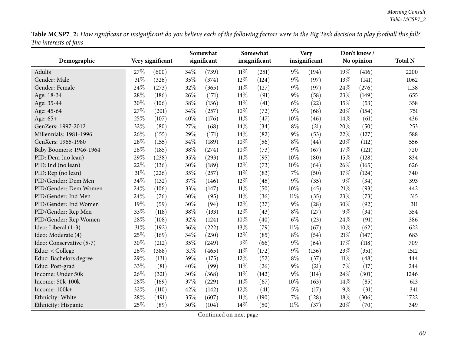Table MCSP7\_2: How significant or insignificant do you believe each of the following factors were in the Big Ten's decision to play football this fall? *The interests of fans*

| JJ                       | Very significant |       | Somewhat |             | Somewhat |               | <b>Very</b> |               | Don't know / |            |                |
|--------------------------|------------------|-------|----------|-------------|----------|---------------|-------------|---------------|--------------|------------|----------------|
| Demographic              |                  |       |          | significant |          | insignificant |             | insignificant |              | No opinion | <b>Total N</b> |
| Adults                   | 27\%             | (600) | 34\%     | (739)       | $11\%$   | (251)         | $9\%$       | (194)         | 19%          | (416)      | 2200           |
| Gender: Male             | 31%              | (326) | 35%      | (374)       | 12%      | (124)         | $9\%$       | (97)          | 13%          | (141)      | 1062           |
| Gender: Female           | 24%              | (273) | 32%      | (365)       | $11\%$   | (127)         | $9\%$       | (97)          | 24%          | (276)      | 1138           |
| Age: 18-34               | 28%              | (186) | 26%      | (171)       | 14%      | (91)          | $9\%$       | (58)          | 23%          | (149)      | 655            |
| Age: 35-44               | 30%              | (106) | 38%      | (136)       | $11\%$   | (41)          | $6\%$       | (22)          | 15%          | (53)       | 358            |
| Age: 45-64               | 27%              | (201) | $34\%$   | (257)       | 10%      | (72)          | $9\%$       | (68)          | 20%          | (154)      | 751            |
| Age: 65+                 | 25%              | (107) | 40%      | (176)       | $11\%$   | (47)          | 10%         | (46)          | 14%          | (61)       | 436            |
| GenZers: 1997-2012       | 32%              | (80)  | 27%      | (68)        | 14%      | (34)          | $8\%$       | (21)          | 20%          | (50)       | 253            |
| Millennials: 1981-1996   | 26%              | (155) | 29%      | (171)       | 14%      | (82)          | $9\%$       | (53)          | 22%          | (127)      | 588            |
| GenXers: 1965-1980       | 28%              | (155) | 34%      | (189)       | 10%      | (56)          | $8\%$       | (44)          | 20%          | (112)      | 556            |
| Baby Boomers: 1946-1964  | 26%              | (185) | 38%      | (274)       | 10%      | (73)          | $9\%$       | (67)          | 17%          | (121)      | 720            |
| PID: Dem (no lean)       | 29%              | (238) | 35%      | (293)       | $11\%$   | (95)          | 10%         | (80)          | 15%          | (128)      | 834            |
| PID: Ind (no lean)       | 22%              | (136) | 30%      | (189)       | 12%      | (73)          | 10%         | (64)          | 26%          | (165)      | 626            |
| PID: Rep (no lean)       | 31%              | (226) | 35%      | (257)       | $11\%$   | (83)          | $7\%$       | (50)          | 17%          | (124)      | 740            |
| PID/Gender: Dem Men      | 34%              | (132) | 37%      | (146)       | 12%      | (45)          | $9\%$       | (35)          | $9\%$        | (34)       | 393            |
| PID/Gender: Dem Women    | 24%              | (106) | 33%      | (147)       | $11\%$   | (50)          | 10%         | (45)          | 21%          | (93)       | 442            |
| PID/Gender: Ind Men      | 24%              | (76)  | 30%      | (95)        | $11\%$   | (36)          | $11\%$      | (35)          | 23%          | (73)       | 315            |
| PID/Gender: Ind Women    | 19%              | (59)  | 30%      | (94)        | 12%      | (37)          | $9\%$       | (28)          | 30%          | (92)       | 311            |
| PID/Gender: Rep Men      | 33%              | (118) | 38%      | (133)       | 12%      | (43)          | $8\%$       | (27)          | $9\%$        | (34)       | 354            |
| PID/Gender: Rep Women    | 28%              | (108) | 32%      | (124)       | 10%      | (40)          | $6\%$       | (23)          | 24%          | (91)       | 386            |
| Ideo: Liberal (1-3)      | 31%              | (192) | 36%      | (222)       | 13%      | (79)          | $11\%$      | (67)          | 10%          | (62)       | 622            |
| Ideo: Moderate (4)       | 25%              | (169) | 34%      | (230)       | 12%      | (85)          | $8\%$       | (54)          | 21%          | (147)      | 683            |
| Ideo: Conservative (5-7) | 30%              | (212) | 35%      | (249)       | $9\%$    | (66)          | $9\%$       | (64)          | 17%          | (118)      | 709            |
| Educ: < College          | 26%              | (388) | $31\%$   | (465)       | $11\%$   | (172)         | 9%          | (136)         | 23%          | (351)      | 1512           |
| Educ: Bachelors degree   | 29%              | (131) | 39%      | (175)       | 12%      | (52)          | $8\%$       | (37)          | $11\%$       | (48)       | 444            |
| Educ: Post-grad          | 33%              | (81)  | 40%      | (99)        | $11\%$   | (26)          | $9\%$       | (21)          | 7%           | (17)       | 244            |
| Income: Under 50k        | 26%              | (321) | 30%      | (368)       | $11\%$   | (142)         | 9%          | (114)         | 24%          | (301)      | 1246           |
| Income: 50k-100k         | 28%              | (169) | 37%      | (229)       | $11\%$   | (67)          | 10%         | (63)          | 14%          | (85)       | 613            |
| Income: 100k+            | 32%              | (110) | 42%      | (142)       | 12%      | (41)          | $5\%$       | (17)          | $9\%$        | (31)       | 341            |
| Ethnicity: White         | 28%              | (491) | 35%      | (607)       | $11\%$   | (190)         | 7%          | (128)         | 18%          | (306)      | 1722           |
| Ethnicity: Hispanic      | 25%              | (89)  | 30%      | (104)       | 14%      | (50)          | $11\%$      | (37)          | 20%          | (70)       | 349            |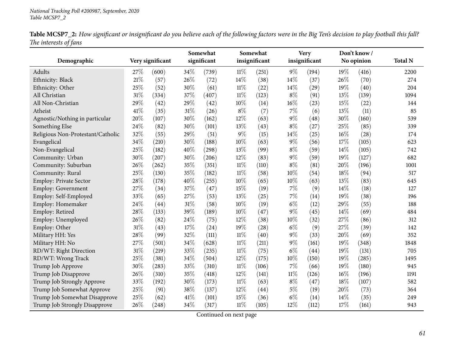|                       | Table MCSP7_2: How significant or insignificant do you believe each of the following factors were in the Big Ten's decision to play football this fall? |  |  |  |
|-----------------------|---------------------------------------------------------------------------------------------------------------------------------------------------------|--|--|--|
| The interests of fans |                                                                                                                                                         |  |  |  |

|                                   |      |                  |      | Somewhat    |        | Somewhat      |        | <b>Very</b>   |        | Don't know/ |                |
|-----------------------------------|------|------------------|------|-------------|--------|---------------|--------|---------------|--------|-------------|----------------|
| Demographic                       |      | Very significant |      | significant |        | insignificant |        | insignificant |        | No opinion  | <b>Total N</b> |
| Adults                            | 27%  | (600)            | 34\% | (739)       | 11%    | (251)         | $9\%$  | (194)         | 19%    | (416)       | 2200           |
| Ethnicity: Black                  | 21%  | (57)             | 26%  | (72)        | 14%    | (38)          | 14%    | (37)          | 26%    | (70)        | 274            |
| Ethnicity: Other                  | 25%  | (52)             | 30%  | (61)        | $11\%$ | (22)          | $14\%$ | (29)          | 19%    | (40)        | 204            |
| All Christian                     | 31%  | (334)            | 37%  | (407)       | $11\%$ | (123)         | $8\%$  | (91)          | 13%    | (139)       | 1094           |
| All Non-Christian                 | 29%  | (42)             | 29%  | (42)        | 10%    | (14)          | 16%    | (23)          | 15%    | (22)        | 144            |
| Atheist                           | 41\% | (35)             | 31%  | (26)        | $8\%$  | (7)           | 7%     | (6)           | 13%    | (11)        | 85             |
| Agnostic/Nothing in particular    | 20%  | (107)            | 30%  | (162)       | 12%    | (63)          | 9%     | (48)          | 30%    | (160)       | 539            |
| Something Else                    | 24%  | (82)             | 30%  | (101)       | 13%    | (43)          | $8\%$  | (27)          | 25%    | (85)        | 339            |
| Religious Non-Protestant/Catholic | 32%  | (55)             | 29%  | (51)        | 9%     | (15)          | 14%    | (25)          | 16%    | (28)        | 174            |
| Evangelical                       | 34%  | (210)            | 30%  | (188)       | 10%    | (63)          | 9%     | (56)          | 17%    | (105)       | 623            |
| Non-Evangelical                   | 25%  | (182)            | 40%  | (298)       | 13%    | (99)          | $8\%$  | (59)          | 14%    | (105)       | 742            |
| Community: Urban                  | 30%  | (207)            | 30%  | (206)       | 12%    | (83)          | $9\%$  | (59)          | 19%    | (127)       | 682            |
| Community: Suburban               | 26%  | (262)            | 35%  | (351)       | $11\%$ | (110)         | $8\%$  | (81)          | 20%    | (196)       | 1001           |
| Community: Rural                  | 25%  | (130)            | 35%  | (182)       | $11\%$ | (58)          | 10%    | (54)          | 18%    | (94)        | 517            |
| Employ: Private Sector            | 28%  | (178)            | 40%  | (255)       | 10%    | (65)          | 10%    | (63)          | 13%    | (83)        | 645            |
| Employ: Government                | 27%  | (34)             | 37%  | (47)        | 15%    | (19)          | 7%     | (9)           | 14%    | (18)        | 127            |
| Employ: Self-Employed             | 33%  | (65)             | 27%  | (53)        | 13%    | (25)          | 7%     | (14)          | 19%    | (38)        | 196            |
| Employ: Homemaker                 | 24%  | (44)             | 31%  | (58)        | 10%    | (19)          | $6\%$  | (12)          | 29%    | (55)        | 188            |
| Employ: Retired                   | 28%  | (133)            | 39%  | (189)       | 10%    | (47)          | 9%     | (45)          | 14%    | (69)        | 484            |
| Employ: Unemployed                | 26%  | (82)             | 24%  | (75)        | 12%    | (38)          | 10%    | (32)          | 27%    | (86)        | 312            |
| Employ: Other                     | 31%  | (43)             | 17%  | (24)        | 19%    | (28)          | $6\%$  | (9)           | 27%    | (39)        | 142            |
| Military HH: Yes                  | 28%  | (99)             | 32%  | (111)       | $11\%$ | (40)          | $9\%$  | (33)          | 20%    | (69)        | 352            |
| Military HH: No                   | 27%  | (501)            | 34%  | (628)       | $11\%$ | (211)         | 9%     | (161)         | 19%    | (348)       | 1848           |
| RD/WT: Right Direction            | 31%  | (219)            | 33%  | (235)       | $11\%$ | (75)          | $6\%$  | (44)          | 19%    | (131)       | 705            |
| RD/WT: Wrong Track                | 25%  | (381)            | 34%  | (504)       | 12%    | (175)         | 10%    | (150)         | 19%    | (285)       | 1495           |
| Trump Job Approve                 | 30%  | (283)            | 33%  | (310)       | $11\%$ | (106)         | 7%     | (66)          | 19%    | (180)       | 945            |
| Trump Job Disapprove              | 26%  | (310)            | 35%  | (418)       | 12%    | (141)         | $11\%$ | (126)         | $16\%$ | (196)       | 1191           |
| Trump Job Strongly Approve        | 33%  | (192)            | 30%  | (173)       | $11\%$ | (63)          | $8\%$  | (47)          | 18%    | (107)       | 582            |
| Trump Job Somewhat Approve        | 25%  | (91)             | 38%  | (137)       | 12%    | (44)          | $5\%$  | (19)          | 20%    | (73)        | 364            |
| Trump Job Somewhat Disapprove     | 25%  | (62)             | 41\% | (101)       | 15%    | (36)          | $6\%$  | (14)          | 14%    | (35)        | 249            |
| Trump Job Strongly Disapprove     | 26%  | (248)            | 34%  | (317)       | 11%    | (105)         | 12%    | (112)         | 17%    | (161)       | 943            |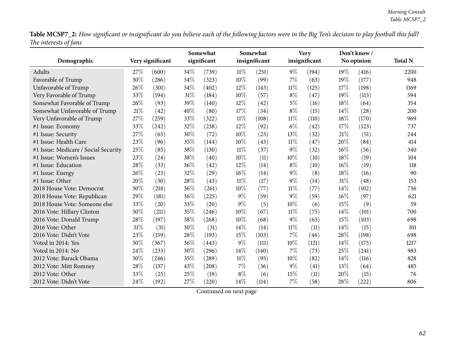Table MCSP7\_2: How significant or insignificant do you believe each of the following factors were in the Big Ten's decision to play football this fall? *The interests of fans*

| נ נ                                  |        |                  |     | Somewhat    |        | Somewhat      |        | <b>Very</b>   |     | Don't know / |                |
|--------------------------------------|--------|------------------|-----|-------------|--------|---------------|--------|---------------|-----|--------------|----------------|
| Demographic                          |        | Very significant |     | significant |        | insignificant |        | insignificant |     | No opinion   | <b>Total N</b> |
| Adults                               | 27\%   | (600)            | 34% | (739)       | 11%    | (251)         | $9\%$  | (194)         | 19% | (416)        | 2200           |
| Favorable of Trump                   | 30%    | (286)            | 34% | (323)       | 10%    | (99)          | 7%     | (63)          | 19% | (177)        | 948            |
| Unfavorable of Trump                 | 26%    | (301)            | 34% | (402)       | 12%    | (143)         | $11\%$ | (125)         | 17% | (198)        | 1169           |
| Very Favorable of Trump              | 33%    | (194)            | 31% | (184)       | 10%    | (57)          | $8\%$  | (47)          | 19% | (113)        | 594            |
| Somewhat Favorable of Trump          | 26%    | (93)             | 39% | (140)       | 12%    | (42)          | $5\%$  | (16)          | 18% | (64)         | 354            |
| Somewhat Unfavorable of Trump        | $21\%$ | (42)             | 40% | (80)        | 17%    | (34)          | $8\%$  | (15)          | 14% | (28)         | 200            |
| Very Unfavorable of Trump            | 27%    | (259)            | 33% | (322)       | $11\%$ | (108)         | 11%    | (110)         | 18% | (170)        | 969            |
| #1 Issue: Economy                    | 33%    | (242)            | 32% | (238)       | 12%    | (92)          | $6\%$  | (42)          | 17% | (123)        | 737            |
| #1 Issue: Security                   | 27%    | (65)             | 30% | (72)        | 10%    | (23)          | 13%    | (32)          | 21% | (51)         | 244            |
| #1 Issue: Health Care                | 23%    | (96)             | 35% | (144)       | 10%    | (43)          | 11%    | (47)          | 20% | (84)         | 414            |
| #1 Issue: Medicare / Social Security | 25%    | (85)             | 38% | (130)       | $11\%$ | (37)          | 9%     | (32)          | 16% | (56)         | 340            |
| #1 Issue: Women's Issues             | 23%    | (24)             | 38% | (40)        | 10%    | (11)          | 10%    | (10)          | 18% | (19)         | 104            |
| #1 Issue: Education                  | 28%    | (33)             | 36% | (42)        | 12%    | (14)          | $8\%$  | (10)          | 16% | (19)         | 118            |
| #1 Issue: Energy                     | 26%    | (23)             | 32% | (29)        | 16%    | (14)          | $9\%$  | (8)           | 18% | (16)         | 90             |
| #1 Issue: Other                      | 20%    | (30)             | 28% | (43)        | $11\%$ | (17)          | $9\%$  | (14)          | 31% | (48)         | 153            |
| 2018 House Vote: Democrat            | 30%    | (218)            | 36% | (261)       | 10%    | (77)          | $11\%$ | (77)          | 14% | (102)        | 736            |
| 2018 House Vote: Republican          | 29%    | (181)            | 36% | (225)       | $9\%$  | (59)          | $9\%$  | (59)          | 16% | (97)         | 621            |
| 2018 House Vote: Someone else        | 33%    | (20)             | 33% | (20)        | $9\%$  | (5)           | 10%    | (6)           | 15% | (9)          | 59             |
| 2016 Vote: Hillary Clinton           | 30%    | (211)            | 35% | (246)       | 10%    | (67)          | $11\%$ | (75)          | 14% | (101)        | 700            |
| 2016 Vote: Donald Trump              | 28%    | (197)            | 38% | (268)       | 10%    | (68)          | $9\%$  | (63)          | 15% | (103)        | 698            |
| 2016 Vote: Other                     | 31%    | (31)             | 30% | (31)        | 14%    | (14)          | $11\%$ | (11)          | 14% | (15)         | 101            |
| 2016 Vote: Didn't Vote               | 23%    | (159)            | 28% | (193)       | 15%    | (103)         | 7%     | (46)          | 28% | (198)        | 698            |
| Voted in 2014: Yes                   | 30%    | (367)            | 36% | (443)       | $9\%$  | (111)         | 10%    | (121)         | 14% | (175)        | 1217           |
| Voted in 2014: No                    | 24%    | (233)            | 30% | (296)       | 14%    | (140)         | 7%     | (73)          | 25% | (241)        | 983            |
| 2012 Vote: Barack Obama              | 30%    | (246)            | 35% | (289)       | $11\%$ | (95)          | 10%    | (82)          | 14% | (116)        | 828            |
| 2012 Vote: Mitt Romney               | 28%    | (137)            | 43% | (208)       | 7%     | (36)          | $9\%$  | (41)          | 13% | (64)         | 485            |
| 2012 Vote: Other                     | 33%    | (25)             | 25% | (19)        | $8\%$  | (6)           | 15%    | (11)          | 20% | (15)         | 76             |
| 2012 Vote: Didn't Vote               | 24%    | (192)            | 27% | (220)       | 14%    | (114)         | 7%     | (58)          | 28% | (222)        | 806            |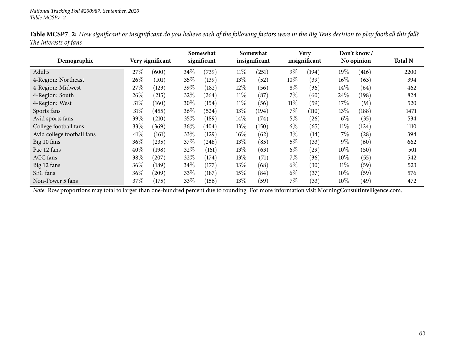| Demographic                |        | Very significant |        | Somewhat<br>significant |        | Somewhat<br>insignificant |        | <b>Very</b><br>insignificant |        | Don't know /<br>No opinion | <b>Total N</b> |
|----------------------------|--------|------------------|--------|-------------------------|--------|---------------------------|--------|------------------------------|--------|----------------------------|----------------|
| Adults                     | 27\%   | (600)            | 34\%   | (739)                   | $11\%$ | (251)                     | $9\%$  | (194)                        | 19%    | (416)                      | 2200           |
| 4-Region: Northeast        | 26\%   | (101)            | 35%    | (139)                   | 13\%   | (52)                      | $10\%$ | (39)                         | $16\%$ | (63)                       | 394            |
| 4-Region: Midwest          | 27\%   | (123)            | 39\%   | (182)                   | $12\%$ | (56)                      | $8\%$  | (36)                         | 14\%   | (64)                       | 462            |
| 4-Region: South            | 26\%   | (215)            | 32%    | $^{(264)}$              | $11\%$ | (87)                      | $7\%$  | (60)                         | 24%    | (198)                      | 824            |
| 4-Region: West             | $31\%$ | (160)            | 30\%   | (154)                   | $11\%$ | (56)                      | $11\%$ | (59)                         | 17%    | (91)                       | 520            |
| Sports fans                | $31\%$ | (455)            | $36\%$ | (524)                   | $13\%$ | (194)                     | $7\%$  | (110)                        | 13\%   | (188)                      | 1471           |
| Avid sports fans           | 39\%   | (210)            | 35%    | (189)                   | $14\%$ | (74)                      | $5\%$  | (26)                         | $6\%$  | (35)                       | 534            |
| College football fans      | 33\%   | (369)            | $36\%$ | (404)                   | $13\%$ | (150)                     | $6\%$  | (65)                         | $11\%$ | (124)                      | 1110           |
| Avid college football fans | 41\%   | (161)            | 33\%   | (129)                   | $16\%$ | (62)                      | $3\%$  | (14)                         | $7\%$  | (28)                       | 394            |
| Big 10 fans                | $36\%$ | (235)            | 37\%   | (248)                   | $13\%$ | (85)                      | $5\%$  | (33)                         | $9\%$  | (60)                       | 662            |
| Pac 12 fans                | 40%    | (198)            | 32%    | (161)                   | 13\%   | (63)                      | $6\%$  | (29)                         | 10%    | (50)                       | 501            |
| <b>ACC</b> fans            | 38\%   | (207)            | 32\%   | (174)                   | 13%    | (71)                      | $7\%$  | (36)                         | $10\%$ | (55)                       | 542            |
| Big 12 fans                | $36\%$ | (189)            | 34\%   | (177)                   | 13\%   | (68)                      | $6\%$  | (30)                         | $11\%$ | (59)                       | 523            |
| SEC fans                   | 36%    | (209)            | 33\%   | (187)                   | $15\%$ | (84)                      | $6\%$  | (37)                         | 10%    | (59)                       | 576            |
| Non-Power 5 fans           | 37\%   | (175)            | 33\%   | (156)                   | 13\%   | (59)                      | $7\%$  | (33)                         | 10%    | (49)                       | 472            |

Table MCSP7\_2: How significant or insignificant do you believe each of the following factors were in the Big Ten's decision to play football this fall? *The interests of fans*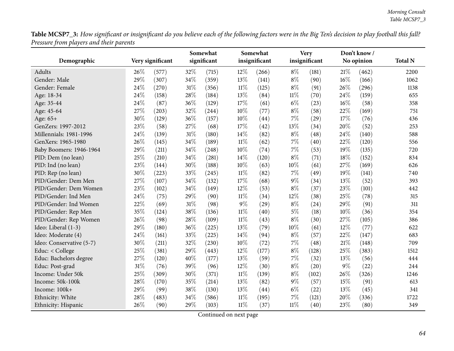Table MCSP7\_3: How significant or insignificant do you believe each of the following factors were in the Big Ten's decision to play football this fall? *Pressure from <sup>p</sup>layers and their parents*

|                          |      |                  |        | Somewhat    |        | Somewhat      |        | <b>Very</b>   |        | Don't know / |                |
|--------------------------|------|------------------|--------|-------------|--------|---------------|--------|---------------|--------|--------------|----------------|
| Demographic              |      | Very significant |        | significant |        | insignificant |        | insignificant |        | No opinion   | <b>Total N</b> |
| Adults                   | 26%  | (577)            | 32%    | (715)       | 12%    | (266)         | $8\%$  | (181)         | 21%    | (462)        | 2200           |
| Gender: Male             | 29%  | (307)            | 34%    | (359)       | 13%    | (141)         | $8\%$  | (90)          | $16\%$ | (166)        | 1062           |
| Gender: Female           | 24\% | (270)            | $31\%$ | (356)       | $11\%$ | (125)         | $8\%$  | (91)          | 26%    | (296)        | 1138           |
| Age: 18-34               | 24%  | (158)            | 28%    | (184)       | 13%    | (84)          | $11\%$ | (70)          | 24%    | (159)        | 655            |
| Age: 35-44               | 24%  | (87)             | 36%    | (129)       | 17%    | (61)          | $6\%$  | (23)          | 16%    | (58)         | 358            |
| Age: 45-64               | 27%  | (203)            | 32%    | (244)       | 10%    | (77)          | $8\%$  | (58)          | 22%    | (169)        | 751            |
| Age: 65+                 | 30%  | (129)            | 36%    | (157)       | 10%    | (44)          | 7%     | (29)          | 17%    | (76)         | 436            |
| GenZers: 1997-2012       | 23%  | (58)             | 27%    | (68)        | 17%    | (42)          | 13%    | (34)          | 20%    | (52)         | 253            |
| Millennials: 1981-1996   | 24%  | (139)            | $31\%$ | (180)       | 14%    | (82)          | $8\%$  | (48)          | 24%    | (140)        | 588            |
| GenXers: 1965-1980       | 26%  | (145)            | 34%    | (189)       | $11\%$ | (62)          | $7\%$  | (40)          | $22\%$ | (120)        | 556            |
| Baby Boomers: 1946-1964  | 29%  | (211)            | 34%    | (248)       | $10\%$ | (74)          | $7\%$  | (53)          | 19%    | (135)        | 720            |
| PID: Dem (no lean)       | 25%  | (210)            | 34%    | (281)       | 14%    | (120)         | $8\%$  | (71)          | 18%    | (152)        | 834            |
| PID: Ind (no lean)       | 23%  | (144)            | 30%    | (188)       | 10%    | (63)          | 10%    | (61)          | 27%    | (169)        | 626            |
| PID: Rep (no lean)       | 30%  | (223)            | 33%    | (245)       | $11\%$ | (82)          | $7\%$  | (49)          | 19%    | (141)        | 740            |
| PID/Gender: Dem Men      | 27%  | (107)            | 34%    | (132)       | 17%    | (68)          | $9\%$  | (34)          | 13%    | (52)         | 393            |
| PID/Gender: Dem Women    | 23%  | (102)            | 34%    | (149)       | 12%    | (53)          | $8\%$  | (37)          | 23%    | (101)        | 442            |
| PID/Gender: Ind Men      | 24%  | (75)             | 29%    | (90)        | $11\%$ | (34)          | 12%    | (38)          | 25%    | (78)         | 315            |
| PID/Gender: Ind Women    | 22%  | (69)             | 31%    | (98)        | $9\%$  | (29)          | $8\%$  | (24)          | 29%    | (91)         | 311            |
| PID/Gender: Rep Men      | 35%  | (124)            | 38%    | (136)       | $11\%$ | (40)          | $5\%$  | (18)          | 10%    | (36)         | 354            |
| PID/Gender: Rep Women    | 26%  | (98)             | 28%    | (109)       | $11\%$ | (43)          | $8\%$  | (30)          | 27%    | (105)        | 386            |
| Ideo: Liberal (1-3)      | 29%  | (180)            | 36%    | (225)       | 13%    | (79)          | 10%    | (61)          | 12%    | (77)         | 622            |
| Ideo: Moderate (4)       | 24%  | (161)            | 33%    | (225)       | 14%    | (94)          | $8\%$  | (57)          | 22%    | (147)        | 683            |
| Ideo: Conservative (5-7) | 30%  | (211)            | 32%    | (230)       | $10\%$ | (72)          | $7\%$  | (48)          | $21\%$ | (148)        | 709            |
| Educ: < College          | 25%  | (381)            | 29%    | (443)       | 12%    | (177)         | $8\%$  | (128)         | 25%    | (383)        | 1512           |
| Educ: Bachelors degree   | 27%  | (120)            | 40%    | (177)       | 13%    | (59)          | $7\%$  | (32)          | 13%    | (56)         | 444            |
| Educ: Post-grad          | 31%  | (76)             | 39%    | (96)        | 12%    | (30)          | $8\%$  | (20)          | $9\%$  | (22)         | 244            |
| Income: Under 50k        | 25%  | (309)            | 30%    | (371)       | $11\%$ | (139)         | $8\%$  | (102)         | 26%    | (326)        | 1246           |
| Income: 50k-100k         | 28%  | (170)            | 35%    | (214)       | 13%    | (82)          | $9\%$  | (57)          | 15%    | (91)         | 613            |
| Income: 100k+            | 29%  | (99)             | 38%    | (130)       | 13%    | (44)          | $6\%$  | (22)          | 13%    | (45)         | 341            |
| Ethnicity: White         | 28%  | (483)            | 34%    | (586)       | $11\%$ | (195)         | $7\%$  | (121)         | 20%    | (336)        | 1722           |
| Ethnicity: Hispanic      | 26%  | (90)             | 29%    | (103)       | $11\%$ | (37)          | $11\%$ | (40)          | 23%    | (80)         | 349            |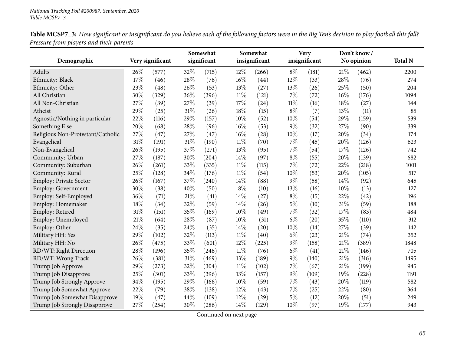|                                   |      |                  |        | Somewhat    |        | Somewhat      |        | <b>Very</b>   |     | Don't know / |                |
|-----------------------------------|------|------------------|--------|-------------|--------|---------------|--------|---------------|-----|--------------|----------------|
| Demographic                       |      | Very significant |        | significant |        | insignificant |        | insignificant |     | No opinion   | <b>Total N</b> |
| Adults                            | 26\% | (577)            | 32%    | (715)       | $12\%$ | (266)         | $8\%$  | (181)         | 21% | (462)        | 2200           |
| Ethnicity: Black                  | 17%  | (46)             | 28%    | (76)        | $16\%$ | (44)          | 12%    | (33)          | 28% | (76)         | 274            |
| Ethnicity: Other                  | 23%  | (48)             | 26%    | (53)        | 13%    | (27)          | 13%    | (26)          | 25% | (50)         | 204            |
| All Christian                     | 30%  | (329)            | 36%    | (396)       | $11\%$ | (121)         | $7\%$  | (72)          | 16% | (176)        | 1094           |
| All Non-Christian                 | 27%  | (39)             | 27%    | (39)        | 17%    | (24)          | $11\%$ | (16)          | 18% | (27)         | 144            |
| Atheist                           | 29%  | (25)             | 31%    | (26)        | 18%    | (15)          | $8\%$  | (7)           | 13% | (11)         | 85             |
| Agnostic/Nothing in particular    | 22%  | (116)            | 29%    | (157)       | 10%    | (52)          | 10%    | (54)          | 29% | (159)        | 539            |
| Something Else                    | 20%  | (68)             | 28%    | (96)        | $16\%$ | (53)          | $9\%$  | (32)          | 27% | (90)         | 339            |
| Religious Non-Protestant/Catholic | 27%  | (47)             | 27%    | (47)        | $16\%$ | (28)          | 10%    | (17)          | 20% | (34)         | 174            |
| Evangelical                       | 31%  | (191)            | 31%    | (190)       | $11\%$ | (70)          | 7%     | (45)          | 20% | (126)        | 623            |
| Non-Evangelical                   | 26%  | (195)            | 37%    | (271)       | 13%    | (95)          | 7%     | (54)          | 17% | (126)        | 742            |
| Community: Urban                  | 27%  | (187)            | 30%    | (204)       | 14\%   | (97)          | $8\%$  | (55)          | 20% | (139)        | 682            |
| Community: Suburban               | 26%  | (261)            | 33%    | (335)       | $11\%$ | (115)         | $7\%$  | (72)          | 22% | (218)        | 1001           |
| Community: Rural                  | 25%  | (128)            | 34%    | (176)       | $11\%$ | (54)          | 10%    | (53)          | 20% | (105)        | 517            |
| <b>Employ: Private Sector</b>     | 26%  | (167)            | 37%    | (240)       | 14%    | (88)          | 9%     | (58)          | 14% | (92)         | 645            |
| <b>Employ: Government</b>         | 30%  | (38)             | 40%    | (50)        | $8\%$  | (10)          | 13%    | (16)          | 10% | (13)         | 127            |
| Employ: Self-Employed             | 36%  | (71)             | $21\%$ | (41)        | $14\%$ | (27)          | $8\%$  | (15)          | 22% | (42)         | 196            |
| Employ: Homemaker                 | 18%  | (34)             | 32%    | (59)        | 14\%   | (26)          | $5\%$  | (10)          | 31% | (59)         | 188            |
| Employ: Retired                   | 31%  | (151)            | 35%    | (169)       | $10\%$ | (49)          | $7\%$  | (32)          | 17% | (83)         | 484            |
| Employ: Unemployed                | 21%  | (64)             | 28%    | (87)        | 10%    | (31)          | $6\%$  | (20)          | 35% | (110)        | 312            |
| Employ: Other                     | 24\% | (35)             | 24\%   | (35)        | 14\%   | (20)          | 10%    | (14)          | 27% | (39)         | 142            |
| Military HH: Yes                  | 29%  | (102)            | 32%    | (113)       | $11\%$ | (40)          | $6\%$  | (23)          | 21% | (74)         | 352            |
| Military HH: No                   | 26%  | (475)            | 33%    | (601)       | 12%    | (225)         | $9\%$  | (158)         | 21% | (389)        | 1848           |
| RD/WT: Right Direction            | 28%  | (196)            | 35%    | (246)       | $11\%$ | (76)          | $6\%$  | (41)          | 21% | (146)        | 705            |
| RD/WT: Wrong Track                | 26%  | (381)            | 31%    | (469)       | 13%    | (189)         | $9\%$  | (140)         | 21% | (316)        | 1495           |
| Trump Job Approve                 | 29%  | (273)            | 32%    | (304)       | $11\%$ | (102)         | $7\%$  | (67)          | 21% | (199)        | 945            |
| Trump Job Disapprove              | 25%  | (301)            | 33%    | (396)       | 13%    | (157)         | $9\%$  | (109)         | 19% | (228)        | 1191           |
| Trump Job Strongly Approve        | 34%  | (195)            | 29%    | (166)       | $10\%$ | (59)          | $7\%$  | (43)          | 20% | (119)        | 582            |
| Trump Job Somewhat Approve        | 22%  | (79)             | 38%    | (138)       | 12%    | (43)          | $7\%$  | (25)          | 22% | (80)         | 364            |
| Trump Job Somewhat Disapprove     | 19%  | (47)             | 44%    | (109)       | 12%    | (29)          | $5\%$  | (12)          | 20% | (51)         | 249            |
| Trump Job Strongly Disapprove     | 27%  | (254)            | 30%    | (286)       | 14\%   | (129)         | 10%    | (97)          | 19% | (177)        | 943            |

Table MCSP7\_3: How significant or insignificant do you believe each of the following factors were in the Big Ten's decision to play football this fall? *Pressure from <sup>p</sup>layers and their parents*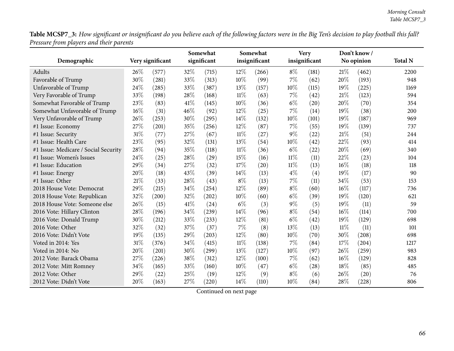Table MCSP7\_3: How significant or insignificant do you believe each of the following factors were in the Big Ten's decision to play football this fall? *Pressure from <sup>p</sup>layers and their parents*

|                                      |      |                  |      | Somewhat    |        | Somewhat      |        | <b>Very</b>   |        | Don't know / |                |
|--------------------------------------|------|------------------|------|-------------|--------|---------------|--------|---------------|--------|--------------|----------------|
| Demographic                          |      | Very significant |      | significant |        | insignificant |        | insignificant |        | No opinion   | <b>Total N</b> |
| Adults                               | 26%  | (577)            | 32%  | (715)       | 12%    | (266)         | $8\%$  | (181)         | 21%    | (462)        | 2200           |
| Favorable of Trump                   | 30%  | (281)            | 33%  | (313)       | 10%    | (99)          | 7%     | (62)          | 20%    | (193)        | 948            |
| Unfavorable of Trump                 | 24%  | (285)            | 33%  | (387)       | 13%    | (157)         | 10%    | (115)         | 19%    | (225)        | 1169           |
| Very Favorable of Trump              | 33%  | (198)            | 28%  | (168)       | 11%    | (63)          | 7%     | (42)          | 21%    | (123)        | 594            |
| Somewhat Favorable of Trump          | 23%  | (83)             | 41\% | (145)       | 10%    | (36)          | $6\%$  | (20)          | 20%    | (70)         | 354            |
| Somewhat Unfavorable of Trump        | 16%  | (31)             | 46%  | (92)        | 12%    | (25)          | 7%     | (14)          | 19%    | (38)         | 200            |
| Very Unfavorable of Trump            | 26%  | (253)            | 30%  | (295)       | 14%    | (132)         | 10%    | (101)         | 19%    | (187)        | 969            |
| #1 Issue: Economy                    | 27%  | (201)            | 35%  | (256)       | 12%    | (87)          | 7%     | (55)          | 19%    | (139)        | 737            |
| #1 Issue: Security                   | 31%  | (77)             | 27%  | (67)        | $11\%$ | (27)          | $9\%$  | (22)          | 21%    | (51)         | 244            |
| #1 Issue: Health Care                | 23%  | (95)             | 32%  | (131)       | 13%    | (54)          | 10%    | (42)          | 22%    | (93)         | 414            |
| #1 Issue: Medicare / Social Security | 28%  | (94)             | 35%  | (118)       | $11\%$ | (36)          | $6\%$  | (22)          | 20%    | (69)         | 340            |
| #1 Issue: Women's Issues             | 24%  | (25)             | 28%  | (29)        | 15%    | (16)          | $11\%$ | (11)          | 22%    | (23)         | 104            |
| #1 Issue: Education                  | 29%  | (34)             | 27%  | (32)        | 17%    | (20)          | $11\%$ | (13)          | 16%    | (18)         | 118            |
| #1 Issue: Energy                     | 20%  | (18)             | 43%  | (39)        | 14%    | (13)          | $4\%$  | (4)           | 19%    | (17)         | 90             |
| #1 Issue: Other                      | 21\% | (33)             | 28%  | (43)        | $8\%$  | (13)          | 7%     | (11)          | 34%    | (53)         | 153            |
| 2018 House Vote: Democrat            | 29%  | (215)            | 34%  | (254)       | 12%    | (89)          | $8\%$  | (60)          | 16%    | (117)        | 736            |
| 2018 House Vote: Republican          | 32%  | (200)            | 32%  | (202)       | 10%    | (60)          | $6\%$  | (39)          | 19%    | (120)        | 621            |
| 2018 House Vote: Someone else        | 26%  | (15)             | 41\% | (24)        | $6\%$  | (3)           | $9\%$  | (5)           | 19%    | (11)         | 59             |
| 2016 Vote: Hillary Clinton           | 28%  | (196)            | 34%  | (239)       | 14%    | (96)          | $8\%$  | (54)          | 16%    | (114)        | 700            |
| 2016 Vote: Donald Trump              | 30%  | (212)            | 33%  | (233)       | 12%    | (81)          | $6\%$  | (42)          | 19%    | (129)        | 698            |
| 2016 Vote: Other                     | 32%  | (32)             | 37%  | (37)        | 7%     | (8)           | 13%    | (13)          | $11\%$ | (11)         | 101            |
| 2016 Vote: Didn't Vote               | 19%  | (135)            | 29%  | (203)       | 12%    | (80)          | 10%    | (70)          | 30%    | (208)        | 698            |
| Voted in 2014: Yes                   | 31%  | (376)            | 34%  | (415)       | $11\%$ | (138)         | 7%     | (84)          | 17%    | (204)        | 1217           |
| Voted in 2014: No                    | 20%  | (201)            | 30%  | (299)       | 13%    | (127)         | 10%    | (97)          | 26%    | (259)        | 983            |
| 2012 Vote: Barack Obama              | 27%  | (226)            | 38%  | (312)       | 12%    | (100)         | 7%     | (62)          | 16%    | (129)        | 828            |
| 2012 Vote: Mitt Romney               | 34%  | (165)            | 33%  | (160)       | 10%    | (47)          | $6\%$  | (28)          | 18%    | (85)         | 485            |
| 2012 Vote: Other                     | 29%  | (22)             | 25%  | (19)        | 12%    | (9)           | $8\%$  | (6)           | 26%    | (20)         | 76             |
| 2012 Vote: Didn't Vote               | 20%  | (163)            | 27%  | (220)       | 14%    | (110)         | 10%    | (84)          | 28%    | (228)        | 806            |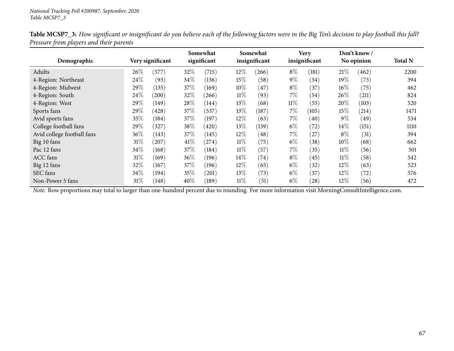| Demographic                |      | Very significant |        | Somewhat<br>significant |        | Somewhat<br>insignificant |        | <b>Very</b><br>insignificant |        | Don't know /<br>No opinion | <b>Total N</b> |
|----------------------------|------|------------------|--------|-------------------------|--------|---------------------------|--------|------------------------------|--------|----------------------------|----------------|
|                            |      |                  |        |                         |        |                           |        |                              |        |                            |                |
| Adults                     | 26%  | (577)            | 32\%   | (715)                   | 12\%   | (266)                     | $8\%$  | (181)                        | 21%    | (462)                      | 2200           |
| 4-Region: Northeast        | 24\% | (93)             | $34\%$ | (136)                   | 15\%   | (58)                      | $9\%$  | (34)                         | $19\%$ | (73)                       | 394            |
| 4-Region: Midwest          | 29\% | (135)            | 37\%   | (169)                   | $10\%$ | (47)                      | $8\%$  | (37)                         | $16\%$ | (75)                       | 462            |
| 4-Region: South            | 24\% | (200)            | 32\%   | (266)                   | $11\%$ | (93)                      | $7\%$  | (54)                         | $26\%$ | (211)                      | 824            |
| 4-Region: West             | 29\% | (149)            | 28\%   | (144)                   | 13\%   | (68)                      | $11\%$ | (55)                         | $20\%$ | (103)                      | 520            |
| Sports fans                | 29\% | (428)            | 37\%   | (537)                   | 13\%   | (187)                     | $7\%$  | (105)                        | $15\%$ | (214)                      | 1471           |
| Avid sports fans           | 35%  | (184)            | 37%    | (197)                   | 12%    | (63)                      | $7\%$  | (40)                         | $9\%$  | (49)                       | 534            |
| College football fans      | 29%  | (327)            | 38\%   | (420)                   | 13\%   | (139)                     | $6\%$  | (72)                         | $14\%$ | (151)                      | 1110           |
| Avid college football fans | 36%  | (143)            | 37\%   | (145)                   | 12\%   | (48)                      | $7\%$  | (27)                         | $8\%$  | (31)                       | 394            |
| Big 10 fans                | 31%  | $^{'}207)$       | 41\%   | (274)                   | $11\%$ | (75)                      | $6\%$  | (38)                         | $10\%$ | (68)                       | 662            |
| Pac 12 fans                | 34\% | (168)            | 37\%   | (184)                   | $11\%$ | (57)                      | $7\%$  | (35)                         | $11\%$ | (56)                       | 501            |
| <b>ACC</b> fans            | 31%  | (169)            | $36\%$ | (196)                   | $14\%$ | (74)                      | $8\%$  | (45)                         | $11\%$ | (58)                       | 542            |
| Big 12 fans                | 32%  | (167)            | 37\%   | (196)                   | 12\%   | (65)                      | $6\%$  | (32)                         | 12\%   | (63)                       | 523            |
| SEC fans                   | 34\% | (194)            | 35\%   | (201)                   | 13\%   | (73)                      | $6\%$  | (37)                         | 12\%   | (72)                       | 576            |
| Non-Power 5 fans           | 31%  | (148)            | $40\%$ | (189)                   | $11\%$ | (51)                      | $6\%$  | (28)                         | $12\%$ | (56)                       | 472            |

Table MCSP7\_3: How significant or insignificant do you believe each of the following factors were in the Big Ten's decision to play football this fall? *Pressure from <sup>p</sup>layers and their parents*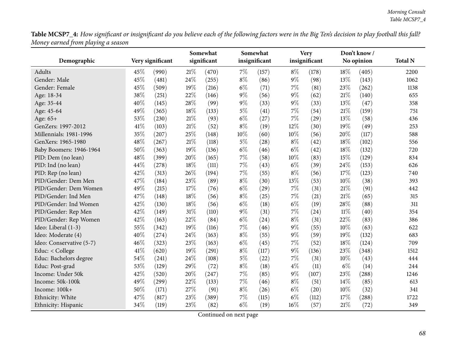Table MCSP7\_4: How significant or insignificant do you believe each of the following factors were in the Big Ten's decision to play football this fall? *Money earned from <sup>p</sup>laying <sup>a</sup> season*

|                          |      |                  | Somewhat |             |       | Somewhat      |       | <b>Very</b>   |        | Don't know / |                |
|--------------------------|------|------------------|----------|-------------|-------|---------------|-------|---------------|--------|--------------|----------------|
| Demographic              |      | Very significant |          | significant |       | insignificant |       | insignificant |        | No opinion   | <b>Total N</b> |
| Adults                   | 45%  | (990)            | 21%      | (470)       | 7%    | (157)         | $8\%$ | (178)         | 18%    | (405)        | 2200           |
| Gender: Male             | 45%  | (481)            | 24%      | (255)       | $8\%$ | (86)          | $9\%$ | (98)          | 13%    | (143)        | 1062           |
| Gender: Female           | 45%  | (509)            | 19%      | (216)       | $6\%$ | (71)          | 7%    | (81)          | 23%    | (262)        | 1138           |
| Age: 18-34               | 38%  | (251)            | 22%      | (146)       | $9\%$ | (56)          | 9%    | (62)          | 21%    | (140)        | 655            |
| Age: 35-44               | 40%  | (145)            | 28%      | (99)        | $9\%$ | (33)          | $9\%$ | (33)          | 13%    | (47)         | 358            |
| Age: 45-64               | 49%  | (365)            | 18%      | (133)       | $5\%$ | (41)          | 7%    | (54)          | 21%    | (159)        | 751            |
| Age: 65+                 | 53%  | (230)            | 21%      | (93)        | $6\%$ | (27)          | 7%    | (29)          | 13%    | (58)         | 436            |
| GenZers: 1997-2012       | 41\% | (103)            | 21\%     | (52)        | $8\%$ | (19)          | 12%   | (30)          | 19%    | (49)         | 253            |
| Millennials: 1981-1996   | 35%  | (207)            | 25%      | (148)       | 10%   | (60)          | 10%   | (56)          | 20%    | (117)        | 588            |
| GenXers: 1965-1980       | 48%  | (267)            | 21%      | (118)       | $5\%$ | (28)          | $8\%$ | (42)          | 18%    | (102)        | 556            |
| Baby Boomers: 1946-1964  | 50%  | (363)            | 19%      | (136)       | $6\%$ | (46)          | $6\%$ | (42)          | 18%    | (132)        | 720            |
| PID: Dem (no lean)       | 48%  | (399)            | 20%      | (165)       | 7%    | (58)          | 10%   | (83)          | 15%    | (129)        | 834            |
| PID: Ind (no lean)       | 44%  | (278)            | 18%      | (111)       | 7%    | (43)          | $6\%$ | (39)          | 24%    | (153)        | 626            |
| PID: Rep (no lean)       | 42%  | (313)            | 26%      | (194)       | 7%    | (55)          | $8\%$ | (56)          | 17%    | (123)        | 740            |
| PID/Gender: Dem Men      | 47%  | (184)            | 23%      | (89)        | $8\%$ | (30)          | 13%   | (53)          | 10%    | (38)         | 393            |
| PID/Gender: Dem Women    | 49%  | (215)            | 17%      | (76)        | $6\%$ | (29)          | 7%    | (31)          | 21\%   | (91)         | 442            |
| PID/Gender: Ind Men      | 47%  | (148)            | 18%      | (56)        | $8\%$ | (25)          | 7%    | (21)          | 21\%   | (65)         | 315            |
| PID/Gender: Ind Women    | 42%  | (130)            | 18%      | (56)        | $6\%$ | (18)          | $6\%$ | (19)          | 28%    | (88)         | 311            |
| PID/Gender: Rep Men      | 42%  | (149)            | 31%      | (110)       | $9\%$ | (31)          | 7%    | (24)          | $11\%$ | (40)         | 354            |
| PID/Gender: Rep Women    | 42%  | (163)            | 22%      | (84)        | $6\%$ | (24)          | $8\%$ | (31)          | 22%    | (83)         | 386            |
| Ideo: Liberal (1-3)      | 55%  | (342)            | 19%      | (116)       | 7%    | (46)          | 9%    | (55)          | 10%    | (63)         | 622            |
| Ideo: Moderate (4)       | 40%  | (274)            | 24%      | (163)       | $8\%$ | (55)          | 9%    | (59)          | 19%    | (132)        | 683            |
| Ideo: Conservative (5-7) | 46%  | (323)            | 23%      | (163)       | $6\%$ | (45)          | 7%    | (52)          | 18%    | (124)        | 709            |
| Educ: < College          | 41\% | (620)            | 19%      | (291)       | $8\%$ | (117)         | 9%    | (136)         | 23%    | (348)        | 1512           |
| Educ: Bachelors degree   | 54%  | (241)            | 24%      | (108)       | $5\%$ | (22)          | 7%    | (31)          | 10%    | (43)         | 444            |
| Educ: Post-grad          | 53%  | (129)            | 29%      | (72)        | $8\%$ | (18)          | $4\%$ | (11)          | $6\%$  | (14)         | 244            |
| Income: Under 50k        | 42%  | (520)            | 20%      | (247)       | $7\%$ | (85)          | $9\%$ | (107)         | 23%    | (288)        | 1246           |
| Income: 50k-100k         | 49%  | (299)            | 22%      | (133)       | $7\%$ | (46)          | $8\%$ | (51)          | 14\%   | (85)         | 613            |
| Income: 100k+            | 50%  | (171)            | 27%      | (91)        | $8\%$ | (26)          | $6\%$ | (20)          | 10%    | (32)         | 341            |
| Ethnicity: White         | 47%  | (817)            | 23%      | (389)       | 7%    | (115)         | $6\%$ | (112)         | 17%    | (288)        | 1722           |
| Ethnicity: Hispanic      | 34%  | (119)            | 23%      | (82)        | $6\%$ | (19)          | 16%   | (57)          | 21\%   | (72)         | 349            |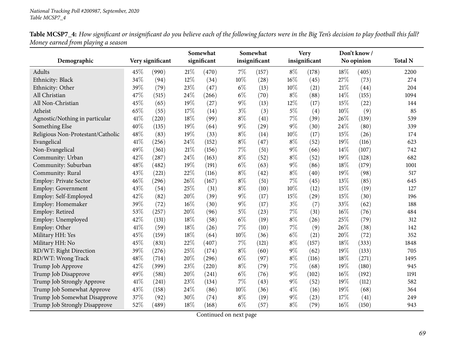| Demographic                       |      | Very significant |        | Somewhat<br>significant |        | Somewhat<br>insignificant |        | <b>Very</b><br>insignificant |        | Don't know/<br>No opinion | <b>Total N</b> |
|-----------------------------------|------|------------------|--------|-------------------------|--------|---------------------------|--------|------------------------------|--------|---------------------------|----------------|
| Adults                            | 45%  | (990)            | $21\%$ | (470)                   | $7\%$  | (157)                     | $8\%$  | (178)                        | 18%    | (405)                     | 2200           |
| Ethnicity: Black                  | 34%  | (94)             | 12%    | (34)                    | 10%    | (28)                      | 16%    | (45)                         | 27%    | (73)                      | 274            |
| Ethnicity: Other                  | 39%  | (79)             | 23%    | (47)                    | $6\%$  | (13)                      | 10%    | (21)                         | 21%    | (44)                      | 204            |
| All Christian                     | 47%  | (515)            | 24\%   | (266)                   | $6\%$  | (70)                      | $8\%$  | (88)                         | 14%    | (155)                     | 1094           |
| All Non-Christian                 | 45%  | (65)             | 19%    | (27)                    | $9\%$  | (13)                      | 12%    | (17)                         | 15%    | (22)                      | 144            |
| Atheist                           | 65%  | (55)             | 17%    | (14)                    | $3\%$  | (3)                       | $5\%$  | (4)                          | 10%    | (9)                       | 85             |
| Agnostic/Nothing in particular    | 41\% | (220)            | 18%    | (99)                    | $8\%$  | (41)                      | $7\%$  | (39)                         | 26%    | (139)                     | 539            |
| Something Else                    | 40%  | (135)            | 19%    | (64)                    | $9\%$  | $\left( 29\right)$        | $9\%$  | (30)                         | 24%    | (80)                      | 339            |
| Religious Non-Protestant/Catholic | 48%  | (83)             | 19%    | (33)                    | $8\%$  | (14)                      | $10\%$ | (17)                         | 15%    | (26)                      | 174            |
| Evangelical                       | 41\% | (256)            | 24%    | (152)                   | $8\%$  | (47)                      | $8\%$  | (52)                         | 19%    | (116)                     | 623            |
| Non-Evangelical                   | 49%  | (361)            | 21%    | (156)                   | $7\%$  | (51)                      | $9\%$  | (66)                         | 14%    | (107)                     | 742            |
| Community: Urban                  | 42%  | (287)            | 24%    | (163)                   | $8\%$  | (52)                      | $8\%$  | (52)                         | 19%    | (128)                     | 682            |
| Community: Suburban               | 48%  | (482)            | 19%    | (191)                   | $6\%$  | (63)                      | $9\%$  | (86)                         | 18%    | (179)                     | 1001           |
| Community: Rural                  | 43%  | (221)            | 22%    | (116)                   | $8\%$  | (42)                      | $8\%$  | (40)                         | 19%    | (98)                      | 517            |
| Employ: Private Sector            | 46%  | (296)            | 26%    | (167)                   | $8\%$  | (51)                      | $7\%$  | (45)                         | 13%    | (85)                      | 645            |
| Employ: Government                | 43%  | (54)             | 25%    | (31)                    | $8\%$  | (10)                      | 10%    | (12)                         | 15%    | (19)                      | 127            |
| Employ: Self-Employed             | 42%  | (82)             | 20%    | (39)                    | $9\%$  | (17)                      | 15%    | (29)                         | 15%    | (30)                      | 196            |
| Employ: Homemaker                 | 39%  | (72)             | 16%    | (30)                    | $9\%$  | (17)                      | $3\%$  | (7)                          | 33%    | (62)                      | 188            |
| Employ: Retired                   | 53%  | (257)            | 20%    | (96)                    | $5\%$  | (23)                      | $7\%$  | (31)                         | 16%    | (76)                      | 484            |
| Employ: Unemployed                | 42%  | (131)            | 18%    | (58)                    | $6\%$  | (19)                      | $8\%$  | (26)                         | 25%    | (79)                      | 312            |
| Employ: Other                     | 41\% | (59)             | 18%    | (26)                    | $7\%$  | (10)                      | $7\%$  | (9)                          | 26%    | (38)                      | 142            |
| Military HH: Yes                  | 45%  | (159)            | 18%    | (64)                    | 10%    | (36)                      | $6\%$  | (21)                         | 20%    | (72)                      | 352            |
| Military HH: No                   | 45%  | (831)            | 22%    | (407)                   | $7\%$  | (121)                     | $8\%$  | (157)                        | 18%    | (333)                     | 1848           |
| RD/WT: Right Direction            | 39%  | (276)            | 25%    | (174)                   | $8\%$  | (60)                      | $9\%$  | (62)                         | 19%    | (133)                     | 705            |
| RD/WT: Wrong Track                | 48%  | (714)            | 20%    | (296)                   | $6\%$  | (97)                      | $8\%$  | (116)                        | 18%    | (271)                     | 1495           |
| Trump Job Approve                 | 42%  | (399)            | 23%    | (220)                   | $8\%$  | (79)                      | $7\%$  | (68)                         | 19%    | (180)                     | 945            |
| Trump Job Disapprove              | 49%  | (581)            | 20%    | (241)                   | $6\%$  | (76)                      | $9\%$  | (102)                        | $16\%$ | (192)                     | 1191           |
| Trump Job Strongly Approve        | 41\% | (241)            | 23%    | (134)                   | 7%     | (43)                      | $9\%$  | (52)                         | 19%    | (112)                     | 582            |
| Trump Job Somewhat Approve        | 43%  | (158)            | 24%    | (86)                    | $10\%$ | (36)                      | $4\%$  | (16)                         | 19%    | (68)                      | 364            |
| Trump Job Somewhat Disapprove     | 37%  | (92)             | 30%    | (74)                    | $8\%$  | (19)                      | $9\%$  | (23)                         | 17%    | (41)                      | 249            |
| Trump Job Strongly Disapprove     | 52%  | (489)            | 18%    | (168)                   | $6\%$  | (57)                      | $8\%$  | (79)                         | 16%    | (150)                     | 943            |

Table MCSP7\_4: How significant or insignificant do you believe each of the following factors were in the Big Ten's decision to play football this fall? *Money earned from <sup>p</sup>laying <sup>a</sup> season*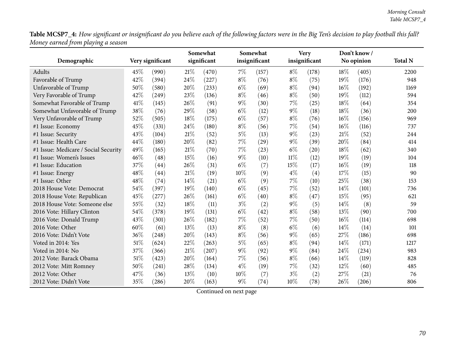Table MCSP7\_4: How significant or insignificant do you believe each of the following factors were in the Big Ten's decision to play football this fall? *Money earned from <sup>p</sup>laying <sup>a</sup> season*

|                                      |      |                  | Somewhat    |       |       | Somewhat      |        | <b>Very</b>   |        | Don't know/ |                |
|--------------------------------------|------|------------------|-------------|-------|-------|---------------|--------|---------------|--------|-------------|----------------|
| Demographic                          |      | Very significant | significant |       |       | insignificant |        | insignificant |        | No opinion  | <b>Total N</b> |
| Adults                               | 45\% | (990)            | 21%         | (470) | $7\%$ | (157)         | $8\%$  | (178)         | 18\%   | (405)       | 2200           |
| Favorable of Trump                   | 42%  | (394)            | 24%         | (227) | $8\%$ | (76)          | $8\%$  | (75)          | 19%    | (176)       | 948            |
| Unfavorable of Trump                 | 50%  | (580)            | 20%         | (233) | $6\%$ | (69)          | $8\%$  | (94)          | $16\%$ | (192)       | 1169           |
| Very Favorable of Trump              | 42%  | (249)            | 23%         | (136) | $8\%$ | (46)          | $8\%$  | (50)          | 19%    | (112)       | 594            |
| Somewhat Favorable of Trump          | 41\% | (145)            | 26%         | (91)  | $9\%$ | (30)          | 7%     | (25)          | 18%    | (64)        | 354            |
| Somewhat Unfavorable of Trump        | 38%  | (76)             | 29%         | (58)  | $6\%$ | (12)          | 9%     | (18)          | 18%    | (36)        | 200            |
| Very Unfavorable of Trump            | 52%  | (505)            | 18%         | (175) | $6\%$ | (57)          | $8\%$  | (76)          | 16%    | (156)       | 969            |
| #1 Issue: Economy                    | 45%  | (331)            | 24\%        | (180) | $8\%$ | (56)          | 7%     | (54)          | 16%    | (116)       | 737            |
| #1 Issue: Security                   | 43%  | (104)            | 21%         | (52)  | $5\%$ | (13)          | $9\%$  | (23)          | 21%    | (52)        | 244            |
| #1 Issue: Health Care                | 44%  | (180)            | 20%         | (82)  | 7%    | (29)          | $9\%$  | (39)          | 20%    | (84)        | 414            |
| #1 Issue: Medicare / Social Security | 49%  | (165)            | $21\%$      | (70)  | $7\%$ | (23)          | $6\%$  | (20)          | 18%    | (62)        | 340            |
| #1 Issue: Women's Issues             | 46%  | (48)             | 15%         | (16)  | $9\%$ | (10)          | $11\%$ | (12)          | 19%    | (19)        | 104            |
| #1 Issue: Education                  | 37%  | (44)             | 26%         | (31)  | $6\%$ | (7)           | 15%    | (17)          | $16\%$ | (19)        | 118            |
| #1 Issue: Energy                     | 48%  | (44)             | 21%         | (19)  | 10%   | (9)           | $4\%$  | (4)           | 17%    | (15)        | 90             |
| #1 Issue: Other                      | 48%  | (74)             | 14%         | (21)  | $6\%$ | (9)           | 7%     | (10)          | 25%    | (38)        | 153            |
| 2018 House Vote: Democrat            | 54%  | (397)            | 19%         | (140) | $6\%$ | (45)          | 7%     | (52)          | 14%    | (101)       | 736            |
| 2018 House Vote: Republican          | 45%  | (277)            | 26%         | (161) | $6\%$ | (40)          | $8\%$  | (47)          | 15%    | (95)        | 621            |
| 2018 House Vote: Someone else        | 55%  | (32)             | $18\%$      | (11)  | $3\%$ | (2)           | 9%     | (5)           | 14%    | (8)         | 59             |
| 2016 Vote: Hillary Clinton           | 54%  | (378)            | 19%         | (131) | $6\%$ | (42)          | $8\%$  | (58)          | 13%    | (90)        | 700            |
| 2016 Vote: Donald Trump              | 43%  | (301)            | $26\%$      | (182) | $7\%$ | (52)          | 7%     | (50)          | $16\%$ | (114)       | 698            |
| 2016 Vote: Other                     | 60%  | (61)             | 13%         | (13)  | $8\%$ | (8)           | $6\%$  | (6)           | 14%    | (14)        | 101            |
| 2016 Vote: Didn't Vote               | 36%  | (248)            | 20%         | (143) | $8\%$ | (56)          | $9\%$  | (65)          | 27%    | (186)       | 698            |
| Voted in 2014: Yes                   | 51\% | (624)            | 22%         | (263) | $5\%$ | (65)          | $8\%$  | (94)          | 14\%   | (171)       | 1217           |
| Voted in 2014: No                    | 37%  | (366)            | 21\%        | (207) | $9\%$ | (92)          | 9%     | (84)          | 24%    | (234)       | 983            |
| 2012 Vote: Barack Obama              | 51%  | (423)            | 20%         | (164) | $7\%$ | (56)          | $8\%$  | (66)          | 14%    | (119)       | 828            |
| 2012 Vote: Mitt Romney               | 50%  | (241)            | 28%         | (134) | $4\%$ | (19)          | 7%     | (32)          | 12%    | (60)        | 485            |
| 2012 Vote: Other                     | 47\% | (36)             | 13%         | (10)  | 10%   | (7)           | $3\%$  | (2)           | 27%    | (21)        | 76             |
| 2012 Vote: Didn't Vote               | 35%  | (286)            | 20%         | (163) | $9\%$ | (74)          | 10%    | (78)          | 26%    | (206)       | 806            |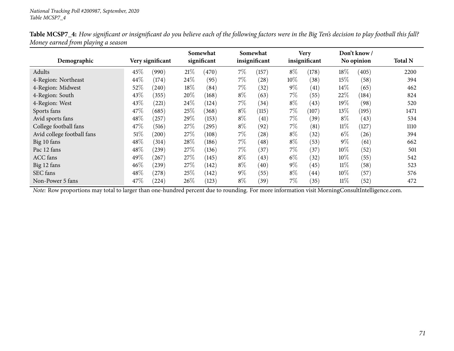|                            |        |                  |      | Somewhat    |       | Somewhat      |        | <b>Very</b>   |        | Don't know / |                |
|----------------------------|--------|------------------|------|-------------|-------|---------------|--------|---------------|--------|--------------|----------------|
| Demographic                |        | Very significant |      | significant |       | insignificant |        | insignificant |        | No opinion   | <b>Total N</b> |
| Adults                     | 45%    | (990)            | 21%  | (470)       | $7\%$ | (157)         | $8\%$  | (178)         | 18\%   | (405)        | 2200           |
| 4-Region: Northeast        | 44\%   | (174)            | 24\% | (95)        | $7\%$ | (28)          | $10\%$ | (38)          | 15\%   | (58)         | 394            |
| 4-Region: Midwest          | 52%    | (240)            | 18%  | (84)        | $7\%$ | (32)          | $9\%$  | (41)          | $14\%$ | (65)         | 462            |
| 4-Region: South            | 43%    | (355)            | 20%  | (168)       | $8\%$ | (63)          | $7\%$  | (55)          | 22\%   | (184)        | 824            |
| 4-Region: West             | 43\%   | (221)            | 24\% | (124)       | $7\%$ | (34)          | $8\%$  | (43)          | 19%    | (98)         | 520            |
| Sports fans                | 47\%   | (685)            | 25\% | (368)       | $8\%$ | (115)         | $7\%$  | (107)         | 13\%   | (195)        | 1471           |
| Avid sports fans           | 48\%   | $^{'}257$        | 29%  | (153)       | $8\%$ | (41)          | $7\%$  | (39)          | $8\%$  | (43)         | 534            |
| College football fans      | 47\%   | (516)            | 27%  | $^{'}295)$  | $8\%$ | (92)          | $7\%$  | (81)          | $11\%$ | (127)        | 1110           |
| Avid college football fans | $51\%$ | (200)            | 27\% | (108)       | $7\%$ | (28)          | $8\%$  | (32)          | $6\%$  | (26)         | 394            |
| Big 10 fans                | 48\%   | (314)            | 28\% | (186)       | $7\%$ | (48)          | $8\%$  | (53)          | $9\%$  | (61)         | 662            |
| Pac 12 fans                | 48\%   | (239)            | 27%  | (136)       | $7\%$ | (37)          | $7\%$  | (37)          | $10\%$ | (52)         | 501            |
| <b>ACC</b> fans            | 49%    | 267              | 27\% | (145)       | $8\%$ | (43)          | $6\%$  | (32)          | $10\%$ | (55)         | 542            |
| Big 12 fans                | $46\%$ | (239)            | 27%  | (142)       | $8\%$ | (40)          | $9\%$  | $^{(45)}$     | $11\%$ | (58)         | 523            |
| SEC fans                   | 48\%   | (278)            | 25%  | (142)       | $9\%$ | (55)          | $8\%$  | (44)          | $10\%$ | (57)         | 576            |
| Non-Power 5 fans           | 47\%   | (224)            | 26%  | (123)       | $8\%$ | (39)          | $7\%$  | (35)          | $11\%$ | (52)         | 472            |

Table MCSP7\_4: How significant or insignificant do you believe each of the following factors were in the Big Ten's decision to play football this fall? *Money earned from <sup>p</sup>laying <sup>a</sup> season*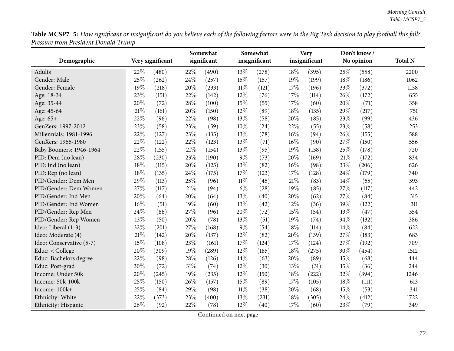Table MCSP7\_5: How significant or insignificant do you believe each of the following factors were in the Big Ten's decision to play football this fall? *Pressure from President Donald Trump*

| $\ldots$ . $\ldots$      |        |                  | Somewhat |             |        | Somewhat      |        | <b>Very</b>   |        | Don't know / |                |
|--------------------------|--------|------------------|----------|-------------|--------|---------------|--------|---------------|--------|--------------|----------------|
| Demographic              |        | Very significant |          | significant |        | insignificant |        | insignificant |        | No opinion   | <b>Total N</b> |
| <b>Adults</b>            | 22%    | (480)            | 22%      | (490)       | 13%    | (278)         | 18%    | (395)         | 25%    | (558)        | 2200           |
| Gender: Male             | 25%    | (262)            | 24%      | (257)       | 15%    | (157)         | 19%    | (199)         | 18%    | (186)        | 1062           |
| Gender: Female           | 19%    | (218)            | 20%      | (233)       | $11\%$ | (121)         | 17%    | (196)         | 33%    | (372)        | 1138           |
| Age: 18-34               | 23%    | (151)            | 22%      | (142)       | 12%    | (76)          | 17%    | (114)         | 26%    | (172)        | 655            |
| Age: 35-44               | 20%    | (72)             | 28%      | (100)       | 15%    | (55)          | 17%    | (60)          | 20%    | (71)         | 358            |
| Age: 45-64               | 21%    | (161)            | 20%      | (150)       | 12%    | (89)          | 18%    | (135)         | 29%    | (217)        | 751            |
| Age: 65+                 | 22%    | (96)             | 22%      | (98)        | 13%    | (58)          | 20%    | (85)          | 23%    | (99)         | 436            |
| GenZers: 1997-2012       | 23%    | (58)             | 23%      | (59)        | $10\%$ | (24)          | 22%    | (55)          | 23%    | (58)         | 253            |
| Millennials: 1981-1996   | 22%    | (127)            | 23%      | (135)       | 13%    | (78)          | $16\%$ | (94)          | $26\%$ | (155)        | 588            |
| GenXers: 1965-1980       | 22%    | (122)            | 22%      | (123)       | 13%    | (71)          | 16%    | (90)          | 27%    | (150)        | 556            |
| Baby Boomers: 1946-1964  | 22%    | (155)            | $21\%$   | (154)       | 13%    | (95)          | 19%    | (138)         | 25%    | (178)        | 720            |
| PID: Dem (no lean)       | 28%    | (230)            | 23%      | (190)       | 9%     | (73)          | 20%    | (169)         | 21%    | (172)        | 834            |
| PID: Ind (no lean)       | 18%    | (115)            | 20%      | (125)       | 13%    | (82)          | $16\%$ | (98)          | 33%    | (206)        | 626            |
| PID: Rep (no lean)       | 18%    | (135)            | 24%      | (175)       | 17%    | (123)         | 17%    | (128)         | 24%    | (179)        | 740            |
| PID/Gender: Dem Men      | 29%    | (113)            | 25%      | (96)        | $11\%$ | (45)          | $21\%$ | (83)          | 14%    | (55)         | 393            |
| PID/Gender: Dem Women    | 27%    | (117)            | $21\%$   | (94)        | $6\%$  | (28)          | 19%    | (85)          | $27\%$ | (117)        | 442            |
| PID/Gender: Ind Men      | 20%    | (64)             | 20%      | (64)        | 13%    | (40)          | 20%    | (62)          | 27%    | (84)         | 315            |
| PID/Gender: Ind Women    | 16%    | (51)             | 19%      | (60)        | 13%    | (42)          | 12%    | (36)          | 39%    | (122)        | 311            |
| PID/Gender: Rep Men      | 24%    | (86)             | 27%      | (96)        | 20%    | (72)          | 15%    | (54)          | 13%    | (47)         | 354            |
| PID/Gender: Rep Women    | 13%    | (50)             | 20%      | (78)        | 13%    | (51)          | 19%    | (74)          | 34%    | (132)        | 386            |
| Ideo: Liberal (1-3)      | 32%    | (201)            | 27%      | (168)       | 9%     | (54)          | 18%    | (114)         | 14%    | (84)         | 622            |
| Ideo: Moderate (4)       | $21\%$ | (142)            | 20%      | (137)       | 12%    | (82)          | 20%    | (139)         | 27%    | (183)        | 683            |
| Ideo: Conservative (5-7) | 15%    | (108)            | 23%      | (161)       | 17%    | (124)         | 17%    | (124)         | 27%    | (192)        | 709            |
| Educ: < College          | 20%    | (309)            | 19%      | (289)       | 12%    | (185)         | 18%    | (275)         | 30%    | (454)        | 1512           |
| Educ: Bachelors degree   | 22%    | (98)             | 28%      | (126)       | 14%    | (63)          | 20%    | (89)          | 15%    | (68)         | 444            |
| Educ: Post-grad          | 30%    | (72)             | $31\%$   | (74)        | 12%    | (30)          | 13%    | (31)          | 15%    | (36)         | 244            |
| Income: Under 50k        | 20%    | (245)            | 19%      | (235)       | 12%    | (150)         | 18%    | (222)         | 32%    | (394)        | 1246           |
| Income: 50k-100k         | 25%    | (150)            | 26%      | (157)       | 15%    | (89)          | 17%    | (105)         | 18%    | (111)        | 613            |
| Income: 100k+            | 25%    | (84)             | 29%      | (98)        | $11\%$ | (38)          | 20%    | (68)          | 15%    | (53)         | 341            |
| Ethnicity: White         | 22%    | (373)            | 23%      | (400)       | 13%    | (231)         | 18%    | (305)         | 24%    | (412)        | 1722           |
| Ethnicity: Hispanic      | 26%    | (92)             | 22%      | (78)        | 12%    | (40)          | 17%    | (60)          | 23%    | (79)         | 349            |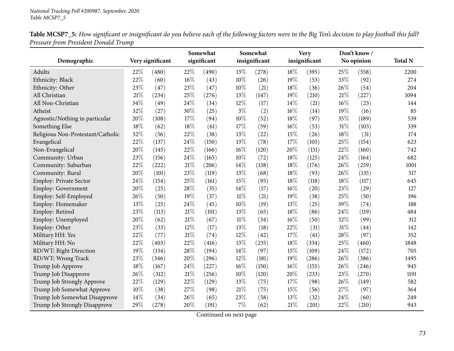| Table MCSP7_5: How significant or insignificant do you believe each of the following factors were in the Big Ten's decision to play football this fall? |  |
|---------------------------------------------------------------------------------------------------------------------------------------------------------|--|
| Pressure from President Donald Trump                                                                                                                    |  |

|                                   |     |                  |        | Somewhat    |        | Somewhat      |        | <b>Very</b>   |        | Don't know/ |                |
|-----------------------------------|-----|------------------|--------|-------------|--------|---------------|--------|---------------|--------|-------------|----------------|
| Demographic                       |     | Very significant |        | significant |        | insignificant |        | insignificant |        | No opinion  | <b>Total N</b> |
| Adults                            | 22% | (480)            | 22%    | (490)       | 13%    | (278)         | 18%    | (395)         | 25%    | (558)       | 2200           |
| Ethnicity: Black                  | 22% | (60)             | 16%    | (43)        | 10%    | (26)          | 19%    | (53)          | 33%    | (92)        | 274            |
| Ethnicity: Other                  | 23% | (47)             | 23%    | (47)        | 10%    | (21)          | 18%    | (36)          | 26%    | (54)        | 204            |
| All Christian                     | 21% | (234)            | 25%    | (276)       | 13%    | (147)         | 19%    | (210)         | 21%    | (227)       | 1094           |
| All Non-Christian                 | 34% | (49)             | 24%    | (34)        | 12%    | (17)          | $14\%$ | (21)          | 16%    | (23)        | 144            |
| Atheist                           | 32% | (27)             | 30%    | (25)        | $3\%$  | (2)           | 16%    | (14)          | 19%    | (16)        | 85             |
| Agnostic/Nothing in particular    | 20% | (108)            | 17%    | (94)        | 10%    | (52)          | 18%    | (97)          | 35%    | (189)       | 539            |
| Something Else                    | 18% | (62)             | 18%    | (61)        | 17%    | (59)          | $16\%$ | (53)          | $31\%$ | (103)       | 339            |
| Religious Non-Protestant/Catholic | 32% | (56)             | 22%    | (38)        | 13%    | (22)          | 15%    | (26)          | 18%    | (31)        | 174            |
| Evangelical                       | 22% | (137)            | 24%    | (150)       | 13%    | (78)          | 17%    | (105)         | 25%    | (154)       | 623            |
| Non-Evangelical                   | 20% | (145)            | 22%    | (166)       | 16%    | (120)         | 20%    | (151)         | 22%    | (160)       | 742            |
| Community: Urban                  | 23% | (156)            | 24%    | (165)       | 10%    | (72)          | 18%    | (125)         | 24%    | (164)       | 682            |
| Community: Suburban               | 22% | (222)            | 21%    | (206)       | 14%    | (138)         | 18%    | (176)         | 26%    | (259)       | 1001           |
| Community: Rural                  | 20% | (101)            | 23%    | (119)       | 13%    | (68)          | 18%    | (93)          | 26%    | (135)       | 517            |
| Employ: Private Sector            | 24% | (154)            | 25%    | (161)       | 15%    | (95)          | 18%    | (118)         | 18%    | (117)       | 645            |
| Employ: Government                | 20% | (25)             | 28\%   | (35)        | 14%    | (17)          | 16%    | (20)          | 23%    | (29)        | 127            |
| Employ: Self-Employed             | 26% | (50)             | 19%    | (37)        | $11\%$ | (21)          | 19%    | (38)          | 25%    | (50)        | 196            |
| Employ: Homemaker                 | 13% | (25)             | 24%    | (45)        | 10%    | (19)          | 13%    | (25)          | 39%    | (74)        | 188            |
| Employ: Retired                   | 23% | (113)            | $21\%$ | (101)       | 13%    | (65)          | 18%    | (86)          | 24%    | (119)       | 484            |
| Employ: Unemployed                | 20% | (62)             | $21\%$ | (67)        | $11\%$ | (34)          | 16%    | (50)          | 32%    | (99)        | 312            |
| Employ: Other                     | 23% | (33)             | 12%    | (17)        | 13%    | (18)          | 22%    | (31)          | 31%    | (44)        | 142            |
| Military HH: Yes                  | 22% | (77)             | 21%    | (74)        | 12%    | (42)          | 17%    | (61)          | 28%    | (97)        | 352            |
| Military HH: No                   | 22% | (403)            | 22%    | (416)       | 13%    | (235)         | 18%    | (334)         | 25%    | (460)       | 1848           |
| RD/WT: Right Direction            | 19% | (134)            | 28%    | (194)       | 14%    | (97)          | 15%    | (109)         | 24%    | (172)       | 705            |
| RD/WT: Wrong Track                | 23% | (346)            | 20%    | (296)       | 12%    | (181)         | 19%    | (286)         | 26%    | (386)       | 1495           |
| Trump Job Approve                 | 18% | (167)            | 24%    | (227)       | 16%    | (150)         | 16%    | (155)         | 26%    | (246)       | 945            |
| Trump Job Disapprove              | 26% | (312)            | 21%    | (256)       | 10%    | (120)         | 20%    | (233)         | 23%    | (270)       | 1191           |
| Trump Job Strongly Approve        | 22% | (129)            | 22%    | (129)       | 13%    | (75)          | 17%    | (98)          | 26%    | (149)       | 582            |
| Trump Job Somewhat Approve        | 10% | (38)             | 27%    | (98)        | 21%    | (75)          | 15%    | (56)          | 27%    | (97)        | 364            |
| Trump Job Somewhat Disapprove     | 14% | (34)             | 26%    | (65)        | 23%    | (58)          | 13%    | (32)          | 24%    | (60)        | 249            |
| Trump Job Strongly Disapprove     | 29% | (278)            | 20%    | (191)       | 7%     | (62)          | 21%    | (201)         | 22%    | (210)       | 943            |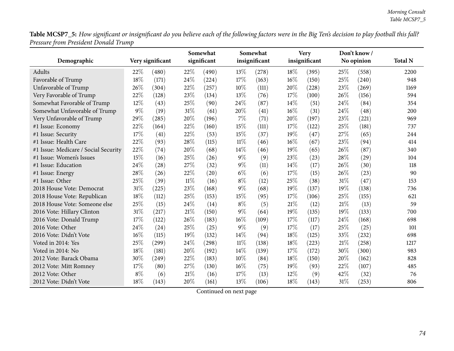Table MCSP7\_5: How significant or insignificant do you believe each of the following factors were in the Big Ten's decision to play football this fall? *Pressure from President Donald Trump*

|                                      |       |                  |        | Somewhat    |       | Somewhat      |     | <b>Very</b>   |      | Don't know / |                |
|--------------------------------------|-------|------------------|--------|-------------|-------|---------------|-----|---------------|------|--------------|----------------|
| Demographic                          |       | Very significant |        | significant |       | insignificant |     | insignificant |      | No opinion   | <b>Total N</b> |
| Adults                               | 22%   | (480)            | 22%    | (490)       | 13%   | (278)         | 18% | (395)         | 25\% | (558)        | 2200           |
| Favorable of Trump                   | 18%   | (171)            | 24%    | (224)       | 17%   | (163)         | 16% | (150)         | 25%  | (240)        | 948            |
| Unfavorable of Trump                 | 26%   | (304)            | 22%    | (257)       | 10%   | (111)         | 20% | (228)         | 23%  | (269)        | 1169           |
| Very Favorable of Trump              | 22%   | (128)            | 23%    | (134)       | 13%   | (76)          | 17% | (100)         | 26%  | (156)        | 594            |
| Somewhat Favorable of Trump          | 12%   | (43)             | 25%    | (90)        | 24%   | (87)          | 14% | (51)          | 24%  | (84)         | 354            |
| Somewhat Unfavorable of Trump        | 9%    | (19)             | $31\%$ | (61)        | 20%   | (41)          | 16% | (31)          | 24%  | (48)         | 200            |
| Very Unfavorable of Trump            | 29%   | (285)            | 20%    | (196)       | 7%    | (71)          | 20% | (197)         | 23%  | (221)        | 969            |
| #1 Issue: Economy                    | 22%   | (164)            | 22%    | (160)       | 15%   | (111)         | 17% | (122)         | 25%  | (181)        | 737            |
| #1 Issue: Security                   | 17%   | (41)             | 22%    | (53)        | 15%   | (37)          | 19% | (47)          | 27%  | (65)         | 244            |
| #1 Issue: Health Care                | 22%   | (93)             | 28%    | (115)       | 11%   | (46)          | 16% | (67)          | 23%  | (94)         | 414            |
| #1 Issue: Medicare / Social Security | 22%   | (74)             | 20%    | (68)        | 14%   | (46)          | 19% | (65)          | 26%  | (87)         | 340            |
| #1 Issue: Women's Issues             | 15%   | (16)             | 25%    | (26)        | 9%    | (9)           | 23% | (23)          | 28%  | (29)         | 104            |
| #1 Issue: Education                  | 24%   | (28)             | 27%    | (32)        | $9\%$ | (11)          | 14% | (17)          | 26%  | (30)         | 118            |
| #1 Issue: Energy                     | 28%   | (26)             | 22%    | (20)        | $6\%$ | (6)           | 17% | (15)          | 26%  | (23)         | 90             |
| #1 Issue: Other                      | 25%   | (39)             | $11\%$ | (16)        | $8\%$ | (12)          | 25% | (38)          | 31%  | (47)         | 153            |
| 2018 House Vote: Democrat            | 31%   | (225)            | 23%    | (168)       | 9%    | (68)          | 19% | (137)         | 19%  | (138)        | 736            |
| 2018 House Vote: Republican          | 18%   | (112)            | 25%    | (153)       | 15%   | (95)          | 17% | (106)         | 25%  | (155)        | 621            |
| 2018 House Vote: Someone else        | 25%   | (15)             | 24%    | (14)        | $8\%$ | (5)           | 21% | (12)          | 21%  | (13)         | 59             |
| 2016 Vote: Hillary Clinton           | 31%   | (217)            | 21%    | (150)       | 9%    | (64)          | 19% | (135)         | 19%  | (133)        | 700            |
| 2016 Vote: Donald Trump              | 17%   | (122)            | 26%    | (183)       | 16%   | (109)         | 17% | (117)         | 24%  | (168)        | 698            |
| 2016 Vote: Other                     | 24%   | (24)             | 25%    | (25)        | 9%    | (9)           | 17% | (17)          | 25%  | (25)         | 101            |
| 2016 Vote: Didn't Vote               | 16%   | (115)            | 19%    | (132)       | 14%   | (94)          | 18% | (125)         | 33%  | (232)        | 698            |
| Voted in 2014: Yes                   | 25%   | (299)            | 24\%   | (298)       | 11%   | (138)         | 18% | (223)         | 21%  | (258)        | 1217           |
| Voted in 2014: No                    | 18%   | (181)            | 20%    | (192)       | 14%   | (139)         | 17% | (172)         | 30%  | (300)        | 983            |
| 2012 Vote: Barack Obama              | 30%   | (249)            | 22%    | (183)       | 10%   | (84)          | 18% | (150)         | 20%  | (162)        | 828            |
| 2012 Vote: Mitt Romney               | 17\%  | (80)             | 27%    | (130)       | 16%   | (75)          | 19% | (93)          | 22%  | (107)        | 485            |
| 2012 Vote: Other                     | $8\%$ | (6)              | 21%    | (16)        | 17%   | (13)          | 12% | (9)           | 42%  | (32)         | 76             |
| 2012 Vote: Didn't Vote               | 18%   | (143)            | 20%    | (161)       | 13%   | (106)         | 18% | (143)         | 31%  | (253)        | 806            |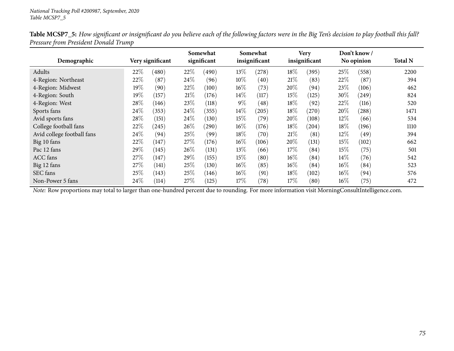|                            |      |                  |        | Somewhat    |        | Somewhat      |        | <b>Very</b>   |        | Don't know / |                |
|----------------------------|------|------------------|--------|-------------|--------|---------------|--------|---------------|--------|--------------|----------------|
| Demographic                |      | Very significant |        | significant |        | insignificant |        | insignificant |        | No opinion   | <b>Total N</b> |
| Adults                     | 22%  | (480)            | 22\%   | (490)       | 13\%   | (278)         | 18%    | (395)         | 25\%   | (558)        | 2200           |
| 4-Region: Northeast        | 22%  | (87)             | $24\%$ | (96)        | $10\%$ | (40)          | 21%    | (83)          | 22\%   | (87)         | 394            |
| 4-Region: Midwest          | 19%  | (90)             | 22\%   | (100)       | $16\%$ | (73)          | 20%    | (94)          | 23\%   | (106)        | 462            |
| 4-Region: South            | 19%  | (157)            | 21%    | (176)       | 14\%   | (117)         | 15%    | (125)         | 30\%   | (249)        | 824            |
| 4-Region: West             | 28%  | (146)            | 23%    | (118)       | $9\%$  | (48)          | 18%    | (92)          | 22\%   | (116)        | 520            |
| Sports fans                | 24\% | (353)            | 24\%   | (355)       | $14\%$ | (205)         | 18%    | (270)         | 20%    | (288)        | 1471           |
| Avid sports fans           | 28%  | (151)            | 24\%   | (130)       | 15%    | (79)          | 20%    | (108)         | 12%    | (66)         | 534            |
| College football fans      | 22%  | (245)            | 26%    | (290)       | $16\%$ | (176)         | 18%    | (204)         | 18\%   | (196)        | 1110           |
| Avid college football fans | 24\% | (94)             | 25\%   | (99)        | 18%    | (70)          | 21\%   | (81)          | $12\%$ | (49)         | 394            |
| Big 10 fans                | 22%  | (147)            | 27\%   | (176)       | $16\%$ | (106)         | 20%    | (131)         | 15%    | (102)        | 662            |
| Pac 12 fans                | 29%  | (145)            | 26%    | (131)       | 13%    | (66)          | 17%    | (84)          | 15%    | (75)         | 501            |
| <b>ACC</b> fans            | 27\% | 147              | 29\%   | (155)       | 15%    | (80)          | $16\%$ | (84)          | $14\%$ | (76)         | 542            |
| Big 12 fans                | 27\% | (141)            | 25\%   | (130)       | $16\%$ | (85)          | $16\%$ | (84)          | $16\%$ | (84)         | 523            |
| SEC fans                   | 25%  | (143)            | 25\%   | (146)       | $16\%$ | (91)          | 18%    | (102)         | $16\%$ | (94)         | 576            |
| Non-Power 5 fans           | 24\% | (114)            | 27\%   | (125)       | 17\%   | (78)          | 17\%   | (80)          | $16\%$ | (75)         | 472            |

Table MCSP7\_5: How significant or insignificant do you believe each of the following factors were in the Big Ten's decision to play football this fall? *Pressure from President Donald Trump*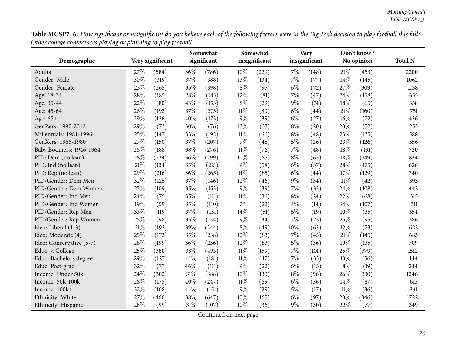**Table MCSP7\_6:** How significant or insignificant do you believe each of the following factors were in the Big Ten's decision to play football this fall? *Other college conferences <sup>p</sup>laying or <sup>p</sup>lanning to <sup>p</sup>lay football*

| o<br>o                   | $\circ$ | ג ג              |        | Somewhat    |        | Somewhat      |       | <b>Very</b>   |        | Don't know / |                |
|--------------------------|---------|------------------|--------|-------------|--------|---------------|-------|---------------|--------|--------------|----------------|
| Demographic              |         | Very significant |        | significant |        | insignificant |       | insignificant |        | No opinion   | <b>Total N</b> |
| Adults                   | 27%     | (584)            | 36%    | (786)       | 10%    | (229)         | $7\%$ | (148)         | 21%    | (453)        | 2200           |
| Gender: Male             | 30%     | (319)            | 37%    | (388)       | 13%    | (134)         | $7\%$ | (77)          | 14%    | (145)        | 1062           |
| Gender: Female           | 23%     | (265)            | 35%    | (398)       | $8\%$  | (95)          | $6\%$ | (72)          | 27%    | (309)        | 1138           |
| Age: 18-34               | 28%     | (185)            | 28\%   | (185)       | 12%    | (81)          | 7%    | (47)          | 24%    | (158)        | 655            |
| Age: 35-44               | 22%     | (80)             | 43%    | (153)       | $8\%$  | (29)          | $9\%$ | (31)          | 18%    | (65)         | 358            |
| Age: 45-64               | 26%     | (193)            | 37%    | (275)       | $11\%$ | (80)          | $6\%$ | (44)          | $21\%$ | (160)        | 751            |
| Age: 65+                 | 29%     | (126)            | 40%    | (173)       | $9\%$  | (39)          | $6\%$ | (27)          | 16%    | (72)         | 436            |
| GenZers: 1997-2012       | 29%     | (73)             | 30%    | (76)        | 13%    | (33)          | $8\%$ | (20)          | 20%    | (52)         | 253            |
| Millennials: 1981-1996   | 25%     | (147)            | 33%    | (192)       | $11\%$ | (66)          | $8\%$ | (48)          | 23%    | (135)        | 588            |
| GenXers: 1965-1980       | 27%     | (150)            | 37%    | (207)       | $9\%$  | (48)          | $5\%$ | (26)          | 23%    | (126)        | 556            |
| Baby Boomers: 1946-1964  | 26%     | (188)            | 38%    | (276)       | $11\%$ | (76)          | 7%    | (48)          | 18%    | (131)        | 720            |
| PID: Dem (no lean)       | 28%     | (234)            | 36%    | (299)       | 10%    | (85)          | $8\%$ | (67)          | 18%    | (149)        | 834            |
| PID: Ind (no lean)       | 21%     | (134)            | 35%    | (221)       | $9\%$  | (58)          | $6\%$ | (37)          | 28%    | (175)        | 626            |
| PID: Rep (no lean)       | 29%     | (216)            | 36%    | (265)       | $11\%$ | (85)          | $6\%$ | (44)          | 17%    | (129)        | 740            |
| PID/Gender: Dem Men      | 32%     | (125)            | 37%    | (146)       | 12%    | (46)          | $9\%$ | (34)          | $11\%$ | (42)         | 393            |
| PID/Gender: Dem Women    | 25%     | (109)            | 35%    | (153)       | $9\%$  | (39)          | $7\%$ | (33)          | 24%    | (108)        | 442            |
| PID/Gender: Ind Men      | 24%     | (75)             | 35%    | (111)       | $11\%$ | (36)          | $8\%$ | (24)          | 22%    | (68)         | 315            |
| PID/Gender: Ind Women    | 19%     | (59)             | 35%    | (110)       | 7%     | (22)          | $4\%$ | (14)          | 34%    | (107)        | 311            |
| PID/Gender: Rep Men      | 33%     | (119)            | 37%    | (131)       | 14%    | (51)          | $5\%$ | (19)          | 10%    | (35)         | 354            |
| PID/Gender: Rep Women    | 25%     | (98)             | 35%    | (134)       | $9\%$  | (34)          | 7%    | (25)          | 25%    | (95)         | 386            |
| Ideo: Liberal (1-3)      | 31%     | (193)            | 39%    | (244)       | $8\%$  | (49)          | 10%   | (63)          | $12\%$ | (73)         | 622            |
| Ideo: Moderate (4)       | 25%     | (173)            | 35%    | (238)       | 12%    | (83)          | 7%    | (45)          | 21%    | (145)        | 683            |
| Ideo: Conservative (5-7) | 28%     | (199)            | 36%    | (256)       | 12%    | (83)          | $5\%$ | (36)          | 19%    | (135)        | 709            |
| Educ: < College          | 25%     | (380)            | 33%    | (493)       | $11\%$ | (159)         | $7\%$ | (101)         | 25%    | (379)        | 1512           |
| Educ: Bachelors degree   | 29%     | (127)            | $41\%$ | (181)       | $11\%$ | (47)          | $7\%$ | (33)          | 13%    | (56)         | 444            |
| Educ: Post-grad          | 32%     | (77)             | 46%    | (111)       | $9\%$  | (22)          | $6\%$ | (15)          | $8\%$  | (19)         | 244            |
| Income: Under 50k        | 24%     | (302)            | $31\%$ | (388)       | 10%    | (130)         | $8\%$ | (96)          | 26%    | (330)        | 1246           |
| Income: 50k-100k         | 28%     | (175)            | 40%    | (247)       | $11\%$ | (69)          | $6\%$ | (36)          | 14%    | (87)         | 613            |
| Income: 100k+            | 32%     | (108)            | 44\%   | (151)       | $9\%$  | (29)          | $5\%$ | (17)          | $11\%$ | (36)         | 341            |
| Ethnicity: White         | 27%     | (466)            | 38%    | (647)       | 10%    | (165)         | $6\%$ | (97)          | 20%    | (346)        | 1722           |
| Ethnicity: Hispanic      | 28%     | (99)             | $31\%$ | (107)       | 10%    | (36)          | $9\%$ | (30)          | 22%    | (77)         | 349            |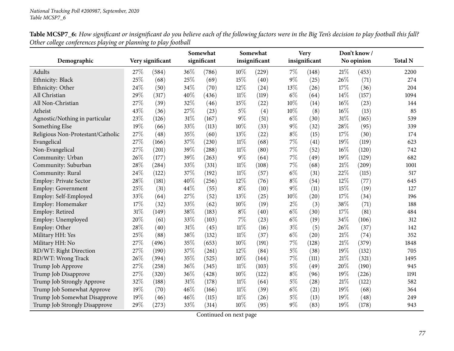|                                   |        |                  |        | Somewhat    |        | Somewhat      |       | <b>Very</b>   |        | Don't know / |                |
|-----------------------------------|--------|------------------|--------|-------------|--------|---------------|-------|---------------|--------|--------------|----------------|
| Demographic                       |        | Very significant |        | significant |        | insignificant |       | insignificant |        | No opinion   | <b>Total N</b> |
| Adults                            | 27\%   | (584)            | 36%    | (786)       | 10%    | (229)         | 7%    | (148)         | $21\%$ | (453)        | 2200           |
| Ethnicity: Black                  | 25%    | (68)             | 25%    | (69)        | 15%    | (40)          | 9%    | (25)          | 26%    | (71)         | 274            |
| Ethnicity: Other                  | 24%    | (50)             | 34%    | (70)        | 12%    | (24)          | 13%   | (26)          | 17%    | (36)         | 204            |
| All Christian                     | 29%    | (317)            | 40%    | (436)       | $11\%$ | (119)         | $6\%$ | (64)          | 14%    | (157)        | 1094           |
| All Non-Christian                 | 27%    | (39)             | 32%    | (46)        | 15%    | (22)          | 10%   | (14)          | 16%    | (23)         | 144            |
| Atheist                           | 43%    | (36)             | 27%    | (23)        | $5\%$  | (4)           | 10%   | (8)           | $16\%$ | (13)         | 85             |
| Agnostic/Nothing in particular    | 23%    | (126)            | 31%    | (167)       | 9%     | (51)          | $6\%$ | (30)          | 31%    | (165)        | 539            |
| Something Else                    | 19%    | (66)             | 33%    | (113)       | $10\%$ | (33)          | 9%    | (32)          | 28\%   | (95)         | 339            |
| Religious Non-Protestant/Catholic | $27\%$ | (48)             | $35\%$ | (60)        | $13\%$ | (22)          | $8\%$ | (15)          | 17%    | (30)         | 174            |
| Evangelical                       | 27%    | (166)            | 37%    | (230)       | $11\%$ | (68)          | 7%    | (41)          | 19%    | (119)        | 623            |
| Non-Evangelical                   | 27%    | (201)            | 39%    | (288)       | $11\%$ | (80)          | 7%    | (52)          | 16%    | (120)        | 742            |
| Community: Urban                  | 26%    | (177)            | 39%    | (263)       | $9\%$  | (64)          | 7%    | (49)          | 19%    | (129)        | 682            |
| Community: Suburban               | 28%    | (284)            | 33%    | (331)       | $11\%$ | (108)         | 7%    | (68)          | $21\%$ | (209)        | 1001           |
| Community: Rural                  | 24%    | (122)            | $37\%$ | (192)       | $11\%$ | (57)          | $6\%$ | (31)          | 22%    | (115)        | 517            |
| <b>Employ: Private Sector</b>     | 28%    | (181)            | 40%    | (256)       | 12%    | (76)          | $8\%$ | (54)          | 12%    | (77)         | 645            |
| <b>Employ: Government</b>         | 25%    | (31)             | 44%    | (55)        | $8\%$  | (10)          | 9%    | (11)          | $15\%$ | (19)         | 127            |
| Employ: Self-Employed             | 33%    | (64)             | $27\%$ | (52)        | 13%    | (25)          | 10%   | (20)          | 17%    | (34)         | 196            |
| Employ: Homemaker                 | 17%    | (32)             | 33%    | (62)        | $10\%$ | (19)          | $2\%$ | (3)           | 38%    | (71)         | 188            |
| Employ: Retired                   | $31\%$ | (149)            | 38%    | (183)       | $8\%$  | (40)          | $6\%$ | (30)          | 17%    | (81)         | 484            |
| Employ: Unemployed                | 20%    | (61)             | 33%    | (103)       | 7%     | (23)          | $6\%$ | (19)          | 34%    | (106)        | 312            |
| Employ: Other                     | 28%    | (40)             | $31\%$ | (45)        | $11\%$ | (16)          | $3\%$ | (5)           | 26%    | (37)         | 142            |
| Military HH: Yes                  | 25%    | (88)             | 38%    | (132)       | $11\%$ | (37)          | $6\%$ | (20)          | $21\%$ | (74)         | 352            |
| Military HH: No                   | 27%    | (496)            | 35%    | (653)       | $10\%$ | (191)         | 7%    | (128)         | 21\%   | (379)        | 1848           |
| RD/WT: Right Direction            | 27%    | (190)            | 37%    | (261)       | 12%    | (84)          | $5\%$ | (38)          | 19%    | (132)        | 705            |
| RD/WT: Wrong Track                | 26%    | (394)            | $35\%$ | (525)       | 10%    | (144)         | 7%    | (111)         | $21\%$ | (321)        | 1495           |
| Trump Job Approve                 | 27%    | (258)            | 36%    | (345)       | $11\%$ | (103)         | $5\%$ | (49)          | 20%    | (190)        | 945            |
| Trump Job Disapprove              | 27%    | (320)            | $36\%$ | (428)       | $10\%$ | (122)         | $8\%$ | (96)          | 19%    | (226)        | 1191           |
| Trump Job Strongly Approve        | 32%    | (188)            | $31\%$ | (178)       | $11\%$ | (64)          | $5\%$ | (28)          | 21\%   | (122)        | 582            |
| Trump Job Somewhat Approve        | 19%    | (70)             | 46%    | (166)       | $11\%$ | (39)          | $6\%$ | (21)          | 19%    | (68)         | 364            |
| Trump Job Somewhat Disapprove     | 19%    | (46)             | 46%    | (115)       | $11\%$ | (26)          | $5\%$ | (13)          | 19%    | (48)         | 249            |
| Trump Job Strongly Disapprove     | 29%    | (273)            | 33%    | (314)       | 10%    | (95)          | 9%    | (83)          | 19%    | (178)        | 943            |

Table MCSP7\_6: How significant or insignificant do you believe each of the following factors were in the Big Ten's decision to play football this fall? *Other college conferences <sup>p</sup>laying or <sup>p</sup>lanning to <sup>p</sup>lay football*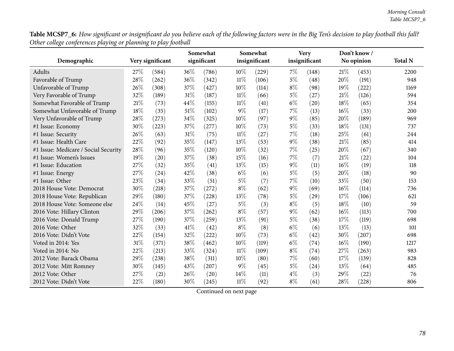**Table MCSP7\_6:** How significant or insignificant do you believe each of the following factors were in the Big Ten's decision to play football this fall? *Other college conferences <sup>p</sup>laying or <sup>p</sup>lanning to <sup>p</sup>lay football*

|                                      |        |                  |        | Somewhat    |        | Somewhat      |       | <b>Very</b>   |        | Don't know/ |                |
|--------------------------------------|--------|------------------|--------|-------------|--------|---------------|-------|---------------|--------|-------------|----------------|
| Demographic                          |        | Very significant |        | significant |        | insignificant |       | insignificant |        | No opinion  | <b>Total N</b> |
| Adults                               | 27\%   | (584)            | 36%    | (786)       | 10%    | (229)         | $7\%$ | (148)         | 21%    | (453)       | 2200           |
| Favorable of Trump                   | 28%    | (262)            | 36%    | (342)       | $11\%$ | (106)         | 5%    | (48)          | 20%    | (191)       | 948            |
| Unfavorable of Trump                 | 26%    | (308)            | 37%    | (427)       | 10%    | (114)         | $8\%$ | (98)          | 19%    | (222)       | 1169           |
| Very Favorable of Trump              | 32%    | (189)            | $31\%$ | (187)       | $11\%$ | (66)          | $5\%$ | (27)          | 21%    | (126)       | 594            |
| Somewhat Favorable of Trump          | 21%    | (73)             | 44%    | (155)       | 11%    | (41)          | $6\%$ | (20)          | 18%    | (65)        | 354            |
| Somewhat Unfavorable of Trump        | 18%    | (35)             | $51\%$ | (102)       | $9\%$  | (17)          | 7%    | (13)          | $16\%$ | (33)        | 200            |
| Very Unfavorable of Trump            | 28%    | (273)            | 34%    | (325)       | 10%    | (97)          | 9%    | (85)          | 20%    | (189)       | 969            |
| #1 Issue: Economy                    | 30%    | (223)            | 37%    | (277)       | 10%    | (73)          | $5\%$ | (33)          | 18%    | (131)       | 737            |
| #1 Issue: Security                   | 26%    | (63)             | 31%    | (75)        | $11\%$ | (27)          | 7%    | (18)          | 25%    | (61)        | 244            |
| #1 Issue: Health Care                | 22%    | (92)             | 35%    | (147)       | 13%    | (53)          | 9%    | (38)          | 21%    | (85)        | 414            |
| #1 Issue: Medicare / Social Security | 28%    | (96)             | 35%    | (120)       | 10%    | (32)          | 7%    | (25)          | 20%    | (67)        | 340            |
| #1 Issue: Women's Issues             | 19%    | (20)             | 37%    | (38)        | 15%    | (16)          | 7%    | (7)           | 21%    | (22)        | 104            |
| #1 Issue: Education                  | 27%    | (32)             | 35%    | (41)        | 13%    | (15)          | $9\%$ | (11)          | $16\%$ | (19)        | 118            |
| #1 Issue: Energy                     | 27%    | (24)             | 42%    | (38)        | $6\%$  | (6)           | $5\%$ | (5)           | 20%    | (18)        | 90             |
| #1 Issue: Other                      | 23%    | (34)             | 33%    | (51)        | $5\%$  | (7)           | 7%    | (10)          | 33%    | (50)        | 153            |
| 2018 House Vote: Democrat            | 30%    | (218)            | $37\%$ | (272)       | $8\%$  | (62)          | 9%    | (69)          | 16%    | (114)       | 736            |
| 2018 House Vote: Republican          | 29%    | (180)            | 37%    | (228)       | 13%    | (78)          | $5\%$ | (29)          | 17%    | (106)       | 621            |
| 2018 House Vote: Someone else        | 24%    | (14)             | 45%    | (27)        | $5\%$  | (3)           | $8\%$ | (5)           | 18%    | (10)        | 59             |
| 2016 Vote: Hillary Clinton           | 29%    | (206)            | 37%    | (262)       | $8\%$  | (57)          | $9\%$ | (62)          | 16%    | (113)       | 700            |
| 2016 Vote: Donald Trump              | 27%    | (190)            | 37\%   | (259)       | 13%    | (91)          | $5\%$ | (38)          | 17%    | (119)       | 698            |
| 2016 Vote: Other                     | 32%    | (33)             | 41\%   | (42)        | $8\%$  | (8)           | $6\%$ | (6)           | 13%    | (13)        | 101            |
| 2016 Vote: Didn't Vote               | 22%    | (154)            | 32%    | (222)       | 10%    | (73)          | $6\%$ | (42)          | 30%    | (207)       | 698            |
| Voted in 2014: Yes                   | 31%    | (371)            | 38%    | (462)       | 10%    | (119)         | $6\%$ | (74)          | 16%    | (190)       | 1217           |
| Voted in 2014: No                    | $22\%$ | (213)            | 33%    | (324)       | $11\%$ | (109)         | $8\%$ | (74)          | 27%    | (263)       | 983            |
| 2012 Vote: Barack Obama              | 29%    | (238)            | 38%    | (311)       | 10%    | (80)          | 7%    | (60)          | 17%    | (139)       | 828            |
| 2012 Vote: Mitt Romney               | 30%    | (145)            | 43%    | (207)       | $9\%$  | (45)          | $5\%$ | (24)          | 13%    | (64)        | 485            |
| 2012 Vote: Other                     | 27%    | (21)             | 26%    | (20)        | 14%    | (11)          | $4\%$ | (3)           | 29%    | (22)        | 76             |
| 2012 Vote: Didn't Vote               | 22%    | (180)            | 30%    | (245)       | $11\%$ | (92)          | $8\%$ | (61)          | 28%    | (228)       | 806            |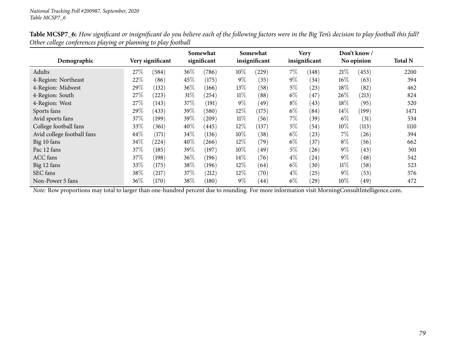|                            |      |                  |        | Somewhat    |        | Somewhat      |       | <b>Very</b>   |        | Don't know/ |                |
|----------------------------|------|------------------|--------|-------------|--------|---------------|-------|---------------|--------|-------------|----------------|
| Demographic                |      | Very significant |        | significant |        | insignificant |       | insignificant |        | No opinion  | <b>Total N</b> |
| Adults                     | 27\% | (584)            | 36\%   | (786)       | 10%    | (229)         | $7\%$ | (148)         | 21%    | (453)       | 2200           |
| 4-Region: Northeast        | 22%  | (86)             | 45\%   | (175)       | $9\%$  | (35)          | $9\%$ | (34)          | $16\%$ | (63)        | 394            |
| 4-Region: Midwest          | 29%  | (132)            | 36\%   | (166)       | 13%    | (58)          | $5\%$ | (23)          | $18\%$ | (82)        | 462            |
| 4-Region: South            | 27\% | (223)            | $31\%$ | (254)       | $11\%$ | (88)          | $6\%$ | (47)          | $26\%$ | (213)       | 824            |
| 4-Region: West             | 27\% | (143)            | 37%    | (191)       | $9\%$  | (49)          | $8\%$ | (43)          | $18\%$ | (95)        | 520            |
| Sports fans                | 29%  | (433)            | 39%    | (580)       | 12%    | (175)         | $6\%$ | (84)          | $14\%$ | (199)       | 1471           |
| Avid sports fans           | 37%  | (199)            | 39%    | (209)       | $11\%$ | (56)          | $7\%$ | (39)          | $6\%$  | (31)        | 534            |
| College football fans      | 33%  | (361)            | 40%    | (445)       | 12\%   | (137)         | 5%    | (54)          | $10\%$ | (113)       | 1110           |
| Avid college football fans | 44%  | (171)            | 34\%   | (136)       | 10%    | (38)          | $6\%$ | (23)          | $7\%$  | (26)        | 394            |
| Big 10 fans                | 34%  | $^{(224)}$       | 40%    | (266)       | 12%    | (79)          | $6\%$ | (37)          | $8\%$  | (56)        | 662            |
| Pac 12 fans                | 37\% | (185)            | 39\%   | (197)       | 10%    | (49)          | $5\%$ | (26)          | $9\%$  | (43)        | 501            |
| <b>ACC</b> fans            | 37\% | (198)            | $36\%$ | (196)       | 14\%   | (76)          | $4\%$ | (24)          | $9\%$  | (48)        | 542            |
| Big 12 fans                | 33%  | (175)            | 38\%   | (196)       | 12%    | (64)          | $6\%$ | (30)          | $11\%$ | (58)        | 523            |
| SEC fans                   | 38%  | (217)            | 37\%   | (212)       | 12%    | (70)          | $4\%$ | (25)          | $9\%$  | (53)        | 576            |
| Non-Power 5 fans           | 36%  | (170)            | 38\%   | (180)       | $9\%$  | (44)          | $6\%$ | (29)          | $10\%$ | (49)        | 472            |

Table MCSP7\_6: How significant or insignificant do you believe each of the following factors were in the Big Ten's decision to play football this fall? *Other college conferences <sup>p</sup>laying or <sup>p</sup>lanning to <sup>p</sup>lay football*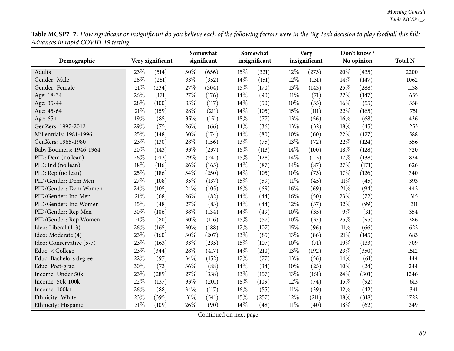|                          | 0    |                  |      | Somewhat    |     | Somewhat      |        | <b>Very</b>   |        | Don't know / |                |
|--------------------------|------|------------------|------|-------------|-----|---------------|--------|---------------|--------|--------------|----------------|
| Demographic              |      | Very significant |      | significant |     | insignificant |        | insignificant |        | No opinion   | <b>Total N</b> |
| Adults                   | 23%  | (514)            | 30%  | (656)       | 15% | (321)         | $12\%$ | (273)         | 20%    | (435)        | 2200           |
| Gender: Male             | 26%  | (281)            | 33%  | (352)       | 14% | (151)         | 12%    | (131)         | 14%    | (147)        | 1062           |
| Gender: Female           | 21%  | (234)            | 27%  | (304)       | 15% | (170)         | 13%    | (143)         | 25%    | (288)        | 1138           |
| Age: 18-34               | 26%  | (171)            | 27%  | (176)       | 14% | (90)          | $11\%$ | (71)          | 22%    | (147)        | 655            |
| Age: 35-44               | 28%  | (100)            | 33%  | (117)       | 14% | (50)          | 10%    | (35)          | 16%    | (55)         | 358            |
| Age: 45-64               | 21%  | (159)            | 28\% | (211)       | 14% | (105)         | 15%    | (111)         | 22%    | (165)        | 751            |
| Age: 65+                 | 19%  | (85)             | 35%  | (151)       | 18% | (77)          | 13%    | (56)          | 16%    | (68)         | 436            |
| GenZers: 1997-2012       | 29%  | (75)             | 26%  | (66)        | 14% | (36)          | 13%    | (32)          | 18%    | (45)         | 253            |
| Millennials: 1981-1996   | 25%  | (148)            | 30%  | (174)       | 14% | (80)          | 10%    | (60)          | 22%    | (127)        | 588            |
| GenXers: 1965-1980       | 23%  | (130)            | 28\% | (156)       | 13% | (75)          | 13%    | (72)          | 22%    | (124)        | 556            |
| Baby Boomers: 1946-1964  | 20%  | (143)            | 33%  | (237)       | 16% | (113)         | 14%    | (100)         | 18%    | (128)        | 720            |
| PID: Dem (no lean)       | 26%  | (213)            | 29%  | (241)       | 15% | (128)         | 14%    | (113)         | $17\%$ | (138)        | 834            |
| PID: Ind (no lean)       | 18%  | (116)            | 26%  | (165)       | 14% | (87)          | 14%    | (87)          | 27%    | (171)        | 626            |
| PID: Rep (no lean)       | 25%  | (186)            | 34%  | (250)       | 14% | (105)         | 10%    | (73)          | 17%    | (126)        | 740            |
| PID/Gender: Dem Men      | 27%  | (108)            | 35%  | (137)       | 15% | (59)          | $11\%$ | (45)          | $11\%$ | (45)         | 393            |
| PID/Gender: Dem Women    | 24%  | (105)            | 24\% | (105)       | 16% | (69)          | $16\%$ | (69)          | 21%    | (94)         | 442            |
| PID/Gender: Ind Men      | 21%  | (68)             | 26%  | (82)        | 14% | (44)          | $16\%$ | (50)          | 23%    | (72)         | 315            |
| PID/Gender: Ind Women    | 15%  | (48)             | 27%  | (83)        | 14% | (44)          | 12%    | (37)          | 32%    | (99)         | 311            |
| PID/Gender: Rep Men      | 30%  | (106)            | 38%  | (134)       | 14% | (49)          | 10%    | (35)          | $9\%$  | (31)         | 354            |
| PID/Gender: Rep Women    | 21\% | (80)             | 30%  | (116)       | 15% | (57)          | 10%    | (37)          | 25%    | (95)         | 386            |
| Ideo: Liberal (1-3)      | 26%  | (165)            | 30%  | (188)       | 17% | (107)         | 15%    | (96)          | $11\%$ | (66)         | 622            |
| Ideo: Moderate (4)       | 23%  | (160)            | 30%  | (207)       | 13% | (85)          | 13%    | (86)          | 21%    | (145)        | 683            |
| Ideo: Conservative (5-7) | 23%  | (163)            | 33%  | (235)       | 15% | (107)         | 10%    | (71)          | 19%    | (133)        | 709            |
| Educ: < College          | 23%  | (344)            | 28%  | (417)       | 14% | (210)         | 13%    | (192)         | 23%    | (350)        | 1512           |
| Educ: Bachelors degree   | 22%  | (97)             | 34%  | (152)       | 17% | (77)          | 13%    | (56)          | 14\%   | (61)         | 444            |
| Educ: Post-grad          | 30%  | (73)             | 36%  | (88)        | 14% | (34)          | 10%    | (25)          | 10%    | (24)         | 244            |
| Income: Under 50k        | 23%  | (289)            | 27%  | (338)       | 13% | (157)         | 13%    | (161)         | 24%    | (301)        | 1246           |
| Income: 50k-100k         | 22%  | (137)            | 33%  | (201)       | 18% | (109)         | 12%    | (74)          | 15%    | (92)         | 613            |
| Income: 100k+            | 26%  | (88)             | 34%  | (117)       | 16% | (55)          | $11\%$ | (39)          | 12%    | (42)         | 341            |
| Ethnicity: White         | 23%  | (395)            | 31\% | (541)       | 15% | (257)         | 12%    | (211)         | $18\%$ | (318)        | 1722           |
| Ethnicity: Hispanic      | 31%  | (109)            | 26%  | (90)        | 14% | (48)          | $11\%$ | (40)          | 18%    | (62)         | 349            |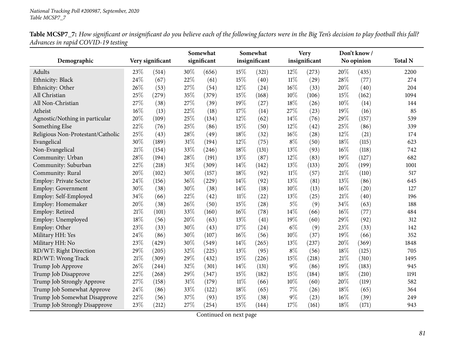|                                   |        |                  |        | Somewhat    |        | Somewhat      |        | <b>Very</b>   |        | Don't know/ |                |
|-----------------------------------|--------|------------------|--------|-------------|--------|---------------|--------|---------------|--------|-------------|----------------|
| Demographic                       |        | Very significant |        | significant |        | insignificant |        | insignificant |        | No opinion  | <b>Total N</b> |
| Adults                            | 23%    | (514)            | 30%    | (656)       | 15%    | (321)         | 12%    | (273)         | 20%    | (435)       | 2200           |
| Ethnicity: Black                  | 24%    | (67)             | 22%    | (61)        | 15%    | (40)          | $11\%$ | (29)          | 28%    | (77)        | 274            |
| Ethnicity: Other                  | 26%    | (53)             | 27%    | (54)        | 12%    | (24)          | 16%    | (33)          | 20%    | (40)        | 204            |
| All Christian                     | 25%    | (279)            | 35%    | (379)       | 15%    | (168)         | 10%    | (106)         | 15%    | (162)       | 1094           |
| All Non-Christian                 | 27%    | (38)             | 27%    | (39)        | 19%    | (27)          | 18%    | (26)          | 10%    | (14)        | 144            |
| Atheist                           | $16\%$ | (13)             | 22%    | (18)        | 17%    | (14)          | 27%    | (23)          | 19%    | (16)        | 85             |
| Agnostic/Nothing in particular    | 20%    | (109)            | 25%    | (134)       | 12%    | (62)          | 14%    | (76)          | 29%    | (157)       | 539            |
| Something Else                    | 22%    | (76)             | 25%    | (86)        | 15%    | (50)          | 12%    | (42)          | 25%    | (86)        | 339            |
| Religious Non-Protestant/Catholic | 25%    | (43)             | 28%    | (49)        | 18%    | (32)          | 16%    | (28)          | 12%    | (21)        | 174            |
| Evangelical                       | 30%    | (189)            | 31%    | (194)       | 12%    | (75)          | $8\%$  | (50)          | 18%    | (115)       | 623            |
| Non-Evangelical                   | 21%    | (154)            | 33%    | (246)       | 18%    | (131)         | 13%    | (93)          | 16%    | (118)       | 742            |
| Community: Urban                  | 28%    | (194)            | 28\%   | (191)       | 13%    | (87)          | 12%    | (83)          | 19%    | (127)       | 682            |
| Community: Suburban               | 22%    | (218)            | $31\%$ | (309)       | 14%    | (142)         | 13%    | (133)         | 20%    | (199)       | 1001           |
| Community: Rural                  | 20%    | (102)            | $30\%$ | (157)       | 18%    | (92)          | $11\%$ | (57)          | $21\%$ | (110)       | 517            |
| Employ: Private Sector            | 24%    | (156)            | 36%    | (229)       | 14%    | (92)          | 13%    | (81)          | 13%    | (86)        | 645            |
| <b>Employ: Government</b>         | 30%    | (38)             | 30%    | (38)        | 14%    | (18)          | 10%    | (13)          | 16%    | (20)        | 127            |
| Employ: Self-Employed             | 34%    | (66)             | 22%    | (42)        | $11\%$ | (22)          | 13%    | (25)          | 21%    | (40)        | 196            |
| Employ: Homemaker                 | 20%    | (38)             | $26\%$ | (50)        | 15%    | (28)          | $5\%$  | (9)           | 34%    | (63)        | 188            |
| Employ: Retired                   | $21\%$ | (101)            | 33%    | (160)       | 16%    | (78)          | 14%    | (66)          | 16%    | (77)        | 484            |
| Employ: Unemployed                | 18%    | (56)             | 20%    | (63)        | 13%    | (41)          | 19%    | (60)          | 29%    | (92)        | 312            |
| Employ: Other                     | 23%    | (33)             | 30%    | (43)        | 17%    | (24)          | $6\%$  | (9)           | 23%    | (33)        | 142            |
| Military HH: Yes                  | 24%    | (86)             | 30%    | (107)       | 16%    | (56)          | 10%    | (37)          | 19%    | (66)        | 352            |
| Military HH: No                   | 23%    | (429)            | $30\%$ | (549)       | 14%    | (265)         | 13%    | (237)         | 20%    | (369)       | 1848           |
| RD/WT: Right Direction            | 29%    | (205)            | 32%    | (225)       | 13%    | (95)          | $8\%$  | (56)          | 18%    | (125)       | 705            |
| RD/WT: Wrong Track                | 21%    | (309)            | 29%    | (432)       | 15%    | (226)         | 15%    | (218)         | 21%    | (310)       | 1495           |
| Trump Job Approve                 | 26%    | (244)            | 32%    | (301)       | 14%    | (131)         | $9\%$  | (86)          | 19%    | (183)       | 945            |
| Trump Job Disapprove              | 22%    | (268)            | 29%    | (347)       | 15%    | (182)         | 15%    | (184)         | 18%    | (210)       | 1191           |
| Trump Job Strongly Approve        | 27%    | (158)            | $31\%$ | (179)       | $11\%$ | (66)          | 10%    | (60)          | 20%    | (119)       | 582            |
| Trump Job Somewhat Approve        | 24%    | (86)             | $33\%$ | (122)       | 18%    | (65)          | 7%     | (26)          | 18%    | (65)        | 364            |
| Trump Job Somewhat Disapprove     | 22%    | (56)             | 37%    | (93)        | 15%    | (38)          | $9\%$  | (23)          | 16%    | (39)        | 249            |
| Trump Job Strongly Disapprove     | 23%    | (212)            | 27%    | (254)       | 15%    | (144)         | 17%    | (161)         | 18%    | (171)       | 943            |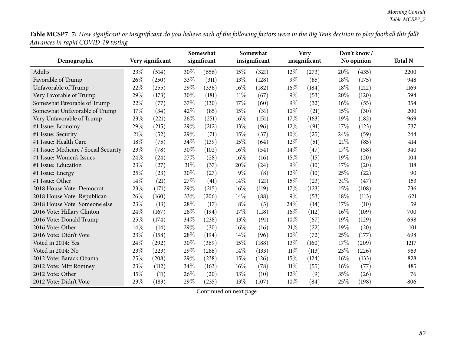|                                      | 0    |                  |     | Somewhat    |        | Somewhat      |        | <b>Very</b>   |      | Don't know / |                |
|--------------------------------------|------|------------------|-----|-------------|--------|---------------|--------|---------------|------|--------------|----------------|
| Demographic                          |      | Very significant |     | significant |        | insignificant |        | insignificant |      | No opinion   | <b>Total N</b> |
| Adults                               | 23\% | (514)            | 30% | (656)       | 15%    | (321)         | 12%    | (273)         | 20%  | (435)        | 2200           |
| Favorable of Trump                   | 26%  | (250)            | 33% | (311)       | 13%    | (128)         | $9\%$  | (85)          | 18%  | (175)        | 948            |
| Unfavorable of Trump                 | 22%  | (255)            | 29% | (336)       | 16%    | (182)         | 16%    | (184)         | 18%  | (212)        | 1169           |
| Very Favorable of Trump              | 29%  | (173)            | 30% | (181)       | $11\%$ | (67)          | $9\%$  | (53)          | 20%  | (120)        | 594            |
| Somewhat Favorable of Trump          | 22%  | (77)             | 37% | (130)       | 17%    | (60)          | $9\%$  | (32)          | 16%  | (55)         | 354            |
| Somewhat Unfavorable of Trump        | 17%  | (34)             | 42% | (85)        | 15%    | (31)          | 10%    | (21)          | 15%  | (30)         | 200            |
| Very Unfavorable of Trump            | 23%  | (221)            | 26% | (251)       | 16%    | (151)         | 17%    | (163)         | 19%  | (182)        | 969            |
| #1 Issue: Economy                    | 29%  | (215)            | 29% | (212)       | 13%    | (96)          | 12%    | (91)          | 17%  | (123)        | 737            |
| #1 Issue: Security                   | 21\% | (52)             | 29% | (71)        | 15%    | (37)          | 10%    | (25)          | 24%  | (59)         | 244            |
| #1 Issue: Health Care                | 18%  | (75)             | 34% | (139)       | 15%    | (64)          | 12%    | (51)          | 21\% | (85)         | 414            |
| #1 Issue: Medicare / Social Security | 23%  | (78)             | 30% | (102)       | 16%    | (54)          | 14%    | (47)          | 17%  | (58)         | 340            |
| #1 Issue: Women's Issues             | 24%  | (24)             | 27% | (28)        | 16%    | (16)          | 15%    | (15)          | 19%  | (20)         | 104            |
| #1 Issue: Education                  | 23%  | (27)             | 31% | (37)        | 20%    | (24)          | $9\%$  | (10)          | 17%  | (20)         | 118            |
| #1 Issue: Energy                     | 25%  | (23)             | 30% | (27)        | $9\%$  | (8)           | 12%    | (10)          | 25%  | (22)         | 90             |
| #1 Issue: Other                      | 14%  | (21)             | 27% | (41)        | 14\%   | (21)          | 15%    | (23)          | 31%  | (47)         | 153            |
| 2018 House Vote: Democrat            | 23%  | (171)            | 29% | (215)       | 16%    | (119)         | 17%    | (123)         | 15%  | (108)        | 736            |
| 2018 House Vote: Republican          | 26%  | (160)            | 33% | (206)       | 14%    | (88)          | $9\%$  | (53)          | 18%  | (113)        | 621            |
| 2018 House Vote: Someone else        | 23%  | (13)             | 28% | (17)        | $8\%$  | (5)           | 24%    | (14)          | 17%  | (10)         | 59             |
| 2016 Vote: Hillary Clinton           | 24%  | (167)            | 28% | (194)       | 17%    | (118)         | 16%    | (112)         | 16%  | (109)        | 700            |
| 2016 Vote: Donald Trump              | 25%  | (174)            | 34% | (238)       | 13%    | (91)          | 10%    | (67)          | 19%  | (129)        | 698            |
| 2016 Vote: Other                     | 14%  | (14)             | 29% | (30)        | 16%    | (16)          | 21%    | (22)          | 19%  | (20)         | 101            |
| 2016 Vote: Didn't Vote               | 23%  | (158)            | 28% | (194)       | 14%    | (96)          | 10%    | (72)          | 25%  | (177)        | 698            |
| Voted in 2014: Yes                   | 24%  | (292)            | 30% | (369)       | 15%    | (188)         | 13%    | (160)         | 17%  | (209)        | 1217           |
| Voted in 2014: No                    | 23%  | (223)            | 29% | (288)       | 14%    | (133)         | $11\%$ | (113)         | 23%  | (226)        | 983            |
| 2012 Vote: Barack Obama              | 25%  | (208)            | 29% | (238)       | 15%    | (126)         | 15%    | (124)         | 16%  | (133)        | 828            |
| 2012 Vote: Mitt Romney               | 23%  | (112)            | 34% | (163)       | 16%    | (78)          | 11%    | (55)          | 16%  | (77)         | 485            |
| 2012 Vote: Other                     | 15%  | (11)             | 26% | (20)        | 13%    | (10)          | 12%    | (9)           | 35%  | (26)         | 76             |
| 2012 Vote: Didn't Vote               | 23%  | (183)            | 29% | (235)       | 13%    | (107)         | 10%    | (84)          | 25%  | (198)        | 806            |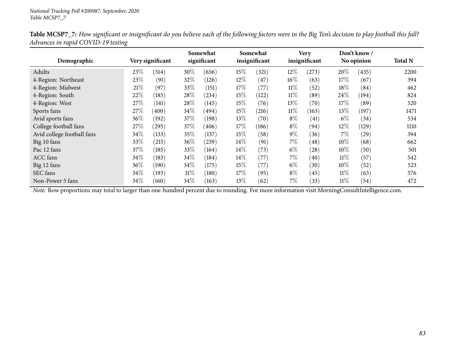| Demographic                |      | Very significant |        | Somewhat<br>significant |        | Somewhat<br>insignificant |        | <b>Very</b><br>insignificant |        | Don't know /<br>No opinion | <b>Total N</b> |
|----------------------------|------|------------------|--------|-------------------------|--------|---------------------------|--------|------------------------------|--------|----------------------------|----------------|
|                            |      |                  |        |                         |        |                           |        |                              |        |                            |                |
| Adults                     | 23\% | (514)            | 30%    | (656)                   | 15\%   | (321)                     | 12%    | (273)                        | 20%    | (435)                      | 2200           |
| 4-Region: Northeast        | 23%  | (91)             | 32%    | (126)                   | $12\%$ | (47)                      | 16%    | (63)                         | 17\%   | (67)                       | 394            |
| 4-Region: Midwest          | 21%  | (97)             | 33\%   | (151)                   | 17\%   | (77)                      | $11\%$ | (52)                         | 18\%   | (84)                       | 462            |
| 4-Region: South            | 22%  | (185)            | 28\%   | (234)                   | 15\%   | (122)                     | $11\%$ | (89)                         | 24\%   | (194)                      | 824            |
| 4-Region: West             | 27\% | (141)            | 28\%   | (145)                   | 15\%   | (76)                      | 13\%   | (70)                         | 17\%   | (89)                       | 520            |
| Sports fans                | 27\% | (400)            | 34\%   | (494)                   | 15\%   | (216)                     | $11\%$ | (163)                        | 13\%   | (197)                      | 1471           |
| Avid sports fans           | 36%  | (192)            | 37\%   | (198)                   | 13\%   | (70)                      | $8\%$  | (41)                         | $6\%$  | (34)                       | 534            |
| College football fans      | 27%  | (295)            | 37\%   | (406)                   | 17%    | (186)                     | $8\%$  | (94)                         | 12\%   | (129)                      | 1110           |
| Avid college football fans | 34\% | (133)            | 35\%   | (137)                   | 15\%   | (58)                      | $9\%$  | (36)                         | $7\%$  | (29)                       | 394            |
| Big 10 fans                | 33%  | (215)            | $36\%$ | (239)                   | 14\%   | (91)                      | $7\%$  | (48)                         | $10\%$ | (68)                       | 662            |
| Pac 12 fans                | 37%  | (185)            | 33\%   | (164)                   | $14\%$ | (73)                      | $6\%$  | (28)                         | $10\%$ | (50)                       | 501            |
| ACC fans                   | 34\% | (183)            | 34\%   | (184)                   | $14\%$ | (77)                      | $7\%$  | (40)                         | $11\%$ | (57)                       | 542            |
| Big 12 fans                | 36%  | (190)            | 34\%   | (175)                   | 15\%   | (77)                      | $6\%$  | (30)                         | $10\%$ | (52)                       | 523            |
| SEC fans                   | 34\% | (193)            | $31\%$ | (180)                   | 17\%   | (95)                      | $8\%$  | (45)                         | $11\%$ | (63)                       | 576            |
| Non-Power 5 fans           | 34\% | (160)            | 34\%   | (163)                   | 13\%   | (62)                      | $7\%$  | (33)                         | $11\%$ | (54)                       | 472            |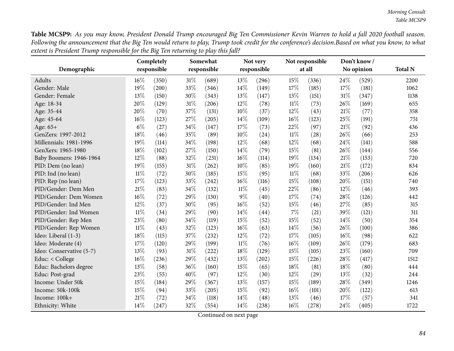Table MCSP9: As you may know, President Donald Trump encouraged Big Ten Commissioner Kevin Warren to hold a fall 2020 football season. Following the announcement that the Big Ten would return to play, Trump took credit for the conference's decision.Based on what you know, to what extent is President Trump responsible for the Big Ten returning to play this fall?

| Demographic              |        | Completely<br>responsible |        | Somewhat<br>responsible |        | Not very<br>responsible |        | Not responsible<br>at all |     | Don't know/<br>No opinion | <b>Total N</b> |
|--------------------------|--------|---------------------------|--------|-------------------------|--------|-------------------------|--------|---------------------------|-----|---------------------------|----------------|
| Adults                   | 16%    | (350)                     | $31\%$ | (689)                   | 13%    | (296)                   | 15%    | (336)                     | 24% | (529)                     | 2200           |
| Gender: Male             | 19%    | (200)                     | 33%    | (346)                   | 14%    | (149)                   | 17%    | (185)                     | 17% | (181)                     | 1062           |
| Gender: Female           | 13%    | (150)                     | 30%    | (343)                   | 13%    | (147)                   | 13%    | (151)                     | 31% | (347)                     | 1138           |
| Age: 18-34               | 20%    | (129)                     | $31\%$ | (206)                   | 12%    | (78)                    | $11\%$ | (73)                      | 26% | (169)                     | 655            |
| Age: 35-44               | 20%    | (70)                      | 37%    | (131)                   | 10%    | (37)                    | 12%    | (43)                      | 21% | (77)                      | 358            |
| Age: 45-64               | 16%    | (123)                     | 27%    | (205)                   | 14%    | (109)                   | $16\%$ | (123)                     | 25% | (191)                     | 751            |
| Age: 65+                 | $6\%$  | (27)                      | 34%    | (147)                   | 17%    | (73)                    | 22%    | (97)                      | 21% | (92)                      | 436            |
| GenZers: 1997-2012       | 18%    | (46)                      | 35%    | (89)                    | 10%    | (24)                    | $11\%$ | (28)                      | 26% | (66)                      | 253            |
| Millennials: 1981-1996   | 19%    | (114)                     | 34%    | (198)                   | 12%    | (68)                    | 12%    | (68)                      | 24% | (141)                     | 588            |
| GenXers: 1965-1980       | 18%    | (102)                     | 27%    | (150)                   | 14%    | (79)                    | 15%    | (81)                      | 26% | (144)                     | 556            |
| Baby Boomers: 1946-1964  | 12%    | (88)                      | 32%    | (231)                   | 16%    | (114)                   | 19%    | (134)                     | 21% | (153)                     | 720            |
| PID: Dem (no lean)       | 19%    | (155)                     | $31\%$ | (262)                   | $10\%$ | (85)                    | 19%    | (160)                     | 21% | (172)                     | 834            |
| PID: Ind (no lean)       | $11\%$ | (72)                      | 30%    | (185)                   | 15%    | (95)                    | $11\%$ | (68)                      | 33% | (206)                     | 626            |
| PID: Rep (no lean)       | 17%    | (123)                     | 33%    | (242)                   | 16%    | (116)                   | 15%    | (108)                     | 20% | (151)                     | 740            |
| PID/Gender: Dem Men      | $21\%$ | (83)                      | 34%    | (132)                   | 11%    | (45)                    | 22%    | (86)                      | 12% | (46)                      | 393            |
| PID/Gender: Dem Women    | 16%    | (72)                      | 29%    | (130)                   | $9\%$  | (40)                    | 17%    | (74)                      | 28% | (126)                     | 442            |
| PID/Gender: Ind Men      | 12%    | (37)                      | 30%    | (95)                    | 16%    | (52)                    | 15%    | (46)                      | 27% | (85)                      | 315            |
| PID/Gender: Ind Women    | $11\%$ | (34)                      | 29%    | (90)                    | 14%    | (44)                    | 7%     | (21)                      | 39% | (121)                     | 311            |
| PID/Gender: Rep Men      | 23%    | (80)                      | 34%    | (119)                   | 15%    | (52)                    | 15%    | (52)                      | 14% | (50)                      | 354            |
| PID/Gender: Rep Women    | 11%    | (43)                      | 32%    | (123)                   | 16%    | (63)                    | 14%    | (56)                      | 26% | (100)                     | 386            |
| Ideo: Liberal (1-3)      | 18%    | (115)                     | 37%    | (232)                   | 12%    | (72)                    | 17%    | (105)                     | 16% | (98)                      | 622            |
| Ideo: Moderate (4)       | 17%    | (120)                     | 29%    | (199)                   | $11\%$ | (76)                    | $16\%$ | (109)                     | 26% | (179)                     | 683            |
| Ideo: Conservative (5-7) | 13%    | (93)                      | $31\%$ | (222)                   | 18%    | (129)                   | 15%    | (105)                     | 23% | (160)                     | 709            |
| Educ: < College          | 16%    | (236)                     | 29%    | (432)                   | 13%    | (202)                   | 15%    | (226)                     | 28% | (417)                     | 1512           |
| Educ: Bachelors degree   | 13%    | (58)                      | 36%    | (160)                   | 15%    | (65)                    | 18%    | (81)                      | 18% | (80)                      | 444            |
| Educ: Post-grad          | 23%    | (55)                      | 40%    | (97)                    | 12%    | (30)                    | 12%    | (29)                      | 13% | (32)                      | 244            |
| Income: Under 50k        | 15%    | (184)                     | 29%    | (367)                   | 13%    | (157)                   | 15%    | (189)                     | 28% | (349)                     | 1246           |
| Income: 50k-100k         | 15%    | (94)                      | 33%    | (205)                   | 15%    | (92)                    | 16%    | (101)                     | 20% | (122)                     | 613            |
| Income: 100k+            | 21%    | (72)                      | 34%    | (118)                   | 14%    | (48)                    | 13%    | (46)                      | 17% | (57)                      | 341            |
| Ethnicity: White         | 14%    | (247)                     | 32%    | (554)                   | 14%    | (238)                   | $16\%$ | (278)                     | 24% | (405)                     | 1722           |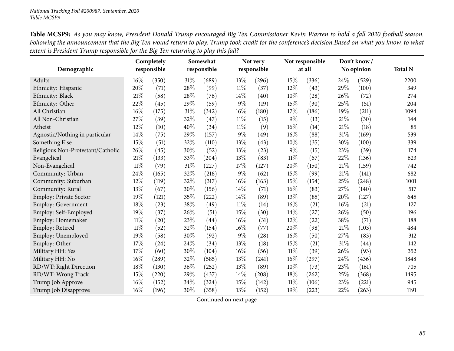Table MCSP9: As you may know, President Donald Trump encouraged Big Ten Commissioner Kevin Warren to hold a fall 2020 football season. Following the announcement that the Big Ten would return to play, Trump took credit for the conference's decision.Based on what you know, to what extent is President Trump responsible for the Big Ten returning to play this fall?

| Demographic                       |        | Completely<br>responsible |        | Somewhat<br>responsible |        | Not very<br>responsible |        | Not responsible<br>at all |      | Don't know/<br>No opinion | <b>Total N</b> |
|-----------------------------------|--------|---------------------------|--------|-------------------------|--------|-------------------------|--------|---------------------------|------|---------------------------|----------------|
| Adults                            | 16%    | (350)                     | $31\%$ | (689)                   | 13%    | (296)                   | 15%    | (336)                     | 24\% | (529)                     | 2200           |
| Ethnicity: Hispanic               | $20\%$ | (71)                      | 28\%   | (99)                    | $11\%$ | (37)                    | 12%    | (43)                      | 29%  | (100)                     | 349            |
| Ethnicity: Black                  | 21%    | (58)                      | 28\%   | (76)                    | 14%    | (40)                    | 10%    | (28)                      | 26%  | (72)                      | 274            |
| Ethnicity: Other                  | 22%    | (45)                      | 29%    | (59)                    | $9\%$  | (19)                    | 15%    | (30)                      | 25%  | (51)                      | 204            |
| All Christian                     | 16%    | (175)                     | $31\%$ | (342)                   | 16%    | (180)                   | 17%    | (186)                     | 19%  | (211)                     | 1094           |
| All Non-Christian                 | 27%    | (39)                      | 32%    | (47)                    | $11\%$ | (15)                    | $9\%$  | (13)                      | 21%  | (30)                      | 144            |
| Atheist                           | 12%    | (10)                      | 40%    | (34)                    | $11\%$ | (9)                     | 16%    | (14)                      | 21%  | (18)                      | 85             |
| Agnostic/Nothing in particular    | 14%    | (75)                      | 29%    | (157)                   | $9\%$  | (49)                    | 16%    | (88)                      | 31%  | (169)                     | 539            |
| Something Else                    | 15%    | (51)                      | 32%    | (110)                   | 13%    | (43)                    | 10%    | (35)                      | 30%  | (100)                     | 339            |
| Religious Non-Protestant/Catholic | 26%    | (45)                      | 30%    | (52)                    | 13%    | (23)                    | $9\%$  | (15)                      | 23\% | (39)                      | 174            |
| Evangelical                       | 21%    | (133)                     | 33%    | (204)                   | 13%    | (83)                    | $11\%$ | (67)                      | 22%  | (136)                     | 623            |
| Non-Evangelical                   | $11\%$ | (79)                      | $31\%$ | (227)                   | 17%    | (127)                   | 20%    | (150)                     | 21%  | (159)                     | 742            |
| Community: Urban                  | 24%    | (165)                     | 32%    | (216)                   | $9\%$  | (62)                    | 15%    | (99)                      | 21%  | (141)                     | 682            |
| Community: Suburban               | 12%    | (119)                     | 32%    | (317)                   | 16%    | (163)                   | 15%    | (154)                     | 25%  | (248)                     | 1001           |
| Community: Rural                  | 13%    | (67)                      | 30%    | (156)                   | 14%    | (71)                    | 16%    | (83)                      | 27%  | (140)                     | 517            |
| Employ: Private Sector            | 19%    | (121)                     | $35\%$ | (222)                   | 14%    | (89)                    | 13%    | (85)                      | 20%  | (127)                     | 645            |
| Employ: Government                | 18%    | (23)                      | 38%    | (49)                    | $11\%$ | (14)                    | 16%    | (21)                      | 16%  | (21)                      | 127            |
| Employ: Self-Employed             | 19%    | (37)                      | 26%    | (51)                    | 15%    | (30)                    | 14%    | (27)                      | 26%  | (50)                      | 196            |
| Employ: Homemaker                 | $11\%$ | (20)                      | 23%    | (44)                    | 16%    | (31)                    | 12%    | (22)                      | 38%  | (71)                      | 188            |
| Employ: Retired                   | $11\%$ | (52)                      | 32%    | (154)                   | 16%    | (77)                    | 20%    | (98)                      | 21%  | (103)                     | 484            |
| Employ: Unemployed                | 19%    | (58)                      | 30%    | (92)                    | $9\%$  | (28)                    | 16%    | (50)                      | 27%  | (83)                      | 312            |
| Employ: Other                     | 17%    | (24)                      | 24\%   | (34)                    | 13%    | (18)                    | 15%    | (21)                      | 31%  | (44)                      | 142            |
| Military HH: Yes                  | 17%    | (60)                      | 30%    | (104)                   | 16%    | (56)                    | $11\%$ | (39)                      | 26%  | (93)                      | 352            |
| Military HH: No                   | 16%    | (289)                     | 32%    | (585)                   | 13%    | (241)                   | 16%    | (297)                     | 24%  | (436)                     | 1848           |
| RD/WT: Right Direction            | 18%    | (130)                     | 36\%   | (252)                   | 13%    | (89)                    | 10%    | (73)                      | 23%  | (161)                     | 705            |
| RD/WT: Wrong Track                | 15%    | (220)                     | 29%    | (437)                   | 14%    | (208)                   | 18%    | (262)                     | 25%  | (368)                     | 1495           |
| Trump Job Approve                 | 16%    | (152)                     | 34%    | (324)                   | 15%    | (142)                   | $11\%$ | (106)                     | 23%  | (221)                     | 945            |
| Trump Job Disapprove              | 16%    | (196)                     | 30%    | (358)                   | 13%    | (152)                   | 19%    | (223)                     | 22%  | (263)                     | 1191           |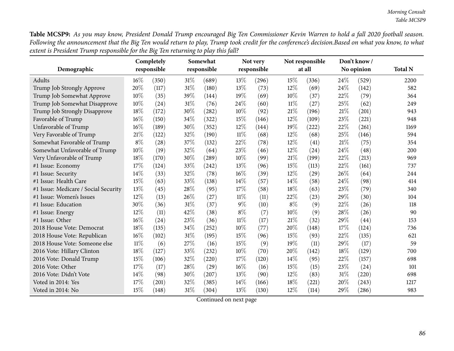Table MCSP9: As you may know, President Donald Trump encouraged Big Ten Commissioner Kevin Warren to hold a fall 2020 football season. Following the announcement that the Big Ten would return to play, Trump took credit for the conference's decision.Based on what you know, to what extent is President Trump responsible for the Big Ten returning to play this fall?

|                                      |        | Completely  |        | Somewhat    |        | Not very    |        | Not responsible |      | Don't know/ |                |
|--------------------------------------|--------|-------------|--------|-------------|--------|-------------|--------|-----------------|------|-------------|----------------|
| Demographic                          |        | responsible |        | responsible |        | responsible |        | at all          |      | No opinion  | <b>Total N</b> |
| Adults                               | $16\%$ | (350)       | 31%    | (689)       | 13%    | (296)       | 15%    | (336)           | 24\% | (529)       | 2200           |
| Trump Job Strongly Approve           | 20%    | (117)       | $31\%$ | (180)       | 13%    | (73)        | 12%    | (69)            | 24%  | (142)       | 582            |
| Trump Job Somewhat Approve           | 10%    | (35)        | 39%    | (144)       | 19%    | (69)        | 10%    | (37)            | 22%  | (79)        | 364            |
| Trump Job Somewhat Disapprove        | 10%    | (24)        | $31\%$ | (76)        | 24%    | (60)        | $11\%$ | (27)            | 25%  | (62)        | 249            |
| Trump Job Strongly Disapprove        | 18%    | (172)       | 30%    | (282)       | 10%    | (92)        | 21\%   | (196)           | 21\% | (201)       | 943            |
| Favorable of Trump                   | 16%    | (150)       | 34\%   | (322)       | 15%    | (146)       | 12%    | (109)           | 23%  | (221)       | 948            |
| Unfavorable of Trump                 | 16%    | (189)       | 30%    | (352)       | 12%    | (144)       | 19%    | (222)           | 22%  | (261)       | 1169           |
| Very Favorable of Trump              | $21\%$ | (122)       | 32%    | (190)       | $11\%$ | (68)        | 12%    | (68)            | 25%  | (146)       | 594            |
| Somewhat Favorable of Trump          | $8\%$  | (28)        | 37%    | (132)       | 22%    | (78)        | $12\%$ | (41)            | 21\% | (75)        | 354            |
| Somewhat Unfavorable of Trump        | 10%    | (19)        | 32%    | (64)        | 23%    | (46)        | $12\%$ | (24)            | 24%  | (48)        | 200            |
| Very Unfavorable of Trump            | 18%    | (170)       | 30%    | (289)       | 10%    | (99)        | 21%    | (199)           | 22%  | (213)       | 969            |
| #1 Issue: Economy                    | 17%    | (124)       | 33%    | (242)       | 13%    | (96)        | 15%    | (113)           | 22%  | (161)       | 737            |
| #1 Issue: Security                   | 14%    | (33)        | 32%    | (78)        | 16%    | (39)        | 12%    | (29)            | 26%  | (64)        | 244            |
| #1 Issue: Health Care                | 15%    | (63)        | 33%    | (138)       | 14%    | (57)        | 14%    | (58)            | 24%  | (98)        | 414            |
| #1 Issue: Medicare / Social Security | 13%    | (45)        | 28%    | (95)        | 17%    | (58)        | 18%    | (63)            | 23%  | (79)        | 340            |
| #1 Issue: Women's Issues             | 12%    | (13)        | 26%    | (27)        | $11\%$ | (11)        | 22%    | (23)            | 29%  | (30)        | 104            |
| #1 Issue: Education                  | 30%    | (36)        | $31\%$ | (37)        | $9\%$  | (10)        | $8\%$  | (9)             | 22%  | (26)        | 118            |
| #1 Issue: Energy                     | 12%    | (11)        | 42%    | (38)        | $8\%$  | (7)         | 10%    | (9)             | 28%  | (26)        | 90             |
| #1 Issue: Other                      | $16\%$ | (24)        | 23%    | (36)        | $11\%$ | (17)        | 21\%   | (32)            | 29%  | (44)        | 153            |
| 2018 House Vote: Democrat            | 18%    | (135)       | 34\%   | (252)       | 10%    | (77)        | 20%    | (148)           | 17%  | (124)       | 736            |
| 2018 House Vote: Republican          | 16%    | (102)       | $31\%$ | (195)       | 15%    | (96)        | 15%    | (93)            | 22%  | (135)       | 621            |
| 2018 House Vote: Someone else        | $11\%$ | (6)         | 27%    | (16)        | 15%    | (9)         | 19%    | (11)            | 29%  | (17)        | 59             |
| 2016 Vote: Hillary Clinton           | 18%    | (127)       | 33%    | (232)       | 10%    | (70)        | 20%    | (142)           | 18%  | (129)       | 700            |
| 2016 Vote: Donald Trump              | 15%    | (106)       | 32%    | (220)       | 17%    | (120)       | 14%    | (95)            | 22%  | (157)       | 698            |
| 2016 Vote: Other                     | 17%    | (17)        | 28\%   | (29)        | 16%    | (16)        | 15%    | (15)            | 23%  | (24)        | 101            |
| 2016 Vote: Didn't Vote               | 14%    | (98)        | 30%    | (207)       | 13%    | (90)        | 12%    | (83)            | 31%  | (220)       | 698            |
| Voted in 2014: Yes                   | 17%    | (201)       | 32%    | (385)       | 14%    | (166)       | 18%    | (221)           | 20%  | (243)       | 1217           |
| Voted in 2014: No                    | 15%    | (148)       | $31\%$ | (304)       | 13%    | (130)       | 12%    | (114)           | 29%  | (286)       | 983            |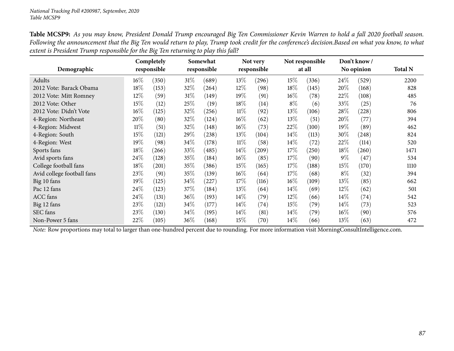| Table MCSP9: As you may know, President Donald Trump encouraged Big Ten Commissioner Kevin Warren to hold a fall 2020 football season.            |
|---------------------------------------------------------------------------------------------------------------------------------------------------|
| Following the announcement that the Big Ten would return to play, Trump took credit for the conference's decision.Based on what you know, to what |
| extent is President Trump responsible for the Big Ten returning to play this fall?                                                                |

|                            |        | Completely  |        | Somewhat    |        | Not very    |        | Not responsible |        | Don't know / |                |
|----------------------------|--------|-------------|--------|-------------|--------|-------------|--------|-----------------|--------|--------------|----------------|
| Demographic                |        | responsible |        | responsible |        | responsible |        | at all          |        | No opinion   | <b>Total N</b> |
| Adults                     | $16\%$ | (350)       | $31\%$ | (689)       | 13\%   | (296)       | 15%    | (336)           | 24\%   | (529)        | 2200           |
| 2012 Vote: Barack Obama    | 18%    | (153)       | 32\%   | (264)       | 12\%   | (98)        | 18%    | (145)           | 20%    | (168)        | 828            |
| 2012 Vote: Mitt Romney     | 12%    | (59)        | $31\%$ | (149)       | 19%    | (91)        | $16\%$ | (78)            | 22%    | (108)        | 485            |
| 2012 Vote: Other           | 15%    | (12)        | 25%    | (19)        | 18%    | (14)        | $8\%$  | (6)             | 33\%   | (25)         | 76             |
| 2012 Vote: Didn't Vote     | $16\%$ | (125)       | 32%    | (256)       | $11\%$ | (92)        | 13%    | (106)           | 28%    | (228)        | 806            |
| 4-Region: Northeast        | 20%    | (80)        | 32\%   | (124)       | $16\%$ | (62)        | $13\%$ | (51)            | 20%    | (77)         | 394            |
| 4-Region: Midwest          | $11\%$ | (51)        | 32%    | (148)       | $16\%$ | (73)        | 22%    | (100)           | 19%    | (89)         | 462            |
| 4-Region: South            | 15%    | (121)       | 29\%   | (238)       | 13\%   | (104)       | $14\%$ | (113)           | $30\%$ | (248)        | 824            |
| 4-Region: West             | 19%    | (98)        | 34\%   | (178)       | $11\%$ | (58)        | $14\%$ | (72)            | 22%    | (114)        | 520            |
| Sports fans                | 18%    | (266)       | 33\%   | (485)       | $14\%$ | (209)       | 17\%   | (250)           | 18%    | (260)        | 1471           |
| Avid sports fans           | 24%    | (128)       | 35\%   | (184)       | $16\%$ | (85)        | 17%    | (90)            | $9\%$  | (47)         | 534            |
| College football fans      | 18%    | (201)       | $35\%$ | (386)       | 15\%   | (165)       | 17\%   | (188)           | 15%    | (170)        | 1110           |
| Avid college football fans | 23%    | (91)        | $35\%$ | (139)       | $16\%$ | (64)        | 17%    | (68)            | $8\%$  | (32)         | 394            |
| Big 10 fans                | 19%    | (125)       | 34\%   | (227)       | 17%    | (116)       | 16%    | (109)           | 13\%   | (85)         | 662            |
| Pac 12 fans                | 24%    | (123)       | $37\%$ | (184)       | 13\%   | (64)        | $14\%$ | (69)            | 12\%   | (62)         | 501            |
| <b>ACC</b> fans            | 24\%   | (131)       | 36\%   | (193)       | $14\%$ | (79)        | $12\%$ | (66)            | 14\%   | (74)         | 542            |
| Big 12 fans                | 23%    | (121)       | 34\%   | (177)       | $14\%$ | (74)        | 15%    | (79)            | 14\%   | (73)         | 523            |
| SEC fans                   | 23%    | (130)       | 34\%   | (195)       | $14\%$ | (81)        | $14\%$ | (79)            | 16%    | (90)         | 576            |
| Non-Power 5 fans           | 22%    | (105)       | 36\%   | (168)       | 15\%   | (70)        | 14%    | (66)            | 13%    | (63)         | 472            |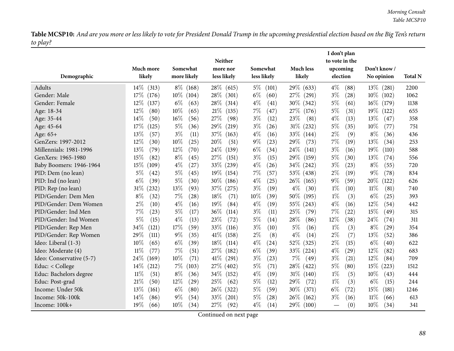|                          |                 |                 |                 |                |                  | I don't plan   |                 |                |
|--------------------------|-----------------|-----------------|-----------------|----------------|------------------|----------------|-----------------|----------------|
|                          |                 |                 | <b>Neither</b>  |                |                  | to vote in the |                 |                |
|                          | Much more       | Somewhat        | more nor        | Somewhat       | <b>Much less</b> | upcoming       | Don't know/     |                |
| Demographic              | likely          | more likely     | less likely     | less likely    | likely           | election       | No opinion      | <b>Total N</b> |
| Adults                   | $14\%$<br>(313) | $8\%$ (168)     | 28\%<br>(615)   | $5\%$<br>(101) | 29\% (633)       | $4\%$<br>(88)  | $13\%$ (281)    | 2200           |
| Gender: Male             | 17%<br>(176)    | $10\%$<br>(104) | 28%<br>(301)    | $6\%$<br>(60)  | 27%<br>(291)     | $3\%$<br>(28)  | $10\%$<br>(102) | 1062           |
| Gender: Female           | $12\%$<br>(137) | $6\%$<br>(63)   | 28\%<br>(314)   | $4\%$<br>(41)  | $30\%$ (342)     | $5\%$<br>(61)  | $16\%$<br>(179) | 1138           |
| Age: 18-34               | $12\%$<br>(80)  | $10\%$<br>(65)  | 21%<br>(135)    | $7\%$<br>(47)  | 27\% (176)       | 5%<br>(31)     | $19\%$<br>(122) | 655            |
| Age: 35-44               | 14\%<br>(50)    | $16\%$<br>(56)  | 27%<br>(98)     | $3\%$<br>(12)  | 23%<br>(81)      | $4\%$<br>(13)  | 13%<br>(47)     | 358            |
| Age: 45-64               | 17\%<br>(125)   | $5\%$<br>(36)   | 29%<br>(219)    | $3\%$<br>(26)  | $31\%$<br>(232)  | $5\%$<br>(35)  | 10%<br>(77)     | 751            |
| Age: 65+                 | 13%<br>(57)     | $3\%$<br>(11)   | 37%<br>(163)    | $4\%$<br>(16)  | 33\% (144)       | $2\%$<br>(9)   | $8\%$<br>(36)   | 436            |
| GenZers: 1997-2012       | $12\%$<br>(30)  | $10\%$<br>(25)  | 20%<br>(51)     | $9\%$<br>(23)  | 29%<br>(73)      | 7%<br>(19)     | 13%<br>(34)     | 253            |
| Millennials: 1981-1996   | 13%<br>(79)     | $12\%$<br>(70)  | $24\%$<br>(139) | $6\%$<br>(34)  | 24\%<br>(141)    | $3\%$<br>(16)  | 19%<br>(110)    | 588            |
| GenXers: 1965-1980       | 15%<br>(82)     | $8\%$<br>(45)   | 27%<br>(151)    | $3\%$<br>(15)  | 29%<br>(159)     | $5\%$<br>(30)  | 13%<br>(74)     | 556            |
| Baby Boomers: 1946-1964  | 15%<br>(109)    | $4\%$<br>(27)   | 33\%<br>(239)   | $4\%$<br>(26)  | 34\% (242)       | $3\%$<br>(23)  | $8\%$<br>(55)   | 720            |
| PID: Dem (no lean)       | $5\%$<br>(42)   | $5\%$<br>(45)   | $19\%$<br>(154) | 7%<br>(57)     | 53\% (438)       | $2\%$<br>(19)  | 9%<br>(78)      | 834            |
| PID: Ind (no lean)       | $6\%$<br>(39)   | $5\%$<br>(30)   | 30\%<br>(186)   | $4\%$<br>(25)  | $26\%$<br>(165)  | $9\%$<br>(59)  | 20\%<br>(122)   | 626            |
| PID: Rep (no lean)       | $31\%$<br>(232) | 13%<br>(93)     | 37%<br>(275)    | $3\%$<br>(19)  | $4\%$<br>(30)    | $1\%$<br>(10)  | 11%<br>(81)     | 740            |
| PID/Gender: Dem Men      | $8\%$<br>(32)   | $7\%$<br>(28)   | 18\%<br>(71)    | 10%<br>(39)    | 50%<br>(195)     | $1\%$<br>(3)   | $6\%$<br>(25)   | 393            |
| PID/Gender: Dem Women    | $2\%$<br>(10)   | $4\%$<br>(16)   | 19%<br>(84)     | $4\%$<br>(19)  | 55\%<br>(243)    | $4\%$<br>(16)  | 12%<br>(54)     | 442            |
| PID/Gender: Ind Men      | 7%<br>(23)      | $5\%$<br>(17)   | 36%<br>(114)    | $3\%$<br>(11)  | 25%<br>(79)      | 7%<br>(22)     | 15%<br>(49)     | 315            |
| PID/Gender: Ind Women    | 5%<br>(15)      | $4\%$<br>(13)   | 23%<br>(72)     | $5\%$<br>(14)  | 28%<br>(86)      | $12\%$<br>(38) | 24%<br>(74)     | 311            |
| PID/Gender: Rep Men      | 34%<br>(121)    | 17%<br>(59)     | 33%<br>(116)    | $3\%$<br>(10)  | $5\%$<br>(16)    | $1\%$<br>(3)   | $8\%$<br>(29)   | 354            |
| PID/Gender: Rep Women    | 29%<br>(111)    | $9\%$<br>(35)   | 41\%<br>(158)   | $2\%$<br>(8)   | $4\%$<br>(14)    | $2\%$<br>(7)   | 13%<br>(52)     | 386            |
| Ideo: Liberal (1-3)      | 10%<br>(65)     | $6\%$<br>(39)   | 18%<br>(114)    | $4\%$<br>(24)  | 52\%<br>(325)    | $2\%$<br>(15)  | $6\%$<br>(40)   | 622            |
| Ideo: Moderate (4)       | $11\%$<br>(77)  | $7\%$<br>(51)   | 27%<br>(182)    | $6\%$<br>(39)  | $33\%$ (224)     | $4\%$<br>(29)  | $12\%$<br>(82)  | 683            |
| Ideo: Conservative (5-7) | 24%<br>(169)    | $10\%$<br>(71)  | $41\%$<br>(291) | $3\%$<br>(23)  | $7\%$<br>(49)    | $3\%$<br>(21)  | 12%<br>(84)     | 709            |
| Educ: < College          | $14\%$<br>(212) | $7\%$<br>(103)  | 27\%<br>(402)   | $5\%$<br>(71)  | 28\% (422)       | $5\%$<br>(80)  | 15%<br>(223)    | 1512           |
| Educ: Bachelors degree   | $11\%$<br>(51)  | $8\%$<br>(36)   | 34\%<br>(152)   | $4\%$<br>(19)  | 31\% (140)       | $1\%$<br>(5)   | 10%<br>(43)     | 444            |
| Educ: Post-grad          | 21%<br>(50)     | $12\%$<br>(29)  | 25%<br>(62)     | $5\%$<br>(12)  | 29%<br>(72)      | $1\%$<br>(3)   | $6\%$<br>(15)   | 244            |
| Income: Under 50k        | 13\%<br>(161)   | $6\%$<br>(80)   | 26\%<br>(322)   | 5%<br>(59)     | 30\%<br>(371)    | $6\%$<br>(72)  | 15%<br>(181)    | 1246           |
| Income: 50k-100k         | $14\%$<br>(86)  | $9\%$<br>(54)   | 33\%<br>(201)   | $5\%$<br>(28)  | $26\%$<br>(162)  | $3\%$<br>(16)  | 11%<br>(66)     | 613            |
| Income: 100k+            | 19%<br>(66)     | $10\%$<br>(34)  | 27\%<br>(92)    | $4\%$<br>(14)  | 29\% (100)       | (0)            | 10%<br>(34)     | 341            |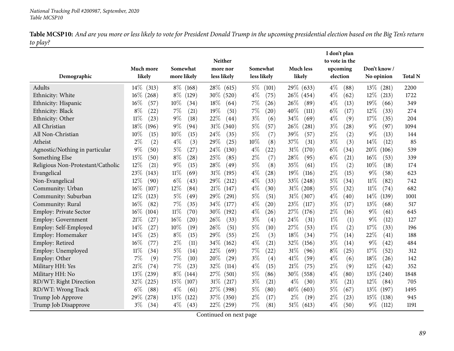|                                   |                     |                           | Neither                 |                             |                            | I don't plan<br>to vote in the |                            |                |
|-----------------------------------|---------------------|---------------------------|-------------------------|-----------------------------|----------------------------|--------------------------------|----------------------------|----------------|
| Demographic                       | Much more<br>likely | Somewhat<br>more likely   | more nor<br>less likely | Somewhat<br>less likely     | <b>Much less</b><br>likely | upcoming<br>election           | Don't know /<br>No opinion | <b>Total N</b> |
|                                   |                     |                           |                         |                             |                            |                                |                            |                |
| Adults                            | $14\%$<br>(313)     | $8\%$<br>(168)            | $28\%$<br>(615)         | $5\%$<br>(101)              | 29\% (633)                 | $4\%$<br>(88)                  | $13\%$<br>(281)            | 2200           |
| Ethnicity: White                  | $16\%$ (268)        | $8\%$<br>(129)            | 30\% (520)              | $4\%$<br>(75)               | 26\% (454)                 | $4\%$<br>(62)                  | 12\%<br>(213)              | 1722           |
| Ethnicity: Hispanic               | $16\%$<br>(57)      | 10%<br>(34)               | 18%<br>(64)             | 7%<br>(26)                  | 26\%<br>(89)               | $4\%$<br>(13)                  | 19%<br>(66)                | 349            |
| Ethnicity: Black                  | $8\%$<br>(22)       | 7%<br>(21)                | 19%<br>(51)             | 7%<br>(20)                  | 40%<br>(111)               | $6\%$<br>(17)                  | $12\%$<br>(33)             | 274            |
| Ethnicity: Other                  | $11\%$<br>(23)      | $9\%$<br>(18)             | 22%<br>(44)             | $3\%$<br>(6)                | 34%<br>(69)                | $4\%$<br>(9)                   | 17%<br>(35)                | 204            |
| All Christian                     | 18%<br>(196)        | $9\%$<br>(94)             | $31\%$<br>(340)         | $5\%$<br>(57)               | 26\%<br>(281)              | $3\%$<br>(28)                  | $9\%$<br>(97)              | 1094           |
| All Non-Christian                 | 10%<br>(15)         | 10%<br>(15)               | 24%<br>(35)             | $5\%$<br>(7)                | 39\%<br>(57)               | $2\%$<br>(2)                   | $9\%$<br>(13)              | 144            |
| Atheist                           | $2\%$<br>(2)        | $4\%$<br>(3)              | 29%<br>(25)             | 10%<br>(8)                  | 37%<br>(31)                | $3\%$<br>(3)                   | 14%<br>(12)                | 85             |
| Agnostic/Nothing in particular    | 9%<br>(50)          | 5%<br>(27)                | 24\%<br>(130)           | $4\%$<br>(22)               | $31\%$<br>(170)            | $6\%$<br>(34)                  | 20\%<br>(106)              | 539            |
| Something Else                    | 15%<br>(50)         | $8\%$<br>(28)             | 25%<br>(85)             | $2\%$<br>(7)                | 28%<br>(95)                | $6\%$<br>(21)                  | 16%<br>(53)                | 339            |
| Religious Non-Protestant/Catholic | 12%<br>(21)         | $9\%$<br>(15)             | 28%<br>(49)             | $5\%$<br>(8)                | 35%<br>(61)                | $1\%$<br>(2)                   | 10%<br>(18)                | 174            |
| Evangelical                       | 23\%<br>(143)       | 11%<br>(69)               | $31\%$<br>(195)         | $4\%$<br>(28)               | 19%<br>(116)               | $2\%$<br>(15)                  | $9\%$<br>(58)              | 623            |
| Non-Evangelical                   | 12%<br>(90)         | $6\%$<br>(43)             | 29%<br>(212)            | $4\%$<br>(33)               | 33\% (248)                 | $5\%$<br>(34)                  | $11\%$<br>(82)             | 742            |
| Community: Urban                  | 16%<br>(107)        | 12%<br>(84)               | 21%<br>(147)            | $4\%$<br>(30)               | $31\%$ (208)               | $5\%$<br>(32)                  | $11\%$<br>(74)             | 682            |
| Community: Suburban               | 12%<br>(123)        | 5%<br>(49)                | 29%<br>(291)            | $5\%$<br>(51)               | $31\%$ (307)               | $4\%$<br>(40)                  | 14%<br>(139)               | 1001           |
| Community: Rural                  | $16\%$<br>(82)      | 7%<br>(35)                | 34\%<br>(177)           | $4\%$<br>$\left( 20\right)$ | 23\%<br>(117)              | $3\%$<br>(17)                  | 13\%<br>(68)               | 517            |
| <b>Employ: Private Sector</b>     | $16\%$<br>(104)     | 11%<br>(70)               | 30%<br>(192)            | $4\%$<br>(26)               | 27\%<br>(176)              | $2\%$<br>(16)                  | $9\%$<br>(61)              | 645            |
| <b>Employ: Government</b>         | 21%<br>(27)         | 16%<br>$\left( 20\right)$ | 26%<br>(33)             | $3\%$<br>(4)                | 24%<br>(31)                | $1\%$<br>(1)                   | $9\%$<br>(12)              | 127            |
| Employ: Self-Employed             | 14%<br>(27)         | 10%<br>(19)               | 26%<br>(51)             | $5\%$<br>(10)               | 27%<br>(53)                | $1\%$<br>(2)                   | 17%<br>(33)                | 196            |
| Employ: Homemaker                 | 14%<br>(25)         | $8\%$<br>(15)             | 29%<br>(55)             | $2\%$<br>(3)                | 18%<br>(34)                | 7%<br>(14)                     | 22%<br>(41)                | 188            |
| Employ: Retired                   | 16%<br>(77)         | $2\%$<br>(11)             | 34%<br>(162)            | $4\%$<br>(21)               | $32\%$<br>(156)            | $3\%$<br>(14)                  | $9\%$<br>(42)              | 484            |
| Employ: Unemployed                | $11\%$<br>(34)      | $5\%$<br>(14)             | 22%<br>(69)             | $7\%$<br>(22)               | 31%<br>(96)                | $8\%$<br>(25)                  | 17%<br>(52)                | 312            |
| Employ: Other                     | 7%<br>(9)           | 7%<br>(10)                | 20%<br>(29)             | $3\%$<br>(4)                | 41%<br>(59)                | $4\%$<br>(6)                   | 18%<br>(26)                | 142            |
| Military HH: Yes                  | 21%<br>(74)         | 7%<br>(23)                | 32%<br>(114)            | $4\%$<br>(15)               | 21\%<br>(75)               | $2\%$<br>(9)                   | $12\%$<br>(42)             | 352            |
| Military HH: No                   | $13\%$<br>(239)     | $8\%$<br>(144)            | 27\%<br>(501)           | $5\%$<br>(86)               | $30\%$<br>(558)            | $4\%$<br>(80)                  | 13\%<br>(240)              | 1848           |
| RD/WT: Right Direction            | $32\%$<br>(225)     | 15%<br>(107)              | $31\%$<br>(217)         | $3\%$<br>(21)               | $4\%$<br>(30)              | $3\%$<br>(21)                  | $12\%$<br>(84)             | 705            |
| RD/WT: Wrong Track                | $6\%$<br>(88)       | $4\%$<br>(61)             | 27\%<br>(398)           | $5\%$<br>(80)               | $40\%$ (603)               | $5\%$<br>(67)                  | 13%<br>(197)               | 1495           |
| Trump Job Approve                 | 29%<br>(278)        | 13%<br>(122)              | 37\%<br>(350)           | $2\%$<br>(17)               | $2\%$<br>(19)              | $2\%$<br>(23)                  | 15%<br>(138)               | 945            |
| Trump Job Disapprove              | $3\%$<br>(34)       | $4\%$<br>(43)             | $22\%$ (259)            | 7%<br>(81)                  | $51\%$ (613)               | $4\%$<br>(50)                  | $9\%$<br>(112)             | 1191           |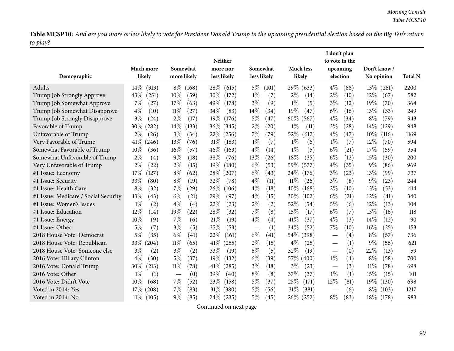|                                      |                 |                |                         |                |                  | I don't plan                           |                 |                |
|--------------------------------------|-----------------|----------------|-------------------------|----------------|------------------|----------------------------------------|-----------------|----------------|
|                                      | Much more       | Somewhat       | <b>Neither</b>          | Somewhat       | <b>Much less</b> | to vote in the                         | Don't know /    |                |
| Demographic                          | likely          | more likely    | more nor<br>less likely | less likely    | likely           | upcoming<br>election                   | No opinion      | <b>Total N</b> |
|                                      |                 |                |                         |                |                  |                                        |                 |                |
| Adults                               | $14\%$<br>(313) | $8\%$<br>(168) | 28\% (615)              | $5\%$<br>(101) | 29\% (633)       | $4\%$<br>(88)                          | $13\%$ (281)    | 2200           |
| Trump Job Strongly Approve           | 43\%<br>(251)   | 10%<br>(59)    | $30\%$<br>(172)         | $1\%$<br>(7)   | $2\%$<br>(14)    | $2\%$<br>(10)                          | 12%<br>(67)     | 582            |
| Trump Job Somewhat Approve           | 7%<br>(27)      | 17%<br>(63)    | 49\%<br>(178)           | $3\%$<br>(9)   | $1\%$<br>(5)     | $3\%$<br>(12)                          | 19%<br>(70)     | 364            |
| Trump Job Somewhat Disapprove        | $4\%$<br>(10)   | $11\%$<br>(27) | 34\%<br>(83)            | 14%<br>(34)    | 19%<br>(47)      | $6\%$<br>(16)                          | 13\%<br>(33)    | 249            |
| Trump Job Strongly Disapprove        | $3\%$<br>(24)   | $2\%$<br>(17)  | $19\%$<br>(176)         | 5%<br>(47)     | $60\%$<br>(567)  | $4\%$<br>(34)                          | $8\%$<br>(79)   | 943            |
| Favorable of Trump                   | 30\%<br>(282)   | 14%<br>(133)   | 36\% (345)              | $2\%$<br>(20)  | $1\%$<br>(11)    | $3\%$<br>(28)                          | $14\%$<br>(129) | 948            |
| Unfavorable of Trump                 | $2\%$<br>(26)   | $3\%$<br>(34)  | $22\%$<br>(256)         | 7%<br>(79)     | 52%<br>(612)     | $4\%$<br>(47)                          | 10%<br>(116)    | 1169           |
| Very Favorable of Trump              | $41\%$ (246)    | 13%<br>(76)    | $31\%$<br>(183)         | $1\%$<br>(7)   | $1\%$<br>(6)     | $1\%$<br>(7)                           | 12%<br>(70)     | 594            |
| Somewhat Favorable of Trump          | $10\%$<br>(36)  | 16%<br>(57)    | $46\%$<br>(163)         | $4\%$<br>(14)  | $1\%$<br>(5)     | $6\%$<br>(21)                          | 17%<br>(59)     | 354            |
| Somewhat Unfavorable of Trump        | $2\%$<br>(4)    | $9\%$<br>(18)  | 38\%<br>(76)            | 13%<br>(26)    | 18%<br>(35)      | $6\%$<br>(12)                          | 15%<br>(30)     | 200            |
| Very Unfavorable of Trump            | $2\%$<br>(22)   | $2\%$<br>(15)  | $19\%$<br>(180)         | $6\%$<br>(53)  | 59%<br>(577)     | $4\%$<br>(35)                          | 9%<br>(86)      | 969            |
| #1 Issue: Economy                    | 17%<br>(127)    | $8\%$<br>(62)  | $28\%$<br>(207)         | $6\%$<br>(43)  | $24\%$<br>(176)  | $3\%$<br>(23)                          | 13%<br>(99)     | 737            |
| #1 Issue: Security                   | 33%<br>(80)     | $8\%$<br>(19)  | 32%<br>(78)             | $4\%$<br>(11)  | $11\%$<br>(26)   | $3\%$<br>(8)                           | 9%<br>(23)      | 244            |
| #1 Issue: Health Care                | $8\%$<br>(32)   | 7%<br>(29)     | 26\%<br>(106)           | $4\%$<br>(18)  | 40\%<br>(168)    | $2\%$<br>(10)                          | 13\%<br>(53)    | 414            |
| #1 Issue: Medicare / Social Security | 13%<br>(43)     | $6\%$<br>(21)  | 29%<br>(97)             | $4\%$<br>(15)  | 30\%<br>(102)    | $6\%$<br>(21)                          | $12\%$<br>(41)  | 340            |
| #1 Issue: Women's Issues             | $1\%$<br>(2)    | $4\%$<br>(4)   | 22%<br>(23)             | $2\%$<br>(2)   | 52%<br>(54)      | 5%<br>(6)                              | 12%<br>(13)     | 104            |
| #1 Issue: Education                  | $12\%$<br>(14)  | 19%<br>(22)    | 28%<br>(32)             | 7%<br>(8)      | 15%<br>(17)      | $6\%$<br>(7)                           | 13%<br>(16)     | 118            |
| #1 Issue: Energy                     | 10%<br>(9)      | 7%<br>(6)      | 21%<br>(19)             | $4\%$<br>(4)   | 41\%<br>(37)     | $4\%$<br>(3)                           | 14%<br>(12)     | 90             |
| #1 Issue: Other                      | $5\%$<br>(7)    | $3\%$<br>(5)   | 35%<br>(53)             | (1)            | 34%<br>(52)      | 7%<br>(10)                             | 16%<br>(25)     | 153            |
| 2018 House Vote: Democrat            | $5\%$<br>(35)   | $6\%$<br>(41)  | 22%<br>(161)            | $6\%$<br>(41)  | $54\%$<br>(398)  | (4)                                    | $8\%$<br>(57)   | 736            |
| 2018 House Vote: Republican          | 33%<br>(204)    | $11\%$<br>(65) | $41\%$<br>(255)         | $2\%$<br>(15)  | $4\%$<br>(25)    | (1)<br>$\hspace{0.1mm}-\hspace{0.1mm}$ | 9%<br>(56)      | 621            |
| 2018 House Vote: Someone else        | $3\%$<br>(2)    | $3\%$<br>(2)   | 33\%<br>(19)            | $8\%$<br>(5)   | 32%<br>(19)      | (0)                                    | 22%<br>(13)     | 59             |
| 2016 Vote: Hillary Clinton           | $4\%$<br>(30)   | $5\%$<br>(37)  | $19\%$<br>(132)         | $6\%$<br>(39)  | 57% (400)        | $1\%$<br>(4)                           | $8\%$<br>(58)   | 700            |
| 2016 Vote: Donald Trump              | 30%<br>(213)    | 11%<br>(78)    | $41\%$<br>(285)         | $3\%$<br>(18)  | $3\%$<br>(23)    | (3)                                    | $11\%$<br>(78)  | 698            |
| 2016 Vote: Other                     | $1\%$<br>(1)    | (0)            | 39\%<br>(40)            | $8\%$<br>(8)   | 37%<br>(37)      | $1\%$<br>(1)                           | 15%<br>(15)     | 101            |
| 2016 Vote: Didn't Vote               | 10%<br>(68)     | 7%<br>(52)     | $23\%$<br>(158)         | $5\%$<br>(37)  | 25%<br>(171)     | 12%<br>(81)                            | $19\%$<br>(130) | 698            |
| Voted in 2014: Yes                   | $17\%$<br>(208) | $7\%$<br>(83)  | $31\%$ (380)            | 5%<br>(56)     | 31%<br>(381)     | (6)                                    | $8\%$<br>(103)  | 1217           |
| Voted in 2014: No                    | $11\%$<br>(105) | $9\%$<br>(85)  | $24\%$ (235)            | $5\%$<br>(45)  | 26\% (252)       | $8\%$<br>(83)                          | $18\%$ (178)    | 983            |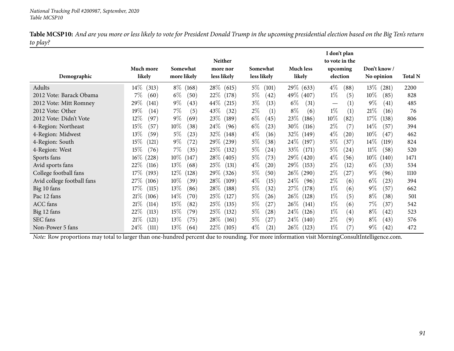| Demographic                | <b>Much more</b><br>likely | Somewhat<br>more likely | Neither<br>more nor<br>less likely | Somewhat<br>less likely     | <b>Much less</b><br>likely | I don't plan<br>to vote in the<br>upcoming<br>election | Don't know /<br>No opinion | <b>Total N</b> |
|----------------------------|----------------------------|-------------------------|------------------------------------|-----------------------------|----------------------------|--------------------------------------------------------|----------------------------|----------------|
| Adults                     | $14\%$<br>(313)            | $8\%$<br>(168)          | $28\%$ (615)                       | $5\%$<br>(101)              | 29\% (633)                 | $4\%$<br>(88)                                          | $13\%$ (281)               | 2200           |
| 2012 Vote: Barack Obama    | $7\%$<br>(60)              | $6\%$<br>(50)           | 22\% (178)                         | $5\%$<br>(42)               | 49% (407)                  | $1\%$<br>(5)                                           | $10\%$<br>(85)             | 828            |
| 2012 Vote: Mitt Romney     | 29\%<br>(141)              | $9\%$<br>(43)           | $44\%$<br>(215)                    | $3\%$<br>(13)               | $6\%$<br>(31)              | (1)<br>$\hspace{0.1mm}-\hspace{0.1mm}$                 | $9\%$<br>(41)              | 485            |
| 2012 Vote: Other           | 19%<br>(14)                | $7\%$<br>(5)            | 43\%<br>(32)                       | $2\%$<br>(1)                | $8\%$<br>(6)               | $1\%$<br>(1)                                           | 21%<br>(16)                | 76             |
| 2012 Vote: Didn't Vote     | 12%<br>(97)                | $9\%$<br>(69            | 23%<br>(189)                       | $6\%$<br>(45)               | 23\%<br>(186)              | $10\%$<br>(82)                                         | 17%<br>(138)               | 806            |
| 4-Region: Northeast        | 15\%<br>(57                | $10\%$<br>(38)          | 24%<br>(96)                        | $6\%$<br>(23)               | $30\%$<br>(116)            | $2\%$<br>(7)                                           | $14\%$<br>(57)             | 394            |
| 4-Region: Midwest          | $13\%$<br>(59)             | $5\%$<br>(23)           | 32\% (148)                         | $4\%$<br>(16)               | 32\% (149)                 | $4\%$<br>(20)                                          | $10\%$<br>(47)             | 462            |
| 4-Region: South            | $15\%$<br>(121)            | $9\%$<br>(72)           | 29\% (239)                         | $5\%$<br>(38)               | 24\% (197)                 | $5\%$<br>(37)                                          | $14\%$<br>(119)            | 824            |
| 4-Region: West             | $15\%$<br>(76)             | $7\%$<br>(35)           | 25\% (132)                         | $5\%$<br>(24)               | 33\%<br>(171)              | $5\%$<br>(24)                                          | $11\%$<br>(58)             | 520            |
| Sports fans                | $16\%$<br>(228)            | $10\%$<br>(147)         | 28\% (405)                         | $5\%$<br>(73)               | 29% (420)                  | $4\%$<br>(56)                                          | $10\%$<br>(140)            | 1471           |
| Avid sports fans           | 22\%<br>(116)              | 13\%<br>(68)            | 25\%<br>(131)                      | $4\%$<br>(20)               | 29\% (153)                 | $2\%$<br>(12)                                          | $6\%$<br>(33)              | 534            |
| College football fans      | $17\%$<br>(193)            | $12\%$<br>(128)         | $29\%$<br>(326)                    | $5\%$<br>(50)               | 26\% (290)                 | $2\%$<br>(27)                                          | $9\%$<br>(96)              | 1110           |
| Avid college football fans | 27\% (106)                 | $10\%$<br>(39)          | $28\%$<br>(109)                    | $4\%$<br>(15)               | $24\%$<br>(96)             | $2\%$<br>(6)                                           | $6\%$<br>(23)              | 394            |
| Big 10 fans                | $17\%$<br>(115)            | 13\%<br>(86)            | $28\%$<br>(188)                    | $5\%$<br>(32)               | 27\% (178)                 | $1\%$<br>(6)                                           | $9\%$<br>(57)              | 662            |
| Pac 12 fans                | $21\%$ (106)               | $14\%$<br>(70)          | $25\%$<br>(127)                    | $5\%$<br>(26)               | 26\% (128)                 | $1\%$<br>(5)                                           | $8\%$<br>(38)              | 501            |
| <b>ACC</b> fans            | $21\%$<br>(114)            | 15\%<br>(82)            | 25\%<br>(135)                      | $5\%$<br>(27)               | $26\%$ (141)               | $1\%$<br>(6)                                           | 7%<br>(37)                 | 542            |
| Big 12 fans                | 22\%<br>(113)              | 15%<br>(79)             | 25\%<br>(132)                      | $5\%$<br>$\left( 28\right)$ | $24\%$<br>(126)            | $1\%$<br>(4)                                           | $8\%$<br>(42)              | 523            |
| SEC fans                   | 21%<br>(121)               | $13\%$<br>(75)          | 28\%<br>(161)                      | $5\%$<br>(27)               | $24\%$ (<br>(140)          | $2\%$<br>(9)                                           | $8\%$<br>(43)              | 576            |
| Non-Power 5 fans           | $24\%$<br>(111)            | 13\%<br>(64)            | 22\%<br>(105)                      | $4\%$<br>(21)               | 26\% (123)                 | $1\%$<br>(7)                                           | $9\%$<br>(42)              | 472            |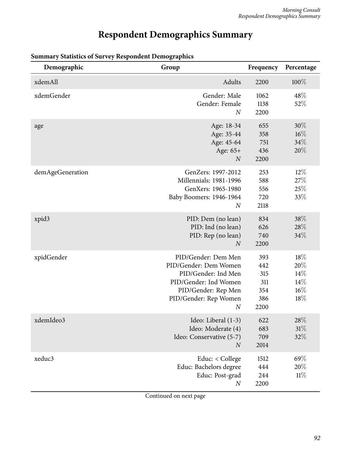## **Respondent Demographics Summary**

| Demographic      | Group                                                                                                                                                            | Frequency                                      | Percentage                                |
|------------------|------------------------------------------------------------------------------------------------------------------------------------------------------------------|------------------------------------------------|-------------------------------------------|
| xdemAll          | Adults                                                                                                                                                           | 2200                                           | 100%                                      |
| xdemGender       | Gender: Male<br>Gender: Female<br>$\overline{N}$                                                                                                                 | 1062<br>1138<br>2200                           | 48\%<br>52%                               |
| age              | Age: 18-34<br>Age: 35-44<br>Age: 45-64<br>Age: 65+<br>$\boldsymbol{N}$                                                                                           | 655<br>358<br>751<br>436<br>2200               | $30\%$<br>$16\%$<br>34%<br>20%            |
| demAgeGeneration | GenZers: 1997-2012<br>Millennials: 1981-1996<br>GenXers: 1965-1980<br>Baby Boomers: 1946-1964<br>$\boldsymbol{N}$                                                | 253<br>588<br>556<br>720<br>2118               | $12\%$<br>27%<br>25\%<br>33%              |
| xpid3            | PID: Dem (no lean)<br>PID: Ind (no lean)<br>PID: Rep (no lean)<br>$\overline{N}$                                                                                 | 834<br>626<br>740<br>2200                      | 38%<br>28\%<br>34%                        |
| xpidGender       | PID/Gender: Dem Men<br>PID/Gender: Dem Women<br>PID/Gender: Ind Men<br>PID/Gender: Ind Women<br>PID/Gender: Rep Men<br>PID/Gender: Rep Women<br>$\boldsymbol{N}$ | 393<br>442<br>315<br>311<br>354<br>386<br>2200 | 18%<br>20%<br>14%<br>14%<br>$16\%$<br>18% |
| xdemIdeo3        | Ideo: Liberal (1-3)<br>Ideo: Moderate (4)<br>Ideo: Conservative (5-7)<br>$\boldsymbol{N}$                                                                        | 622<br>683<br>709<br>2014                      | $28\%$<br>31%<br>32%                      |
| xeduc3           | Educ: < College<br>Educ: Bachelors degree<br>Educ: Post-grad<br>$\boldsymbol{N}$                                                                                 | 1512<br>444<br>244<br>2200                     | 69%<br>20%<br>11%                         |

### **Summary Statistics of Survey Respondent Demographics**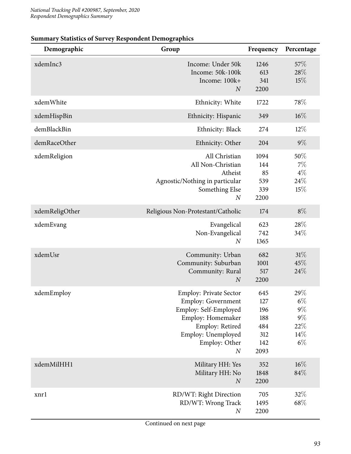|  |  | <b>Summary Statistics of Survey Respondent Demographics</b> |
|--|--|-------------------------------------------------------------|
|  |  |                                                             |

| Demographic    | Group                                                                                                                                                                                  | Frequency                                             | Percentage                                            |
|----------------|----------------------------------------------------------------------------------------------------------------------------------------------------------------------------------------|-------------------------------------------------------|-------------------------------------------------------|
| xdemInc3       | Income: Under 50k<br>Income: 50k-100k<br>Income: 100k+<br>$\boldsymbol{N}$                                                                                                             | 1246<br>613<br>341<br>2200                            | 57%<br>28%<br>15%                                     |
| xdemWhite      | Ethnicity: White                                                                                                                                                                       | 1722                                                  | 78%                                                   |
| xdemHispBin    | Ethnicity: Hispanic                                                                                                                                                                    | 349                                                   | $16\%$                                                |
| demBlackBin    | Ethnicity: Black                                                                                                                                                                       | 274                                                   | $12\%$                                                |
| demRaceOther   | Ethnicity: Other                                                                                                                                                                       | 204                                                   | $9\%$                                                 |
| xdemReligion   | All Christian<br>All Non-Christian<br>Atheist<br>Agnostic/Nothing in particular<br>Something Else<br>$\boldsymbol{N}$                                                                  | 1094<br>144<br>85<br>539<br>339<br>2200               | 50%<br>$7\%$<br>$4\%$<br>24%<br>15%                   |
| xdemReligOther | Religious Non-Protestant/Catholic                                                                                                                                                      | 174                                                   | $8\%$                                                 |
| xdemEvang      | Evangelical<br>Non-Evangelical<br>$\boldsymbol{N}$                                                                                                                                     | 623<br>742<br>1365                                    | 28\%<br>34%                                           |
| xdemUsr        | Community: Urban<br>Community: Suburban<br>Community: Rural<br>$\boldsymbol{N}$                                                                                                        | 682<br>1001<br>517<br>2200                            | 31%<br>45%<br>24%                                     |
| xdemEmploy     | <b>Employ: Private Sector</b><br><b>Employ: Government</b><br>Employ: Self-Employed<br>Employ: Homemaker<br>Employ: Retired<br>Employ: Unemployed<br>Employ: Other<br>$\boldsymbol{N}$ | 645<br>127<br>196<br>188<br>484<br>312<br>142<br>2093 | 29%<br>$6\%$<br>$9\%$<br>$9\%$<br>22%<br>14%<br>$6\%$ |
| xdemMilHH1     | Military HH: Yes<br>Military HH: No<br>$\overline{N}$                                                                                                                                  | 352<br>1848<br>2200                                   | $16\%$<br>84%                                         |
| xnrl           | RD/WT: Right Direction<br>RD/WT: Wrong Track<br>$\boldsymbol{N}$                                                                                                                       | 705<br>1495<br>2200                                   | 32%<br>68\%                                           |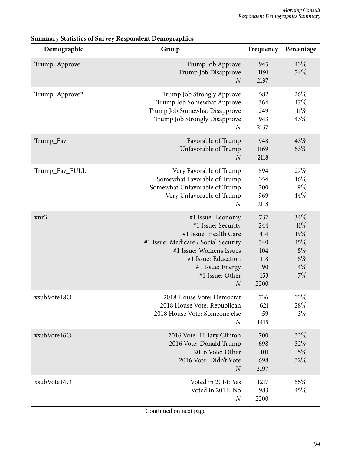| Demographic    | Group                                                                                                                                                                                                                  | Frequency                                                   | Percentage                                                   |
|----------------|------------------------------------------------------------------------------------------------------------------------------------------------------------------------------------------------------------------------|-------------------------------------------------------------|--------------------------------------------------------------|
| Trump_Approve  | Trump Job Approve<br>Trump Job Disapprove<br>$\overline{N}$                                                                                                                                                            | 945<br>1191<br>2137                                         | 43%<br>54%                                                   |
| Trump_Approve2 | Trump Job Strongly Approve<br>Trump Job Somewhat Approve<br>Trump Job Somewhat Disapprove<br>Trump Job Strongly Disapprove<br>$\boldsymbol{N}$                                                                         | 582<br>364<br>249<br>943<br>2137                            | 26%<br>17%<br>$11\%$<br>43%                                  |
| Trump_Fav      | Favorable of Trump<br>Unfavorable of Trump<br>$\overline{N}$                                                                                                                                                           | 948<br>1169<br>2118                                         | 43%<br>53%                                                   |
| Trump_Fav_FULL | Very Favorable of Trump<br>Somewhat Favorable of Trump<br>Somewhat Unfavorable of Trump<br>Very Unfavorable of Trump<br>$\overline{N}$                                                                                 | 594<br>354<br>200<br>969<br>2118                            | 27\%<br>$16\%$<br>$9\%$<br>44\%                              |
| xnr3           | #1 Issue: Economy<br>#1 Issue: Security<br>#1 Issue: Health Care<br>#1 Issue: Medicare / Social Security<br>#1 Issue: Women's Issues<br>#1 Issue: Education<br>#1 Issue: Energy<br>#1 Issue: Other<br>$\boldsymbol{N}$ | 737<br>244<br>414<br>340<br>104<br>118<br>90<br>153<br>2200 | 34%<br>11%<br>19%<br>$15\%$<br>$5\%$<br>$5\%$<br>$4\%$<br>7% |
| xsubVote18O    | 2018 House Vote: Democrat<br>2018 House Vote: Republican<br>2018 House Vote: Someone else<br>$\boldsymbol{N}$                                                                                                          | 736<br>621<br>59<br>1415                                    | 33%<br>28\%<br>$3\%$                                         |
| xsubVote16O    | 2016 Vote: Hillary Clinton<br>2016 Vote: Donald Trump<br>2016 Vote: Other<br>2016 Vote: Didn't Vote<br>$\overline{N}$                                                                                                  | 700<br>698<br>101<br>698<br>2197                            | 32%<br>32%<br>$5\%$<br>32%                                   |
| xsubVote14O    | Voted in 2014: Yes<br>Voted in 2014: No<br>$\boldsymbol{N}$                                                                                                                                                            | 1217<br>983<br>2200                                         | 55\%<br>45%                                                  |

#### **Summary Statistics of Survey Respondent Demographics**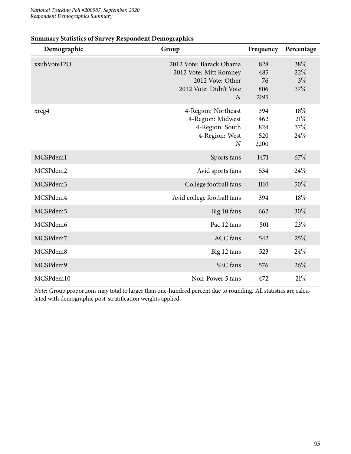| Demographic | Group                                                                                                             | Frequency                        | Percentage                  |
|-------------|-------------------------------------------------------------------------------------------------------------------|----------------------------------|-----------------------------|
| xsubVote12O | 2012 Vote: Barack Obama<br>2012 Vote: Mitt Romney<br>2012 Vote: Other<br>2012 Vote: Didn't Vote<br>$\overline{N}$ | 828<br>485<br>76<br>806<br>2195  | 38\%<br>22%<br>$3\%$<br>37% |
| xreg4       | 4-Region: Northeast<br>4-Region: Midwest<br>4-Region: South<br>4-Region: West<br>$\overline{N}$                   | 394<br>462<br>824<br>520<br>2200 | 18%<br>21%<br>37%<br>24\%   |
| MCSPdem1    | Sports fans                                                                                                       | 1471                             | 67%                         |
| MCSPdem2    | Avid sports fans                                                                                                  | 534                              | 24%                         |
| MCSPdem3    | College football fans                                                                                             | 1110                             | 50%                         |
| MCSPdem4    | Avid college football fans                                                                                        | 394                              | 18%                         |
| MCSPdem5    | Big 10 fans                                                                                                       | 662                              | 30%                         |
| MCSPdem6    | Pac 12 fans                                                                                                       | 501                              | 23%                         |
| MCSPdem7    | <b>ACC</b> fans                                                                                                   | 542                              | 25%                         |
| MCSPdem8    | Big 12 fans                                                                                                       | 523                              | 24%                         |
| MCSPdem9    | SEC fans                                                                                                          | 576                              | 26%                         |
| MCSPdem10   | Non-Power 5 fans                                                                                                  | 472                              | 21%                         |

#### **Summary Statistics of Survey Respondent Demographics**

*Note:* Group proportions may total to larger than one-hundred percent due to rounding. All statistics are calculated with demographic post-stratification weights applied.